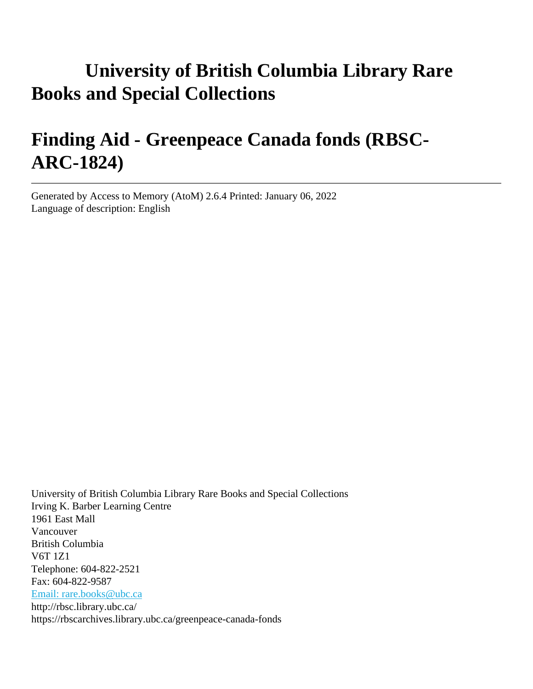# **University of British Columbia Library Rare Books and Special Collections**

# **Finding Aid - Greenpeace Canada fonds (RBSC-ARC-1824)**

Generated by Access to Memory (AtoM) 2.6.4 Printed: January 06, 2022 Language of description: English

University of British Columbia Library Rare Books and Special Collections Irving K. Barber Learning Centre 1961 East Mall Vancouver British Columbia V6T 1Z1 Telephone: 604-822-2521 Fax: 604-822-9587 [Email: rare.books@ubc.ca](mailto:Email: rare.books@ubc.ca) http://rbsc.library.ubc.ca/ https://rbscarchives.library.ubc.ca/greenpeace-canada-fonds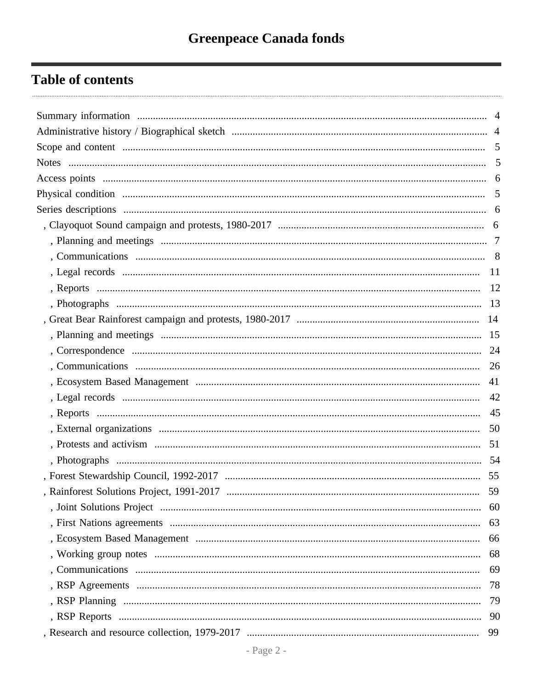## **Table of contents**

| 41 |    |
|----|----|
|    |    |
|    |    |
|    |    |
|    |    |
|    |    |
|    |    |
|    | 59 |
|    | 60 |
|    | 63 |
|    | 66 |
|    | 68 |
|    | 69 |
|    | 78 |
|    | 79 |
|    |    |
|    | 99 |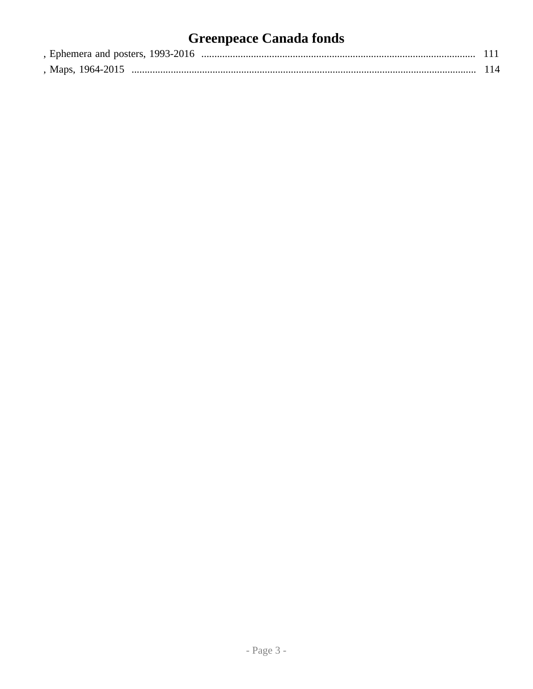# **Greenpeace Canada fonds**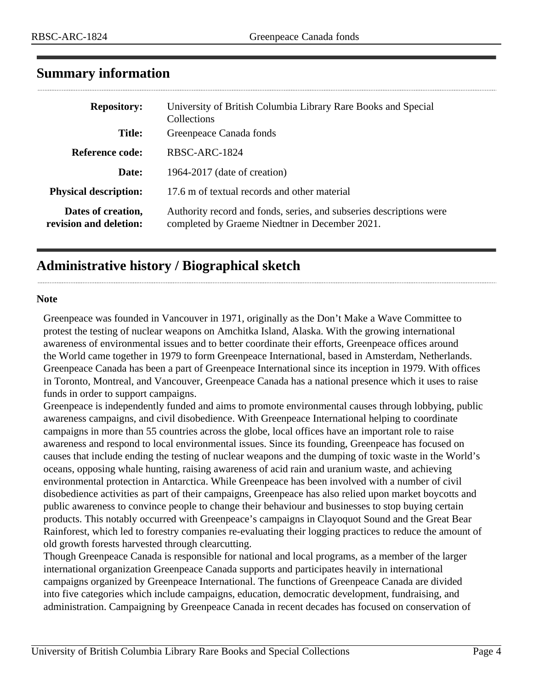<span id="page-3-0"></span>

| <b>Repository:</b>                           | University of British Columbia Library Rare Books and Special<br>Collections                                          |
|----------------------------------------------|-----------------------------------------------------------------------------------------------------------------------|
| <b>Title:</b>                                | Greenpeace Canada fonds                                                                                               |
| Reference code:                              | RBSC-ARC-1824                                                                                                         |
| Date:                                        | 1964-2017 (date of creation)                                                                                          |
| <b>Physical description:</b>                 | 17.6 m of textual records and other material                                                                          |
| Dates of creation,<br>revision and deletion: | Authority record and fonds, series, and subseries descriptions were<br>completed by Graeme Niedtner in December 2021. |

### <span id="page-3-1"></span>**Administrative history / Biographical sketch**

#### **Note**

Greenpeace was founded in Vancouver in 1971, originally as the Don't Make a Wave Committee to protest the testing of nuclear weapons on Amchitka Island, Alaska. With the growing international awareness of environmental issues and to better coordinate their efforts, Greenpeace offices around the World came together in 1979 to form Greenpeace International, based in Amsterdam, Netherlands. Greenpeace Canada has been a part of Greenpeace International since its inception in 1979. With offices in Toronto, Montreal, and Vancouver, Greenpeace Canada has a national presence which it uses to raise funds in order to support campaigns.

Greenpeace is independently funded and aims to promote environmental causes through lobbying, public awareness campaigns, and civil disobedience. With Greenpeace International helping to coordinate campaigns in more than 55 countries across the globe, local offices have an important role to raise awareness and respond to local environmental issues. Since its founding, Greenpeace has focused on causes that include ending the testing of nuclear weapons and the dumping of toxic waste in the World's oceans, opposing whale hunting, raising awareness of acid rain and uranium waste, and achieving environmental protection in Antarctica. While Greenpeace has been involved with a number of civil disobedience activities as part of their campaigns, Greenpeace has also relied upon market boycotts and public awareness to convince people to change their behaviour and businesses to stop buying certain products. This notably occurred with Greenpeace's campaigns in Clayoquot Sound and the Great Bear Rainforest, which led to forestry companies re-evaluating their logging practices to reduce the amount of old growth forests harvested through clearcutting.

Though Greenpeace Canada is responsible for national and local programs, as a member of the larger international organization Greenpeace Canada supports and participates heavily in international campaigns organized by Greenpeace International. The functions of Greenpeace Canada are divided into five categories which include campaigns, education, democratic development, fundraising, and administration. Campaigning by Greenpeace Canada in recent decades has focused on conservation of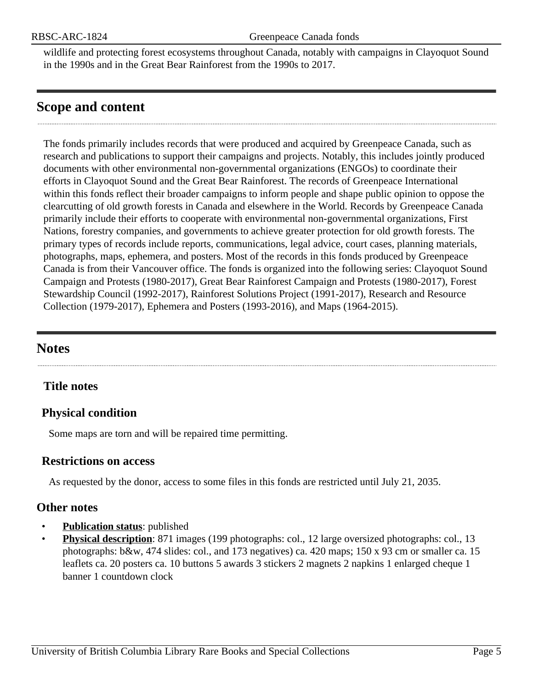wildlife and protecting forest ecosystems throughout Canada, notably with campaigns in Clayoquot Sound in the 1990s and in the Great Bear Rainforest from the 1990s to 2017.

### <span id="page-4-0"></span>**Scope and content**

The fonds primarily includes records that were produced and acquired by Greenpeace Canada, such as research and publications to support their campaigns and projects. Notably, this includes jointly produced documents with other environmental non-governmental organizations (ENGOs) to coordinate their efforts in Clayoquot Sound and the Great Bear Rainforest. The records of Greenpeace International within this fonds reflect their broader campaigns to inform people and shape public opinion to oppose the clearcutting of old growth forests in Canada and elsewhere in the World. Records by Greenpeace Canada primarily include their efforts to cooperate with environmental non-governmental organizations, First Nations, forestry companies, and governments to achieve greater protection for old growth forests. The primary types of records include reports, communications, legal advice, court cases, planning materials, photographs, maps, ephemera, and posters. Most of the records in this fonds produced by Greenpeace Canada is from their Vancouver office. The fonds is organized into the following series: Clayoquot Sound Campaign and Protests (1980-2017), Great Bear Rainforest Campaign and Protests (1980-2017), Forest Stewardship Council (1992-2017), Rainforest Solutions Project (1991-2017), Research and Resource Collection (1979-2017), Ephemera and Posters (1993-2016), and Maps (1964-2015).

### <span id="page-4-1"></span>**Notes**

### **Title notes**

### <span id="page-4-2"></span>**Physical condition**

Some maps are torn and will be repaired time permitting.

#### **Restrictions on access**

As requested by the donor, access to some files in this fonds are restricted until July 21, 2035.

### **Other notes**

- **Publication status:** published
- **Physical description**: 871 images (199 photographs: col., 12 large oversized photographs: col., 13 photographs: b&w, 474 slides: col., and 173 negatives) ca. 420 maps; 150 x 93 cm or smaller ca. 15 leaflets ca. 20 posters ca. 10 buttons 5 awards 3 stickers 2 magnets 2 napkins 1 enlarged cheque 1 banner 1 countdown clock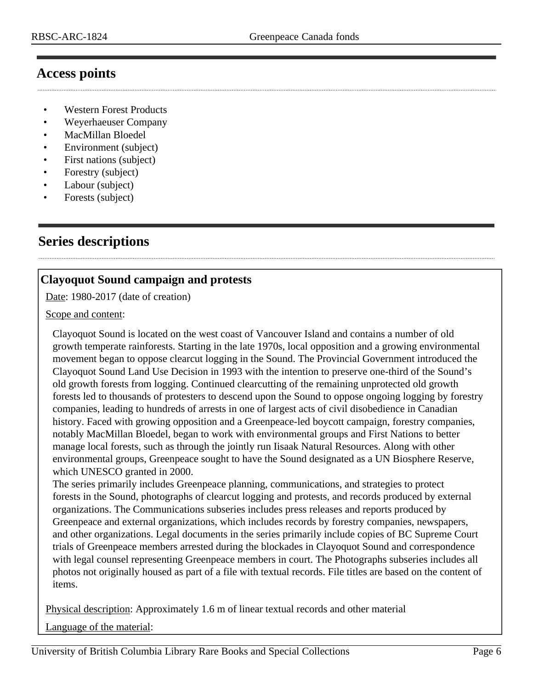### <span id="page-5-0"></span>**Access points**

- Western Forest Products
- Weyerhaeuser Company
- MacMillan Bloedel
- Environment (subject)
- First nations (subject)
- Forestry (subject)
- Labour (subject)
- Forests (subject)

### <span id="page-5-1"></span>**Series descriptions**

### <span id="page-5-2"></span>**Clayoquot Sound campaign and protests**

Date: 1980-2017 (date of creation)

#### Scope and content:

Clayoquot Sound is located on the west coast of Vancouver Island and contains a number of old growth temperate rainforests. Starting in the late 1970s, local opposition and a growing environmental movement began to oppose clearcut logging in the Sound. The Provincial Government introduced the Clayoquot Sound Land Use Decision in 1993 with the intention to preserve one-third of the Sound's old growth forests from logging. Continued clearcutting of the remaining unprotected old growth forests led to thousands of protesters to descend upon the Sound to oppose ongoing logging by forestry companies, leading to hundreds of arrests in one of largest acts of civil disobedience in Canadian history. Faced with growing opposition and a Greenpeace-led boycott campaign, forestry companies, notably MacMillan Bloedel, began to work with environmental groups and First Nations to better manage local forests, such as through the jointly run Iisaak Natural Resources. Along with other environmental groups, Greenpeace sought to have the Sound designated as a UN Biosphere Reserve, which UNESCO granted in 2000.

The series primarily includes Greenpeace planning, communications, and strategies to protect forests in the Sound, photographs of clearcut logging and protests, and records produced by external organizations. The Communications subseries includes press releases and reports produced by Greenpeace and external organizations, which includes records by forestry companies, newspapers, and other organizations. Legal documents in the series primarily include copies of BC Supreme Court trials of Greenpeace members arrested during the blockades in Clayoquot Sound and correspondence with legal counsel representing Greenpeace members in court. The Photographs subseries includes all photos not originally housed as part of a file with textual records. File titles are based on the content of items.

Physical description: Approximately 1.6 m of linear textual records and other material

Language of the material: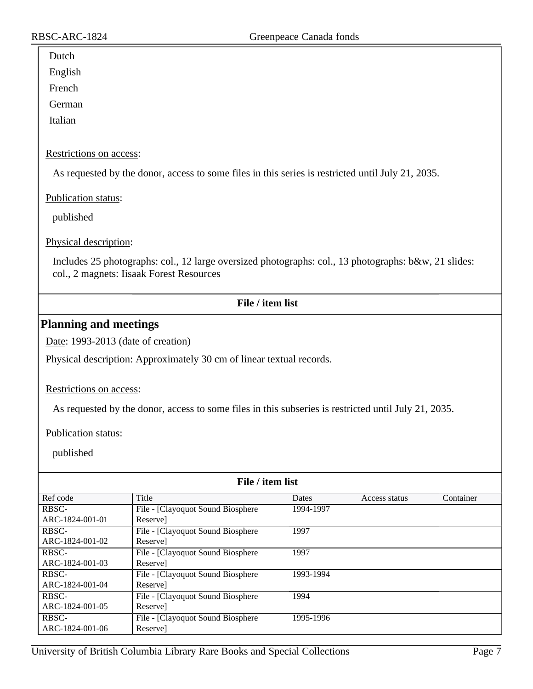### Dutch English French

German

Italian

#### Restrictions on access:

As requested by the donor, access to some files in this series is restricted until July 21, 2035.

Publication status:

published

Physical description:

Includes 25 photographs: col., 12 large oversized photographs: col., 13 photographs: b&w, 21 slides: col., 2 magnets: Iisaak Forest Resources

#### <span id="page-6-0"></span>**Planning and meetings**

Date: 1993-2013 (date of creation)

Physical description: Approximately 30 cm of linear textual records.

Restrictions on access:

As requested by the donor, access to some files in this subseries is restricted until July 21, 2035.

Publication status:

| File / item list |                                   |           |               |           |
|------------------|-----------------------------------|-----------|---------------|-----------|
| Ref code         | Title                             | Dates     | Access status | Container |
| RBSC-            | File - [Clayoquot Sound Biosphere | 1994-1997 |               |           |
| ARC-1824-001-01  | Reservel                          |           |               |           |
| RBSC-            | File - [Clayoquot Sound Biosphere | 1997      |               |           |
| ARC-1824-001-02  | Reserve]                          |           |               |           |
| RBSC-            | File - [Clayoquot Sound Biosphere | 1997      |               |           |
| ARC-1824-001-03  | Reservel                          |           |               |           |
| RBSC-            | File - [Clayoquot Sound Biosphere | 1993-1994 |               |           |
| ARC-1824-001-04  | Reserve                           |           |               |           |
| RBSC-            | File - [Clayoquot Sound Biosphere | 1994      |               |           |
| ARC-1824-001-05  | Reserve]                          |           |               |           |
| RBSC-            | File - [Clayoquot Sound Biosphere | 1995-1996 |               |           |
| ARC-1824-001-06  | Reservel                          |           |               |           |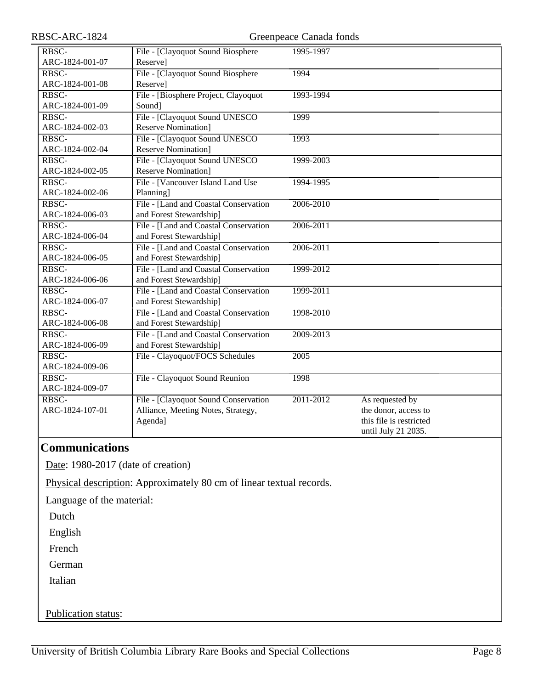| RBSC-ARC-1824   |                                       | Greenpeace Canada fonds |                         |
|-----------------|---------------------------------------|-------------------------|-------------------------|
| RBSC-           | File - [Clayoquot Sound Biosphere     | 1995-1997               |                         |
| ARC-1824-001-07 | Reserve]                              |                         |                         |
| RBSC-           | File - [Clayoquot Sound Biosphere     | 1994                    |                         |
| ARC-1824-001-08 | Reserve]                              |                         |                         |
| RBSC-           | File - [Biosphere Project, Clayoquot] | 1993-1994               |                         |
| ARC-1824-001-09 | Sound]                                |                         |                         |
| RBSC-           | File - [Clayoquot Sound UNESCO        | 1999                    |                         |
| ARC-1824-002-03 | <b>Reserve Nomination</b> ]           |                         |                         |
| RBSC-           | File - [Clayoquot Sound UNESCO        | 1993                    |                         |
| ARC-1824-002-04 | <b>Reserve Nomination</b> ]           |                         |                         |
| RBSC-           | File - [Clayoquot Sound UNESCO        | 1999-2003               |                         |
| ARC-1824-002-05 | <b>Reserve Nomination</b> ]           |                         |                         |
| RBSC-           | File - [Vancouver Island Land Use     | 1994-1995               |                         |
| ARC-1824-002-06 | Planning]                             |                         |                         |
| RBSC-           | File - [Land and Coastal Conservation | 2006-2010               |                         |
| ARC-1824-006-03 | and Forest Stewardship]               |                         |                         |
| RBSC-           | File - [Land and Coastal Conservation | 2006-2011               |                         |
| ARC-1824-006-04 | and Forest Stewardship]               |                         |                         |
| RBSC-           | File - [Land and Coastal Conservation | 2006-2011               |                         |
| ARC-1824-006-05 | and Forest Stewardship]               |                         |                         |
| RBSC-           | File - [Land and Coastal Conservation | $1999 - 2012$           |                         |
| ARC-1824-006-06 | and Forest Stewardship]               |                         |                         |
| RBSC-           | File - [Land and Coastal Conservation | 1999-2011               |                         |
| ARC-1824-006-07 | and Forest Stewardship]               |                         |                         |
| RBSC-           | File - [Land and Coastal Conservation | 1998-2010               |                         |
| ARC-1824-006-08 | and Forest Stewardship]               |                         |                         |
| RBSC-           | File - [Land and Coastal Conservation | 2009-2013               |                         |
| ARC-1824-006-09 | and Forest Stewardship]               |                         |                         |
| RBSC-           | File - Clayoquot/FOCS Schedules       | 2005                    |                         |
| ARC-1824-009-06 |                                       |                         |                         |
| RBSC-           | File - Clayoquot Sound Reunion        | 1998                    |                         |
| ARC-1824-009-07 |                                       |                         |                         |
| RBSC-           | File - [Clayoquot Sound Conservation  | 2011-2012               | As requested by         |
| ARC-1824-107-01 | Alliance, Meeting Notes, Strategy,    |                         | the donor, access to    |
|                 | Agenda]                               |                         | this file is restricted |
|                 |                                       |                         | until July 21 2035.     |

### <span id="page-7-0"></span>**Communications**

Date: 1980-2017 (date of creation)

Physical description: Approximately 80 cm of linear textual records.

Language of the material:

Dutch

English

French

German

Italian

Publication status: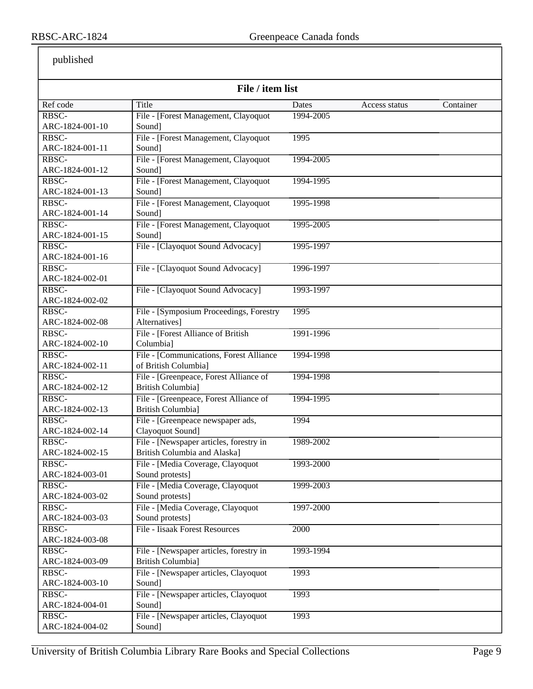| File / item list         |                                                                      |                    |               |           |
|--------------------------|----------------------------------------------------------------------|--------------------|---------------|-----------|
|                          |                                                                      |                    |               |           |
| Ref code<br>RBSC-        | Title                                                                | Dates<br>1994-2005 | Access status | Container |
| ARC-1824-001-10          | File - [Forest Management, Clayoquot<br>Sound]                       |                    |               |           |
| RBSC-                    |                                                                      |                    |               |           |
| ARC-1824-001-11          | File - [Forest Management, Clayoquot                                 | 1995               |               |           |
|                          | Sound]                                                               |                    |               |           |
| RBSC-                    | File - [Forest Management, Clayoquot                                 | 1994-2005          |               |           |
| ARC-1824-001-12          | Sound]                                                               |                    |               |           |
| RBSC-                    | File - [Forest Management, Clayoquot                                 | 1994-1995          |               |           |
| ARC-1824-001-13          | Sound]                                                               |                    |               |           |
| RBSC-                    | File - [Forest Management, Clayoquot                                 | 1995-1998          |               |           |
| ARC-1824-001-14          | Sound]                                                               |                    |               |           |
| RBSC-                    | File - [Forest Management, Clayoquot                                 | 1995-2005          |               |           |
| ARC-1824-001-15          | Sound]                                                               |                    |               |           |
| RBSC-                    | File - [Clayoquot Sound Advocacy]                                    | 1995-1997          |               |           |
| ARC-1824-001-16          |                                                                      |                    |               |           |
| RBSC-                    | File - [Clayoquot Sound Advocacy]                                    | 1996-1997          |               |           |
| ARC-1824-002-01          |                                                                      |                    |               |           |
| RBSC-                    | File - [Clayoquot Sound Advocacy]                                    | 1993-1997          |               |           |
| ARC-1824-002-02          |                                                                      |                    |               |           |
| RBSC-                    | File - [Symposium Proceedings, Forestry                              | 1995               |               |           |
| ARC-1824-002-08          | Alternatives]                                                        |                    |               |           |
| RBSC-                    | File - [Forest Alliance of British                                   | 1991-1996          |               |           |
| ARC-1824-002-10          | Columbia]                                                            |                    |               |           |
| RBSC-                    | File - [Communications, Forest Alliance                              | 1994-1998          |               |           |
| ARC-1824-002-11          | of British Columbia]                                                 |                    |               |           |
| RBSC-                    | File - [Greenpeace, Forest Alliance of                               | 1994-1998          |               |           |
| ARC-1824-002-12          | <b>British Columbia]</b>                                             |                    |               |           |
| RBSC-                    | File - [Greenpeace, Forest Alliance of                               | 1994-1995          |               |           |
| ARC-1824-002-13          | <b>British Columbia</b> ]                                            |                    |               |           |
| RBSC-                    | File - [Greenpeace newspaper ads,                                    | 1994               |               |           |
| ARC-1824-002-14          | Clayoquot Sound]                                                     |                    |               |           |
| RBSC-                    | File - [Newspaper articles, forestry in                              | 1989-2002          |               |           |
| ARC-1824-002-15          | <b>British Columbia and Alaska]</b>                                  |                    |               |           |
| RBSC-                    | File - [Media Coverage, Clayoquot                                    | 1993-2000          |               |           |
| ARC-1824-003-01          | Sound protests]                                                      |                    |               |           |
| RBSC-                    | File - [Media Coverage, Clayoquot                                    | 1999-2003          |               |           |
| ARC-1824-003-02<br>RBSC- | Sound protests]                                                      | 1997-2000          |               |           |
| ARC-1824-003-03          | File - [Media Coverage, Clayoquot<br>Sound protests]                 |                    |               |           |
| RBSC-                    | <b>File - Iisaak Forest Resources</b>                                | 2000               |               |           |
| ARC-1824-003-08          |                                                                      |                    |               |           |
| RBSC-                    |                                                                      |                    |               |           |
| ARC-1824-003-09          | File - [Newspaper articles, forestry in<br><b>British Columbia</b> ] | 1993-1994          |               |           |
|                          |                                                                      |                    |               |           |
| RBSC-<br>ARC-1824-003-10 | File - [Newspaper articles, Clayoquot<br>Sound]                      | 1993               |               |           |
|                          |                                                                      |                    |               |           |
| RBSC-                    | File - [Newspaper articles, Clayoquot                                | 1993               |               |           |
| ARC-1824-004-01          | Sound]                                                               |                    |               |           |
| RBSC-                    | File - [Newspaper articles, Clayoquot                                | 1993               |               |           |
| ARC-1824-004-02          | Sound]                                                               |                    |               |           |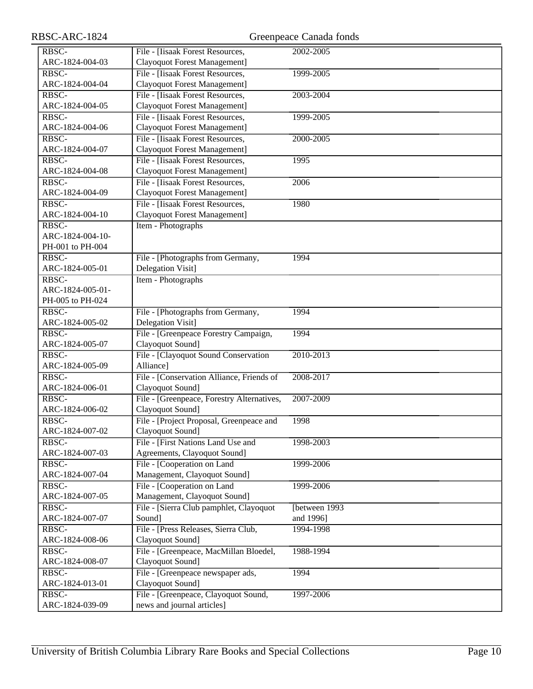| RBSC-ARC-1824    |                                            | Greenpeace Canada fonds |
|------------------|--------------------------------------------|-------------------------|
| RBSC-            | File - [Iisaak Forest Resources,           | 2002-2005               |
| ARC-1824-004-03  | Clayoquot Forest Management]               |                         |
| RBSC-            | File - [Iisaak Forest Resources,           | 1999-2005               |
| ARC-1824-004-04  | <b>Clayoquot Forest Management]</b>        |                         |
| RBSC-            | File - [Iisaak Forest Resources,           | 2003-2004               |
| ARC-1824-004-05  | Clayoquot Forest Management]               |                         |
| RBSC-            | File - [Iisaak Forest Resources,           | 1999-2005               |
| ARC-1824-004-06  | Clayoquot Forest Management]               |                         |
| RBSC-            | File - [Iisaak Forest Resources,           | 2000-2005               |
| ARC-1824-004-07  | Clayoquot Forest Management]               |                         |
| RBSC-            | File - [Iisaak Forest Resources,           | 1995                    |
| ARC-1824-004-08  | Clayoquot Forest Management]               |                         |
| RBSC-            | File - [Iisaak Forest Resources,           | 2006                    |
| ARC-1824-004-09  | Clayoquot Forest Management]               |                         |
| RBSC-            | File - [Iisaak Forest Resources,           | 1980                    |
| ARC-1824-004-10  | Clayoquot Forest Management]               |                         |
| RBSC-            | Item - Photographs                         |                         |
| ARC-1824-004-10- |                                            |                         |
| PH-001 to PH-004 |                                            |                         |
| RBSC-            | File - [Photographs from Germany,          | 1994                    |
| ARC-1824-005-01  | Delegation Visit]                          |                         |
| RBSC-            | Item - Photographs                         |                         |
| ARC-1824-005-01- |                                            |                         |
| PH-005 to PH-024 |                                            |                         |
| RBSC-            | File - [Photographs from Germany,          | 1994                    |
| ARC-1824-005-02  | Delegation Visit]                          |                         |
| RBSC-            | File - [Greenpeace Forestry Campaign,      | 1994                    |
| ARC-1824-005-07  | Clayoquot Sound]                           |                         |
| RBSC-            | File - [Clayoquot Sound Conservation       | 2010-2013               |
| ARC-1824-005-09  | Alliance]                                  |                         |
| RBSC-            | File - [Conservation Alliance, Friends of  | 2008-2017               |
| ARC-1824-006-01  | Clayoquot Sound]                           |                         |
| RBSC-            | File - [Greenpeace, Forestry Alternatives, | 2007-2009               |
| ARC-1824-006-02  | Clayoquot Sound]                           |                         |
| RBSC-            | File - [Project Proposal, Greenpeace and   | 1998                    |
| ARC-1824-007-02  | Clayoquot Sound]                           |                         |
| RBSC-            | File - [First Nations Land Use and         | 1998-2003               |
| ARC-1824-007-03  | Agreements, Clayoquot Sound]               |                         |
| RBSC-            | File - [Cooperation on Land                | 1999-2006               |
| ARC-1824-007-04  | Management, Clayoquot Sound]               |                         |
| RBSC-            | File - [Cooperation on Land                | 1999-2006               |
| ARC-1824-007-05  | Management, Clayoquot Sound]               |                         |
| RBSC-            | File - [Sierra Club pamphlet, Clayoquot]   | [between 1993           |
| ARC-1824-007-07  | Sound]                                     | and 1996]               |
| RBSC-            | File - [Press Releases, Sierra Club,       | 1994-1998               |
| ARC-1824-008-06  | Clayoquot Sound]                           |                         |
| RBSC-            | File - [Greenpeace, MacMillan Bloedel,     | 1988-1994               |
| ARC-1824-008-07  | Clayoquot Sound]                           |                         |
| RBSC-            | File - [Greenpeace newspaper ads,          | 1994                    |
| ARC-1824-013-01  | Clayoquot Sound]                           |                         |
| RBSC-            | File - [Greenpeace, Clayoquot Sound,       | 1997-2006               |
| ARC-1824-039-09  | news and journal articles]                 |                         |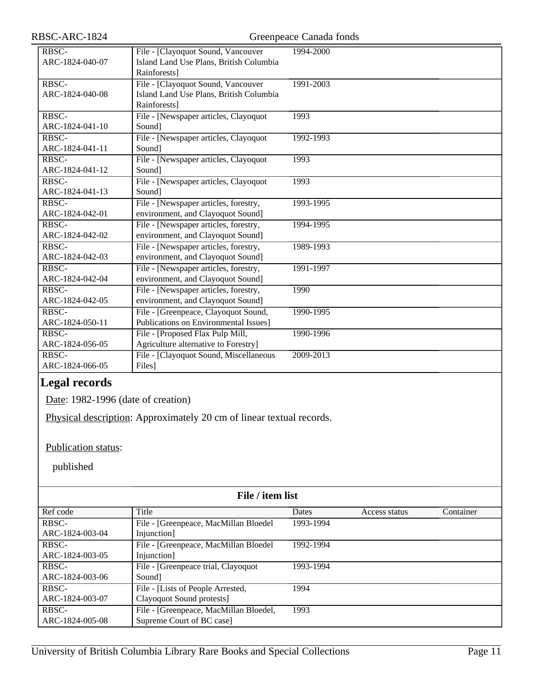RBSC-ARC-1824 Greenpeace Canada fonds

| RBSC-           | File - [Clayoquot Sound, Vancouver      | 1994-2000 |
|-----------------|-----------------------------------------|-----------|
| ARC-1824-040-07 | Island Land Use Plans, British Columbia |           |
|                 | Rainforests]                            |           |
| RBSC-           | File - [Clayoquot Sound, Vancouver      | 1991-2003 |
| ARC-1824-040-08 | Island Land Use Plans, British Columbia |           |
|                 | Rainforests]                            |           |
| RBSC-           | File - [Newspaper articles, Clayoquot   | 1993      |
| ARC-1824-041-10 | Sound]                                  |           |
| RBSC-           | File - [Newspaper articles, Clayoquot   | 1992-1993 |
| ARC-1824-041-11 | Sound]                                  |           |
| RBSC-           | File - [Newspaper articles, Clayoquot   | 1993      |
| ARC-1824-041-12 | Sound]                                  |           |
| RBSC-           | File - [Newspaper articles, Clayoquot   | 1993      |
| ARC-1824-041-13 | Sound]                                  |           |
| RBSC-           | File - [Newspaper articles, forestry,   | 1993-1995 |
| ARC-1824-042-01 | environment, and Clayoquot Sound]       |           |
| RBSC-           | File - [Newspaper articles, forestry,   | 1994-1995 |
| ARC-1824-042-02 | environment, and Clayoquot Sound]       |           |
| RBSC-           | File - [Newspaper articles, forestry,   | 1989-1993 |
| ARC-1824-042-03 | environment, and Clayoquot Sound]       |           |
| RBSC-           | File - [Newspaper articles, forestry,   | 1991-1997 |
| ARC-1824-042-04 | environment, and Clayoquot Sound]       |           |
| RBSC-           | File - [Newspaper articles, forestry,   | 1990      |
| ARC-1824-042-05 | environment, and Clayoquot Sound]       |           |
| RBSC-           | File - [Greenpeace, Clayoquot Sound,    | 1990-1995 |
| ARC-1824-050-11 | Publications on Environmental Issues]   |           |
| RBSC-           | File - [Proposed Flax Pulp Mill,        | 1990-1996 |
| ARC-1824-056-05 | Agriculture alternative to Forestry]    |           |
| RBSC-           | File - [Clayoquot Sound, Miscellaneous  | 2009-2013 |
| ARC-1824-066-05 | Files]                                  |           |
|                 |                                         |           |

### <span id="page-10-0"></span>**Legal records**

Date: 1982-1996 (date of creation)

Physical description: Approximately 20 cm of linear textual records.

Publication status:

| File / item list |                                        |           |               |           |
|------------------|----------------------------------------|-----------|---------------|-----------|
| Ref code         | Title                                  | Dates     | Access status | Container |
| RBSC-            | File - [Greenpeace, MacMillan Bloedel  | 1993-1994 |               |           |
| ARC-1824-003-04  | Injunction]                            |           |               |           |
| RBSC-            | File - [Greenpeace, MacMillan Bloedel  | 1992-1994 |               |           |
| ARC-1824-003-05  | Injunction]                            |           |               |           |
| RBSC-            | File - [Greenpeace trial, Clayoquot    | 1993-1994 |               |           |
| ARC-1824-003-06  | Sound                                  |           |               |           |
| RBSC-            | File - [Lists of People Arrested,      | 1994      |               |           |
| ARC-1824-003-07  | Clayoquot Sound protests]              |           |               |           |
| RBSC-            | File - [Greenpeace, MacMillan Bloedel, | 1993      |               |           |
| ARC-1824-005-08  | Supreme Court of BC case]              |           |               |           |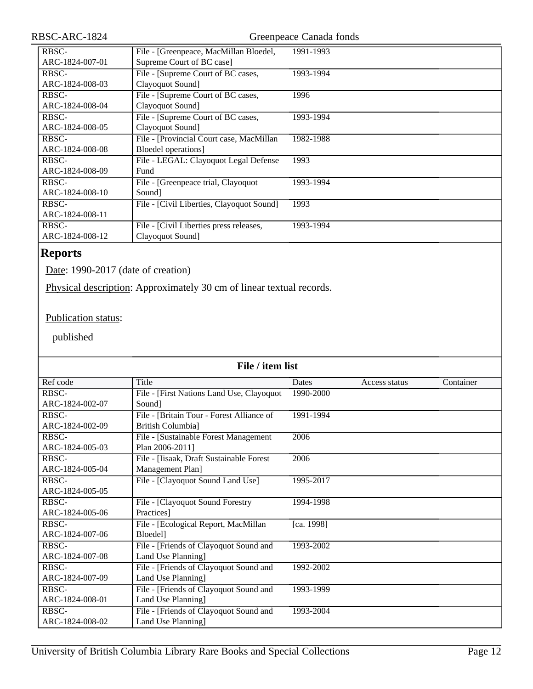| RBSC-ARC-1824   |                                           | Greenpeace Canada fonds |
|-----------------|-------------------------------------------|-------------------------|
| RBSC-           | File - [Greenpeace, MacMillan Bloedel,    | 1991-1993               |
| ARC-1824-007-01 | Supreme Court of BC case]                 |                         |
| RBSC-           | File - [Supreme Court of BC cases,        | 1993-1994               |
| ARC-1824-008-03 | Clayoquot Sound]                          |                         |
| RBSC-           | File - [Supreme Court of BC cases,        | 1996                    |
| ARC-1824-008-04 | Clayoquot Sound]                          |                         |
| RBSC-           | File - [Supreme Court of BC cases,        | 1993-1994               |
| ARC-1824-008-05 | Clayoquot Sound]                          |                         |
| RBSC-           | File - [Provincial Court case, MacMillan  | 1982-1988               |
| ARC-1824-008-08 | Bloedel operations]                       |                         |
| RBSC-           | File - LEGAL: Clayoquot Legal Defense     | 1993                    |
| ARC-1824-008-09 | Fund                                      |                         |
| RBSC-           | File - [Greenpeace trial, Clayoquot       | 1993-1994               |
| ARC-1824-008-10 | Sound]                                    |                         |
| RBSC-           | File - [Civil Liberties, Clayoquot Sound] | 1993                    |
| ARC-1824-008-11 |                                           |                         |
| RBSC-           | File - [Civil Liberties press releases,   | 1993-1994               |
| ARC-1824-008-12 | Clayoquot Sound]                          |                         |
|                 |                                           |                         |

## <span id="page-11-0"></span>**Reports**

Date: 1990-2017 (date of creation)

Physical description: Approximately 30 cm of linear textual records.

### Publication status:

| File / item list |                                           |            |               |           |
|------------------|-------------------------------------------|------------|---------------|-----------|
| Ref code         | Title                                     | Dates      | Access status | Container |
| RBSC-            | File - [First Nations Land Use, Clayoquot | 1990-2000  |               |           |
| ARC-1824-002-07  | Sound                                     |            |               |           |
| RBSC-            | File - [Britain Tour - Forest Alliance of | 1991-1994  |               |           |
| ARC-1824-002-09  | British Columbia]                         |            |               |           |
| RBSC-            | File - [Sustainable Forest Management]    | 2006       |               |           |
| ARC-1824-005-03  | Plan 2006-2011]                           |            |               |           |
| RBSC-            | File - [Iisaak, Draft Sustainable Forest  | 2006       |               |           |
| ARC-1824-005-04  | Management Plan]                          |            |               |           |
| RBSC-            | File - [Clayoquot Sound Land Use]         | 1995-2017  |               |           |
| ARC-1824-005-05  |                                           |            |               |           |
| RBSC-            | File - [Clayoquot Sound Forestry          | 1994-1998  |               |           |
| ARC-1824-005-06  | Practices]                                |            |               |           |
| RBSC-            | File - [Ecological Report, MacMillan      | [ca. 1998] |               |           |
| ARC-1824-007-06  | Bloedel]                                  |            |               |           |
| RBSC-            | File - [Friends of Clayoquot Sound and    | 1993-2002  |               |           |
| ARC-1824-007-08  | Land Use Planning]                        |            |               |           |
| RBSC-            | File - [Friends of Clayoquot Sound and    | 1992-2002  |               |           |
| ARC-1824-007-09  | Land Use Planning]                        |            |               |           |
| RBSC-            | File - [Friends of Clayoquot Sound and    | 1993-1999  |               |           |
| ARC-1824-008-01  | Land Use Planning]                        |            |               |           |
| RBSC-            | File - [Friends of Clayoquot Sound and    | 1993-2004  |               |           |
| ARC-1824-008-02  | Land Use Planning]                        |            |               |           |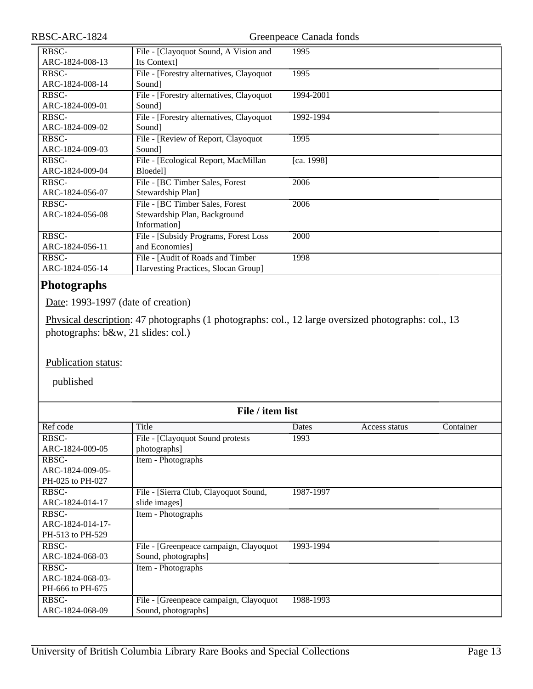| RBSC-ARC-1824            | Greenpeace Canada fonds                                                         |            |  |
|--------------------------|---------------------------------------------------------------------------------|------------|--|
| RBSC-<br>ARC-1824-008-13 | File - [Clayoquot Sound, A Vision and<br>Its Context]                           | 1995       |  |
| RBSC-<br>ARC-1824-008-14 | File - [Forestry alternatives, Clayoquot]<br>Sound]                             | 1995       |  |
| RBSC-<br>ARC-1824-009-01 | File - [Forestry alternatives, Clayoquot<br>Sound]                              | 1994-2001  |  |
| RBSC-<br>ARC-1824-009-02 | File - [Forestry alternatives, Clayoquot<br>Sound]                              | 1992-1994  |  |
| RBSC-<br>ARC-1824-009-03 | File - [Review of Report, Clayoquot<br>Sound]                                   | 1995       |  |
| RBSC-<br>ARC-1824-009-04 | File - [Ecological Report, MacMillan<br>Bloedel]                                | [ca. 1998] |  |
| RBSC-<br>ARC-1824-056-07 | File - [BC Timber Sales, Forest<br>Stewardship Plan]                            | 2006       |  |
| RBSC-<br>ARC-1824-056-08 | File - [BC Timber Sales, Forest<br>Stewardship Plan, Background<br>Information] | 2006       |  |
| RBSC-<br>ARC-1824-056-11 | File - [Subsidy Programs, Forest Loss<br>and Economies]                         | 2000       |  |
| RBSC-<br>ARC-1824-056-14 | File - [Audit of Roads and Timber<br>Harvesting Practices, Slocan Group]        | 1998       |  |

### <span id="page-12-0"></span>**Photographs**

Date: 1993-1997 (date of creation)

Physical description: 47 photographs (1 photographs: col., 12 large oversized photographs: col., 13 photographs: b&w, 21 slides: col.)

#### Publication status:

| File / item list |                                        |           |               |           |
|------------------|----------------------------------------|-----------|---------------|-----------|
| Ref code         | Title                                  | Dates     | Access status | Container |
| RBSC-            | File - [Clayoquot Sound protests       | 1993      |               |           |
| ARC-1824-009-05  | photographs]                           |           |               |           |
| RBSC-            | Item - Photographs                     |           |               |           |
| ARC-1824-009-05- |                                        |           |               |           |
| PH-025 to PH-027 |                                        |           |               |           |
| RBSC-            | File - [Sierra Club, Clayoquot Sound,  | 1987-1997 |               |           |
| ARC-1824-014-17  | slide images]                          |           |               |           |
| RBSC-            | Item - Photographs                     |           |               |           |
| ARC-1824-014-17- |                                        |           |               |           |
| PH-513 to PH-529 |                                        |           |               |           |
| RBSC-            | File - [Greenpeace campaign, Clayoquot | 1993-1994 |               |           |
| ARC-1824-068-03  | Sound, photographs]                    |           |               |           |
| RBSC-            | Item - Photographs                     |           |               |           |
| ARC-1824-068-03- |                                        |           |               |           |
| PH-666 to PH-675 |                                        |           |               |           |
| RBSC-            | File - [Greenpeace campaign, Clayoquot | 1988-1993 |               |           |
| ARC-1824-068-09  | Sound, photographs]                    |           |               |           |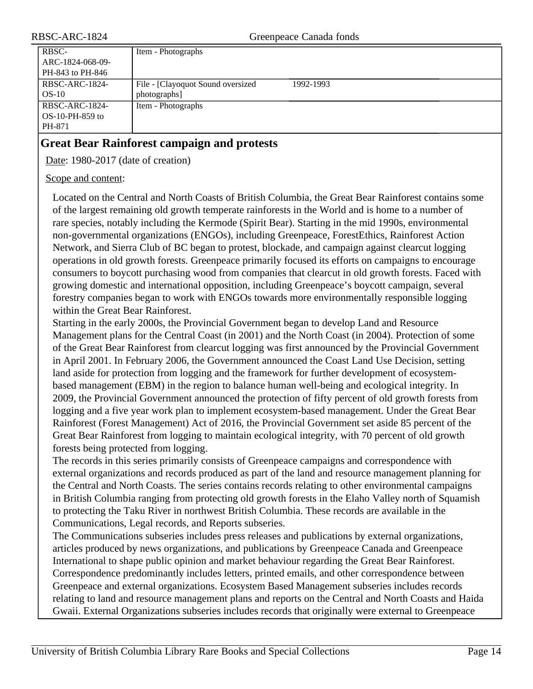| Item - Photographs                 |           |
|------------------------------------|-----------|
|                                    |           |
|                                    |           |
| File - [Clayoquot Sound oversized] | 1992-1993 |
| photographs]                       |           |
| Item - Photographs                 |           |
|                                    |           |
|                                    |           |
|                                    |           |

### <span id="page-13-0"></span>**Great Bear Rainforest campaign and protests**

Date: 1980-2017 (date of creation)

#### Scope and content:

Located on the Central and North Coasts of British Columbia, the Great Bear Rainforest contains some of the largest remaining old growth temperate rainforests in the World and is home to a number of rare species, notably including the Kermode (Spirit Bear). Starting in the mid 1990s, environmental non-governmental organizations (ENGOs), including Greenpeace, ForestEthics, Rainforest Action Network, and Sierra Club of BC began to protest, blockade, and campaign against clearcut logging operations in old growth forests. Greenpeace primarily focused its efforts on campaigns to encourage consumers to boycott purchasing wood from companies that clearcut in old growth forests. Faced with growing domestic and international opposition, including Greenpeace's boycott campaign, several forestry companies began to work with ENGOs towards more environmentally responsible logging within the Great Bear Rainforest.

Starting in the early 2000s, the Provincial Government began to develop Land and Resource Management plans for the Central Coast (in 2001) and the North Coast (in 2004). Protection of some of the Great Bear Rainforest from clearcut logging was first announced by the Provincial Government in April 2001. In February 2006, the Government announced the Coast Land Use Decision, setting land aside for protection from logging and the framework for further development of ecosystembased management (EBM) in the region to balance human well-being and ecological integrity. In 2009, the Provincial Government announced the protection of fifty percent of old growth forests from logging and a five year work plan to implement ecosystem-based management. Under the Great Bear Rainforest (Forest Management) Act of 2016, the Provincial Government set aside 85 percent of the Great Bear Rainforest from logging to maintain ecological integrity, with 70 percent of old growth forests being protected from logging.

The records in this series primarily consists of Greenpeace campaigns and correspondence with external organizations and records produced as part of the land and resource management planning for the Central and North Coasts. The series contains records relating to other environmental campaigns in British Columbia ranging from protecting old growth forests in the Elaho Valley north of Squamish to protecting the Taku River in northwest British Columbia. These records are available in the Communications, Legal records, and Reports subseries.

The Communications subseries includes press releases and publications by external organizations, articles produced by news organizations, and publications by Greenpeace Canada and Greenpeace International to shape public opinion and market behaviour regarding the Great Bear Rainforest. Correspondence predominantly includes letters, printed emails, and other correspondence between Greenpeace and external organizations. Ecosystem Based Management subseries includes records relating to land and resource management plans and reports on the Central and North Coasts and Haida Gwaii. External Organizations subseries includes records that originally were external to Greenpeace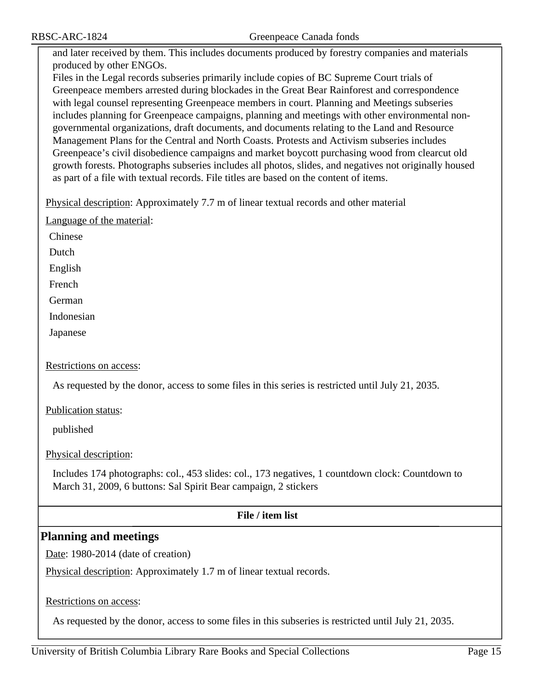and later received by them. This includes documents produced by forestry companies and materials produced by other ENGOs.

Files in the Legal records subseries primarily include copies of BC Supreme Court trials of Greenpeace members arrested during blockades in the Great Bear Rainforest and correspondence with legal counsel representing Greenpeace members in court. Planning and Meetings subseries includes planning for Greenpeace campaigns, planning and meetings with other environmental nongovernmental organizations, draft documents, and documents relating to the Land and Resource Management Plans for the Central and North Coasts. Protests and Activism subseries includes Greenpeace's civil disobedience campaigns and market boycott purchasing wood from clearcut old growth forests. Photographs subseries includes all photos, slides, and negatives not originally housed as part of a file with textual records. File titles are based on the content of items.

Physical description: Approximately 7.7 m of linear textual records and other material

Language of the material:

Chinese

Dutch

English

French

German

Indonesian

Japanese

#### Restrictions on access:

As requested by the donor, access to some files in this series is restricted until July 21, 2035.

Publication status:

published

Physical description:

Includes 174 photographs: col., 453 slides: col., 173 negatives, 1 countdown clock: Countdown to March 31, 2009, 6 buttons: Sal Spirit Bear campaign, 2 stickers

#### **File / item list**

### <span id="page-14-0"></span>**Planning and meetings**

Date: 1980-2014 (date of creation)

Physical description: Approximately 1.7 m of linear textual records.

Restrictions on access:

As requested by the donor, access to some files in this subseries is restricted until July 21, 2035.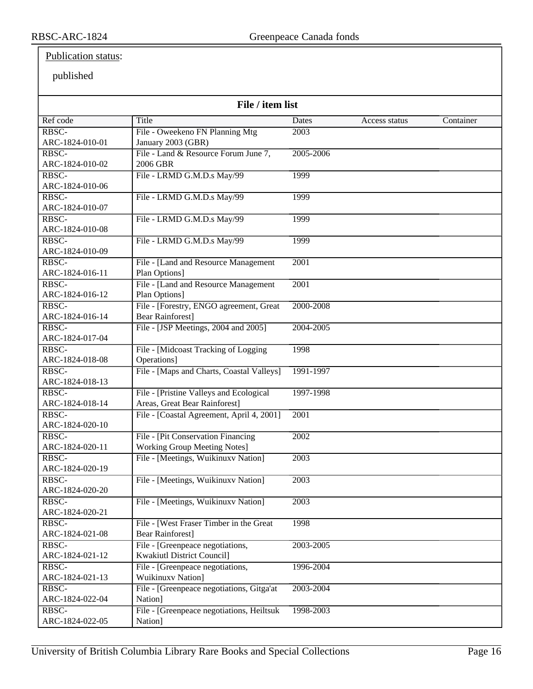### Publication status:

| File / item list           |                                           |           |               |           |
|----------------------------|-------------------------------------------|-----------|---------------|-----------|
| Ref code                   | Title                                     | Dates     | Access status | Container |
| RBSC-                      | File - Oweekeno FN Planning Mtg           | 2003      |               |           |
| ARC-1824-010-01            | January 2003 (GBR)                        |           |               |           |
| RBSC-                      | File - Land & Resource Forum June 7,      | 2005-2006 |               |           |
| ARC-1824-010-02            | 2006 GBR                                  |           |               |           |
| RBSC-                      | File - LRMD G.M.D.s May/99                | 1999      |               |           |
| ARC-1824-010-06            |                                           |           |               |           |
| RBSC-                      | File - LRMD G.M.D.s May/99                | 1999      |               |           |
| ARC-1824-010-07            |                                           |           |               |           |
| RBSC-                      | File - LRMD G.M.D.s May/99                | 1999      |               |           |
| ARC-1824-010-08            |                                           |           |               |           |
| RBSC-                      | File - LRMD G.M.D.s May/99                | 1999      |               |           |
| ARC-1824-010-09            |                                           |           |               |           |
| RBSC-                      | File - [Land and Resource Management      | 2001      |               |           |
| ARC-1824-016-11            | Plan Options]                             |           |               |           |
| RBSC-                      | File - [Land and Resource Management      | 2001      |               |           |
| ARC-1824-016-12            | Plan Options]                             |           |               |           |
| RBSC-                      | File - [Forestry, ENGO agreement, Great   | 2000-2008 |               |           |
| ARC-1824-016-14            | <b>Bear Rainforest]</b>                   |           |               |           |
| RBSC-                      | File - [JSP Meetings, 2004 and 2005]      | 2004-2005 |               |           |
| ARC-1824-017-04            |                                           |           |               |           |
| RBSC-                      | File - [Midcoast Tracking of Logging      | 1998      |               |           |
| ARC-1824-018-08            | Operations]                               |           |               |           |
| RBSC-                      | File - [Maps and Charts, Coastal Valleys] | 1991-1997 |               |           |
| ARC-1824-018-13            |                                           |           |               |           |
| RBSC-                      | File - [Pristine Valleys and Ecological   | 1997-1998 |               |           |
| ARC-1824-018-14            | Areas, Great Bear Rainforest]             |           |               |           |
| RBSC-                      | File - [Coastal Agreement, April 4, 2001] | 2001      |               |           |
| ARC-1824-020-10            |                                           |           |               |           |
| $R\overline{\mathrm{BSC}}$ | File - [Pit Conservation Financing        | 2002      |               |           |
| ARC-1824-020-11            | <b>Working Group Meeting Notes</b>        |           |               |           |
| RBSC-                      | File - [Meetings, Wuikinuxv Nation]       | 2003      |               |           |
| ARC-1824-020-19            |                                           |           |               |           |
| RBSC-                      | File - [Meetings, Wuikinuxv Nation]       | 2003      |               |           |
| ARC-1824-020-20            |                                           |           |               |           |
| RBSC-                      | File - [Meetings, Wuikinuxv Nation]       | 2003      |               |           |
| ARC-1824-020-21            |                                           |           |               |           |
| RBSC-                      | File - [West Fraser Timber in the Great]  | 1998      |               |           |
| ARC-1824-021-08            | <b>Bear Rainforest</b> ]                  |           |               |           |
| $R\overline{\mathrm{BSC}}$ | File - [Greenpeace negotiations,          | 2003-2005 |               |           |
| ARC-1824-021-12            | <b>Kwakiutl District Council]</b>         |           |               |           |
| RBSC-                      | File - [Greenpeace negotiations,          | 1996-2004 |               |           |
| ARC-1824-021-13            | <b>Wuikinuxv Nation]</b>                  |           |               |           |
| RBSC-                      | File - [Greenpeace negotiations, Gitga'at | 2003-2004 |               |           |
| ARC-1824-022-04            | Nation]                                   |           |               |           |
| RBSC-                      | File - [Greenpeace negotiations, Heiltsuk | 1998-2003 |               |           |
| ARC-1824-022-05            | Nation]                                   |           |               |           |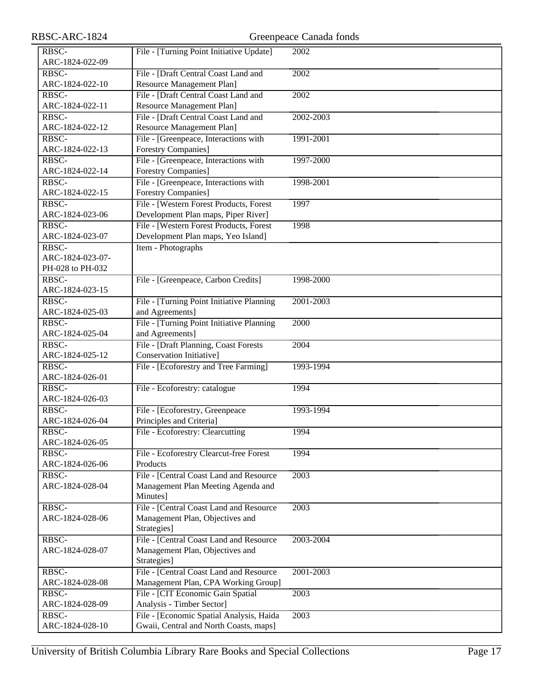| RBSC-ARC-1824    |                                                                     | Greenpeace Canada fonds |
|------------------|---------------------------------------------------------------------|-------------------------|
| RBSC-            | File - [Turning Point Initiative Update]                            | 2002                    |
| ARC-1824-022-09  |                                                                     |                         |
| RBSC-            | File - [Draft Central Coast Land and                                | 2002                    |
| ARC-1824-022-10  | Resource Management Plan]                                           |                         |
| RBSC-            | File - [Draft Central Coast Land and                                | 2002                    |
| ARC-1824-022-11  | Resource Management Plan]                                           |                         |
| RBSC-            | File - [Draft Central Coast Land and                                | 2002-2003               |
| ARC-1824-022-12  | Resource Management Plan]                                           |                         |
| RBSC-            |                                                                     |                         |
| ARC-1824-022-13  | File - [Greenpeace, Interactions with<br><b>Forestry Companies]</b> | 1991-2001               |
| RBSC-            | File - [Greenpeace, Interactions with                               | 1997-2000               |
|                  |                                                                     |                         |
| ARC-1824-022-14  | <b>Forestry Companies</b> ]                                         |                         |
| RBSC-            | File - [Greenpeace, Interactions with                               | 1998-2001               |
| ARC-1824-022-15  | Forestry Companies]                                                 |                         |
| RBSC-            | File - [Western Forest Products, Forest                             | 1997                    |
| ARC-1824-023-06  | Development Plan maps, Piper River]                                 |                         |
| RBSC-            | File - [Western Forest Products, Forest                             | 1998                    |
| ARC-1824-023-07  | Development Plan maps, Yeo Island]                                  |                         |
| RBSC-            | Item - Photographs                                                  |                         |
| ARC-1824-023-07- |                                                                     |                         |
| PH-028 to PH-032 |                                                                     |                         |
| RBSC-            | File - [Greenpeace, Carbon Credits]                                 | 1998-2000               |
| ARC-1824-023-15  |                                                                     |                         |
| RBSC-            | File - [Turning Point Initiative Planning                           | 2001-2003               |
| ARC-1824-025-03  | and Agreements]                                                     |                         |
| RBSC-            | File - [Turning Point Initiative Planning                           | 2000                    |
| ARC-1824-025-04  | and Agreements]                                                     |                         |
| RBSC-            | File - [Draft Planning, Coast Forests]                              | 2004                    |
| ARC-1824-025-12  | Conservation Initiative]                                            |                         |
| RBSC-            | File - [Ecoforestry and Tree Farming]                               | 1993-1994               |
| ARC-1824-026-01  |                                                                     |                         |
| RBSC-            | File - Ecoforestry: catalogue                                       | 1994                    |
| ARC-1824-026-03  |                                                                     |                         |
| RBSC-            | File - [Ecoforestry, Greenpeace                                     | 1993-1994               |
| ARC-1824-026-04  | Principles and Criteria]                                            |                         |
| RBSC-            | File - Ecoforestry: Clearcutting                                    | 1994                    |
| ARC-1824-026-05  |                                                                     |                         |
| RBSC-            | File - Ecoforestry Clearcut-free Forest                             | 1994                    |
| ARC-1824-026-06  | Products                                                            |                         |
| RBSC-            | File - [Central Coast Land and Resource                             | 2003                    |
| ARC-1824-028-04  | Management Plan Meeting Agenda and                                  |                         |
|                  | Minutes]                                                            |                         |
| RBSC-            | File - [Central Coast Land and Resource                             | 2003                    |
| ARC-1824-028-06  | Management Plan, Objectives and                                     |                         |
|                  | Strategies]                                                         |                         |
| RBSC-            | File - [Central Coast Land and Resource                             | 2003-2004               |
| ARC-1824-028-07  | Management Plan, Objectives and                                     |                         |
|                  | Strategies]                                                         |                         |
| RBSC-            | File - [Central Coast Land and Resource                             | 2001-2003               |
| ARC-1824-028-08  | Management Plan, CPA Working Group]                                 |                         |
| RBSC-            | File - [CIT Economic Gain Spatial                                   | 2003                    |
| ARC-1824-028-09  | Analysis - Timber Sector]                                           |                         |
| RBSC-            | File - [Economic Spatial Analysis, Haida                            | 2003                    |
| ARC-1824-028-10  | Gwaii, Central and North Coasts, maps]                              |                         |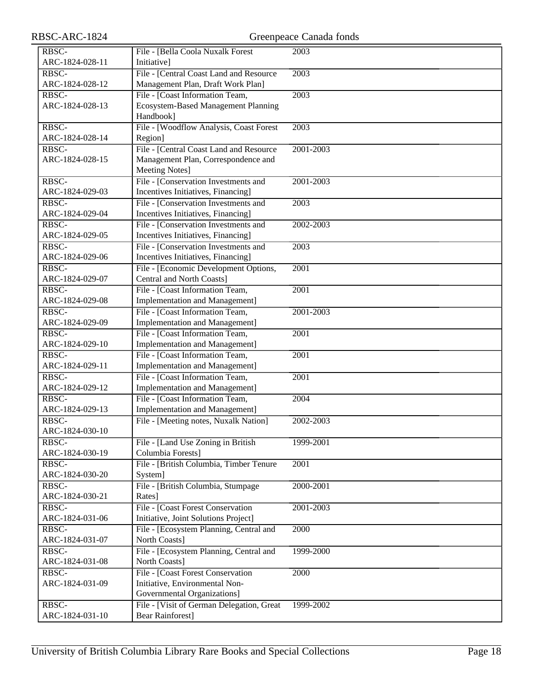| RBSC-ARC-1824            |                                                                            | Greenpeace Canada fonds |
|--------------------------|----------------------------------------------------------------------------|-------------------------|
| RBSC-                    | File - [Bella Coola Nuxalk Forest                                          | 2003                    |
| ARC-1824-028-11          | Initiative]                                                                |                         |
| RBSC-                    | File - [Central Coast Land and Resource                                    | 2003                    |
| ARC-1824-028-12          | Management Plan, Draft Work Plan]                                          |                         |
| RBSC-                    | File - [Coast Information Team,                                            | 2003                    |
| ARC-1824-028-13          | Ecosystem-Based Management Planning                                        |                         |
|                          | Handbook]                                                                  |                         |
| RBSC-                    | File - [Woodflow Analysis, Coast Forest                                    | 2003                    |
| ARC-1824-028-14          | Region]                                                                    |                         |
| RBSC-                    | File - [Central Coast Land and Resource                                    | 2001-2003               |
| ARC-1824-028-15          | Management Plan, Correspondence and                                        |                         |
|                          | <b>Meeting Notes]</b>                                                      |                         |
| RBSC-                    | File - [Conservation Investments and                                       | 2001-2003               |
| ARC-1824-029-03          | Incentives Initiatives, Financing]                                         |                         |
| RBSC-                    | File - [Conservation Investments and                                       | 2003                    |
| ARC-1824-029-04          | Incentives Initiatives, Financing]                                         |                         |
| RBSC-<br>ARC-1824-029-05 | File - [Conservation Investments and                                       | 2002-2003               |
| RBSC-                    | Incentives Initiatives, Financing]                                         |                         |
| ARC-1824-029-06          | File - [Conservation Investments and<br>Incentives Initiatives, Financing] | 2003                    |
| RBSC-                    | File - [Economic Development Options,                                      | 2001                    |
| ARC-1824-029-07          | Central and North Coasts]                                                  |                         |
| RBSC-                    | File - [Coast Information Team,                                            | 2001                    |
| ARC-1824-029-08          | Implementation and Management]                                             |                         |
| RBSC-                    | File - [Coast Information Team,                                            | 2001-2003               |
| ARC-1824-029-09          | Implementation and Management]                                             |                         |
| RBSC-                    | File - [Coast Information Team,                                            | 2001                    |
| ARC-1824-029-10          | Implementation and Management]                                             |                         |
| RBSC-                    | File - [Coast Information Team,                                            | 2001                    |
| ARC-1824-029-11          | Implementation and Management]                                             |                         |
| RBSC-                    | File - [Coast Information Team,                                            | $\overline{2001}$       |
| ARC-1824-029-12          | Implementation and Management]                                             |                         |
| RBSC-                    | File - [Coast Information Team,                                            | 2004                    |
| ARC-1824-029-13          | <b>Implementation and Management</b> ]                                     |                         |
| RBSC-                    | File - [Meeting notes, Nuxalk Nation]                                      | 2002-2003               |
| ARC-1824-030-10          |                                                                            |                         |
| RBSC-                    | File - [Land Use Zoning in British                                         | 1999-2001               |
| ARC-1824-030-19          | Columbia Forests]                                                          |                         |
| RBSC-                    | File - [British Columbia, Timber Tenure                                    | 2001                    |
| ARC-1824-030-20          | System]                                                                    |                         |
| RBSC-                    | File - [British Columbia, Stumpage                                         | 2000-2001               |
| ARC-1824-030-21          | Rates]                                                                     |                         |
| RBSC-                    | File - [Coast Forest Conservation                                          | 2001-2003               |
| ARC-1824-031-06          | Initiative, Joint Solutions Project]                                       |                         |
| RBSC-                    | File - [Ecosystem Planning, Central and                                    | 2000                    |
| ARC-1824-031-07          | North Coasts]                                                              |                         |
| RBSC-                    | File - [Ecosystem Planning, Central and                                    | 1999-2000               |
| ARC-1824-031-08          | North Coasts]                                                              |                         |
| RBSC-                    | File - [Coast Forest Conservation                                          | 2000                    |
| ARC-1824-031-09          | Initiative, Environmental Non-                                             |                         |
|                          | Governmental Organizations]                                                |                         |
| RBSC-                    | File - [Visit of German Delegation, Great                                  | 1999-2002               |
| ARC-1824-031-10          | <b>Bear Rainforest]</b>                                                    |                         |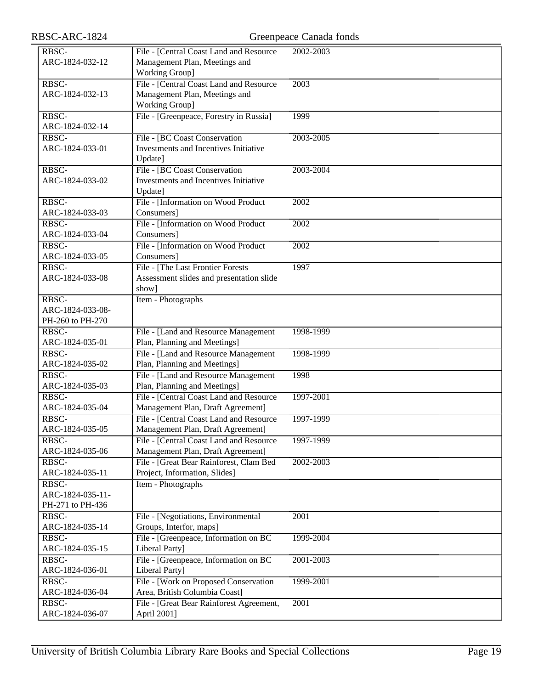| RBSC-ARC-1824                                 |                                                                                                   | Greenpeace Canada fonds |
|-----------------------------------------------|---------------------------------------------------------------------------------------------------|-------------------------|
| RBSC-<br>ARC-1824-032-12                      | File - [Central Coast Land and Resource<br>Management Plan, Meetings and<br><b>Working Group]</b> | 2002-2003               |
| RBSC-<br>ARC-1824-032-13                      | File - [Central Coast Land and Resource]<br>Management Plan, Meetings and<br>Working Group]       | 2003                    |
| RBSC-<br>ARC-1824-032-14                      | File - [Greenpeace, Forestry in Russia]                                                           | 1999                    |
| RBSC-<br>ARC-1824-033-01                      | File - [BC Coast Conservation<br>Investments and Incentives Initiative<br>Update]                 | 2003-2005               |
| RBSC-<br>ARC-1824-033-02                      | File - [BC Coast Conservation]<br>Investments and Incentives Initiative<br>Update]                | 2003-2004               |
| RBSC-<br>ARC-1824-033-03                      | File - [Information on Wood Product<br>Consumers]                                                 | $\overline{2002}$       |
| RBSC-<br>ARC-1824-033-04                      | File - [Information on Wood Product<br>Consumers]                                                 | 2002                    |
| RBSC-<br>ARC-1824-033-05                      | File - [Information on Wood Product<br>Consumers]                                                 | 2002                    |
| RBSC-<br>ARC-1824-033-08                      | File - [The Last Frontier Forests]<br>Assessment slides and presentation slide<br>show]           | 1997                    |
| RBSC-<br>ARC-1824-033-08-<br>PH-260 to PH-270 | Item - Photographs                                                                                |                         |
| RBSC-<br>ARC-1824-035-01                      | File - [Land and Resource Management<br>Plan, Planning and Meetings]                              | 1998-1999               |
| RBSC-<br>ARC-1824-035-02                      | File - [Land and Resource Management]<br>Plan, Planning and Meetings]                             | 1998-1999               |
| RBSC-<br>ARC-1824-035-03                      | File - [Land and Resource Management<br>Plan, Planning and Meetings]                              | 1998                    |
| RBSC-<br>ARC-1824-035-04                      | File - [Central Coast Land and Resource<br>Management Plan, Draft Agreement]                      | 1997-2001               |
| RBSC-<br>ARC-1824-035-05                      | File - [Central Coast Land and Resource<br>Management Plan, Draft Agreement]                      | 1997-1999               |
| RBSC-<br>ARC-1824-035-06                      | File - [Central Coast Land and Resource<br>Management Plan, Draft Agreement]                      | 1997-1999               |
| RBSC-<br>ARC-1824-035-11                      | File - [Great Bear Rainforest, Clam Bed<br>Project, Information, Slides]                          | 2002-2003               |
| RBSC-<br>ARC-1824-035-11-<br>PH-271 to PH-436 | Item - Photographs                                                                                |                         |
| RBSC-<br>ARC-1824-035-14                      | File - [Negotiations, Environmental<br>Groups, Interfor, maps]                                    | 2001                    |
| RBSC-<br>ARC-1824-035-15                      | File - [Greenpeace, Information on BC<br>Liberal Party]                                           | 1999-2004               |
| RBSC-<br>ARC-1824-036-01                      | File - [Greenpeace, Information on BC<br>Liberal Party]                                           | 2001-2003               |
| RBSC-<br>ARC-1824-036-04                      | File - [Work on Proposed Conservation<br>Area, British Columbia Coast]                            | 1999-2001               |
| RBSC-<br>ARC-1824-036-07                      | File - [Great Bear Rainforest Agreement,<br>April 2001]                                           | 2001                    |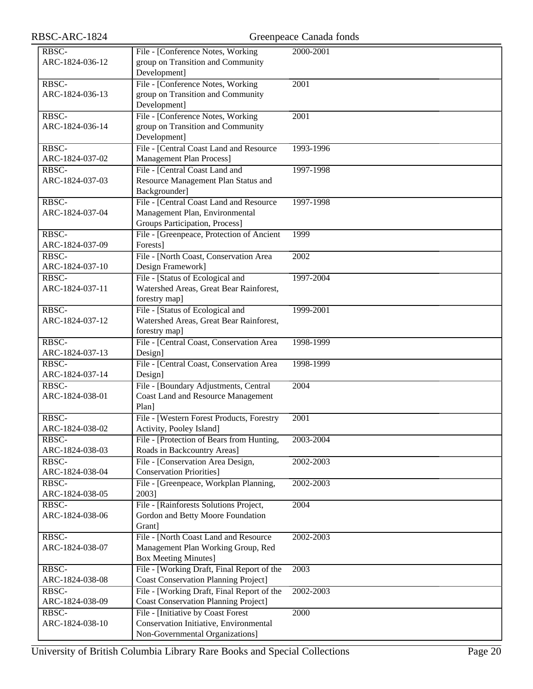| RBSC-ARC-1824   |                                                                   | Greenpeace Canada fonds |
|-----------------|-------------------------------------------------------------------|-------------------------|
| RBSC-           | File - [Conference Notes, Working                                 | 2000-2001               |
| ARC-1824-036-12 | group on Transition and Community                                 |                         |
|                 | Development]                                                      |                         |
| RBSC-           | File - [Conference Notes, Working                                 | 2001                    |
| ARC-1824-036-13 | group on Transition and Community                                 |                         |
|                 | Development]                                                      |                         |
| RBSC-           | File - [Conference Notes, Working                                 | $\overline{2001}$       |
| ARC-1824-036-14 | group on Transition and Community                                 |                         |
|                 | Development]                                                      |                         |
| RBSC-           | File - [Central Coast Land and Resource                           | 1993-1996               |
| ARC-1824-037-02 | <b>Management Plan Process]</b>                                   |                         |
| RBSC-           | File - [Central Coast Land and                                    | 1997-1998               |
| ARC-1824-037-03 | Resource Management Plan Status and                               |                         |
|                 | Backgrounder]                                                     |                         |
| RBSC-           | File - [Central Coast Land and Resource]                          | 1997-1998               |
| ARC-1824-037-04 | Management Plan, Environmental                                    |                         |
| RBSC-           | Groups Participation, Process]                                    | 1999                    |
| ARC-1824-037-09 | File - [Greenpeace, Protection of Ancient<br>Forests]             |                         |
| RBSC-           | File - [North Coast, Conservation Area                            | 2002                    |
| ARC-1824-037-10 | Design Framework]                                                 |                         |
| RBSC-           | File - [Status of Ecological and                                  | 1997-2004               |
| ARC-1824-037-11 | Watershed Areas, Great Bear Rainforest,                           |                         |
|                 | forestry map]                                                     |                         |
| RBSC-           | File - [Status of Ecological and                                  | 1999-2001               |
| ARC-1824-037-12 | Watershed Areas, Great Bear Rainforest,                           |                         |
|                 | forestry map]                                                     |                         |
| RBSC-           | File - [Central Coast, Conservation Area                          | 1998-1999               |
| ARC-1824-037-13 | Design]                                                           |                         |
| RBSC-           | File - [Central Coast, Conservation Area                          | 1998-1999               |
| ARC-1824-037-14 | Design]                                                           |                         |
| RBSC-           | File - [Boundary Adjustments, Central                             | 2004                    |
| ARC-1824-038-01 | <b>Coast Land and Resource Management</b>                         |                         |
|                 | Plan]                                                             |                         |
| RBSC-           | File - [Western Forest Products, Forestry                         | 2001                    |
| ARC-1824-038-02 | Activity, Pooley Island]                                          |                         |
| RBSC-           | File - [Protection of Bears from Hunting,                         | 2003-2004               |
| ARC-1824-038-03 | Roads in Backcountry Areas]                                       |                         |
| RBSC-           | File - [Conservation Area Design,                                 | 2002-2003               |
| ARC-1824-038-04 | <b>Conservation Priorities]</b>                                   |                         |
| RBSC-           | File - [Greenpeace, Workplan Planning,                            | 2002-2003               |
| ARC-1824-038-05 | 2003]                                                             |                         |
| RBSC-           | File - [Rainforests Solutions Project,                            | 2004                    |
| ARC-1824-038-06 | Gordon and Betty Moore Foundation                                 |                         |
|                 | Grant]                                                            |                         |
| RBSC-           | File - [North Coast Land and Resource                             | 2002-2003               |
| ARC-1824-038-07 | Management Plan Working Group, Red<br><b>Box Meeting Minutes]</b> |                         |
| RBSC-           | File - [Working Draft, Final Report of the                        | 2003                    |
| ARC-1824-038-08 | <b>Coast Conservation Planning Project]</b>                       |                         |
| RBSC-           | File - [Working Draft, Final Report of the                        | 2002-2003               |
| ARC-1824-038-09 | <b>Coast Conservation Planning Project]</b>                       |                         |
| RBSC-           | File - [Initiative by Coast Forest                                | 2000                    |
| ARC-1824-038-10 | Conservation Initiative, Environmental                            |                         |
|                 | Non-Governmental Organizations]                                   |                         |
|                 |                                                                   |                         |

University of British Columbia Library Rare Books and Special Collections Page 20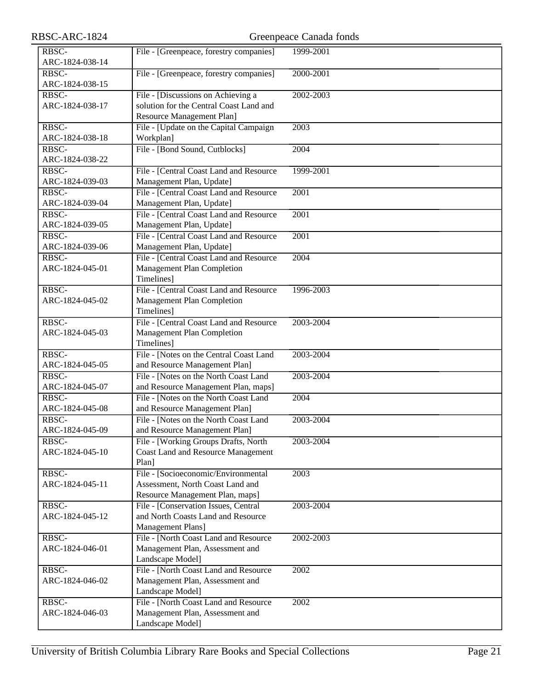|                                          | Greenpeace Canada fonds                                                                                                                                                                                                                                                                                                                                                                                                                                                                                                                                                                                                                                                                                                                                                                                                                                                                                                                                                                                                                                                                                                                                                                                                                                                                                                                                                       |
|------------------------------------------|-------------------------------------------------------------------------------------------------------------------------------------------------------------------------------------------------------------------------------------------------------------------------------------------------------------------------------------------------------------------------------------------------------------------------------------------------------------------------------------------------------------------------------------------------------------------------------------------------------------------------------------------------------------------------------------------------------------------------------------------------------------------------------------------------------------------------------------------------------------------------------------------------------------------------------------------------------------------------------------------------------------------------------------------------------------------------------------------------------------------------------------------------------------------------------------------------------------------------------------------------------------------------------------------------------------------------------------------------------------------------------|
| File - [Greenpeace, forestry companies]  | 1999-2001                                                                                                                                                                                                                                                                                                                                                                                                                                                                                                                                                                                                                                                                                                                                                                                                                                                                                                                                                                                                                                                                                                                                                                                                                                                                                                                                                                     |
|                                          |                                                                                                                                                                                                                                                                                                                                                                                                                                                                                                                                                                                                                                                                                                                                                                                                                                                                                                                                                                                                                                                                                                                                                                                                                                                                                                                                                                               |
|                                          | 2000-2001                                                                                                                                                                                                                                                                                                                                                                                                                                                                                                                                                                                                                                                                                                                                                                                                                                                                                                                                                                                                                                                                                                                                                                                                                                                                                                                                                                     |
|                                          |                                                                                                                                                                                                                                                                                                                                                                                                                                                                                                                                                                                                                                                                                                                                                                                                                                                                                                                                                                                                                                                                                                                                                                                                                                                                                                                                                                               |
|                                          | 2002-2003                                                                                                                                                                                                                                                                                                                                                                                                                                                                                                                                                                                                                                                                                                                                                                                                                                                                                                                                                                                                                                                                                                                                                                                                                                                                                                                                                                     |
|                                          |                                                                                                                                                                                                                                                                                                                                                                                                                                                                                                                                                                                                                                                                                                                                                                                                                                                                                                                                                                                                                                                                                                                                                                                                                                                                                                                                                                               |
|                                          | 2003                                                                                                                                                                                                                                                                                                                                                                                                                                                                                                                                                                                                                                                                                                                                                                                                                                                                                                                                                                                                                                                                                                                                                                                                                                                                                                                                                                          |
|                                          |                                                                                                                                                                                                                                                                                                                                                                                                                                                                                                                                                                                                                                                                                                                                                                                                                                                                                                                                                                                                                                                                                                                                                                                                                                                                                                                                                                               |
|                                          | 2004                                                                                                                                                                                                                                                                                                                                                                                                                                                                                                                                                                                                                                                                                                                                                                                                                                                                                                                                                                                                                                                                                                                                                                                                                                                                                                                                                                          |
|                                          |                                                                                                                                                                                                                                                                                                                                                                                                                                                                                                                                                                                                                                                                                                                                                                                                                                                                                                                                                                                                                                                                                                                                                                                                                                                                                                                                                                               |
|                                          | 1999-2001                                                                                                                                                                                                                                                                                                                                                                                                                                                                                                                                                                                                                                                                                                                                                                                                                                                                                                                                                                                                                                                                                                                                                                                                                                                                                                                                                                     |
|                                          |                                                                                                                                                                                                                                                                                                                                                                                                                                                                                                                                                                                                                                                                                                                                                                                                                                                                                                                                                                                                                                                                                                                                                                                                                                                                                                                                                                               |
|                                          | 2001                                                                                                                                                                                                                                                                                                                                                                                                                                                                                                                                                                                                                                                                                                                                                                                                                                                                                                                                                                                                                                                                                                                                                                                                                                                                                                                                                                          |
|                                          |                                                                                                                                                                                                                                                                                                                                                                                                                                                                                                                                                                                                                                                                                                                                                                                                                                                                                                                                                                                                                                                                                                                                                                                                                                                                                                                                                                               |
| File - [Central Coast Land and Resource] | $\overline{2001}$                                                                                                                                                                                                                                                                                                                                                                                                                                                                                                                                                                                                                                                                                                                                                                                                                                                                                                                                                                                                                                                                                                                                                                                                                                                                                                                                                             |
|                                          |                                                                                                                                                                                                                                                                                                                                                                                                                                                                                                                                                                                                                                                                                                                                                                                                                                                                                                                                                                                                                                                                                                                                                                                                                                                                                                                                                                               |
| File - [Central Coast Land and Resource] | $\overline{2001}$                                                                                                                                                                                                                                                                                                                                                                                                                                                                                                                                                                                                                                                                                                                                                                                                                                                                                                                                                                                                                                                                                                                                                                                                                                                                                                                                                             |
| Management Plan, Update]                 |                                                                                                                                                                                                                                                                                                                                                                                                                                                                                                                                                                                                                                                                                                                                                                                                                                                                                                                                                                                                                                                                                                                                                                                                                                                                                                                                                                               |
| File - [Central Coast Land and Resource  | 2004                                                                                                                                                                                                                                                                                                                                                                                                                                                                                                                                                                                                                                                                                                                                                                                                                                                                                                                                                                                                                                                                                                                                                                                                                                                                                                                                                                          |
| <b>Management Plan Completion</b>        |                                                                                                                                                                                                                                                                                                                                                                                                                                                                                                                                                                                                                                                                                                                                                                                                                                                                                                                                                                                                                                                                                                                                                                                                                                                                                                                                                                               |
| Timelines]                               |                                                                                                                                                                                                                                                                                                                                                                                                                                                                                                                                                                                                                                                                                                                                                                                                                                                                                                                                                                                                                                                                                                                                                                                                                                                                                                                                                                               |
|                                          | 1996-2003                                                                                                                                                                                                                                                                                                                                                                                                                                                                                                                                                                                                                                                                                                                                                                                                                                                                                                                                                                                                                                                                                                                                                                                                                                                                                                                                                                     |
|                                          |                                                                                                                                                                                                                                                                                                                                                                                                                                                                                                                                                                                                                                                                                                                                                                                                                                                                                                                                                                                                                                                                                                                                                                                                                                                                                                                                                                               |
|                                          |                                                                                                                                                                                                                                                                                                                                                                                                                                                                                                                                                                                                                                                                                                                                                                                                                                                                                                                                                                                                                                                                                                                                                                                                                                                                                                                                                                               |
|                                          | 2003-2004                                                                                                                                                                                                                                                                                                                                                                                                                                                                                                                                                                                                                                                                                                                                                                                                                                                                                                                                                                                                                                                                                                                                                                                                                                                                                                                                                                     |
|                                          |                                                                                                                                                                                                                                                                                                                                                                                                                                                                                                                                                                                                                                                                                                                                                                                                                                                                                                                                                                                                                                                                                                                                                                                                                                                                                                                                                                               |
|                                          |                                                                                                                                                                                                                                                                                                                                                                                                                                                                                                                                                                                                                                                                                                                                                                                                                                                                                                                                                                                                                                                                                                                                                                                                                                                                                                                                                                               |
|                                          | 2003-2004                                                                                                                                                                                                                                                                                                                                                                                                                                                                                                                                                                                                                                                                                                                                                                                                                                                                                                                                                                                                                                                                                                                                                                                                                                                                                                                                                                     |
|                                          | 2003-2004                                                                                                                                                                                                                                                                                                                                                                                                                                                                                                                                                                                                                                                                                                                                                                                                                                                                                                                                                                                                                                                                                                                                                                                                                                                                                                                                                                     |
|                                          |                                                                                                                                                                                                                                                                                                                                                                                                                                                                                                                                                                                                                                                                                                                                                                                                                                                                                                                                                                                                                                                                                                                                                                                                                                                                                                                                                                               |
|                                          | 2004                                                                                                                                                                                                                                                                                                                                                                                                                                                                                                                                                                                                                                                                                                                                                                                                                                                                                                                                                                                                                                                                                                                                                                                                                                                                                                                                                                          |
|                                          |                                                                                                                                                                                                                                                                                                                                                                                                                                                                                                                                                                                                                                                                                                                                                                                                                                                                                                                                                                                                                                                                                                                                                                                                                                                                                                                                                                               |
|                                          | 2003-2004                                                                                                                                                                                                                                                                                                                                                                                                                                                                                                                                                                                                                                                                                                                                                                                                                                                                                                                                                                                                                                                                                                                                                                                                                                                                                                                                                                     |
|                                          |                                                                                                                                                                                                                                                                                                                                                                                                                                                                                                                                                                                                                                                                                                                                                                                                                                                                                                                                                                                                                                                                                                                                                                                                                                                                                                                                                                               |
|                                          | 2003-2004                                                                                                                                                                                                                                                                                                                                                                                                                                                                                                                                                                                                                                                                                                                                                                                                                                                                                                                                                                                                                                                                                                                                                                                                                                                                                                                                                                     |
|                                          |                                                                                                                                                                                                                                                                                                                                                                                                                                                                                                                                                                                                                                                                                                                                                                                                                                                                                                                                                                                                                                                                                                                                                                                                                                                                                                                                                                               |
| Plan]                                    |                                                                                                                                                                                                                                                                                                                                                                                                                                                                                                                                                                                                                                                                                                                                                                                                                                                                                                                                                                                                                                                                                                                                                                                                                                                                                                                                                                               |
| File - [Socioeconomic/Environmental      | 2003                                                                                                                                                                                                                                                                                                                                                                                                                                                                                                                                                                                                                                                                                                                                                                                                                                                                                                                                                                                                                                                                                                                                                                                                                                                                                                                                                                          |
| Assessment, North Coast Land and         |                                                                                                                                                                                                                                                                                                                                                                                                                                                                                                                                                                                                                                                                                                                                                                                                                                                                                                                                                                                                                                                                                                                                                                                                                                                                                                                                                                               |
| Resource Management Plan, maps]          |                                                                                                                                                                                                                                                                                                                                                                                                                                                                                                                                                                                                                                                                                                                                                                                                                                                                                                                                                                                                                                                                                                                                                                                                                                                                                                                                                                               |
| File - [Conservation Issues, Central     | 2003-2004                                                                                                                                                                                                                                                                                                                                                                                                                                                                                                                                                                                                                                                                                                                                                                                                                                                                                                                                                                                                                                                                                                                                                                                                                                                                                                                                                                     |
|                                          |                                                                                                                                                                                                                                                                                                                                                                                                                                                                                                                                                                                                                                                                                                                                                                                                                                                                                                                                                                                                                                                                                                                                                                                                                                                                                                                                                                               |
|                                          |                                                                                                                                                                                                                                                                                                                                                                                                                                                                                                                                                                                                                                                                                                                                                                                                                                                                                                                                                                                                                                                                                                                                                                                                                                                                                                                                                                               |
|                                          | 2002-2003                                                                                                                                                                                                                                                                                                                                                                                                                                                                                                                                                                                                                                                                                                                                                                                                                                                                                                                                                                                                                                                                                                                                                                                                                                                                                                                                                                     |
|                                          |                                                                                                                                                                                                                                                                                                                                                                                                                                                                                                                                                                                                                                                                                                                                                                                                                                                                                                                                                                                                                                                                                                                                                                                                                                                                                                                                                                               |
|                                          |                                                                                                                                                                                                                                                                                                                                                                                                                                                                                                                                                                                                                                                                                                                                                                                                                                                                                                                                                                                                                                                                                                                                                                                                                                                                                                                                                                               |
|                                          | 2002                                                                                                                                                                                                                                                                                                                                                                                                                                                                                                                                                                                                                                                                                                                                                                                                                                                                                                                                                                                                                                                                                                                                                                                                                                                                                                                                                                          |
|                                          |                                                                                                                                                                                                                                                                                                                                                                                                                                                                                                                                                                                                                                                                                                                                                                                                                                                                                                                                                                                                                                                                                                                                                                                                                                                                                                                                                                               |
|                                          |                                                                                                                                                                                                                                                                                                                                                                                                                                                                                                                                                                                                                                                                                                                                                                                                                                                                                                                                                                                                                                                                                                                                                                                                                                                                                                                                                                               |
|                                          | 2002                                                                                                                                                                                                                                                                                                                                                                                                                                                                                                                                                                                                                                                                                                                                                                                                                                                                                                                                                                                                                                                                                                                                                                                                                                                                                                                                                                          |
|                                          |                                                                                                                                                                                                                                                                                                                                                                                                                                                                                                                                                                                                                                                                                                                                                                                                                                                                                                                                                                                                                                                                                                                                                                                                                                                                                                                                                                               |
|                                          | File - [Greenpeace, forestry companies]<br>File - [Discussions on Achieving a<br>solution for the Central Coast Land and<br>Resource Management Plan]<br>File - [Update on the Capital Campaign<br>Workplan]<br>File - [Bond Sound, Cutblocks]<br>File - [Central Coast Land and Resource<br>Management Plan, Update]<br>File - [Central Coast Land and Resource<br>Management Plan, Update]<br>Management Plan, Update]<br>File - [Central Coast Land and Resource<br><b>Management Plan Completion</b><br>Timelines]<br>File - [Central Coast Land and Resource<br>Management Plan Completion<br>Timelines]<br>File - [Notes on the Central Coast Land<br>and Resource Management Plan]<br>File - [Notes on the North Coast Land<br>and Resource Management Plan, maps]<br>File - [Notes on the North Coast Land<br>and Resource Management Plan]<br>File - [Notes on the North Coast Land<br>and Resource Management Plan]<br>File - [Working Groups Drafts, North<br><b>Coast Land and Resource Management</b><br>and North Coasts Land and Resource<br>Management Plans]<br>File - [North Coast Land and Resource<br>Management Plan, Assessment and<br>Landscape Model]<br>File - [North Coast Land and Resource<br>Management Plan, Assessment and<br>Landscape Model]<br>File - [North Coast Land and Resource<br>Management Plan, Assessment and<br>Landscape Model] |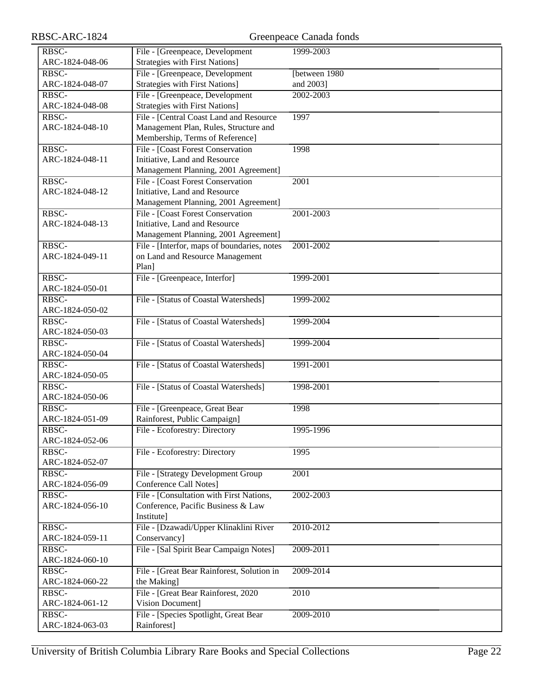| RBSC-ARC-1824   | Greenpeace Canada fonds                              |                   |  |
|-----------------|------------------------------------------------------|-------------------|--|
| RBSC-           | File - [Greenpeace, Development                      | 1999-2003         |  |
| ARC-1824-048-06 | <b>Strategies with First Nations]</b>                |                   |  |
| RBSC-           | File - [Greenpeace, Development                      | [between 1980]    |  |
| ARC-1824-048-07 | <b>Strategies with First Nations]</b>                | and 2003]         |  |
| RBSC-           | File - [Greenpeace, Development                      | 2002-2003         |  |
| ARC-1824-048-08 | <b>Strategies with First Nations]</b>                |                   |  |
| RBSC-           | File - [Central Coast Land and Resource              | 1997              |  |
| ARC-1824-048-10 | Management Plan, Rules, Structure and                |                   |  |
|                 | Membership, Terms of Reference]                      |                   |  |
| RBSC-           | File - [Coast Forest Conservation                    | 1998              |  |
| ARC-1824-048-11 | Initiative, Land and Resource                        |                   |  |
|                 | Management Planning, 2001 Agreement]                 |                   |  |
| RBSC-           | File - [Coast Forest Conservation                    | $\overline{2001}$ |  |
| ARC-1824-048-12 | Initiative, Land and Resource                        |                   |  |
|                 | Management Planning, 2001 Agreement]                 |                   |  |
| RBSC-           | File - [Coast Forest Conservation                    | 2001-2003         |  |
| ARC-1824-048-13 | Initiative, Land and Resource                        |                   |  |
|                 | Management Planning, 2001 Agreement]                 |                   |  |
| RBSC-           | File - [Interfor, maps of boundaries, notes          | 2001-2002         |  |
| ARC-1824-049-11 | on Land and Resource Management                      |                   |  |
|                 | Plan]                                                |                   |  |
| RBSC-           | File - [Greenpeace, Interfor]                        | 1999-2001         |  |
| ARC-1824-050-01 |                                                      |                   |  |
| RBSC-           | File - [Status of Coastal Watersheds]                | 1999-2002         |  |
| ARC-1824-050-02 |                                                      |                   |  |
| RBSC-           | File - [Status of Coastal Watersheds]                | 1999-2004         |  |
| ARC-1824-050-03 |                                                      |                   |  |
| RBSC-           | File - [Status of Coastal Watersheds]                | 1999-2004         |  |
| ARC-1824-050-04 |                                                      |                   |  |
| RBSC-           | File - [Status of Coastal Watersheds]                | 1991-2001         |  |
| ARC-1824-050-05 |                                                      |                   |  |
| RBSC-           | File - [Status of Coastal Watersheds]                | 1998-2001         |  |
| ARC-1824-050-06 |                                                      |                   |  |
| RBSC-           | File - [Greenpeace, Great Bear                       | 1998              |  |
| ARC-1824-051-09 | Rainforest, Public Campaign]                         |                   |  |
| RBSC-           | File - Ecoforestry: Directory                        | 1995-1996         |  |
| ARC-1824-052-06 |                                                      |                   |  |
| RBSC-           | File - Ecoforestry: Directory                        | 1995              |  |
| ARC-1824-052-07 |                                                      |                   |  |
| RBSC-           | File - [Strategy Development Group                   | 2001              |  |
| ARC-1824-056-09 | <b>Conference Call Notes]</b>                        |                   |  |
| RBSC-           | File - [Consultation with First Nations,             | 2002-2003         |  |
| ARC-1824-056-10 | Conference, Pacific Business & Law                   |                   |  |
| RBSC-           | Institute]<br>File - [Dzawadi/Upper Klinaklini River |                   |  |
| ARC-1824-059-11 | Conservancy]                                         | 2010-2012         |  |
| RBSC-           | File - [Sal Spirit Bear Campaign Notes]              | 2009-2011         |  |
| ARC-1824-060-10 |                                                      |                   |  |
| RBSC-           | File - [Great Bear Rainforest, Solution in           | 2009-2014         |  |
| ARC-1824-060-22 | the Making]                                          |                   |  |
| RBSC-           | File - [Great Bear Rainforest, 2020                  | 2010              |  |
| ARC-1824-061-12 | Vision Document]                                     |                   |  |
| RBSC-           | File - [Species Spotlight, Great Bear                | 2009-2010         |  |
| ARC-1824-063-03 | Rainforest]                                          |                   |  |
|                 |                                                      |                   |  |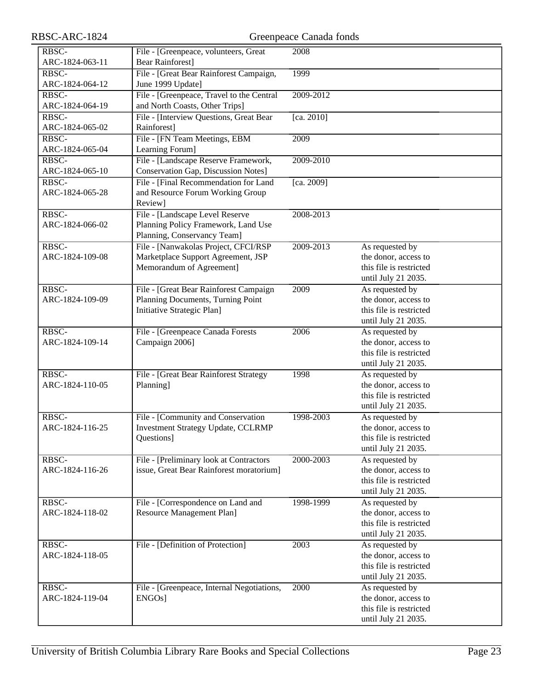| RBSC-ARC-1824            | Greenpeace Canada fonds                                                                                   |                   |                                                                                           |
|--------------------------|-----------------------------------------------------------------------------------------------------------|-------------------|-------------------------------------------------------------------------------------------|
| RBSC-<br>ARC-1824-063-11 | File - [Greenpeace, volunteers, Great<br><b>Bear Rainforest]</b>                                          | 2008              |                                                                                           |
| RBSC-<br>ARC-1824-064-12 | File - [Great Bear Rainforest Campaign,<br>June 1999 Update]                                              | 1999              |                                                                                           |
| RBSC-<br>ARC-1824-064-19 | File - [Greenpeace, Travel to the Central<br>and North Coasts, Other Trips]                               | 2009-2012         |                                                                                           |
| RBSC-<br>ARC-1824-065-02 | File - [Interview Questions, Great Bear<br>Rainforest]                                                    | [ca. 2010]        |                                                                                           |
| RBSC-<br>ARC-1824-065-04 | File - [FN Team Meetings, EBM<br>Learning Forum]                                                          | 2009              |                                                                                           |
| RBSC-<br>ARC-1824-065-10 | File - [Landscape Reserve Framework,<br><b>Conservation Gap, Discussion Notes]</b>                        | 2009-2010         |                                                                                           |
| RBSC-<br>ARC-1824-065-28 | File - [Final Recommendation for Land<br>and Resource Forum Working Group<br>Review]                      | [ca. 2009]        |                                                                                           |
| RBSC-<br>ARC-1824-066-02 | File - [Landscape Level Reserve<br>Planning Policy Framework, Land Use<br>Planning, Conservancy Team]     | 2008-2013         |                                                                                           |
| RBSC-<br>ARC-1824-109-08 | File - [Nanwakolas Project, CFCI/RSP<br>Marketplace Support Agreement, JSP<br>Memorandum of Agreement]    | 2009-2013         | As requested by<br>the donor, access to<br>this file is restricted<br>until July 21 2035. |
| RBSC-<br>ARC-1824-109-09 | File - [Great Bear Rainforest Campaign<br>Planning Documents, Turning Point<br>Initiative Strategic Plan] | $\overline{2009}$ | As requested by<br>the donor, access to<br>this file is restricted<br>until July 21 2035. |
| RBSC-<br>ARC-1824-109-14 | File - [Greenpeace Canada Forests<br>Campaign 2006]                                                       | 2006              | As requested by<br>the donor, access to<br>this file is restricted<br>until July 21 2035. |
| RBSC-<br>ARC-1824-110-05 | File - [Great Bear Rainforest Strategy<br>Planning]                                                       | 1998              | As requested by<br>the donor, access to<br>this file is restricted<br>until July 21 2035. |
| RBSC-<br>ARC-1824-116-25 | File - [Community and Conservation<br><b>Investment Strategy Update, CCLRMP</b><br>Questions]             | 1998-2003         | As requested by<br>the donor, access to<br>this file is restricted<br>until July 21 2035. |
| RBSC-<br>ARC-1824-116-26 | File - [Preliminary look at Contractors<br>issue, Great Bear Rainforest moratorium]                       | 2000-2003         | As requested by<br>the donor, access to<br>this file is restricted<br>until July 21 2035. |
| RBSC-<br>ARC-1824-118-02 | File - [Correspondence on Land and<br>Resource Management Plan]                                           | 1998-1999         | As requested by<br>the donor, access to<br>this file is restricted<br>until July 21 2035. |
| RBSC-<br>ARC-1824-118-05 | File - [Definition of Protection]                                                                         | 2003              | As requested by<br>the donor, access to<br>this file is restricted<br>until July 21 2035. |
| RBSC-<br>ARC-1824-119-04 | File - [Greenpeace, Internal Negotiations,<br>ENGOs]                                                      | 2000              | As requested by<br>the donor, access to<br>this file is restricted<br>until July 21 2035. |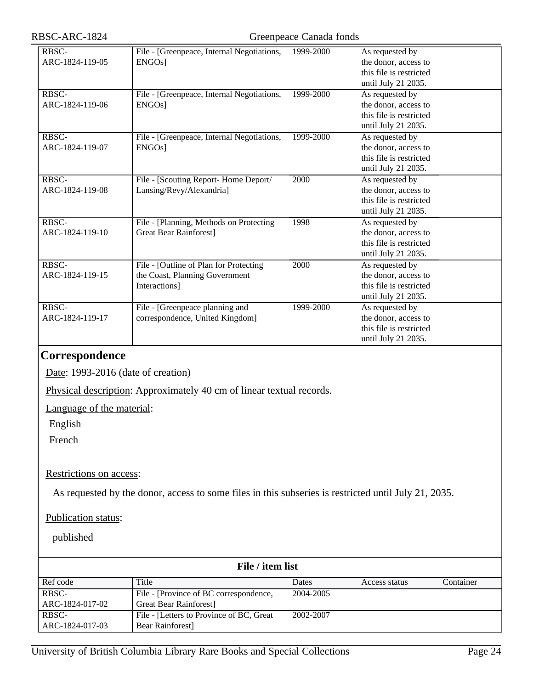#### RBSC-ARC-1824 Greenpeace Canada fonds

| RBSC-           | File - [Greenpeace, Internal Negotiations, | 1999-2000 | As requested by         |
|-----------------|--------------------------------------------|-----------|-------------------------|
| ARC-1824-119-05 | ENGO <sub>s</sub> ]                        |           | the donor, access to    |
|                 |                                            |           | this file is restricted |
|                 |                                            |           | until July 21 2035.     |
| RBSC-           | File - [Greenpeace, Internal Negotiations, | 1999-2000 | As requested by         |
| ARC-1824-119-06 | ENGO <sub>s</sub> ]                        |           | the donor, access to    |
|                 |                                            |           | this file is restricted |
|                 |                                            |           | until July 21 2035.     |
| RBSC-           | File - [Greenpeace, Internal Negotiations, | 1999-2000 | As requested by         |
| ARC-1824-119-07 | ENGO <sub>s</sub> ]                        |           | the donor, access to    |
|                 |                                            |           | this file is restricted |
|                 |                                            |           | until July 21 2035.     |
| RBSC-           | File - [Scouting Report-Home Deport/       | 2000      | As requested by         |
| ARC-1824-119-08 | Lansing/Revy/Alexandria]                   |           | the donor, access to    |
|                 |                                            |           | this file is restricted |
|                 |                                            |           | until July 21 2035.     |
| RBSC-           | File - [Planning, Methods on Protecting    | 1998      | As requested by         |
| ARC-1824-119-10 | <b>Great Bear Rainforest]</b>              |           | the donor, access to    |
|                 |                                            |           | this file is restricted |
|                 |                                            |           | until July 21 2035.     |
| RBSC-           | File - [Outline of Plan for Protecting     | 2000      | As requested by         |
| ARC-1824-119-15 | the Coast, Planning Government             |           | the donor, access to    |
|                 | Interactions]                              |           | this file is restricted |
|                 |                                            |           | until July 21 2035.     |
| RBSC-           | File - [Greenpeace planning and            | 1999-2000 | As requested by         |
| ARC-1824-119-17 | correspondence, United Kingdom]            |           | the donor, access to    |
|                 |                                            |           | this file is restricted |
|                 |                                            |           | until July 21 2035.     |
| $\blacksquare$  |                                            |           |                         |

#### <span id="page-23-0"></span>**Correspondence**

Date: 1993-2016 (date of creation)

Physical description: Approximately 40 cm of linear textual records.

Language of the material:

English

French

#### Restrictions on access:

As requested by the donor, access to some files in this subseries is restricted until July 21, 2035.

#### Publication status:

| File / item list |                                          |           |               |           |
|------------------|------------------------------------------|-----------|---------------|-----------|
| Ref code         | Title                                    | Dates     | Access status | Container |
| RBSC-            | File - [Province of BC correspondence,   | 2004-2005 |               |           |
| ARC-1824-017-02  | Great Bear Rainforest                    |           |               |           |
| RBSC-            | File - [Letters to Province of BC, Great | 2002-2007 |               |           |
| ARC-1824-017-03  | Bear Rainforest                          |           |               |           |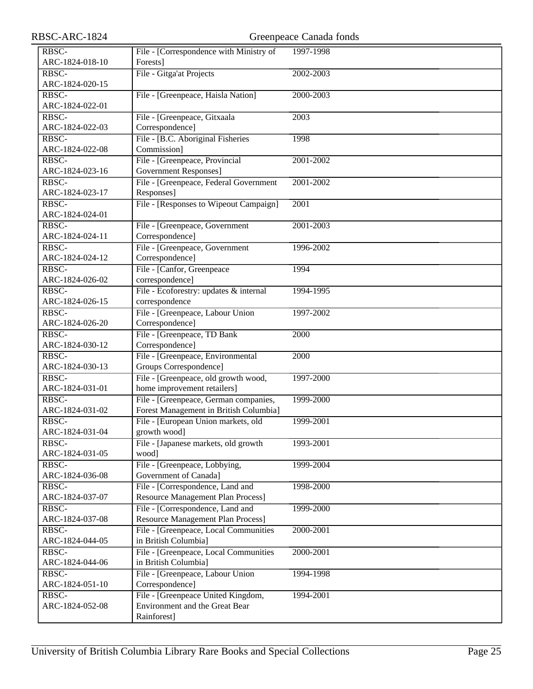| RBSC-ARC-1824   |                                                                      | Greenpeace Canada fonds |  |
|-----------------|----------------------------------------------------------------------|-------------------------|--|
| RBSC-           | File - [Correspondence with Ministry of                              | 1997-1998               |  |
| ARC-1824-018-10 | Forests]                                                             |                         |  |
| RBSC-           | File - Gitga'at Projects                                             | 2002-2003               |  |
| ARC-1824-020-15 |                                                                      |                         |  |
| RBSC-           | File - [Greenpeace, Haisla Nation]                                   | 2000-2003               |  |
| ARC-1824-022-01 |                                                                      |                         |  |
| RBSC-           | File - [Greenpeace, Gitxaala                                         | 2003                    |  |
| ARC-1824-022-03 | Correspondence]                                                      |                         |  |
| RBSC-           | File - [B.C. Aboriginal Fisheries                                    | 1998                    |  |
| ARC-1824-022-08 | Commission]                                                          |                         |  |
| RBSC-           | File - [Greenpeace, Provincial                                       | 2001-2002               |  |
| ARC-1824-023-16 | <b>Government Responses</b> ]                                        |                         |  |
| RBSC-           | File - [Greenpeace, Federal Government                               | 2001-2002               |  |
| ARC-1824-023-17 | Responses]                                                           |                         |  |
| RBSC-           | File - [Responses to Wipeout Campaign]                               | 2001                    |  |
| ARC-1824-024-01 |                                                                      |                         |  |
| RBSC-           | File - [Greenpeace, Government                                       | 2001-2003               |  |
| ARC-1824-024-11 | Correspondence]                                                      |                         |  |
| RBSC-           | File - [Greenpeace, Government                                       | 1996-2002               |  |
| ARC-1824-024-12 | Correspondence]                                                      |                         |  |
| RBSC-           | File - [Canfor, Greenpeace                                           | 1994                    |  |
| ARC-1824-026-02 | correspondence]                                                      |                         |  |
| RBSC-           | File - Ecoforestry: updates & internal                               | 1994-1995               |  |
| ARC-1824-026-15 | correspondence                                                       |                         |  |
| RBSC-           | File - [Greenpeace, Labour Union                                     | 1997-2002               |  |
| ARC-1824-026-20 | Correspondence]                                                      |                         |  |
| RBSC-           | File - [Greenpeace, TD Bank]                                         | 2000                    |  |
| ARC-1824-030-12 | Correspondence]                                                      |                         |  |
| RBSC-           | File - [Greenpeace, Environmental                                    | 2000                    |  |
| ARC-1824-030-13 | Groups Correspondence]                                               |                         |  |
| RBSC-           | File - [Greenpeace, old growth wood,                                 | 1997-2000               |  |
| ARC-1824-031-01 | home improvement retailers]                                          |                         |  |
| RBSC-           | File - [Greenpeace, German companies,                                | 1999-2000               |  |
| ARC-1824-031-02 | Forest Management in British Columbia]                               |                         |  |
| RBSC-           | File - [European Union markets, old                                  | 1999-2001               |  |
| ARC-1824-031-04 | growth wood]                                                         |                         |  |
| RBSC-           | File - [Japanese markets, old growth                                 | 1993-2001               |  |
| ARC-1824-031-05 | wood]                                                                |                         |  |
| RBSC-           | File - [Greenpeace, Lobbying,                                        | 1999-2004               |  |
| ARC-1824-036-08 | Government of Canada]                                                |                         |  |
| RBSC-           | File - [Correspondence, Land and                                     | 1998-2000               |  |
| ARC-1824-037-07 | <b>Resource Management Plan Process]</b>                             |                         |  |
| RBSC-           | File - [Correspondence, Land and                                     | 1999-2000               |  |
| ARC-1824-037-08 | <b>Resource Management Plan Process]</b>                             |                         |  |
| RBSC-           | File - [Greenpeace, Local Communities                                | 2000-2001               |  |
| ARC-1824-044-05 | in British Columbia]                                                 |                         |  |
| RBSC-           | File - [Greenpeace, Local Communities                                | 2000-2001               |  |
| ARC-1824-044-06 | in British Columbia]                                                 |                         |  |
| RBSC-           | File - [Greenpeace, Labour Union                                     | 1994-1998               |  |
| ARC-1824-051-10 | Correspondence]                                                      |                         |  |
| RBSC-           | File - [Greenpeace United Kingdom,<br>Environment and the Great Bear | 1994-2001               |  |
| ARC-1824-052-08 | Rainforest]                                                          |                         |  |
|                 |                                                                      |                         |  |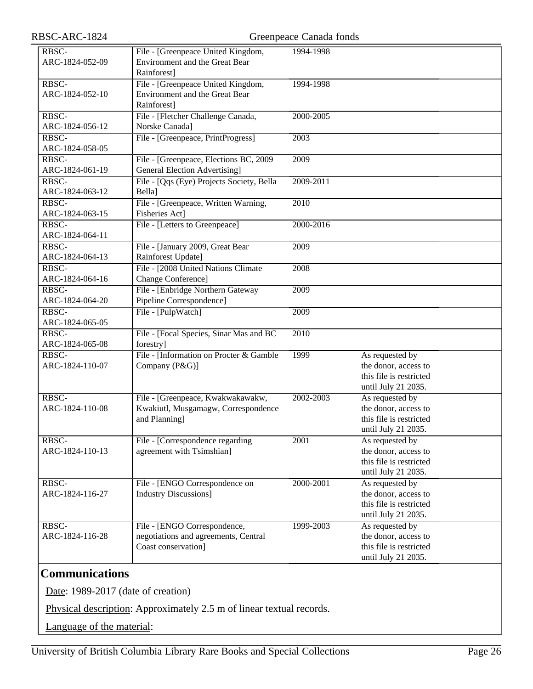| RBSC-ARC-1824            |                                                                                             | Greenpeace Canada fonds |                                                                                           |
|--------------------------|---------------------------------------------------------------------------------------------|-------------------------|-------------------------------------------------------------------------------------------|
| RBSC-<br>ARC-1824-052-09 | File - [Greenpeace United Kingdom,<br>Environment and the Great Bear<br>Rainforest]         | 1994-1998               |                                                                                           |
| RBSC-<br>ARC-1824-052-10 | File - [Greenpeace United Kingdom,<br>Environment and the Great Bear<br>Rainforest]         | 1994-1998               |                                                                                           |
| RBSC-<br>ARC-1824-056-12 | File - [Fletcher Challenge Canada,<br>Norske Canada]                                        | 2000-2005               |                                                                                           |
| RBSC-<br>ARC-1824-058-05 | File - [Greenpeace, PrintProgress]                                                          | 2003                    |                                                                                           |
| RBSC-<br>ARC-1824-061-19 | File - [Greenpeace, Elections BC, 2009<br><b>General Election Advertising</b> ]             | 2009                    |                                                                                           |
| RBSC-<br>ARC-1824-063-12 | File - [Qqs (Eye) Projects Society, Bella<br>Bella]                                         | 2009-2011               |                                                                                           |
| RBSC-<br>ARC-1824-063-15 | File - [Greenpeace, Written Warning,<br>Fisheries Act]                                      | 2010                    |                                                                                           |
| RBSC-<br>ARC-1824-064-11 | File - [Letters to Greenpeace]                                                              | 2000-2016               |                                                                                           |
| RBSC-<br>ARC-1824-064-13 | File - [January 2009, Great Bear<br>Rainforest Update]                                      | 2009                    |                                                                                           |
| RBSC-<br>ARC-1824-064-16 | File - [2008 United Nations Climate<br>Change Conference]                                   | 2008                    |                                                                                           |
| RBSC-<br>ARC-1824-064-20 | File - [Enbridge Northern Gateway]<br>Pipeline Correspondence]                              | 2009                    |                                                                                           |
| RBSC-<br>ARC-1824-065-05 | File - [PulpWatch]                                                                          | 2009                    |                                                                                           |
| RBSC-<br>ARC-1824-065-08 | File - [Focal Species, Sinar Mas and BC<br>forestry]                                        | 2010                    |                                                                                           |
| RBSC-<br>ARC-1824-110-07 | File - [Information on Procter & Gamble<br>Company (P&G)]                                   | 1999                    | As requested by<br>the donor, access to<br>this file is restricted<br>until July 21 2035. |
| RBSC-<br>ARC-1824-110-08 | File - [Greenpeace, Kwakwakawakw,<br>Kwakiutl, Musgamagw, Correspondence<br>and Planning]   | 2002-2003               | As requested by<br>the donor, access to<br>this file is restricted<br>until July 21 2035. |
| RBSC-<br>ARC-1824-110-13 | File - [Correspondence regarding]<br>agreement with Tsimshian]                              | 2001                    | As requested by<br>the donor, access to<br>this file is restricted<br>until July 21 2035. |
| RBSC-<br>ARC-1824-116-27 | File - [ENGO Correspondence on<br><b>Industry Discussions</b> ]                             | 2000-2001               | As requested by<br>the donor, access to<br>this file is restricted<br>until July 21 2035. |
| RBSC-<br>ARC-1824-116-28 | File - [ENGO Correspondence,<br>negotiations and agreements, Central<br>Coast conservation] | 1999-2003               | As requested by<br>the donor, access to<br>this file is restricted<br>until July 21 2035. |

### <span id="page-25-0"></span>**Communications**

Date: 1989-2017 (date of creation)

Physical description: Approximately 2.5 m of linear textual records.

Language of the material: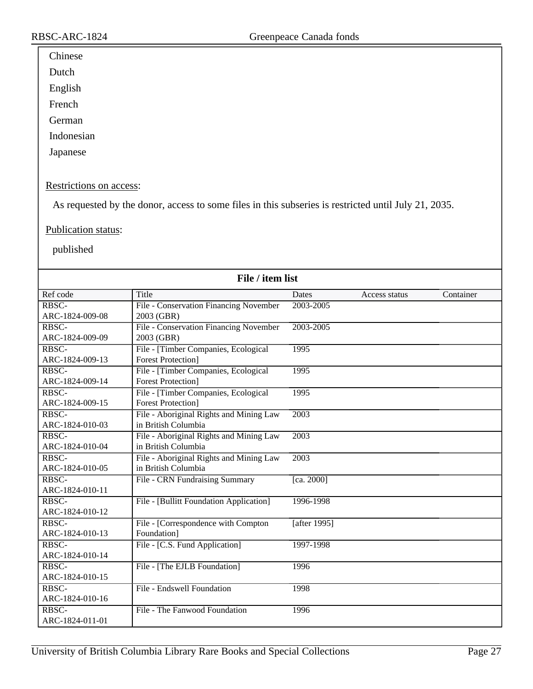### Chinese

Dutch

English

French

German

Indonesian

Japanese

#### Restrictions on access:

As requested by the donor, access to some files in this subseries is restricted until July 21, 2035.

#### Publication status:

| File / item list |                                         |              |               |           |
|------------------|-----------------------------------------|--------------|---------------|-----------|
| Ref code         | Title                                   | Dates        | Access status | Container |
| RBSC-            | File - Conservation Financing November  | 2003-2005    |               |           |
| ARC-1824-009-08  | 2003 (GBR)                              |              |               |           |
| RBSC-            | File - Conservation Financing November  | 2003-2005    |               |           |
| ARC-1824-009-09  | 2003 (GBR)                              |              |               |           |
| RBSC-            | File - [Timber Companies, Ecological    | 1995         |               |           |
| ARC-1824-009-13  | <b>Forest Protection</b> ]              |              |               |           |
| RBSC-            | File - [Timber Companies, Ecological    | 1995         |               |           |
| ARC-1824-009-14  | <b>Forest Protection</b> ]              |              |               |           |
| RBSC-            | File - [Timber Companies, Ecological    | 1995         |               |           |
| ARC-1824-009-15  | <b>Forest Protection</b>                |              |               |           |
| RBSC-            | File - Aboriginal Rights and Mining Law | 2003         |               |           |
| ARC-1824-010-03  | in British Columbia                     |              |               |           |
| RBSC-            | File - Aboriginal Rights and Mining Law | 2003         |               |           |
| ARC-1824-010-04  | in British Columbia                     |              |               |           |
| RBSC-            | File - Aboriginal Rights and Mining Law | 2003         |               |           |
| ARC-1824-010-05  | in British Columbia                     |              |               |           |
| RBSC-            | File - CRN Fundraising Summary          | [ca. 2000]   |               |           |
| ARC-1824-010-11  |                                         |              |               |           |
| RBSC-            | File - [Bullitt Foundation Application] | 1996-1998    |               |           |
| ARC-1824-010-12  |                                         |              |               |           |
| RBSC-            | File - [Correspondence with Compton     | [after 1995] |               |           |
| ARC-1824-010-13  | Foundation]                             |              |               |           |
| RBSC-            | File - [C.S. Fund Application]          | 1997-1998    |               |           |
| ARC-1824-010-14  |                                         |              |               |           |
| RBSC-            | File - [The EJLB Foundation]            | 1996         |               |           |
| ARC-1824-010-15  |                                         |              |               |           |
| RBSC-            | File - Endswell Foundation              | 1998         |               |           |
| ARC-1824-010-16  |                                         |              |               |           |
| RBSC-            | File - The Fanwood Foundation           | 1996         |               |           |
| ARC-1824-011-01  |                                         |              |               |           |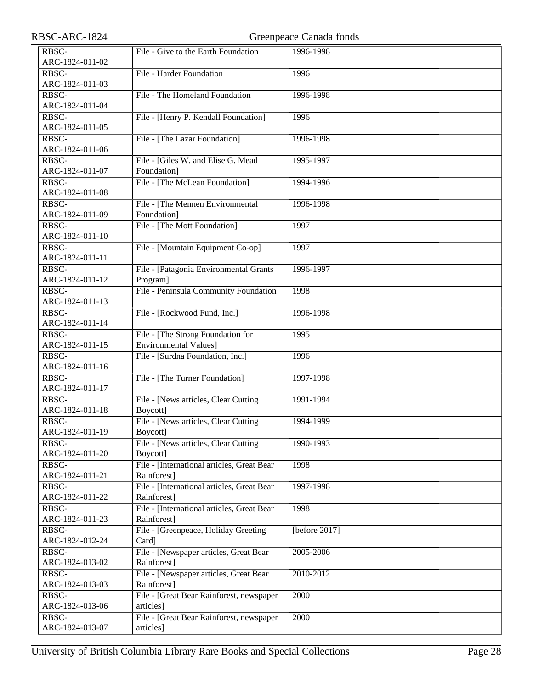| RBSC-ARC-1824            |                                            | Greenpeace Canada fonds |
|--------------------------|--------------------------------------------|-------------------------|
| RBSC-                    | File - Give to the Earth Foundation        | 1996-1998               |
| ARC-1824-011-02          |                                            |                         |
| RBSC-                    | File - Harder Foundation                   | 1996                    |
| ARC-1824-011-03          |                                            |                         |
| RBSC-                    | File - The Homeland Foundation             | 1996-1998               |
| ARC-1824-011-04          |                                            |                         |
| RBSC-                    | File - [Henry P. Kendall Foundation]       | 1996                    |
| ARC-1824-011-05          |                                            |                         |
| RBSC-                    | File - [The Lazar Foundation]              | 1996-1998               |
| ARC-1824-011-06          |                                            |                         |
| RBSC-                    | File - [Giles W. and Elise G. Mead         | 1995-1997               |
| ARC-1824-011-07          | Foundation]                                |                         |
| RBSC-                    | File - [The McLean Foundation]             | 1994-1996               |
| ARC-1824-011-08          |                                            |                         |
| RBSC-                    | File - [The Mennen Environmental           | 1996-1998               |
| ARC-1824-011-09          | Foundation]                                |                         |
| RBSC-                    | File - [The Mott Foundation]               | 1997                    |
| ARC-1824-011-10          |                                            |                         |
| RBSC-                    | File - [Mountain Equipment Co-op]          | 1997                    |
| ARC-1824-011-11          |                                            |                         |
| RBSC-                    | File - [Patagonia Environmental Grants     | 1996-1997               |
| ARC-1824-011-12          | Program]                                   |                         |
| RBSC-                    | File - Peninsula Community Foundation      | 1998                    |
| ARC-1824-011-13          |                                            |                         |
| RBSC-                    | File - [Rockwood Fund, Inc.]               | 1996-1998               |
| ARC-1824-011-14          |                                            |                         |
| RBSC-                    | File - [The Strong Foundation for          | 1995                    |
| ARC-1824-011-15          | <b>Environmental Values]</b>               |                         |
| RBSC-                    |                                            | 1996                    |
| ARC-1824-011-16          | File - [Surdna Foundation, Inc.]           |                         |
|                          |                                            |                         |
| RBSC-<br>ARC-1824-011-17 | File - [The Turner Foundation]             | 1997-1998               |
| RBSC-                    |                                            |                         |
| ARC-1824-011-18          | File - [News articles, Clear Cutting       | 1991-1994               |
|                          | Boycott]                                   |                         |
| RBSC-                    | File - [News articles, Clear Cutting       | 1994-1999               |
| ARC-1824-011-19          | Boycott]                                   |                         |
| RBSC-                    | File - [News articles, Clear Cutting]      | 1990-1993               |
| ARC-1824-011-20          | Boycott]                                   |                         |
| RBSC-                    | File - [International articles, Great Bear | 1998                    |
| ARC-1824-011-21          | Rainforest]                                |                         |
| RBSC-                    | File - [International articles, Great Bear | 1997-1998               |
| ARC-1824-011-22          | Rainforest]                                |                         |
| RBSC-                    | File - [International articles, Great Bear | 1998                    |
| ARC-1824-011-23          | Rainforest]                                |                         |
| RBSC-                    | File - [Greenpeace, Holiday Greeting       | [before $2017$ ]        |
| ARC-1824-012-24          | Card]                                      |                         |
| RBSC-                    | File - [Newspaper articles, Great Bear     | 2005-2006               |
| ARC-1824-013-02          | Rainforest]                                |                         |
| RBSC-                    | File - [Newspaper articles, Great Bear     | 2010-2012               |
| ARC-1824-013-03          | Rainforest]                                |                         |
| RBSC-                    | File - [Great Bear Rainforest, newspaper   | 2000                    |
| ARC-1824-013-06          | articles]                                  |                         |
| RBSC-                    | File - [Great Bear Rainforest, newspaper   | 2000                    |
| ARC-1824-013-07          | articles]                                  |                         |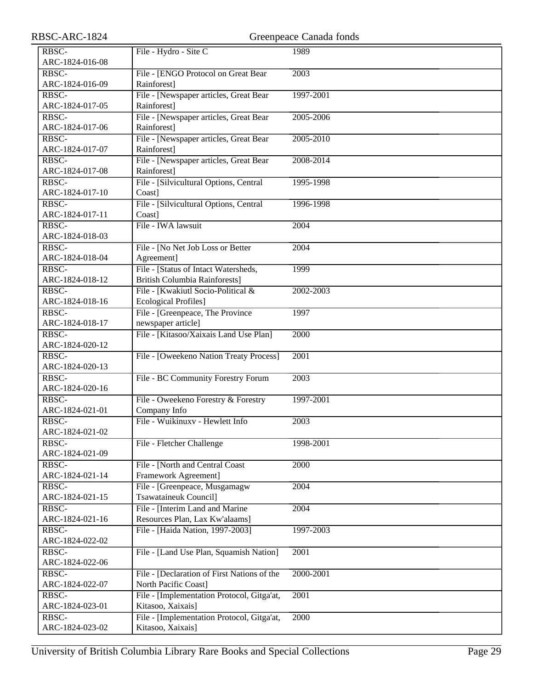| RBSC-ARC-1824             |                                                       | Greenpeace Canada fonds |
|---------------------------|-------------------------------------------------------|-------------------------|
| RBSC-                     | File - Hydro - Site C                                 | 1989                    |
| ARC-1824-016-08           |                                                       |                         |
| RBSC-                     | File - [ENGO Protocol on Great Bear                   | 2003                    |
| ARC-1824-016-09           | Rainforest]                                           |                         |
| RBSC-                     | File - [Newspaper articles, Great Bear                | 1997-2001               |
| ARC-1824-017-05           | Rainforest]                                           |                         |
| RBSC-                     |                                                       | 2005-2006               |
| ARC-1824-017-06           | File - [Newspaper articles, Great Bear<br>Rainforest] |                         |
|                           |                                                       |                         |
| RBSC-                     | File - [Newspaper articles, Great Bear                | 2005-2010               |
| ARC-1824-017-07           | Rainforest]                                           |                         |
| RBSC-                     | File - [Newspaper articles, Great Bear                | 2008-2014               |
| ARC-1824-017-08           | Rainforest]                                           |                         |
| RBSC-                     | File - [Silvicultural Options, Central                | 1995-1998               |
| ARC-1824-017-10           | Coast]                                                |                         |
| RBSC-                     | File - [Silvicultural Options, Central                | 1996-1998               |
| ARC-1824-017-11           | Coast]                                                |                         |
| RBSC-                     | File - IWA lawsuit                                    | $\overline{2004}$       |
| ARC-1824-018-03           |                                                       |                         |
| RBSC-                     | File - [No Net Job Loss or Better                     | 2004                    |
| ARC-1824-018-04           | Agreement]                                            |                         |
| RBSC-                     | File - [Status of Intact Watersheds,                  | 1999                    |
| ARC-1824-018-12           | <b>British Columbia Rainforests]</b>                  |                         |
| RBSC-                     | File - [Kwakiutl Socio-Political &                    | 2002-2003               |
| ARC-1824-018-16           | Ecological Profiles]                                  |                         |
| RBSC-                     | File - [Greenpeace, The Province                      | 1997                    |
| ARC-1824-018-17           | newspaper article]                                    |                         |
| RBSC-                     | File - [Kitasoo/Xaixais Land Use Plan]                | 2000                    |
| ARC-1824-020-12           |                                                       |                         |
| $R\overline{\text{BSC-}}$ | File - [Oweekeno Nation Treaty Process]               | 2001                    |
| ARC-1824-020-13           |                                                       |                         |
| RBSC-                     | File - BC Community Forestry Forum                    | 2003                    |
| ARC-1824-020-16           |                                                       |                         |
| RBSC-                     | File - Oweekeno Forestry & Forestry                   | 1997-2001               |
| ARC-1824-021-01           | Company Info                                          |                         |
| RBSC-                     | File - Wuikinuxv - Hewlett Info                       | $\overline{2003}$       |
| ARC-1824-021-02           |                                                       |                         |
| RBSC-                     | File - Fletcher Challenge                             | 1998-2001               |
| ARC-1824-021-09           |                                                       |                         |
| RBSC-                     | File - [North and Central Coast]                      | 2000                    |
| ARC-1824-021-14           | Framework Agreement]                                  |                         |
| RBSC-                     | File - [Greenpeace, Musgamagw                         | 2004                    |
| ARC-1824-021-15           | Tsawataineuk Council]                                 |                         |
| RBSC-                     | File - [Interim Land and Marine                       | 2004                    |
| ARC-1824-021-16           | Resources Plan, Lax Kw'alaams]                        |                         |
| RBSC-                     | File - [Haida Nation, 1997-2003]                      | 1997-2003               |
| ARC-1824-022-02           |                                                       |                         |
| RBSC-                     | File - [Land Use Plan, Squamish Nation]               | 2001                    |
| ARC-1824-022-06           |                                                       |                         |
| RBSC-                     | File - [Declaration of First Nations of the           | 2000-2001               |
| ARC-1824-022-07           | North Pacific Coast]                                  |                         |
| RBSC-                     | File - [Implementation Protocol, Gitga'at,            | 2001                    |
| ARC-1824-023-01           | Kitasoo, Xaixais]                                     |                         |
| RBSC-                     | File - [Implementation Protocol, Gitga'at,            | 2000                    |
| ARC-1824-023-02           | Kitasoo, Xaixais]                                     |                         |
|                           |                                                       |                         |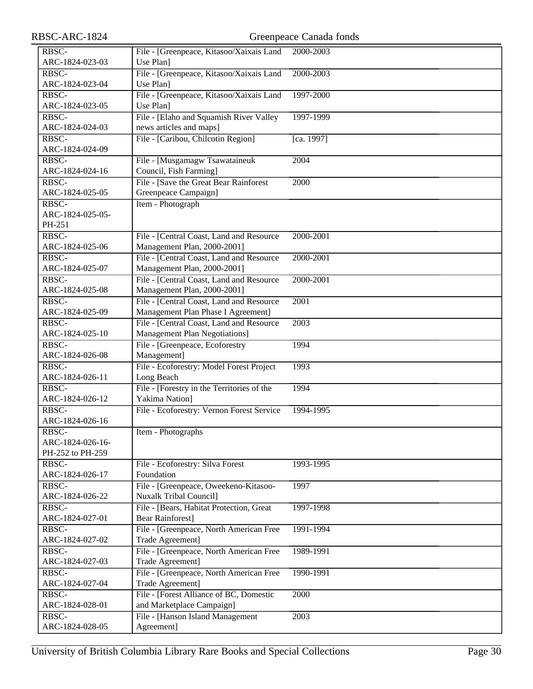| RBSC-ARC-1824            |                                                | Greenpeace Canada fonds |
|--------------------------|------------------------------------------------|-------------------------|
| RBSC-                    | File - [Greenpeace, Kitasoo/Xaixais Land       | 2000-2003               |
| ARC-1824-023-03          | Use Plan]                                      |                         |
| RBSC-                    | File - [Greenpeace, Kitasoo/Xaixais Land       | 2000-2003               |
| ARC-1824-023-04          | Use Plan]                                      |                         |
| RBSC-                    | File - [Greenpeace, Kitasoo/Xaixais Land       | 1997-2000               |
| ARC-1824-023-05          | Use Plan]                                      |                         |
| RBSC-                    | File - [Elaho and Squamish River Valley        | 1997-1999               |
| ARC-1824-024-03          | news articles and maps]                        |                         |
| RBSC-                    | File - [Caribou, Chilcotin Region]             | [ca. 1997]              |
| ARC-1824-024-09          |                                                |                         |
| RBSC-                    | File - [Musgamagw Tsawataineuk                 | 2004                    |
| ARC-1824-024-16          | Council, Fish Farming]                         |                         |
| RBSC-                    | File - [Save the Great Bear Rainforest]        | 2000                    |
| ARC-1824-025-05          | Greenpeace Campaign]                           |                         |
| RBSC-                    | Item - Photograph                              |                         |
| ARC-1824-025-05-         |                                                |                         |
| PH-251                   |                                                |                         |
| RBSC-                    | File - [Central Coast, Land and Resource       | 2000-2001               |
| ARC-1824-025-06          | Management Plan, 2000-2001]                    |                         |
| RBSC-                    | File - [Central Coast, Land and Resource       | 2000-2001               |
| ARC-1824-025-07          | Management Plan, 2000-2001]                    |                         |
| RBSC-                    | File - [Central Coast, Land and Resource       | 2000-2001               |
| ARC-1824-025-08          | Management Plan, 2000-2001]                    |                         |
| RBSC-                    | File - [Central Coast, Land and Resource       | $\overline{2001}$       |
| ARC-1824-025-09          | Management Plan Phase I Agreement]             |                         |
| RBSC-                    | File - [Central Coast, Land and Resource       | 2003                    |
| ARC-1824-025-10<br>RBSC- | <b>Management Plan Negotiations]</b>           | 1994                    |
| ARC-1824-026-08          | File - [Greenpeace, Ecoforestry<br>Management] |                         |
| RBSC-                    | File - Ecoforestry: Model Forest Project       | 1993                    |
| ARC-1824-026-11          | Long Beach                                     |                         |
| RBSC-                    | File - [Forestry in the Territories of the     | 1994                    |
| ARC-1824-026-12          | Yakima Nation]                                 |                         |
| RBSC-                    | File - Ecoforestry: Vernon Forest Service      | 1994-1995               |
| ARC-1824-026-16          |                                                |                         |
| $RBSC-$                  | Item - Photographs                             |                         |
| ARC-1824-026-16-         |                                                |                         |
| PH-252 to PH-259         |                                                |                         |
| RBSC-                    | File - Ecoforestry: Silva Forest               | 1993-1995               |
| ARC-1824-026-17          | Foundation                                     |                         |
| RBSC-                    | File - [Greenpeace, Oweekeno-Kitasoo-          | 1997                    |
| ARC-1824-026-22          | <b>Nuxalk Tribal Council]</b>                  |                         |
| RBSC-                    | File - [Bears, Habitat Protection, Great       | 1997-1998               |
| ARC-1824-027-01          | <b>Bear Rainforest]</b>                        |                         |
| RBSC-                    | File - [Greenpeace, North American Free        | 1991-1994               |
| ARC-1824-027-02          | Trade Agreement]                               |                         |
| RBSC-                    | File - [Greenpeace, North American Free        | 1989-1991               |
| ARC-1824-027-03          | Trade Agreement]                               |                         |
| RBSC-                    | File - [Greenpeace, North American Free        | 1990-1991               |
| ARC-1824-027-04          | Trade Agreement]                               |                         |
| RBSC-                    | File - [Forest Alliance of BC, Domestic        | 2000                    |
| ARC-1824-028-01          | and Marketplace Campaign]                      |                         |
| RBSC-                    | File - [Hanson Island Management]              | 2003                    |
| ARC-1824-028-05          | Agreement]                                     |                         |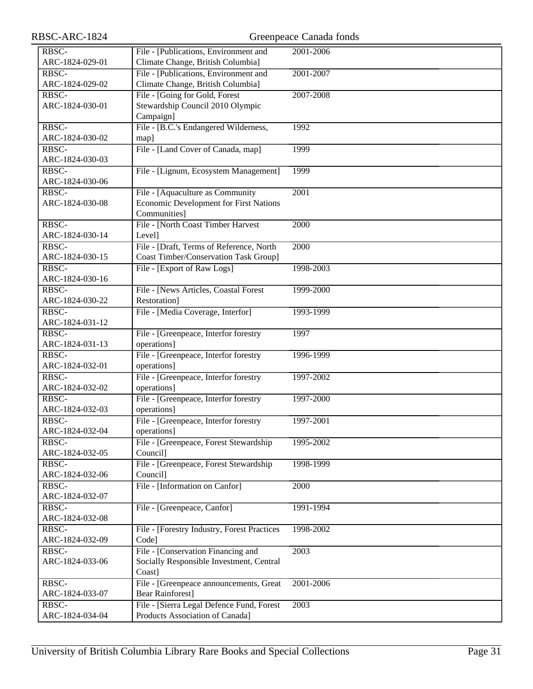| RBSC-ARC-1824                     |                                                      | Greenpeace Canada fonds |
|-----------------------------------|------------------------------------------------------|-------------------------|
| RBSC-                             | File - [Publications, Environment and                | 2001-2006               |
| ARC-1824-029-01                   | Climate Change, British Columbia]                    |                         |
| RBSC-                             | File - [Publications, Environment and                | 2001-2007               |
| ARC-1824-029-02                   | Climate Change, British Columbia]                    |                         |
| $R\overline{BSC}$                 | File - [Going for Gold, Forest                       | 2007-2008               |
| ARC-1824-030-01                   | Stewardship Council 2010 Olympic                     |                         |
|                                   | Campaign]                                            |                         |
| RBSC-                             | File - [B.C.'s Endangered Wilderness,                | 1992                    |
| ARC-1824-030-02                   | map]                                                 |                         |
| $R\overline{B}$ <sub>SC</sub> $-$ | File - [Land Cover of Canada, map]                   | 1999                    |
| ARC-1824-030-03                   |                                                      |                         |
| RBSC-                             | File - [Lignum, Ecosystem Management]                | 1999                    |
| ARC-1824-030-06                   |                                                      |                         |
| RBSC-                             | File - [Aquaculture as Community                     | 2001                    |
| ARC-1824-030-08                   | Economic Development for First Nations               |                         |
|                                   | Communities]                                         |                         |
| RBSC-                             | File - [North Coast Timber Harvest                   | 2000                    |
| ARC-1824-030-14                   | Level]                                               |                         |
| RBSC-                             | File - [Draft, Terms of Reference, North             | 2000                    |
| ARC-1824-030-15                   | <b>Coast Timber/Conservation Task Group]</b>         |                         |
| RBSC-                             | File - [Export of Raw Logs]                          | 1998-2003               |
| ARC-1824-030-16                   |                                                      |                         |
| RBSC-                             | File - [News Articles, Coastal Forest                | 1999-2000               |
| ARC-1824-030-22                   | Restoration]                                         |                         |
| RBSC-                             | File - [Media Coverage, Interfor]                    | 1993-1999               |
| ARC-1824-031-12                   |                                                      |                         |
| RBSC-                             | File - [Greenpeace, Interfor forestry                | 1997                    |
| ARC-1824-031-13                   | operations]                                          |                         |
| RBSC-                             | File - [Greenpeace, Interfor forestry                | 1996-1999               |
| ARC-1824-032-01                   | operations]                                          |                         |
| RBSC-                             | File - [Greenpeace, Interfor forestry                | 1997-2002               |
| ARC-1824-032-02                   | operations]                                          |                         |
| RBSC-<br>ARC-1824-032-03          | File - [Greenpeace, Interfor forestry                | 1997-2000               |
| RBSC-                             | operations]<br>File - [Greenpeace, Interfor forestry | 1997-2001               |
| ARC-1824-032-04                   | operations]                                          |                         |
| RBSC-                             | File - [Greenpeace, Forest Stewardship               | 1995-2002               |
| ARC-1824-032-05                   | Council]                                             |                         |
| RBSC-                             | File - [Greenpeace, Forest Stewardship               | 1998-1999               |
| ARC-1824-032-06                   | Council]                                             |                         |
| RBSC-                             | File - [Information on Canfor]                       | 2000                    |
| ARC-1824-032-07                   |                                                      |                         |
| $R\overline{BSC}$                 | File - [Greenpeace, Canfor]                          | 1991-1994               |
| ARC-1824-032-08                   |                                                      |                         |
| RBSC-                             | File - [Forestry Industry, Forest Practices          | 1998-2002               |
| ARC-1824-032-09                   | Code]                                                |                         |
| RBSC-                             | File - [Conservation Financing and                   | 2003                    |
| ARC-1824-033-06                   | Socially Responsible Investment, Central             |                         |
|                                   | Coast]                                               |                         |
| RBSC-                             | File - [Greenpeace announcements, Great              | 2001-2006               |
| ARC-1824-033-07                   | <b>Bear Rainforest]</b>                              |                         |
| RBSC-                             | File - [Sierra Legal Defence Fund, Forest            | 2003                    |
| ARC-1824-034-04                   | Products Association of Canada]                      |                         |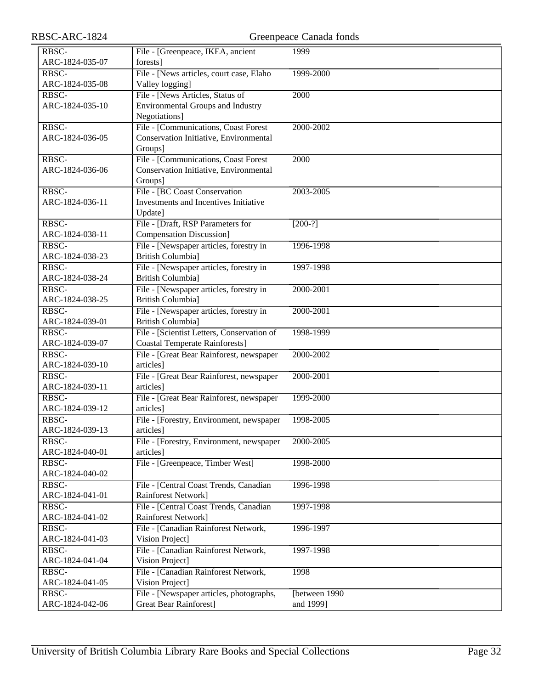| RBSC-ARC-1824            |                                                                                     | Greenpeace Canada fonds |  |
|--------------------------|-------------------------------------------------------------------------------------|-------------------------|--|
| RBSC-                    | File - [Greenpeace, IKEA, ancient                                                   | 1999                    |  |
| ARC-1824-035-07          | forests]                                                                            |                         |  |
| RBSC-                    | File - [News articles, court case, Elaho                                            | 1999-2000               |  |
| ARC-1824-035-08          | Valley logging]                                                                     |                         |  |
| RBSC-                    | File - [News Articles, Status of                                                    | 2000                    |  |
| ARC-1824-035-10          | <b>Environmental Groups and Industry</b>                                            |                         |  |
|                          | Negotiations]                                                                       |                         |  |
| RBSC-                    | File - [Communications, Coast Forest                                                | 2000-2002               |  |
| ARC-1824-036-05          | Conservation Initiative, Environmental                                              |                         |  |
|                          | Groups]                                                                             |                         |  |
| RBSC-                    | File - [Communications, Coast Forest                                                | 2000                    |  |
| ARC-1824-036-06          | Conservation Initiative, Environmental                                              |                         |  |
|                          | Groups]                                                                             |                         |  |
| RBSC-                    | File - [BC Coast Conservation                                                       | 2003-2005               |  |
| ARC-1824-036-11          | Investments and Incentives Initiative                                               |                         |  |
|                          | Update]                                                                             |                         |  |
| RBSC-                    | File - [Draft, RSP Parameters for                                                   | $[200-?]$               |  |
| ARC-1824-038-11          | <b>Compensation Discussion]</b>                                                     |                         |  |
| RBSC-                    | File - [Newspaper articles, forestry in                                             | 1996-1998               |  |
| ARC-1824-038-23          | <b>British Columbia</b> ]                                                           |                         |  |
| RBSC-                    | File - [Newspaper articles, forestry in                                             | 1997-1998               |  |
| ARC-1824-038-24          | <b>British Columbia]</b>                                                            |                         |  |
| RBSC-                    | File - [Newspaper articles, forestry in                                             | 2000-2001               |  |
| ARC-1824-038-25          | <b>British Columbia]</b>                                                            |                         |  |
| RBSC-                    | File - [Newspaper articles, forestry in                                             | 2000-2001               |  |
| ARC-1824-039-01<br>RBSC- | <b>British Columbia</b> ]                                                           |                         |  |
| ARC-1824-039-07          | File - [Scientist Letters, Conservation of<br><b>Coastal Temperate Rainforests]</b> | 1998-1999               |  |
| RBSC-                    | File - [Great Bear Rainforest, newspaper                                            | 2000-2002               |  |
| ARC-1824-039-10          | articles]                                                                           |                         |  |
| RBSC-                    | File - [Great Bear Rainforest, newspaper                                            | 2000-2001               |  |
| ARC-1824-039-11          | articles]                                                                           |                         |  |
| RBSC-                    | File - [Great Bear Rainforest, newspaper                                            | 1999-2000               |  |
| ARC-1824-039-12          | articles]                                                                           |                         |  |
| RBSC-                    | File - [Forestry, Environment, newspaper                                            | 1998-2005               |  |
| ARC-1824-039-13          | articles]                                                                           |                         |  |
| RBSC-                    | File - [Forestry, Environment, newspaper                                            | 2000-2005               |  |
| ARC-1824-040-01          | articles]                                                                           |                         |  |
| RBSC-                    | File - [Greenpeace, Timber West]                                                    | 1998-2000               |  |
| ARC-1824-040-02          |                                                                                     |                         |  |
| RBSC-                    | File - [Central Coast Trends, Canadian                                              | 1996-1998               |  |
| ARC-1824-041-01          | Rainforest Network]                                                                 |                         |  |
| RBSC-                    | File - [Central Coast Trends, Canadian                                              | 1997-1998               |  |
| ARC-1824-041-02          | Rainforest Network]                                                                 |                         |  |
| RBSC-                    | File - [Canadian Rainforest Network,                                                | 1996-1997               |  |
| ARC-1824-041-03          | Vision Project]                                                                     |                         |  |
| RBSC-                    | File - [Canadian Rainforest Network,                                                | 1997-1998               |  |
| ARC-1824-041-04          | Vision Project]                                                                     |                         |  |
| RBSC-                    | File - [Canadian Rainforest Network,                                                | 1998                    |  |
| ARC-1824-041-05          | Vision Project]                                                                     |                         |  |
| RBSC-                    | File - [Newspaper articles, photographs,                                            | [between 1990           |  |
| ARC-1824-042-06          | <b>Great Bear Rainforest]</b>                                                       | and 1999]               |  |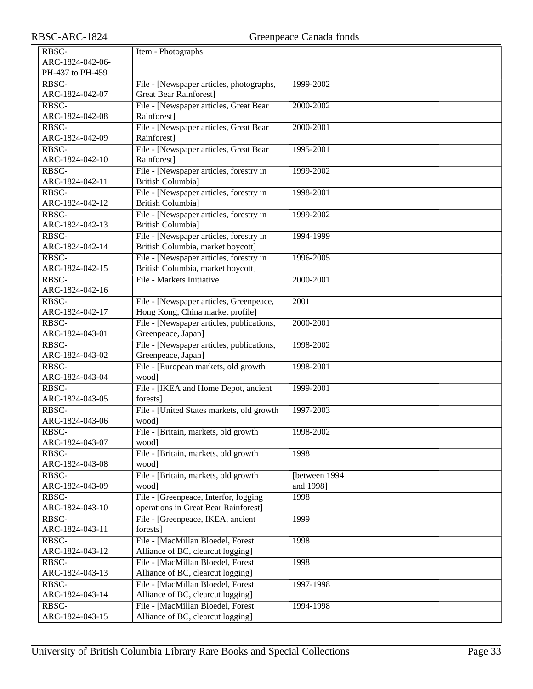| RBSC-            | Item - Photographs                                                           |                   |
|------------------|------------------------------------------------------------------------------|-------------------|
| ARC-1824-042-06- |                                                                              |                   |
| PH-437 to PH-459 |                                                                              |                   |
| RBSC-            | File - [Newspaper articles, photographs,                                     | 1999-2002         |
| ARC-1824-042-07  | <b>Great Bear Rainforest</b> ]                                               |                   |
| RBSC-            | File - [Newspaper articles, Great Bear                                       | 2000-2002         |
| ARC-1824-042-08  | Rainforest]                                                                  |                   |
| RBSC-            | File - [Newspaper articles, Great Bear                                       | 2000-2001         |
| ARC-1824-042-09  | Rainforest]                                                                  |                   |
| RBSC-            | File - [Newspaper articles, Great Bear                                       | 1995-2001         |
| ARC-1824-042-10  | Rainforest]                                                                  |                   |
| RBSC-            | File - [Newspaper articles, forestry in                                      | 1999-2002         |
| ARC-1824-042-11  | <b>British Columbia</b> ]                                                    |                   |
| RBSC-            | File - [Newspaper articles, forestry in                                      | 1998-2001         |
| ARC-1824-042-12  | <b>British Columbia</b> ]                                                    |                   |
| RBSC-            | File - [Newspaper articles, forestry in                                      | 1999-2002         |
| ARC-1824-042-13  | <b>British Columbial</b>                                                     |                   |
| RBSC-            | File - [Newspaper articles, forestry in                                      | 1994-1999         |
| ARC-1824-042-14  | British Columbia, market boycott]                                            |                   |
| RBSC-            |                                                                              | 1996-2005         |
| ARC-1824-042-15  | File - [Newspaper articles, forestry in<br>British Columbia, market boycott] |                   |
| RBSC-            | File - Markets Initiative                                                    |                   |
|                  |                                                                              | 2000-2001         |
| ARC-1824-042-16  |                                                                              |                   |
| RBSC-            | File - [Newspaper articles, Greenpeace,                                      | $\overline{2001}$ |
| ARC-1824-042-17  | Hong Kong, China market profile]                                             |                   |
| RBSC-            | File - [Newspaper articles, publications,                                    | 2000-2001         |
| ARC-1824-043-01  | Greenpeace, Japan]                                                           |                   |
| RBSC-            | File - [Newspaper articles, publications,                                    | 1998-2002         |
| ARC-1824-043-02  | Greenpeace, Japan]                                                           |                   |
| RBSC-            | File - [European markets, old growth                                         | 1998-2001         |
| ARC-1824-043-04  | wood]                                                                        |                   |
| RBSC-            | File - [IKEA and Home Depot, ancient                                         | 1999-2001         |
| ARC-1824-043-05  | forests]                                                                     |                   |
| RBSC-            | File - [United States markets, old growth                                    | 1997-2003         |
| ARC-1824-043-06  | wood]                                                                        |                   |
| RBSC-            | File - [Britain, markets, old growth                                         | 1998-2002         |
| ARC-1824-043-07  | wood]                                                                        |                   |
| RBSC-            | File - [Britain, markets, old growth                                         | 1998              |
| ARC-1824-043-08  | wood]                                                                        |                   |
| RBSC-            | File - [Britain, markets, old growth                                         | [between 1994]    |
| ARC-1824-043-09  | wood]                                                                        | and 1998]         |
| RBSC-            | File - [Greenpeace, Interfor, logging                                        | 1998              |
| ARC-1824-043-10  | operations in Great Bear Rainforest]                                         |                   |
| RBSC-            | File - [Greenpeace, IKEA, ancient                                            | 1999              |
| ARC-1824-043-11  | forests]                                                                     |                   |
| RBSC-            | File - [MacMillan Bloedel, Forest                                            | 1998              |
| ARC-1824-043-12  | Alliance of BC, clearcut logging]                                            |                   |
| RBSC-            | File - [MacMillan Bloedel, Forest                                            | 1998              |
| ARC-1824-043-13  | Alliance of BC, clearcut logging]                                            |                   |
| RBSC-            | File - [MacMillan Bloedel, Forest                                            | 1997-1998         |
| ARC-1824-043-14  | Alliance of BC, clearcut logging]                                            |                   |
| RBSC-            | File - [MacMillan Bloedel, Forest                                            | 1994-1998         |
| ARC-1824-043-15  | Alliance of BC, clearcut logging]                                            |                   |
|                  |                                                                              |                   |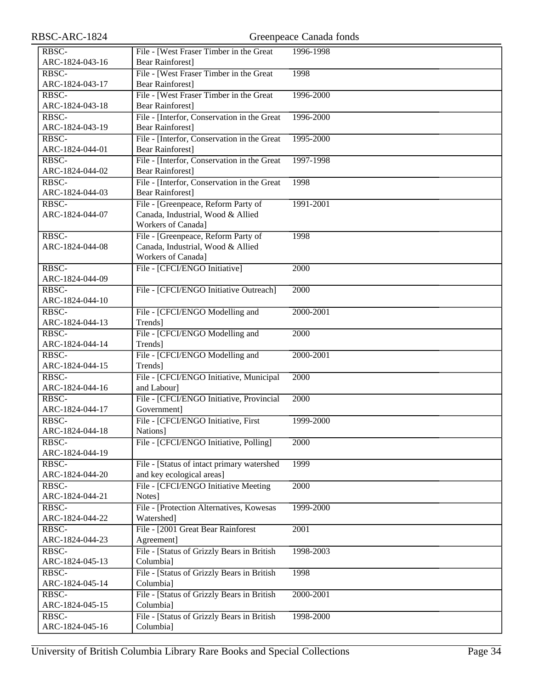| RBSC-ARC-1824            |                                                          | Greenpeace Canada fonds |
|--------------------------|----------------------------------------------------------|-------------------------|
| RBSC-                    | File - [West Fraser Timber in the Great                  | 1996-1998               |
| ARC-1824-043-16          | <b>Bear Rainforest]</b>                                  |                         |
| RBSC-                    | File - [West Fraser Timber in the Great                  | 1998                    |
| ARC-1824-043-17          | <b>Bear Rainforest]</b>                                  |                         |
| RBSC-                    | File - [West Fraser Timber in the Great                  | 1996-2000               |
| ARC-1824-043-18          | <b>Bear Rainforest]</b>                                  |                         |
| RBSC-                    | File - [Interfor, Conservation in the Great              | 1996-2000               |
| ARC-1824-043-19          | <b>Bear Rainforest]</b>                                  |                         |
| RBSC-                    | File - [Interfor, Conservation in the Great              | 1995-2000               |
| ARC-1824-044-01          | <b>Bear Rainforest</b> ]                                 |                         |
| RBSC-                    | File - [Interfor, Conservation in the Great              | 1997-1998               |
| ARC-1824-044-02          | <b>Bear Rainforest]</b>                                  |                         |
| RBSC-                    | File - [Interfor, Conservation in the Great              | 1998                    |
| ARC-1824-044-03          | <b>Bear Rainforest]</b>                                  |                         |
| RBSC-                    | File - [Greenpeace, Reform Party of                      | 1991-2001               |
| ARC-1824-044-07          | Canada, Industrial, Wood & Allied                        |                         |
|                          | Workers of Canada]                                       |                         |
| RBSC-                    | File - [Greenpeace, Reform Party of                      | 1998                    |
| ARC-1824-044-08          | Canada, Industrial, Wood & Allied                        |                         |
|                          | Workers of Canada]                                       |                         |
| RBSC-                    | File - [CFCI/ENGO Initiative]                            | 2000                    |
| ARC-1824-044-09          |                                                          |                         |
| RBSC-                    | File - [CFCI/ENGO Initiative Outreach]                   | 2000                    |
| ARC-1824-044-10          |                                                          |                         |
| RBSC-                    | File - [CFCI/ENGO Modelling and                          | 2000-2001               |
| ARC-1824-044-13          | Trends]                                                  |                         |
| RBSC-                    | File - [CFCI/ENGO Modelling and                          | 2000                    |
| ARC-1824-044-14          | Trends]                                                  |                         |
| RBSC-                    | File - [CFCI/ENGO Modelling and                          | 2000-2001               |
| ARC-1824-044-15          | Trends]                                                  |                         |
| RBSC-                    | File - [CFCI/ENGO Initiative, Municipal                  | 2000                    |
| ARC-1824-044-16          | and Labour]                                              |                         |
| RBSC-                    | File - [CFCI/ENGO Initiative, Provincial                 | 2000                    |
| ARC-1824-044-17          | Government]                                              |                         |
| RBSC-                    | File - [CFCI/ENGO Initiative, First                      | 1999-2000               |
| ARC-1824-044-18          | Nations]                                                 |                         |
| RBSC-                    | File - [CFCI/ENGO Initiative, Polling]                   | 2000                    |
| ARC-1824-044-19          |                                                          |                         |
| RBSC-                    | File - [Status of intact primary watershed               | 1999                    |
| ARC-1824-044-20          | and key ecological areas]                                |                         |
| RBSC-                    | File - [CFCI/ENGO Initiative Meeting                     | 2000                    |
| ARC-1824-044-21          | Notes]<br>File - [Protection Alternatives, Kowesas]      | 1999-2000               |
| RBSC-<br>ARC-1824-044-22 | Watershed]                                               |                         |
| RBSC-                    |                                                          |                         |
| ARC-1824-044-23          | File - [2001 Great Bear Rainforest                       | 2001                    |
| RBSC-                    | Agreement]<br>File - [Status of Grizzly Bears in British | 1998-2003               |
| ARC-1824-045-13          | Columbia]                                                |                         |
| RBSC-                    | File - [Status of Grizzly Bears in British]              | 1998                    |
| ARC-1824-045-14          | Columbia]                                                |                         |
| RBSC-                    | File - [Status of Grizzly Bears in British               | 2000-2001               |
| ARC-1824-045-15          | Columbia]                                                |                         |
| RBSC-                    | File - [Status of Grizzly Bears in British               | 1998-2000               |
| ARC-1824-045-16          | Columbia]                                                |                         |
|                          |                                                          |                         |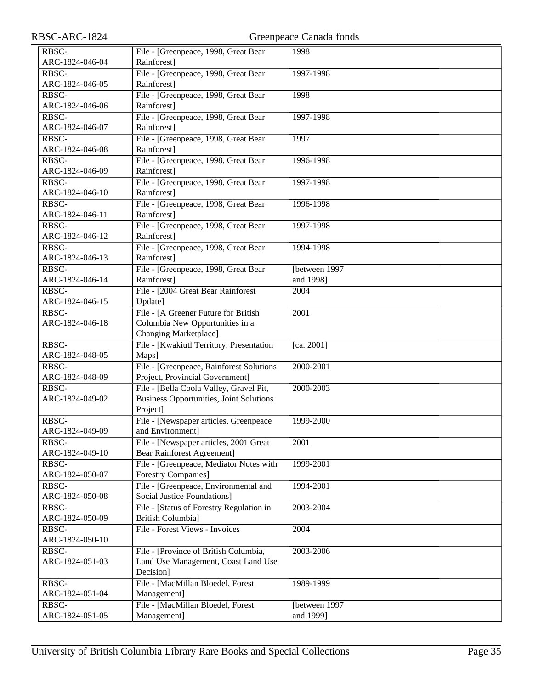| RBSC-ARC-1824                | Greenpeace Canada fonds                                    |                   |
|------------------------------|------------------------------------------------------------|-------------------|
| RBSC-                        | File - [Greenpeace, 1998, Great Bear                       | 1998              |
| ARC-1824-046-04              | Rainforest]                                                |                   |
| RBSC-                        | File - [Greenpeace, 1998, Great Bear                       | 1997-1998         |
| ARC-1824-046-05              | Rainforest]                                                |                   |
| RBSC-                        | File - [Greenpeace, 1998, Great Bear                       | 1998              |
| ARC-1824-046-06              | Rainforest]                                                |                   |
| RBSC-                        | File - [Greenpeace, 1998, Great Bear                       | 1997-1998         |
| ARC-1824-046-07              | Rainforest]                                                |                   |
| RBSC-                        | File - [Greenpeace, 1998, Great Bear                       | 1997              |
| ARC-1824-046-08              | Rainforest]                                                |                   |
| RBSC-                        | File - [Greenpeace, 1998, Great Bear                       | 1996-1998         |
| ARC-1824-046-09              | Rainforest]                                                |                   |
| RBSC-                        | File - [Greenpeace, 1998, Great Bear                       | 1997-1998         |
| ARC-1824-046-10              | Rainforest]                                                |                   |
| RBSC-                        | File - [Greenpeace, 1998, Great Bear                       | 1996-1998         |
| ARC-1824-046-11              | Rainforest]                                                |                   |
| RBSC-                        | File - [Greenpeace, 1998, Great Bear                       | 1997-1998         |
| ARC-1824-046-12              | Rainforest]                                                |                   |
| RBSC-                        | File - [Greenpeace, 1998, Great Bear                       | 1994-1998         |
| ARC-1824-046-13              | Rainforest]                                                |                   |
| RBSC-                        | File - [Greenpeace, 1998, Great Bear                       | [between 1997     |
| ARC-1824-046-14              | Rainforest]                                                | and 1998]         |
| RBSC-                        | File - [2004 Great Bear Rainforest                         | 2004              |
| ARC-1824-046-15              | Update]                                                    |                   |
| RBSC-                        | File - [A Greener Future for British                       | 2001              |
| ARC-1824-046-18              | Columbia New Opportunities in a                            |                   |
|                              | <b>Changing Marketplace]</b>                               |                   |
| RBSC-                        | File - [Kwakiutl Territory, Presentation                   | [ca. 2001]        |
| ARC-1824-048-05              | Maps]                                                      |                   |
| RBSC-                        | File - [Greenpeace, Rainforest Solutions                   | 2000-2001         |
| ARC-1824-048-09              | Project, Provincial Government]                            |                   |
| RBSC-                        | File - [Bella Coola Valley, Gravel Pit,                    | 2000-2003         |
| ARC-1824-049-02              | <b>Business Opportunities, Joint Solutions</b>             |                   |
| RBSC-                        | Project]                                                   | 1999-2000         |
| ARC-1824-049-09              | File - [Newspaper articles, Greenpeace<br>and Environment] |                   |
| RBSC-                        | File - [Newspaper articles, 2001 Great                     | $\overline{2001}$ |
| ARC-1824-049-10              | <b>Bear Rainforest Agreement]</b>                          |                   |
| RBSC-                        | File - [Greenpeace, Mediator Notes with                    | 1999-2001         |
| ARC-1824-050-07              | Forestry Companies]                                        |                   |
| RBSC-                        | File - [Greenpeace, Environmental and                      | 1994-2001         |
| ARC-1824-050-08              | <b>Social Justice Foundations]</b>                         |                   |
| $R\overline{B}\overline{SC}$ | File - [Status of Forestry Regulation in                   | 2003-2004         |
| ARC-1824-050-09              | <b>British Columbia]</b>                                   |                   |
| RBSC-                        | File - Forest Views - Invoices                             | 2004              |
| ARC-1824-050-10              |                                                            |                   |
| RBSC-                        | File - [Province of British Columbia,                      | 2003-2006         |
| ARC-1824-051-03              | Land Use Management, Coast Land Use                        |                   |
|                              | Decision]                                                  |                   |
| RBSC-                        | File - [MacMillan Bloedel, Forest                          | 1989-1999         |
| ARC-1824-051-04              | Management]                                                |                   |
| RBSC-                        | File - [MacMillan Bloedel, Forest                          | [between 1997     |
| ARC-1824-051-05              | Management]                                                | and 1999]         |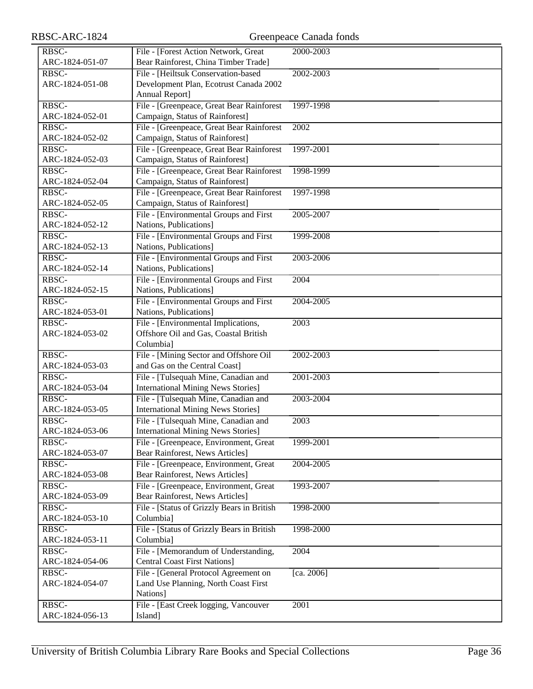# RBSC-ARC-1824 Greenpeace Canada fonds

| RBSC-                    | File - [Forest Action Network, Great                             | 2000-2003  |
|--------------------------|------------------------------------------------------------------|------------|
| ARC-1824-051-07          | Bear Rainforest, China Timber Trade]                             |            |
| RBSC-                    | File - [Heiltsuk Conservation-based                              | 2002-2003  |
| ARC-1824-051-08          | Development Plan, Ecotrust Canada 2002                           |            |
|                          | Annual Report]                                                   |            |
| RBSC-                    | File - [Greenpeace, Great Bear Rainforest                        | 1997-1998  |
| ARC-1824-052-01          | Campaign, Status of Rainforest]                                  |            |
| RBSC-                    | File - [Greenpeace, Great Bear Rainforest                        | 2002       |
| ARC-1824-052-02          | Campaign, Status of Rainforest]                                  |            |
| RBSC-                    | File - [Greenpeace, Great Bear Rainforest                        | 1997-2001  |
| ARC-1824-052-03          | Campaign, Status of Rainforest]                                  |            |
| RBSC-                    | File - [Greenpeace, Great Bear Rainforest                        | 1998-1999  |
| ARC-1824-052-04          | Campaign, Status of Rainforest]                                  |            |
| RBSC-                    | File - [Greenpeace, Great Bear Rainforest                        | 1997-1998  |
| ARC-1824-052-05          | Campaign, Status of Rainforest]                                  |            |
| RBSC-                    | File - [Environmental Groups and First                           | 2005-2007  |
| ARC-1824-052-12          | Nations, Publications]                                           |            |
| RBSC-                    | File - [Environmental Groups and First                           | 1999-2008  |
| ARC-1824-052-13          | Nations, Publications]                                           |            |
|                          |                                                                  |            |
| RBSC-                    | File - [Environmental Groups and First                           | 2003-2006  |
| ARC-1824-052-14          | Nations, Publications]                                           |            |
| RBSC-<br>ARC-1824-052-15 | File - [Environmental Groups and First<br>Nations, Publications] | 2004       |
| RBSC-                    |                                                                  |            |
|                          | File - [Environmental Groups and First                           | 2004-2005  |
| ARC-1824-053-01          | Nations, Publications]                                           |            |
| RBSC-                    | File - [Environmental Implications,                              | 2003       |
| ARC-1824-053-02          | Offshore Oil and Gas, Coastal British                            |            |
|                          | Columbia]                                                        |            |
| RBSC-                    | File - [Mining Sector and Offshore Oil                           | 2002-2003  |
| ARC-1824-053-03          | and Gas on the Central Coast]                                    |            |
| RBSC-                    | File - [Tulsequah Mine, Canadian and                             | 2001-2003  |
| ARC-1824-053-04          | <b>International Mining News Stories]</b>                        |            |
| RBSC-                    | File - [Tulsequah Mine, Canadian and                             | 2003-2004  |
| ARC-1824-053-05          | <b>International Mining News Stories]</b>                        |            |
| RBSC-                    | File - [Tulsequah Mine, Canadian and                             | 2003       |
| ARC-1824-053-06          | <b>International Mining News Stories</b> ]                       |            |
| RBSC-                    | File - [Greenpeace, Environment, Great                           | 1999-2001  |
| ARC-1824-053-07          | Bear Rainforest, News Articles]                                  |            |
| RBSC-                    | File - [Greenpeace, Environment, Great                           | 2004-2005  |
| ARC-1824-053-08          | Bear Rainforest, News Articles]                                  |            |
| RBSC-                    | File - [Greenpeace, Environment, Great                           | 1993-2007  |
| ARC-1824-053-09          | Bear Rainforest, News Articles]                                  |            |
| RBSC-                    | File - [Status of Grizzly Bears in British                       | 1998-2000  |
| ARC-1824-053-10          | Columbia]                                                        |            |
| RBSC-                    | File - [Status of Grizzly Bears in British                       | 1998-2000  |
| ARC-1824-053-11          | Columbia]                                                        |            |
| RBSC-                    | File - [Memorandum of Understanding,                             | 2004       |
| ARC-1824-054-06          | <b>Central Coast First Nations]</b>                              |            |
| RBSC-                    | File - [General Protocol Agreement on                            | [ca. 2006] |
| ARC-1824-054-07          | Land Use Planning, North Coast First                             |            |
|                          | Nations]                                                         |            |
| RBSC-                    | File - [East Creek logging, Vancouver                            | 2001       |
| ARC-1824-056-13          | [sland]                                                          |            |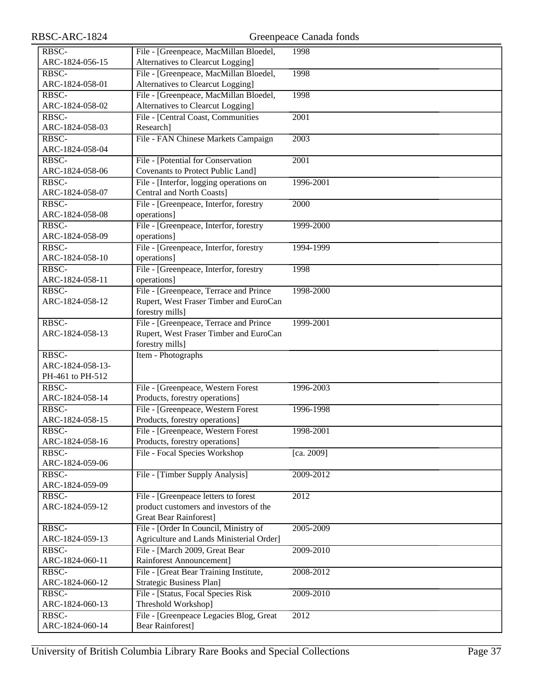| ARC-1824-056-15          | Alternatives to Clearcut Logging]                              |                   |
|--------------------------|----------------------------------------------------------------|-------------------|
| RBSC-                    | File - [Greenpeace, MacMillan Bloedel,                         | 1998              |
| ARC-1824-058-01          | Alternatives to Clearcut Logging]                              |                   |
| RBSC-                    | File - [Greenpeace, MacMillan Bloedel,                         | 1998              |
| ARC-1824-058-02          | Alternatives to Clearcut Logging]                              |                   |
| RBSC-                    | File - [Central Coast, Communities                             | 2001              |
| ARC-1824-058-03          | Research]                                                      |                   |
| RBSC-                    | File - FAN Chinese Markets Campaign                            | 2003              |
| ARC-1824-058-04          |                                                                |                   |
| RBSC-                    | File - [Potential for Conservation                             | $\overline{2001}$ |
| ARC-1824-058-06          | Covenants to Protect Public Land]                              |                   |
| RBSC-                    | File - [Interfor, logging operations on                        | 1996-2001         |
| ARC-1824-058-07          | Central and North Coasts]                                      |                   |
| RBSC-                    | File - [Greenpeace, Interfor, forestry                         | 2000              |
| ARC-1824-058-08          | operations]                                                    |                   |
| RBSC-                    | File - [Greenpeace, Interfor, forestry                         | 1999-2000         |
| ARC-1824-058-09          | operations]                                                    |                   |
| RBSC-                    | File - [Greenpeace, Interfor, forestry                         | 1994-1999         |
| ARC-1824-058-10          | operations]                                                    |                   |
| RBSC-                    | File - [Greenpeace, Interfor, forestry                         | 1998              |
| ARC-1824-058-11          | operations]                                                    |                   |
| RBSC-                    | File - [Greenpeace, Terrace and Prince                         | 1998-2000         |
| ARC-1824-058-12          | Rupert, West Fraser Timber and EuroCan                         |                   |
|                          | forestry mills]                                                |                   |
| RBSC-                    | File - [Greenpeace, Terrace and Prince                         | 1999-2001         |
| ARC-1824-058-13          | Rupert, West Fraser Timber and EuroCan                         |                   |
|                          | forestry mills]                                                |                   |
| RBSC-                    | Item - Photographs                                             |                   |
| ARC-1824-058-13-         |                                                                |                   |
| PH-461 to PH-512         |                                                                |                   |
| RBSC-                    | File - [Greenpeace, Western Forest                             | 1996-2003         |
| ARC-1824-058-14          | Products, forestry operations]                                 |                   |
| RBSC-                    | File - [Greenpeace, Western Forest                             | 1996-1998         |
| ARC-1824-058-15          | Products, forestry operations]                                 |                   |
| RBSC-                    | File - [Greenpeace, Western Forest]                            | 1998-2001         |
| ARC-1824-058-16          | Products, forestry operations]                                 |                   |
| RBSC-                    | File - Focal Species Workshop                                  | [ca. 2009]        |
| ARC-1824-059-06          |                                                                |                   |
| RBSC-                    | File - [Timber Supply Analysis]                                | 2009-2012         |
| ARC-1824-059-09          |                                                                |                   |
| RBSC-                    | File - [Greenpeace letters to forest                           | 2012              |
| ARC-1824-059-12          | product customers and investors of the                         |                   |
|                          | <b>Great Bear Rainforest]</b>                                  |                   |
| RBSC-                    | File - [Order In Council, Ministry of                          | 2005-2009         |
| ARC-1824-059-13          |                                                                |                   |
| RBSC-                    | Agriculture and Lands Ministerial Order]                       |                   |
|                          | File - [March 2009, Great Bear                                 | 2009-2010         |
| ARC-1824-060-11          | Rainforest Announcement]                                       |                   |
| RBSC-                    | File - [Great Bear Training Institute,                         | 2008-2012         |
| ARC-1824-060-12          | <b>Strategic Business Plan]</b>                                |                   |
| RBSC-                    | File - [Status, Focal Species Risk                             | 2009-2010         |
| ARC-1824-060-13<br>RBSC- | Threshold Workshop]<br>File - [Greenpeace Legacies Blog, Great | 2012              |

Bear Rainforest]

ARC-1824-060-14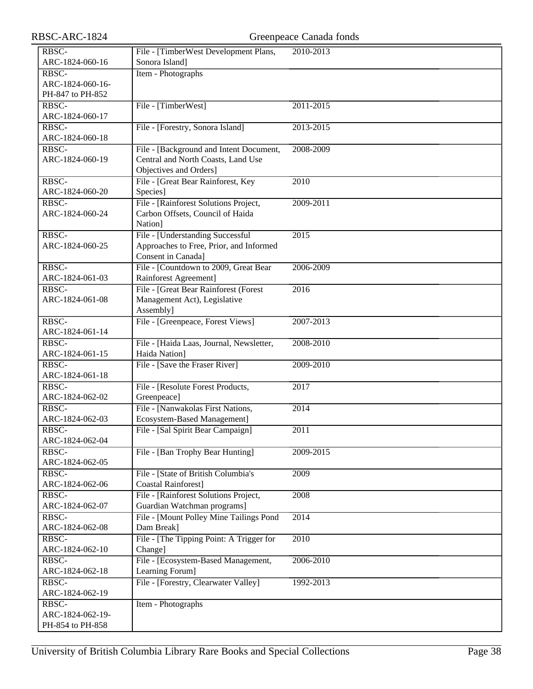| RBSC-ARC-1824            |                                                                | Greenpeace Canada fonds |
|--------------------------|----------------------------------------------------------------|-------------------------|
| RBSC-                    | File - [TimberWest Development Plans,                          | 2010-2013               |
| ARC-1824-060-16          | Sonora Island]                                                 |                         |
| RBSC-                    | Item - Photographs                                             |                         |
| ARC-1824-060-16-         |                                                                |                         |
| PH-847 to PH-852         |                                                                |                         |
| RBSC-                    | File - [TimberWest]                                            | 2011-2015               |
| ARC-1824-060-17          |                                                                |                         |
| RBSC-                    | File - [Forestry, Sonora Island]                               | 2013-2015               |
| ARC-1824-060-18          |                                                                |                         |
| RBSC-                    | File - [Background and Intent Document,                        | 2008-2009               |
| ARC-1824-060-19          | Central and North Coasts, Land Use                             |                         |
|                          | Objectives and Orders]                                         |                         |
| RBSC-                    | File - [Great Bear Rainforest, Key                             | 2010                    |
| ARC-1824-060-20          | Species]                                                       |                         |
| RBSC-                    | File - [Rainforest Solutions Project,                          | 2009-2011               |
| ARC-1824-060-24          | Carbon Offsets, Council of Haida                               |                         |
|                          | Nation]                                                        |                         |
| RBSC-                    | File - [Understanding Successful                               | 2015                    |
| ARC-1824-060-25          | Approaches to Free, Prior, and Informed<br>Consent in Canada]  |                         |
| RBSC-                    |                                                                | 2006-2009               |
| ARC-1824-061-03          | File - [Countdown to 2009, Great Bear<br>Rainforest Agreement] |                         |
| RBSC-                    | File - [Great Bear Rainforest (Forest                          | 2016                    |
| ARC-1824-061-08          | Management Act), Legislative                                   |                         |
|                          | Assembly]                                                      |                         |
| RBSC-                    | File - [Greenpeace, Forest Views]                              | 2007-2013               |
| ARC-1824-061-14          |                                                                |                         |
| RBSC-                    | File - [Haida Laas, Journal, Newsletter,                       | 2008-2010               |
| ARC-1824-061-15          | Haida Nation]                                                  |                         |
| RBSC-                    | File - [Save the Fraser River]                                 | 2009-2010               |
| ARC-1824-061-18          |                                                                |                         |
| RBSC-                    | File - [Resolute Forest Products,                              | 2017                    |
| ARC-1824-062-02          | Greenpeace]                                                    |                         |
| RBSC-                    | File - [Nanwakolas First Nations,                              | 2014                    |
| ARC-1824-062-03          | Ecosystem-Based Management]                                    |                         |
| RBSC-                    | File - [Sal Spirit Bear Campaign]                              | 2011                    |
| ARC-1824-062-04<br>RBSC- |                                                                |                         |
| ARC-1824-062-05          | File - [Ban Trophy Bear Hunting]                               | 2009-2015               |
| RBSC-                    | File - [State of British Columbia's                            | 2009                    |
| ARC-1824-062-06          | <b>Coastal Rainforest]</b>                                     |                         |
| RBSC-                    | File - [Rainforest Solutions Project,                          | 2008                    |
| ARC-1824-062-07          | Guardian Watchman programs]                                    |                         |
| RBSC-                    | File - [Mount Polley Mine Tailings Pond                        | 2014                    |
| ARC-1824-062-08          | Dam Break]                                                     |                         |
| RBSC-                    | File - [The Tipping Point: A Trigger for                       | $\overline{2010}$       |
| ARC-1824-062-10          | Change]                                                        |                         |
| RBSC-                    | File - [Ecosystem-Based Management,                            | 2006-2010               |
| ARC-1824-062-18          | Learning Forum]                                                |                         |
| RBSC-                    | File - [Forestry, Clearwater Valley]                           | 1992-2013               |
| ARC-1824-062-19          |                                                                |                         |
| RBSC-                    | Item - Photographs                                             |                         |
| ARC-1824-062-19-         |                                                                |                         |
| PH-854 to PH-858         |                                                                |                         |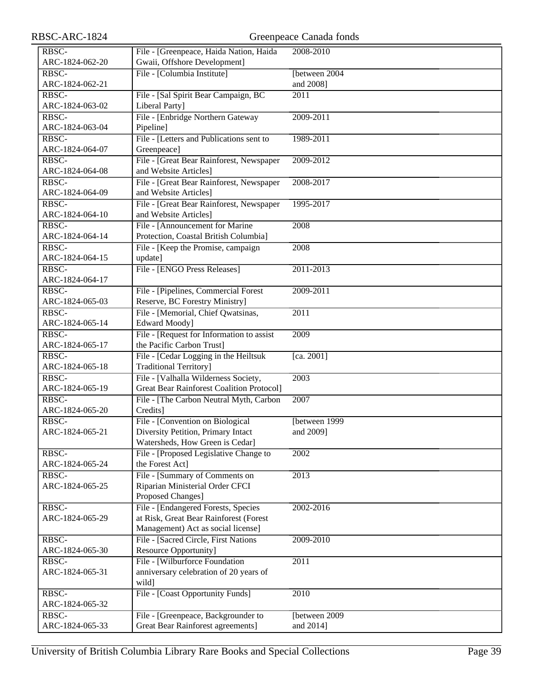| RBSC-ARC-1824            |                                                     | Greenpeace Canada fonds |
|--------------------------|-----------------------------------------------------|-------------------------|
| RBSC-                    | File - [Greenpeace, Haida Nation, Haida             | 2008-2010               |
| ARC-1824-062-20          | Gwaii, Offshore Development]                        |                         |
| RBSC-                    | File - [Columbia Institute]                         | [between 2004]          |
| ARC-1824-062-21          |                                                     | and 2008]               |
| RBSC-                    | File - [Sal Spirit Bear Campaign, BC                | $\overline{2011}$       |
| ARC-1824-063-02          | Liberal Party]                                      |                         |
| RBSC-                    | File - [Enbridge Northern Gateway                   | 2009-2011               |
| ARC-1824-063-04          | Pipeline]                                           |                         |
| RBSC-                    | File - [Letters and Publications sent to            | 1989-2011               |
| ARC-1824-064-07          | Greenpeace]                                         |                         |
| RBSC-                    | File - [Great Bear Rainforest, Newspaper            | 2009-2012               |
| ARC-1824-064-08          | and Website Articles]                               |                         |
| RBSC-                    | File - [Great Bear Rainforest, Newspaper            | 2008-2017               |
| ARC-1824-064-09          | and Website Articles]                               |                         |
| RBSC-                    | File - [Great Bear Rainforest, Newspaper            | 1995-2017               |
| ARC-1824-064-10          | and Website Articles]                               |                         |
| RBSC-                    | File - [Announcement for Marine                     | 2008                    |
| ARC-1824-064-14          | Protection, Coastal British Columbia]               |                         |
| RBSC-                    | File - [Keep the Promise, campaign                  | 2008                    |
| ARC-1824-064-15          | update]                                             |                         |
| RBSC-                    | File - [ENGO Press Releases]                        | 2011-2013               |
| ARC-1824-064-17          |                                                     |                         |
| RBSC-                    | File - [Pipelines, Commercial Forest                | 2009-2011               |
| ARC-1824-065-03          | Reserve, BC Forestry Ministry]                      |                         |
| RBSC-                    | File - [Memorial, Chief Qwatsinas,                  | 2011                    |
| ARC-1824-065-14          | Edward Moody]                                       |                         |
| RBSC-                    | File - [Request for Information to assist           | 2009                    |
| ARC-1824-065-17          | the Pacific Carbon Trust]                           |                         |
| RBSC-                    | File - [Cedar Logging in the Heiltsuk               | [ca. 2001]              |
| ARC-1824-065-18          | <b>Traditional Territory</b> ]                      |                         |
| RBSC-                    | File - [Valhalla Wilderness Society,                | 2003                    |
| ARC-1824-065-19<br>RBSC- | <b>Great Bear Rainforest Coalition Protocol]</b>    | 2007                    |
| ARC-1824-065-20          | File - [The Carbon Neutral Myth, Carbon<br>Credits] |                         |
| RBSC-                    | File - [Convention on Biological                    | [between 1999]          |
| ARC-1824-065-21          | Diversity Petition, Primary Intact                  | and 2009]               |
|                          | Watersheds, How Green is Cedar]                     |                         |
| RBSC-                    | File - [Proposed Legislative Change to              | 2002                    |
| ARC-1824-065-24          | the Forest Act]                                     |                         |
| RBSC-                    | File - [Summary of Comments on                      | 2013                    |
| ARC-1824-065-25          | Riparian Ministerial Order CFCI                     |                         |
|                          | Proposed Changes]                                   |                         |
| RBSC-                    | File - [Endangered Forests, Species                 | 2002-2016               |
| ARC-1824-065-29          | at Risk, Great Bear Rainforest (Forest              |                         |
|                          | Management) Act as social license]                  |                         |
| RBSC-                    | File - [Sacred Circle, First Nations                | 2009-2010               |
| ARC-1824-065-30          | <b>Resource Opportunity</b> ]                       |                         |
| RBSC-                    | File - [Wilburforce Foundation]                     | 2011                    |
| ARC-1824-065-31          | anniversary celebration of 20 years of              |                         |
|                          | wild]                                               |                         |
| RBSC-                    | File - [Coast Opportunity Funds]                    | 2010                    |
| ARC-1824-065-32          |                                                     |                         |
| RBSC-                    | File - [Greenpeace, Backgrounder to                 | [between 2009]          |
| ARC-1824-065-33          | Great Bear Rainforest agreements]                   | and 2014]               |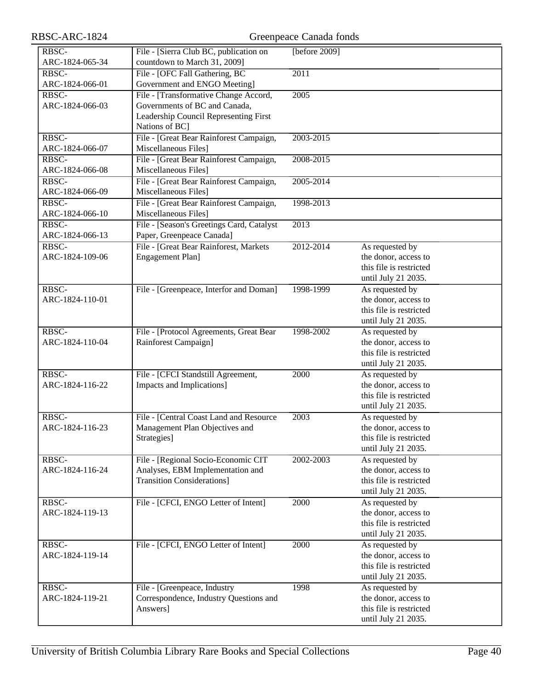| RBSC-ARC-1824            |                                                                                                                                   | Greenpeace Canada fonds |                                                                                           |
|--------------------------|-----------------------------------------------------------------------------------------------------------------------------------|-------------------------|-------------------------------------------------------------------------------------------|
| RBSC-<br>ARC-1824-065-34 | File - [Sierra Club BC, publication on<br>countdown to March 31, 2009]                                                            | [before $2009$ ]        |                                                                                           |
| RBSC-<br>ARC-1824-066-01 | File - [OFC Fall Gathering, BC<br>Government and ENGO Meeting]                                                                    | 2011                    |                                                                                           |
| RBSC-<br>ARC-1824-066-03 | File - [Transformative Change Accord,<br>Governments of BC and Canada,<br>Leadership Council Representing First<br>Nations of BC] | 2005                    |                                                                                           |
| RBSC-<br>ARC-1824-066-07 | File - [Great Bear Rainforest Campaign,<br>Miscellaneous Files]                                                                   | 2003-2015               |                                                                                           |
| RBSC-<br>ARC-1824-066-08 | File - [Great Bear Rainforest Campaign,<br>Miscellaneous Files]                                                                   | 2008-2015               |                                                                                           |
| RBSC-<br>ARC-1824-066-09 | File - [Great Bear Rainforest Campaign,<br>Miscellaneous Files]                                                                   | 2005-2014               |                                                                                           |
| RBSC-<br>ARC-1824-066-10 | File - [Great Bear Rainforest Campaign,<br>Miscellaneous Files]                                                                   | 1998-2013               |                                                                                           |
| RBSC-<br>ARC-1824-066-13 | File - [Season's Greetings Card, Catalyst<br>Paper, Greenpeace Canada]                                                            | 2013                    |                                                                                           |
| RBSC-<br>ARC-1824-109-06 | File - [Great Bear Rainforest, Markets<br>Engagement Plan]                                                                        | 2012-2014               | As requested by<br>the donor, access to<br>this file is restricted<br>until July 21 2035. |
| RBSC-<br>ARC-1824-110-01 | File - [Greenpeace, Interfor and Doman]                                                                                           | 1998-1999               | As requested by<br>the donor, access to<br>this file is restricted<br>until July 21 2035. |
| RBSC-<br>ARC-1824-110-04 | File - [Protocol Agreements, Great Bear<br>Rainforest Campaign]                                                                   | 1998-2002               | As requested by<br>the donor, access to<br>this file is restricted<br>until July 21 2035. |
| RBSC-<br>ARC-1824-116-22 | File - [CFCI Standstill Agreement,<br>Impacts and Implications]                                                                   | 2000                    | As requested by<br>the donor, access to<br>this file is restricted<br>until July 21 2035. |
| RBSC-<br>ARC-1824-116-23 | File - [Central Coast Land and Resource<br>Management Plan Objectives and<br>Strategies]                                          | 2003                    | As requested by<br>the donor, access to<br>this file is restricted<br>until July 21 2035. |
| RBSC-<br>ARC-1824-116-24 | File - [Regional Socio-Economic CIT<br>Analyses, EBM Implementation and<br><b>Transition Considerations</b> ]                     | 2002-2003               | As requested by<br>the donor, access to<br>this file is restricted<br>until July 21 2035. |
| RBSC-<br>ARC-1824-119-13 | File - [CFCI, ENGO Letter of Intent]                                                                                              | 2000                    | As requested by<br>the donor, access to<br>this file is restricted<br>until July 21 2035. |
| RBSC-<br>ARC-1824-119-14 | File - [CFCI, ENGO Letter of Intent]                                                                                              | 2000                    | As requested by<br>the donor, access to<br>this file is restricted<br>until July 21 2035. |
| RBSC-<br>ARC-1824-119-21 | File - [Greenpeace, Industry<br>Correspondence, Industry Questions and<br>Answers]                                                | 1998                    | As requested by<br>the donor, access to<br>this file is restricted<br>until July 21 2035. |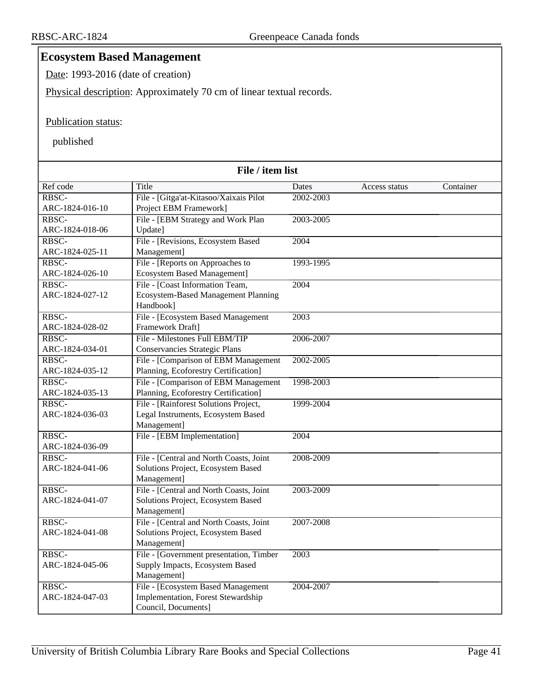# **Ecosystem Based Management**

Date: 1993-2016 (date of creation)

Physical description: Approximately 70 cm of linear textual records.

#### Publication status:

| File / item list         |                                            |                   |               |           |
|--------------------------|--------------------------------------------|-------------------|---------------|-----------|
| Ref code                 | Title                                      | Dates             | Access status | Container |
| RBSC-                    | File - [Gitga'at-Kitasoo/Xaixais Pilot     | 2002-2003         |               |           |
| ARC-1824-016-10          | Project EBM Framework]                     |                   |               |           |
| RBSC-                    | File - [EBM Strategy and Work Plan         | 2003-2005         |               |           |
| ARC-1824-018-06          | Update]                                    |                   |               |           |
| RBSC-                    | File - [Revisions, Ecosystem Based         | 2004              |               |           |
| ARC-1824-025-11          | Management]                                |                   |               |           |
| RBSC-                    | File - [Reports on Approaches to           | 1993-1995         |               |           |
| ARC-1824-026-10          | <b>Ecosystem Based Management]</b>         |                   |               |           |
| RBSC-                    | File - [Coast Information Team,            | 2004              |               |           |
| ARC-1824-027-12          | <b>Ecosystem-Based Management Planning</b> |                   |               |           |
|                          | Handbook]                                  |                   |               |           |
| RBSC-                    | File - [Ecosystem Based Management         | $\overline{2003}$ |               |           |
| ARC-1824-028-02          | Framework Draft]                           |                   |               |           |
| RBSC-                    | File - Milestones Full EBM/TIP             | 2006-2007         |               |           |
| ARC-1824-034-01          | Conservancies Strategic Plans              |                   |               |           |
| RBSC-                    | File - [Comparison of EBM Management       | 2002-2005         |               |           |
| ARC-1824-035-12          | Planning, Ecoforestry Certification]       |                   |               |           |
| RBSC-                    | File - [Comparison of EBM Management       | 1998-2003         |               |           |
| ARC-1824-035-13          | Planning, Ecoforestry Certification]       |                   |               |           |
| RBSC-                    | File - [Rainforest Solutions Project,      | 1999-2004         |               |           |
| ARC-1824-036-03          | Legal Instruments, Ecosystem Based         |                   |               |           |
|                          | Management]                                |                   |               |           |
| RBSC-                    | File - [EBM Implementation]                | 2004              |               |           |
| ARC-1824-036-09<br>RBSC- | File - [Central and North Coasts, Joint    | 2008-2009         |               |           |
| ARC-1824-041-06          | Solutions Project, Ecosystem Based         |                   |               |           |
|                          | Management]                                |                   |               |           |
| RBSC-                    | File - [Central and North Coasts, Joint    | 2003-2009         |               |           |
| ARC-1824-041-07          | Solutions Project, Ecosystem Based         |                   |               |           |
|                          | Management]                                |                   |               |           |
| RBSC-                    | File - [Central and North Coasts, Joint    | 2007-2008         |               |           |
| ARC-1824-041-08          | Solutions Project, Ecosystem Based         |                   |               |           |
|                          | Management]                                |                   |               |           |
| RBSC-                    | File - [Government presentation, Timber    | 2003              |               |           |
| ARC-1824-045-06          | Supply Impacts, Ecosystem Based            |                   |               |           |
|                          | Management]                                |                   |               |           |
| RBSC-                    | File - [Ecosystem Based Management]        | 2004-2007         |               |           |
| ARC-1824-047-03          | Implementation, Forest Stewardship         |                   |               |           |
|                          | Council, Documents]                        |                   |               |           |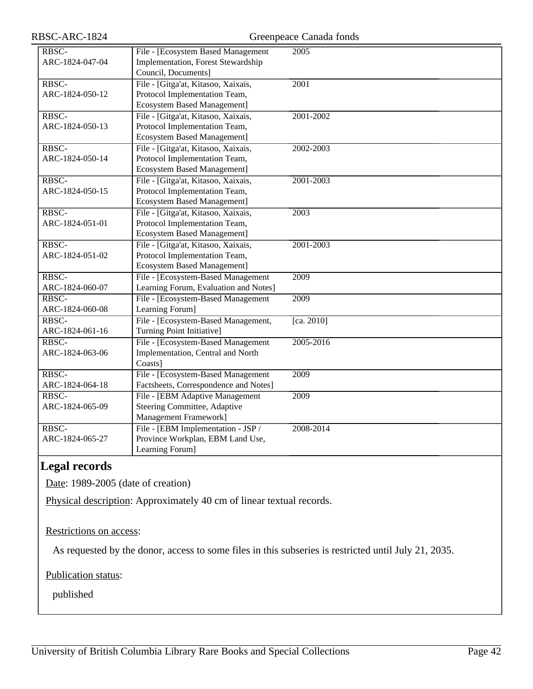| RBSC-           | File - [Ecosystem Based Management    | 2005       |
|-----------------|---------------------------------------|------------|
|                 |                                       |            |
| ARC-1824-047-04 | Implementation, Forest Stewardship    |            |
|                 | Council, Documents]                   |            |
| RBSC-           | File - [Gitga'at, Kitasoo, Xaixais,   | 2001       |
| ARC-1824-050-12 | Protocol Implementation Team,         |            |
|                 | <b>Ecosystem Based Management]</b>    |            |
| RBSC-           | File - [Gitga'at, Kitasoo, Xaixais,   | 2001-2002  |
| ARC-1824-050-13 | Protocol Implementation Team,         |            |
|                 | <b>Ecosystem Based Management]</b>    |            |
| RBSC-           | File - [Gitga'at, Kitasoo, Xaixais,   | 2002-2003  |
| ARC-1824-050-14 | Protocol Implementation Team,         |            |
|                 | <b>Ecosystem Based Management]</b>    |            |
| RBSC-           | File - [Gitga'at, Kitasoo, Xaixais,   | 2001-2003  |
| ARC-1824-050-15 | Protocol Implementation Team,         |            |
|                 | <b>Ecosystem Based Management]</b>    |            |
| RBSC-           | File - [Gitga'at, Kitasoo, Xaixais,   | 2003       |
| ARC-1824-051-01 | Protocol Implementation Team,         |            |
|                 | <b>Ecosystem Based Management]</b>    |            |
| RBSC-           | File - [Gitga'at, Kitasoo, Xaixais,   | 2001-2003  |
| ARC-1824-051-02 | Protocol Implementation Team,         |            |
|                 | <b>Ecosystem Based Management]</b>    |            |
| RBSC-           | File - [Ecosystem-Based Management    | 2009       |
| ARC-1824-060-07 | Learning Forum, Evaluation and Notes] |            |
| RBSC-           | File - [Ecosystem-Based Management    | 2009       |
| ARC-1824-060-08 | Learning Forum]                       |            |
| RBSC-           | File - [Ecosystem-Based Management,   | [ca. 2010] |
| ARC-1824-061-16 | Turning Point Initiative]             |            |
| RBSC-           | File - [Ecosystem-Based Management]   | 2005-2016  |
| ARC-1824-063-06 | Implementation, Central and North     |            |
|                 | Coasts]                               |            |
| RBSC-           | File - [Ecosystem-Based Management]   | 2009       |
| ARC-1824-064-18 | Factsheets, Correspondence and Notes] |            |
| RBSC-           | File - [EBM Adaptive Management       | 2009       |
| ARC-1824-065-09 | Steering Committee, Adaptive          |            |
|                 | Management Framework]                 |            |
| RBSC-           | File - [EBM Implementation - JSP /    | 2008-2014  |
| ARC-1824-065-27 | Province Workplan, EBM Land Use,      |            |
|                 | Learning Forum]                       |            |

# **Legal records**

Date: 1989-2005 (date of creation)

Physical description: Approximately 40 cm of linear textual records.

#### Restrictions on access:

As requested by the donor, access to some files in this subseries is restricted until July 21, 2035.

# Publication status: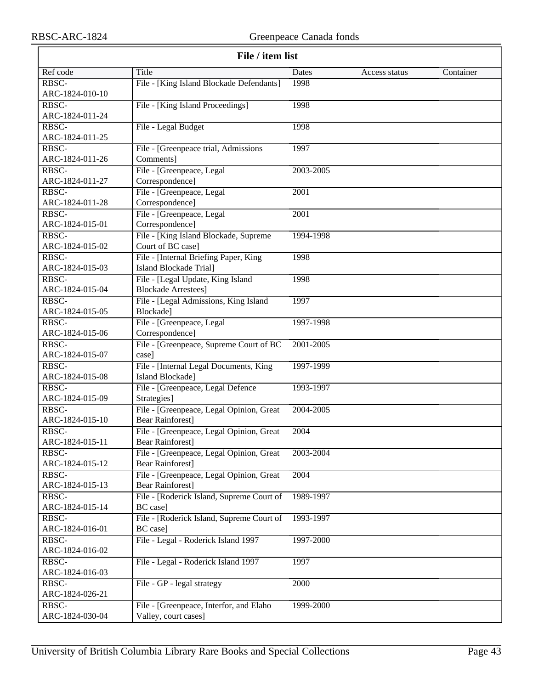| File / item list |                                           |           |               |           |
|------------------|-------------------------------------------|-----------|---------------|-----------|
| Ref code         | Title                                     | Dates     | Access status | Container |
| RBSC-            | File - [King Island Blockade Defendants]  | 1998      |               |           |
| ARC-1824-010-10  |                                           |           |               |           |
| RBSC-            | File - [King Island Proceedings]          | 1998      |               |           |
| ARC-1824-011-24  |                                           |           |               |           |
| RBSC-            | File - Legal Budget                       | 1998      |               |           |
| ARC-1824-011-25  |                                           |           |               |           |
| RBSC-            | File - [Greenpeace trial, Admissions      | 1997      |               |           |
| ARC-1824-011-26  | Comments]                                 |           |               |           |
| RBSC-            | File - [Greenpeace, Legal                 | 2003-2005 |               |           |
| ARC-1824-011-27  | Correspondence]                           |           |               |           |
| RBSC-            | File - [Greenpeace, Legal                 | 2001      |               |           |
| ARC-1824-011-28  | Correspondence]                           |           |               |           |
| RBSC-            | File - [Greenpeace, Legal                 | 2001      |               |           |
| ARC-1824-015-01  | Correspondence]                           |           |               |           |
| RBSC-            | File - [King Island Blockade, Supreme     | 1994-1998 |               |           |
| ARC-1824-015-02  | Court of BC case]                         |           |               |           |
| RBSC-            | File - [Internal Briefing Paper, King     | 1998      |               |           |
| ARC-1824-015-03  | <b>Island Blockade Trial]</b>             |           |               |           |
| RBSC-            | File - [Legal Update, King Island         | 1998      |               |           |
| ARC-1824-015-04  | <b>Blockade Arrestees</b> ]               |           |               |           |
| RBSC-            | File - [Legal Admissions, King Island     | 1997      |               |           |
| ARC-1824-015-05  | Blockade]                                 |           |               |           |
| RBSC-            | File - [Greenpeace, Legal                 | 1997-1998 |               |           |
| ARC-1824-015-06  | Correspondence]                           |           |               |           |
| RBSC-            | File - [Greenpeace, Supreme Court of BC   | 2001-2005 |               |           |
| ARC-1824-015-07  | case]                                     |           |               |           |
| RBSC-            | File - [Internal Legal Documents, King    | 1997-1999 |               |           |
| ARC-1824-015-08  | Island Blockade]                          |           |               |           |
| RBSC-            | File - [Greenpeace, Legal Defence]        | 1993-1997 |               |           |
| ARC-1824-015-09  | Strategies]                               |           |               |           |
| RBSC-            | File - [Greenpeace, Legal Opinion, Great  | 2004-2005 |               |           |
| ARC-1824-015-10  | <b>Bear Rainforest]</b>                   |           |               |           |
| RBSC-            | File - [Greenpeace, Legal Opinion, Great  | 2004      |               |           |
| ARC-1824-015-11  | <b>Bear Rainforest]</b>                   |           |               |           |
| RBSC-            | File - [Greenpeace, Legal Opinion, Great  | 2003-2004 |               |           |
| ARC-1824-015-12  | <b>Bear Rainforest]</b>                   |           |               |           |
| RBSC-            | File - [Greenpeace, Legal Opinion, Great  | 2004      |               |           |
| ARC-1824-015-13  | <b>Bear Rainforest]</b>                   |           |               |           |
| RBSC-            | File - [Roderick Island, Supreme Court of | 1989-1997 |               |           |
| ARC-1824-015-14  | BC case]                                  |           |               |           |
| RBSC-            | File - [Roderick Island, Supreme Court of | 1993-1997 |               |           |
| ARC-1824-016-01  | BC case]                                  |           |               |           |
| RBSC-            | File - Legal - Roderick Island 1997       | 1997-2000 |               |           |
| ARC-1824-016-02  |                                           |           |               |           |
| RBSC-            | File - Legal - Roderick Island 1997       | 1997      |               |           |
| ARC-1824-016-03  |                                           |           |               |           |
| RBSC-            | File - GP - legal strategy                | 2000      |               |           |
| ARC-1824-026-21  |                                           |           |               |           |
| RBSC-            | File - [Greenpeace, Interfor, and Elaho   | 1999-2000 |               |           |
| ARC-1824-030-04  | Valley, court cases]                      |           |               |           |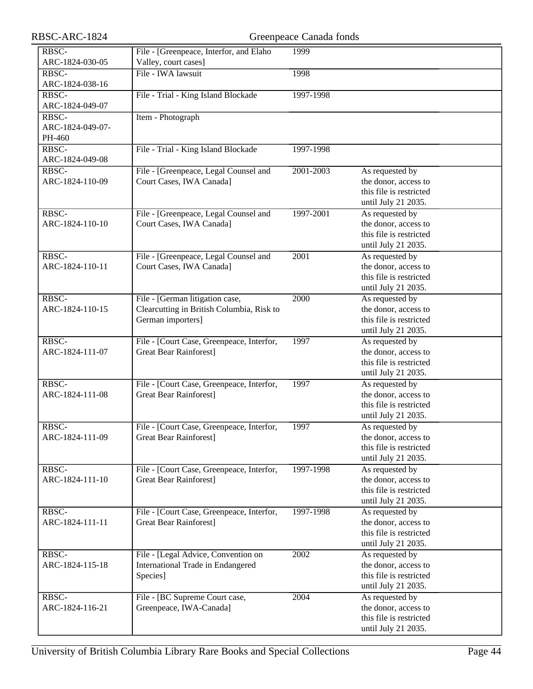| RBSC-ARC-1824    |                                           | Greenpeace Canada fonds |                                         |
|------------------|-------------------------------------------|-------------------------|-----------------------------------------|
| RBSC-            | File - [Greenpeace, Interfor, and Elaho   | 1999                    |                                         |
| ARC-1824-030-05  | Valley, court cases]                      |                         |                                         |
| RBSC-            | File - IWA lawsuit                        | 1998                    |                                         |
| ARC-1824-038-16  |                                           |                         |                                         |
| RBSC-            | File - Trial - King Island Blockade       | 1997-1998               |                                         |
| ARC-1824-049-07  |                                           |                         |                                         |
| RBSC-            | Item - Photograph                         |                         |                                         |
| ARC-1824-049-07- |                                           |                         |                                         |
| PH-460           |                                           |                         |                                         |
| RBSC-            | File - Trial - King Island Blockade       | 1997-1998               |                                         |
| ARC-1824-049-08  |                                           |                         |                                         |
| RBSC-            | File - [Greenpeace, Legal Counsel and     | 2001-2003               | As requested by                         |
| ARC-1824-110-09  | Court Cases, IWA Canada]                  |                         | the donor, access to                    |
|                  |                                           |                         | this file is restricted                 |
|                  |                                           |                         | until July 21 2035.                     |
| RBSC-            | File - [Greenpeace, Legal Counsel and     | 1997-2001               | As requested by                         |
| ARC-1824-110-10  | Court Cases, IWA Canada]                  |                         | the donor, access to                    |
|                  |                                           |                         | this file is restricted                 |
|                  |                                           |                         | until July 21 2035.                     |
| RBSC-            | File - [Greenpeace, Legal Counsel and     | 2001                    | As requested by                         |
| ARC-1824-110-11  | Court Cases, IWA Canada]                  |                         | the donor, access to                    |
|                  |                                           |                         | this file is restricted                 |
|                  |                                           |                         | until July 21 2035.                     |
| RBSC-            | File - [German litigation case,           | 2000                    | As requested by                         |
| ARC-1824-110-15  | Clearcutting in British Columbia, Risk to |                         | the donor, access to                    |
|                  | German importers]                         |                         | this file is restricted                 |
|                  |                                           |                         | until July 21 2035.                     |
| RBSC-            | File - [Court Case, Greenpeace, Interfor, | 1997                    | As requested by                         |
| ARC-1824-111-07  | <b>Great Bear Rainforest]</b>             |                         | the donor, access to                    |
|                  |                                           |                         | this file is restricted                 |
|                  |                                           |                         | until July 21 2035.                     |
| RBSC-            | File - [Court Case, Greenpeace, Interfor, | 1997                    | As requested by                         |
| ARC-1824-111-08  | <b>Great Bear Rainforest]</b>             |                         | the donor, access to                    |
|                  |                                           |                         | this file is restricted                 |
|                  |                                           |                         | until July 21 2035.                     |
| RBSC-            | File - [Court Case, Greenpeace, Interfor, | 1997                    | As requested by                         |
| ARC-1824-111-09  | <b>Great Bear Rainforest]</b>             |                         | the donor, access to                    |
|                  |                                           |                         | this file is restricted                 |
|                  |                                           |                         | until July 21 2035.                     |
| RBSC-            | File - [Court Case, Greenpeace, Interfor, | 1997-1998               | As requested by                         |
| ARC-1824-111-10  | <b>Great Bear Rainforest]</b>             |                         | the donor, access to                    |
|                  |                                           |                         | this file is restricted                 |
|                  |                                           |                         | until July 21 2035.                     |
| RBSC-            | File - [Court Case, Greenpeace, Interfor, | 1997-1998               | As requested by                         |
| ARC-1824-111-11  | Great Bear Rainforest]                    |                         | the donor, access to                    |
|                  |                                           |                         | this file is restricted                 |
|                  |                                           |                         | until July 21 2035.                     |
| RBSC-            | File - [Legal Advice, Convention on       | $\overline{2002}$       | As requested by                         |
| ARC-1824-115-18  | International Trade in Endangered         |                         | the donor, access to                    |
|                  |                                           |                         | this file is restricted                 |
|                  | Species]                                  |                         | until July 21 2035.                     |
| RBSC-            |                                           | 2004                    |                                         |
| ARC-1824-116-21  | File - [BC Supreme Court case,            |                         | As requested by<br>the donor, access to |
|                  | Greenpeace, IWA-Canada]                   |                         | this file is restricted                 |
|                  |                                           |                         |                                         |
|                  |                                           |                         | until July 21 2035.                     |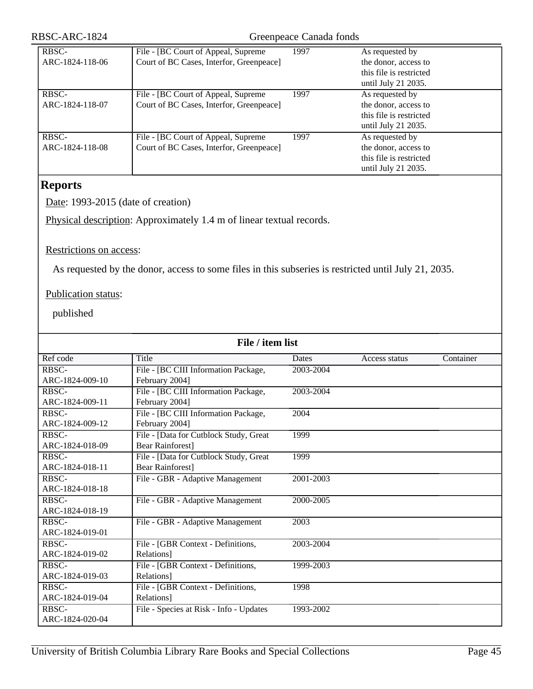| RBSC-ARC-1824 |  |
|---------------|--|
|---------------|--|

#### Greenpeace Canada fonds

| RBSC-           | File - [BC Court of Appeal, Supreme]     | 1997 | As requested by         |
|-----------------|------------------------------------------|------|-------------------------|
| ARC-1824-118-06 | Court of BC Cases, Interfor, Greenpeace] |      | the donor, access to    |
|                 |                                          |      | this file is restricted |
|                 |                                          |      | until July 21 2035.     |
| RBSC-           | File - [BC Court of Appeal, Supreme]     | 1997 | As requested by         |
| ARC-1824-118-07 | Court of BC Cases, Interfor, Greenpeace] |      | the donor, access to    |
|                 |                                          |      | this file is restricted |
|                 |                                          |      | until July 21 2035.     |
| RBSC-           | File - [BC Court of Appeal, Supreme]     | 1997 | As requested by         |
| ARC-1824-118-08 | Court of BC Cases, Interfor, Greenpeace] |      | the donor, access to    |
|                 |                                          |      | this file is restricted |
|                 |                                          |      | until July 21 2035.     |

### **Reports**

Date: 1993-2015 (date of creation)

Physical description: Approximately 1.4 m of linear textual records.

#### Restrictions on access:

As requested by the donor, access to some files in this subseries is restricted until July 21, 2035.

### Publication status:

| File / item list |                                         |           |               |           |
|------------------|-----------------------------------------|-----------|---------------|-----------|
| Ref code         | Title                                   | Dates     | Access status | Container |
| RBSC-            | File - [BC CIII Information Package,    | 2003-2004 |               |           |
| ARC-1824-009-10  | February 2004]                          |           |               |           |
| RBSC-            | File - [BC CIII Information Package,    | 2003-2004 |               |           |
| ARC-1824-009-11  | February 2004]                          |           |               |           |
| <b>RBSC-</b>     | File - [BC CIII Information Package,    | 2004      |               |           |
| ARC-1824-009-12  | February 2004]                          |           |               |           |
| RBSC-            | File - [Data for Cutblock Study, Great  | 1999      |               |           |
| ARC-1824-018-09  | <b>Bear Rainforest]</b>                 |           |               |           |
| RBSC-            | File - [Data for Cutblock Study, Great  | 1999      |               |           |
| ARC-1824-018-11  | <b>Bear Rainforest]</b>                 |           |               |           |
| RBSC-            | File - GBR - Adaptive Management        | 2001-2003 |               |           |
| ARC-1824-018-18  |                                         |           |               |           |
| RBSC-            | File - GBR - Adaptive Management        | 2000-2005 |               |           |
| ARC-1824-018-19  |                                         |           |               |           |
| RBSC-            | File - GBR - Adaptive Management        | 2003      |               |           |
| ARC-1824-019-01  |                                         |           |               |           |
| <b>RBSC-</b>     | File - [GBR Context - Definitions,      | 2003-2004 |               |           |
| ARC-1824-019-02  | Relations]                              |           |               |           |
| RBSC-            | File - [GBR Context - Definitions,      | 1999-2003 |               |           |
| ARC-1824-019-03  | Relations]                              |           |               |           |
| RBSC-            | File - [GBR Context - Definitions,      | 1998      |               |           |
| ARC-1824-019-04  | Relations]                              |           |               |           |
| RBSC-            | File - Species at Risk - Info - Updates | 1993-2002 |               |           |
| ARC-1824-020-04  |                                         |           |               |           |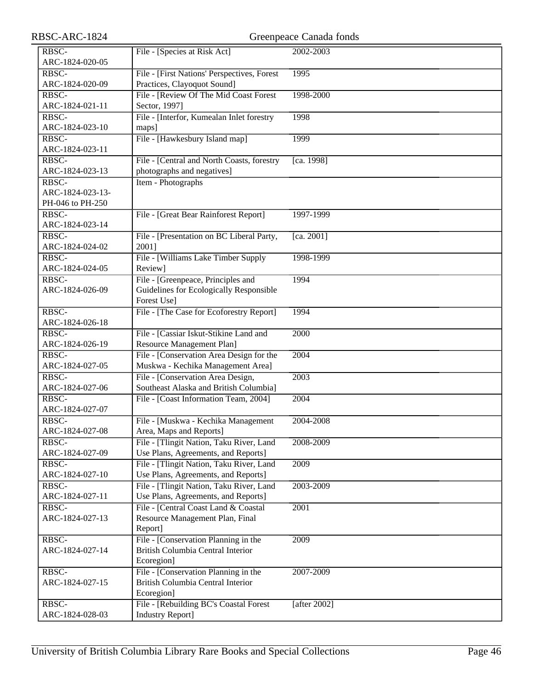| RBSC-ARC-1824                     |                                                                                 | Greenpeace Canada fonds |
|-----------------------------------|---------------------------------------------------------------------------------|-------------------------|
| RBSC-                             | File - [Species at Risk Act]                                                    | 2002-2003               |
| ARC-1824-020-05                   |                                                                                 |                         |
| RBSC-                             | File - [First Nations' Perspectives, Forest                                     | 1995                    |
| ARC-1824-020-09                   | Practices, Clayoquot Sound]                                                     |                         |
| RBSC-                             | File - [Review Of The Mid Coast Forest]                                         | 1998-2000               |
| ARC-1824-021-11                   | Sector, 1997]                                                                   |                         |
| RBSC-                             | File - [Interfor, Kumealan Inlet forestry                                       | 1998                    |
| ARC-1824-023-10                   | maps]                                                                           |                         |
| RBSC-                             | File - [Hawkesbury Island map]                                                  | 1999                    |
| ARC-1824-023-11                   |                                                                                 |                         |
| RBSC-                             | File - [Central and North Coasts, forestry                                      | [ca. 1998]              |
| ARC-1824-023-13                   | photographs and negatives]                                                      |                         |
| $R\overline{B}$ <sub>SC</sub> $-$ | Item - Photographs                                                              |                         |
| ARC-1824-023-13-                  |                                                                                 |                         |
| PH-046 to PH-250                  |                                                                                 |                         |
| RBSC-                             | File - [Great Bear Rainforest Report]                                           | 1997-1999               |
| ARC-1824-023-14                   |                                                                                 |                         |
| RBSC-                             | File - [Presentation on BC Liberal Party,                                       | [ca. 2001]              |
| ARC-1824-024-02                   | 2001]                                                                           |                         |
| RBSC-                             | File - [Williams Lake Timber Supply                                             | 1998-1999               |
| ARC-1824-024-05                   | Review]                                                                         |                         |
| RBSC-                             | File - [Greenpeace, Principles and                                              | 1994                    |
| ARC-1824-026-09                   | Guidelines for Ecologically Responsible                                         |                         |
|                                   | Forest Use]                                                                     |                         |
| RBSC-                             | File - [The Case for Ecoforestry Report]                                        | 1994                    |
| ARC-1824-026-18                   |                                                                                 |                         |
| RBSC-                             | File - [Cassiar Iskut-Stikine Land and                                          | 2000                    |
| ARC-1824-026-19                   | Resource Management Plan]                                                       |                         |
| RBSC-                             | File - [Conservation Area Design for the                                        | 2004                    |
| ARC-1824-027-05                   | Muskwa - Kechika Management Area]                                               |                         |
| RBSC-                             | File - [Conservation Area Design,                                               | 2003                    |
| ARC-1824-027-06                   | Southeast Alaska and British Columbia]                                          |                         |
| RBSC-                             | File - [Coast Information Team, 2004]                                           | 2004                    |
| ARC-1824-027-07                   |                                                                                 |                         |
| RBSC-                             | File - [Muskwa - Kechika Management                                             | 2004-2008               |
| ARC-1824-027-08                   | Area, Maps and Reports]                                                         |                         |
| RBSC-<br>ARC-1824-027-09          | File - [Tlingit Nation, Taku River, Land<br>Use Plans, Agreements, and Reports] | 2008-2009               |
| RBSC-                             | File - [Tlingit Nation, Taku River, Land]                                       | 2009                    |
| ARC-1824-027-10                   | Use Plans, Agreements, and Reports]                                             |                         |
| RBSC-                             | File - [Tlingit Nation, Taku River, Land                                        | 2003-2009               |
| ARC-1824-027-11                   | Use Plans, Agreements, and Reports]                                             |                         |
| RBSC-                             | File - [Central Coast Land & Coastal                                            | 2001                    |
| ARC-1824-027-13                   | Resource Management Plan, Final                                                 |                         |
|                                   | Report]                                                                         |                         |
| RBSC-                             | File - [Conservation Planning in the                                            | 2009                    |
| ARC-1824-027-14                   | British Columbia Central Interior                                               |                         |
|                                   | Ecoregion]                                                                      |                         |
| RBSC-                             | File - [Conservation Planning in the                                            | 2007-2009               |
| ARC-1824-027-15                   | British Columbia Central Interior                                               |                         |
|                                   | Ecoregion]                                                                      |                         |
| RBSC-                             | File - [Rebuilding BC's Coastal Forest                                          | [after 2002]            |
| ARC-1824-028-03                   | <b>Industry Report]</b>                                                         |                         |
|                                   |                                                                                 |                         |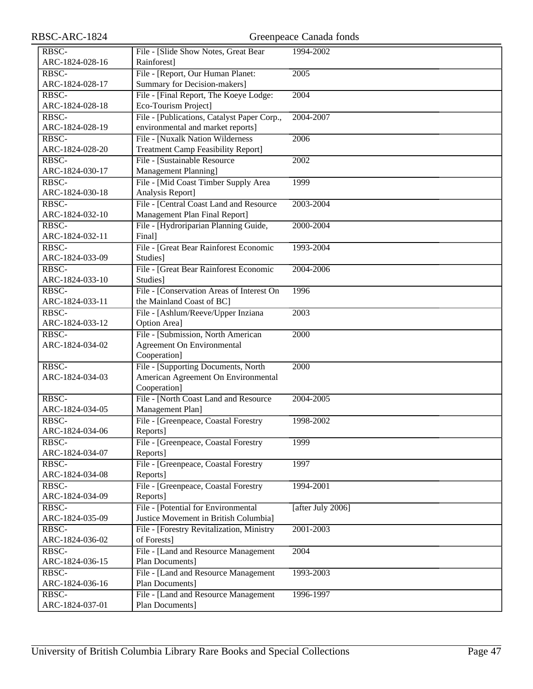| RBSC-ARC-1824            |                                                          | Greenpeace Canada fonds |
|--------------------------|----------------------------------------------------------|-------------------------|
| RBSC-                    | File - [Slide Show Notes, Great Bear                     | 1994-2002               |
| ARC-1824-028-16          | Rainforest]                                              |                         |
| RBSC-                    | File - [Report, Our Human Planet:                        | 2005                    |
| ARC-1824-028-17          | <b>Summary for Decision-makers]</b>                      |                         |
| RBSC-                    | File - [Final Report, The Koeye Lodge:                   | 2004                    |
| ARC-1824-028-18          | Eco-Tourism Project]                                     |                         |
| RBSC-                    | File - [Publications, Catalyst Paper Corp.,              | 2004-2007               |
| ARC-1824-028-19          | environmental and market reports]                        |                         |
| RBSC-                    | File - [Nuxalk Nation Wilderness                         | 2006                    |
| ARC-1824-028-20          | <b>Treatment Camp Feasibility Report]</b>                |                         |
| RBSC-                    | File - [Sustainable Resource]                            | 2002                    |
| ARC-1824-030-17          | Management Planning]                                     |                         |
| RBSC-                    | File - [Mid Coast Timber Supply Area                     | 1999                    |
| ARC-1824-030-18          | Analysis Report]                                         |                         |
| RBSC-                    | File - [Central Coast Land and Resource                  | 2003-2004               |
| ARC-1824-032-10          | Management Plan Final Report]                            |                         |
| RBSC-                    | File - [Hydroriparian Planning Guide,                    | 2000-2004               |
| ARC-1824-032-11          | Final]                                                   |                         |
| RBSC-                    | File - [Great Bear Rainforest Economic                   | 1993-2004               |
| ARC-1824-033-09          | Studies]                                                 |                         |
| RBSC-                    | File - [Great Bear Rainforest Economic                   | 2004-2006               |
| ARC-1824-033-10          | Studies]                                                 |                         |
| RBSC-                    | File - [Conservation Areas of Interest On                | 1996                    |
| ARC-1824-033-11          | the Mainland Coast of BC]                                |                         |
| RBSC-                    | File - [Ashlum/Reeve/Upper Inziana                       | 2003                    |
| ARC-1824-033-12          | Option Area]                                             |                         |
| RBSC-                    | File - [Submission, North American                       | 2000                    |
| ARC-1824-034-02          | Agreement On Environmental                               |                         |
|                          | Cooperation]                                             |                         |
| RBSC-                    | File - [Supporting Documents, North                      | 2000                    |
| ARC-1824-034-03          | American Agreement On Environmental                      |                         |
|                          | Cooperation]                                             |                         |
| RBSC-                    | File - [North Coast Land and Resource                    | 2004-2005               |
| ARC-1824-034-05<br>RBSC- | Management Plan]<br>File - [Greenpeace, Coastal Forestry | 1998-2002               |
| ARC-1824-034-06          | Reports]                                                 |                         |
| RBSC-                    | File - [Greenpeace, Coastal Forestry                     | 1999                    |
| ARC-1824-034-07          | Reports]                                                 |                         |
| RBSC-                    | File - [Greenpeace, Coastal Forestry                     | 1997                    |
| ARC-1824-034-08          | Reports]                                                 |                         |
| RBSC-                    | File - [Greenpeace, Coastal Forestry                     | 1994-2001               |
| ARC-1824-034-09          | Reports]                                                 |                         |
| RBSC-                    | File - [Potential for Environmental                      | [after July 2006]       |
| ARC-1824-035-09          | Justice Movement in British Columbia]                    |                         |
| RBSC-                    | File - [Forestry Revitalization, Ministry                | 2001-2003               |
| ARC-1824-036-02          | of Forests]                                              |                         |
| RBSC-                    | File - [Land and Resource Management                     | 2004                    |
| ARC-1824-036-15          | Plan Documents]                                          |                         |
| RBSC-                    | File - [Land and Resource Management                     | 1993-2003               |
| ARC-1824-036-16          | Plan Documents]                                          |                         |
| RBSC-                    | File - [Land and Resource Management                     | 1996-1997               |
| ARC-1824-037-01          | Plan Documents]                                          |                         |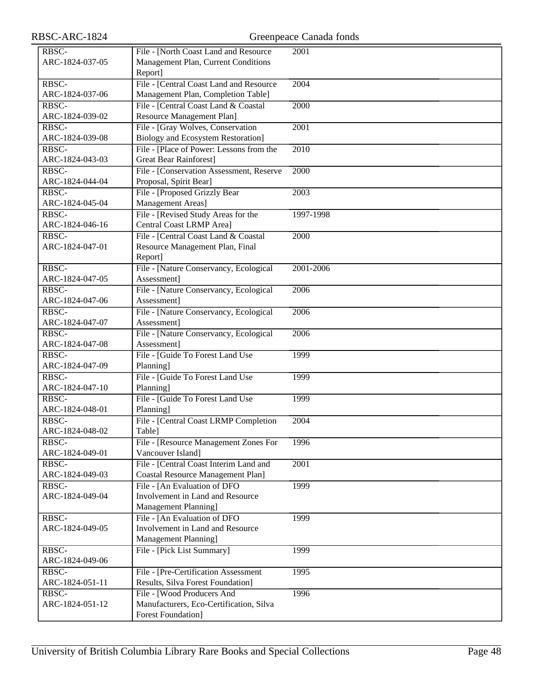| RBSC-           | File - [North Coast Land and Resource     | 2001      |
|-----------------|-------------------------------------------|-----------|
| ARC-1824-037-05 | Management Plan, Current Conditions       |           |
|                 | Report]                                   |           |
| RBSC-           | File - [Central Coast Land and Resource   | 2004      |
| ARC-1824-037-06 | Management Plan, Completion Table]        |           |
| RBSC-           | File - [Central Coast Land & Coastal      | 2000      |
| ARC-1824-039-02 | Resource Management Plan]                 |           |
|                 |                                           |           |
| RBSC-           | File - [Gray Wolves, Conservation         | 2001      |
| ARC-1824-039-08 | <b>Biology and Ecosystem Restoration]</b> |           |
| RBSC-           | File - [Place of Power: Lessons from the  | 2010      |
| ARC-1824-043-03 | <b>Great Bear Rainforest]</b>             |           |
| RBSC-           | File - [Conservation Assessment, Reserve  | 2000      |
| ARC-1824-044-04 | Proposal, Spirit Bear]                    |           |
| RBSC-           | File - [Proposed Grizzly Bear             | 2003      |
| ARC-1824-045-04 | Management Areas]                         |           |
| RBSC-           | File - [Revised Study Areas for the       | 1997-1998 |
| ARC-1824-046-16 | <b>Central Coast LRMP Area]</b>           |           |
| RBSC-           | File - [Central Coast Land & Coastal      | 2000      |
| ARC-1824-047-01 | Resource Management Plan, Final           |           |
|                 | Report]                                   |           |
| RBSC-           | File - [Nature Conservancy, Ecological    | 2001-2006 |
| ARC-1824-047-05 | Assessment]                               |           |
| RBSC-           | File - [Nature Conservancy, Ecological    | 2006      |
| ARC-1824-047-06 | Assessment]                               |           |
| RBSC-           | File - [Nature Conservancy, Ecological    | 2006      |
| ARC-1824-047-07 | Assessment]                               |           |
| RBSC-           | File - [Nature Conservancy, Ecological    | 2006      |
| ARC-1824-047-08 | Assessment]                               |           |
| RBSC-           | File - [Guide To Forest Land Use          | 1999      |
| ARC-1824-047-09 | Planning]                                 |           |
| RBSC-           | File - [Guide To Forest Land Use          | 1999      |
| ARC-1824-047-10 | Planning]                                 |           |
| RBSC-           | File - [Guide To Forest Land Use          | 1999      |
| ARC-1824-048-01 | Planning]                                 |           |
| RBSC-           | File - [Central Coast LRMP Completion     | 2004      |
| ARC-1824-048-02 | Table]                                    |           |
| RBSC-           | File - [Resource Management Zones For     | 1996      |
| ARC-1824-049-01 | Vancouver Island]                         |           |
| RBSC-           | File - [Central Coast Interim Land and    | 2001      |
| ARC-1824-049-03 | <b>Coastal Resource Management Plan]</b>  |           |
| RBSC-           | File - [An Evaluation of DFO              | 1999      |
| ARC-1824-049-04 | Involvement in Land and Resource          |           |
|                 | Management Planning]                      |           |
| RBSC-           | File - [An Evaluation of DFO              | 1999      |
| ARC-1824-049-05 | Involvement in Land and Resource          |           |
|                 | Management Planning]                      |           |
|                 |                                           |           |
| RBSC-           | File - [Pick List Summary]                | 1999      |
| ARC-1824-049-06 |                                           |           |
| RBSC-           | File - [Pre-Certification Assessment      | 1995      |
| ARC-1824-051-11 | Results, Silva Forest Foundation]         |           |
| RBSC-           | File - [Wood Producers And                | 1996      |
| ARC-1824-051-12 | Manufacturers, Eco-Certification, Silva   |           |
|                 | <b>Forest Foundation</b> ]                |           |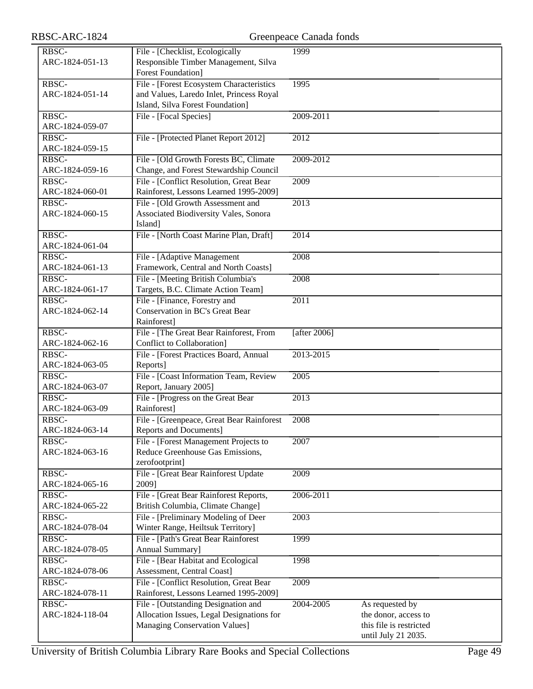| RBSC-           | File - [Checklist, Ecologically           | 1999            |                         |
|-----------------|-------------------------------------------|-----------------|-------------------------|
| ARC-1824-051-13 | Responsible Timber Management, Silva      |                 |                         |
|                 | <b>Forest Foundation</b> ]                |                 |                         |
| RBSC-           | File - [Forest Ecosystem Characteristics  | 1995            |                         |
|                 |                                           |                 |                         |
| ARC-1824-051-14 | and Values, Laredo Inlet, Princess Royal  |                 |                         |
|                 | Island, Silva Forest Foundation]          |                 |                         |
| RBSC-           | File - [Focal Species]                    | 2009-2011       |                         |
|                 |                                           |                 |                         |
| ARC-1824-059-07 |                                           |                 |                         |
| RBSC-           | File - [Protected Planet Report 2012]     | 2012            |                         |
| ARC-1824-059-15 |                                           |                 |                         |
| RBSC-           | File - [Old Growth Forests BC, Climate    | 2009-2012       |                         |
|                 |                                           |                 |                         |
| ARC-1824-059-16 | Change, and Forest Stewardship Council    |                 |                         |
| RBSC-           | File - [Conflict Resolution, Great Bear   | 2009            |                         |
| ARC-1824-060-01 | Rainforest, Lessons Learned 1995-2009]    |                 |                         |
| RBSC-           | File - [Old Growth Assessment and         | 2013            |                         |
| ARC-1824-060-15 |                                           |                 |                         |
|                 | Associated Biodiversity Vales, Sonora     |                 |                         |
|                 | Island]                                   |                 |                         |
| RBSC-           | File - [North Coast Marine Plan, Draft]   | 2014            |                         |
| ARC-1824-061-04 |                                           |                 |                         |
|                 |                                           |                 |                         |
| RBSC-           | File - [Adaptive Management               | 2008            |                         |
| ARC-1824-061-13 | Framework, Central and North Coasts]      |                 |                         |
| RBSC-           | File - [Meeting British Columbia's        | 2008            |                         |
| ARC-1824-061-17 | Targets, B.C. Climate Action Team]        |                 |                         |
|                 |                                           |                 |                         |
| RBSC-           | File - [Finance, Forestry and             | 2011            |                         |
| ARC-1824-062-14 | Conservation in BC's Great Bear           |                 |                         |
|                 | Rainforest]                               |                 |                         |
| RBSC-           | File - [The Great Bear Rainforest, From   | [after $2006$ ] |                         |
| ARC-1824-062-16 | Conflict to Collaboration]                |                 |                         |
|                 |                                           |                 |                         |
| RBSC-           | File - [Forest Practices Board, Annual    | 2013-2015       |                         |
| ARC-1824-063-05 | Reports]                                  |                 |                         |
| RBSC-           | File - [Coast Information Team, Review    | 2005            |                         |
| ARC-1824-063-07 | Report, January 2005]                     |                 |                         |
| RBSC-           | File - [Progress on the Great Bear        | 2013            |                         |
| ARC-1824-063-09 | Rainforest]                               |                 |                         |
|                 |                                           |                 |                         |
| RBSC-           | File - [Greenpeace, Great Bear Rainforest | 2008            |                         |
| ARC-1824-063-14 | Reports and Documents]                    |                 |                         |
| RBSC-           | File - [Forest Management Projects to     | 2007            |                         |
| ARC-1824-063-16 | Reduce Greenhouse Gas Emissions,          |                 |                         |
|                 |                                           |                 |                         |
|                 | zerofootprint]                            |                 |                         |
| RBSC-           | File - [Great Bear Rainforest Update      | 2009            |                         |
| ARC-1824-065-16 | 2009]                                     |                 |                         |
| RBSC-           | File - [Great Bear Rainforest Reports,    | 2006-2011       |                         |
| ARC-1824-065-22 | British Columbia, Climate Change]         |                 |                         |
|                 |                                           |                 |                         |
| RBSC-           | File - [Preliminary Modeling of Deer      | 2003            |                         |
| ARC-1824-078-04 | Winter Range, Heiltsuk Territory]         |                 |                         |
| RBSC-           | File - [Path's Great Bear Rainforest      | 1999            |                         |
| ARC-1824-078-05 | Annual Summary]                           |                 |                         |
|                 |                                           |                 |                         |
| RBSC-           | File - [Bear Habitat and Ecological       | 1998            |                         |
| ARC-1824-078-06 | Assessment, Central Coast]                |                 |                         |
| RBSC-           | File - [Conflict Resolution, Great Bear   | 2009            |                         |
| ARC-1824-078-11 | Rainforest, Lessons Learned 1995-2009]    |                 |                         |
| RBSC-           | File - [Outstanding Designation and       | 2004-2005       | As requested by         |
|                 |                                           |                 |                         |
| ARC-1824-118-04 | Allocation Issues, Legal Designations for |                 | the donor, access to    |
|                 | <b>Managing Conservation Values]</b>      |                 | this file is restricted |
|                 |                                           |                 | until July 21 2035.     |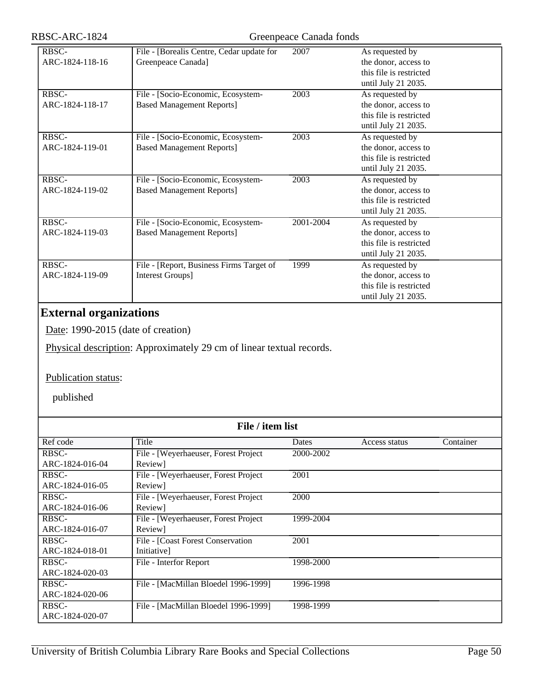| RBSC-ARC-1824                        | Greenpeace Canada fonds                                                |           |                                                                                           |  |
|--------------------------------------|------------------------------------------------------------------------|-----------|-------------------------------------------------------------------------------------------|--|
| RBSC-<br>ARC-1824-118-16             | File - [Borealis Centre, Cedar update for<br>Greenpeace Canada]        | 2007      | As requested by<br>the donor, access to<br>this file is restricted<br>until July 21 2035. |  |
| RBSC-<br>ARC-1824-118-17             | File - [Socio-Economic, Ecosystem-<br><b>Based Management Reports]</b> | 2003      | As requested by<br>the donor, access to<br>this file is restricted<br>until July 21 2035. |  |
| RBSC-<br>ARC-1824-119-01             | File - [Socio-Economic, Ecosystem-<br><b>Based Management Reports]</b> | 2003      | As requested by<br>the donor, access to<br>this file is restricted<br>until July 21 2035. |  |
| RBSC-<br>ARC-1824-119-02             | File - [Socio-Economic, Ecosystem-<br><b>Based Management Reports]</b> | 2003      | As requested by<br>the donor, access to<br>this file is restricted<br>until July 21 2035. |  |
| $R\overline{BSC}$<br>ARC-1824-119-03 | File - [Socio-Economic, Ecosystem-<br><b>Based Management Reports]</b> | 2001-2004 | As requested by<br>the donor, access to<br>this file is restricted<br>until July 21 2035. |  |
| RBSC-<br>ARC-1824-119-09             | File - [Report, Business Firms Target of<br>Interest Groups]           | 1999      | As requested by<br>the donor, access to<br>this file is restricted<br>until July 21 2035. |  |

# **External organizations**

Date: 1990-2015 (date of creation)

Physical description: Approximately 29 cm of linear textual records.

### Publication status:

| File / item list |                                       |           |               |           |
|------------------|---------------------------------------|-----------|---------------|-----------|
| Ref code         | Title                                 | Dates     | Access status | Container |
| RBSC-            | File - [Weyerhaeuser, Forest Project] | 2000-2002 |               |           |
| ARC-1824-016-04  | Review]                               |           |               |           |
| RBSC-            | File - [Weyerhaeuser, Forest Project] | 2001      |               |           |
| ARC-1824-016-05  | Review]                               |           |               |           |
| RBSC-            | File - [Weyerhaeuser, Forest Project] | 2000      |               |           |
| ARC-1824-016-06  | Review]                               |           |               |           |
| RBSC-            | File - [Weyerhaeuser, Forest Project  | 1999-2004 |               |           |
| ARC-1824-016-07  | Review]                               |           |               |           |
| RBSC-            | File - [Coast Forest Conservation]    | 2001      |               |           |
| ARC-1824-018-01  | <i>Initiativel</i>                    |           |               |           |
| RBSC-            | File - Interfor Report                | 1998-2000 |               |           |
| ARC-1824-020-03  |                                       |           |               |           |
| RBSC-            | File - [MacMillan Bloedel 1996-1999]  | 1996-1998 |               |           |
| ARC-1824-020-06  |                                       |           |               |           |
| RBSC-            | File - [MacMillan Bloedel 1996-1999]  | 1998-1999 |               |           |
| ARC-1824-020-07  |                                       |           |               |           |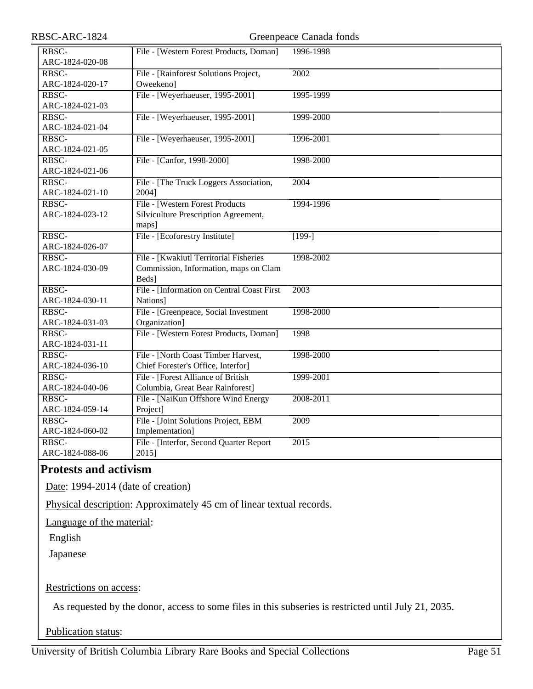| RBSC-ARC-1824            |                                                                                          | Greenpeace Canada fonds |
|--------------------------|------------------------------------------------------------------------------------------|-------------------------|
| RBSC-<br>ARC-1824-020-08 | File - [Western Forest Products, Doman]                                                  | 1996-1998               |
| RBSC-<br>ARC-1824-020-17 | File - [Rainforest Solutions Project,<br>Oweekeno]                                       | 2002                    |
| RBSC-<br>ARC-1824-021-03 | File - [Weyerhaeuser, 1995-2001]                                                         | 1995-1999               |
| RBSC-<br>ARC-1824-021-04 | File - [Weyerhaeuser, 1995-2001]                                                         | 1999-2000               |
| RBSC-<br>ARC-1824-021-05 | File - [Weyerhaeuser, 1995-2001]                                                         | 1996-2001               |
| RBSC-<br>ARC-1824-021-06 | File - [Canfor, 1998-2000]                                                               | 1998-2000               |
| RBSC-<br>ARC-1824-021-10 | File - The Truck Loggers Association,<br>2004]                                           | 2004                    |
| RBSC-<br>ARC-1824-023-12 | File - [Western Forest Products]<br>Silviculture Prescription Agreement,<br>maps]        | 1994-1996               |
| RBSC-<br>ARC-1824-026-07 | File - [Ecoforestry Institute]                                                           | $\sqrt{199-}$           |
| RBSC-<br>ARC-1824-030-09 | File - [Kwakiutl Territorial Fisheries<br>Commission, Information, maps on Clam<br>Beds] | 1998-2002               |
| RBSC-<br>ARC-1824-030-11 | File - [Information on Central Coast First<br>Nations]                                   | 2003                    |
| RBSC-<br>ARC-1824-031-03 | File - [Greenpeace, Social Investment<br>Organization]                                   | 1998-2000               |
| RBSC-<br>ARC-1824-031-11 | File - [Western Forest Products, Doman]                                                  | 1998                    |
| RBSC-<br>ARC-1824-036-10 | File - [North Coast Timber Harvest,<br>Chief Forester's Office, Interfor]                | 1998-2000               |
| RBSC-<br>ARC-1824-040-06 | File - [Forest Alliance of British]<br>Columbia, Great Bear Rainforest]                  | 1999-2001               |
| RBSC-<br>ARC-1824-059-14 | File - [NaiKun Offshore Wind Energy<br>Project]                                          | 2008-2011               |
| RBSC-<br>ARC-1824-060-02 | File - [Joint Solutions Project, EBM<br>Implementation]                                  | 2009                    |
| RBSC-<br>ARC-1824-088-06 | File - [Interfor, Second Quarter Report]<br>2015]                                        | $\overline{2015}$       |

# **Protests and activism**

Date: 1994-2014 (date of creation)

Physical description: Approximately 45 cm of linear textual records.

Language of the material:

English

Japanese

### Restrictions on access:

As requested by the donor, access to some files in this subseries is restricted until July 21, 2035.

Publication status: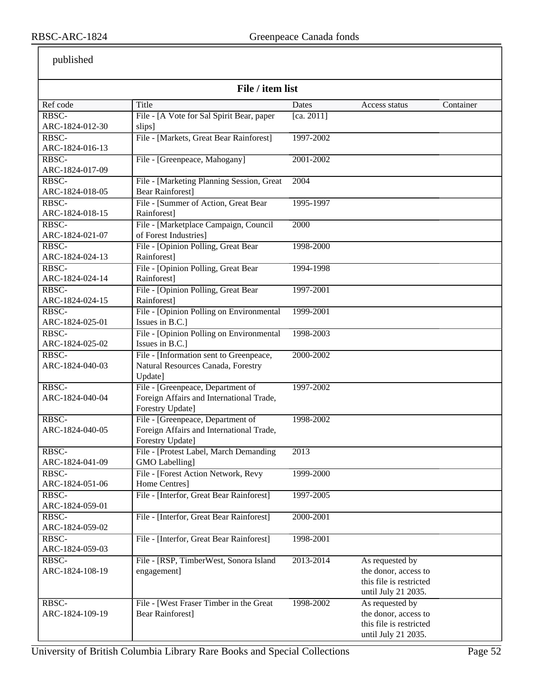| File / item list         |                                                                               |            |                         |           |
|--------------------------|-------------------------------------------------------------------------------|------------|-------------------------|-----------|
| Ref code                 | Title                                                                         | Dates      | Access status           | Container |
| RBSC-                    | File - [A Vote for Sal Spirit Bear, paper                                     | [ca. 2011] |                         |           |
| ARC-1824-012-30          | slips]                                                                        |            |                         |           |
| RBSC-                    | File - [Markets, Great Bear Rainforest]                                       | 1997-2002  |                         |           |
| ARC-1824-016-13          |                                                                               |            |                         |           |
| RBSC-                    | File - [Greenpeace, Mahogany]                                                 | 2001-2002  |                         |           |
| ARC-1824-017-09          |                                                                               |            |                         |           |
| RBSC-                    | File - [Marketing Planning Session, Great                                     | 2004       |                         |           |
| ARC-1824-018-05          | <b>Bear Rainforest]</b>                                                       |            |                         |           |
| RBSC-                    | File - [Summer of Action, Great Bear                                          | 1995-1997  |                         |           |
| ARC-1824-018-15          | Rainforest]                                                                   |            |                         |           |
| RBSC-                    | File - [Marketplace Campaign, Council                                         | 2000       |                         |           |
| ARC-1824-021-07          | of Forest Industries]                                                         |            |                         |           |
| RBSC-                    | File - [Opinion Polling, Great Bear                                           | 1998-2000  |                         |           |
| ARC-1824-024-13          | Rainforest]                                                                   |            |                         |           |
| RBSC-                    | File - [Opinion Polling, Great Bear                                           | 1994-1998  |                         |           |
| ARC-1824-024-14          | Rainforest]                                                                   |            |                         |           |
| RBSC-                    | File - [Opinion Polling, Great Bear                                           | 1997-2001  |                         |           |
| ARC-1824-024-15          | Rainforest]                                                                   |            |                         |           |
| RBSC-                    | File - [Opinion Polling on Environmental                                      | 1999-2001  |                         |           |
| ARC-1824-025-01          | Issues in B.C.]                                                               |            |                         |           |
| RBSC-<br>ARC-1824-025-02 | File - [Opinion Polling on Environmental<br>Issues in B.C.]                   | 1998-2003  |                         |           |
| RBSC-                    |                                                                               | 2000-2002  |                         |           |
| ARC-1824-040-03          | File - [Information sent to Greenpeace,<br>Natural Resources Canada, Forestry |            |                         |           |
|                          | Update]                                                                       |            |                         |           |
| RBSC-                    | File - [Greenpeace, Department of                                             | 1997-2002  |                         |           |
| ARC-1824-040-04          | Foreign Affairs and International Trade,                                      |            |                         |           |
|                          | Forestry Update]                                                              |            |                         |           |
| RBSC-                    | File - [Greenpeace, Department of                                             | 1998-2002  |                         |           |
| ARC-1824-040-05          | Foreign Affairs and International Trade,                                      |            |                         |           |
|                          | Forestry Update]                                                              |            |                         |           |
| RBSC-                    | File - [Protest Label, March Demanding                                        | 2013       |                         |           |
| ARC-1824-041-09          | GMO Labelling]                                                                |            |                         |           |
| RBSC-                    | File - [Forest Action Network, Revy                                           | 1999-2000  |                         |           |
| ARC-1824-051-06          | Home Centres]                                                                 |            |                         |           |
| RBSC-                    | File - [Interfor, Great Bear Rainforest]                                      | 1997-2005  |                         |           |
| ARC-1824-059-01          |                                                                               |            |                         |           |
| RBSC-                    | File - [Interfor, Great Bear Rainforest]                                      | 2000-2001  |                         |           |
| ARC-1824-059-02          |                                                                               |            |                         |           |
| RBSC-                    | File - [Interfor, Great Bear Rainforest]                                      | 1998-2001  |                         |           |
| ARC-1824-059-03          |                                                                               |            |                         |           |
| RBSC-                    | File - [RSP, TimberWest, Sonora Island                                        | 2013-2014  | As requested by         |           |
| ARC-1824-108-19          | engagement]                                                                   |            | the donor, access to    |           |
|                          |                                                                               |            | this file is restricted |           |
|                          |                                                                               |            | until July 21 2035.     |           |
| RBSC-                    | File - [West Fraser Timber in the Great                                       | 1998-2002  | As requested by         |           |
| ARC-1824-109-19          | <b>Bear Rainforest]</b>                                                       |            | the donor, access to    |           |
|                          |                                                                               |            | this file is restricted |           |
|                          |                                                                               |            | until July 21 2035.     |           |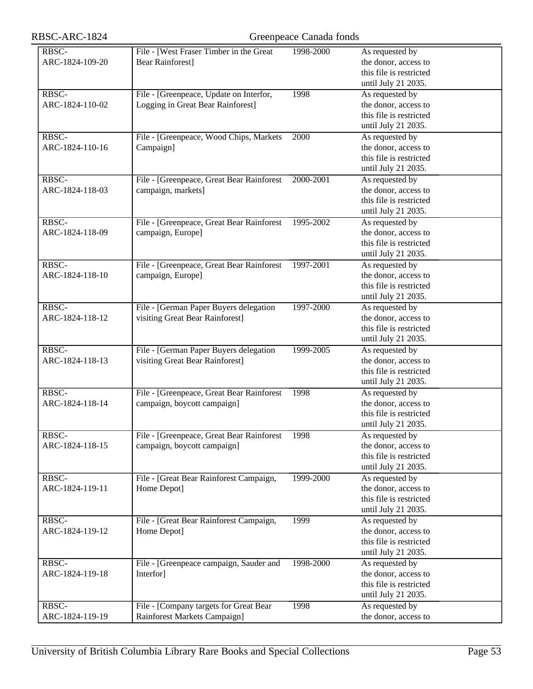| the donor, access to<br>ARC-1824-109-20<br><b>Bear Rainforest</b> ]<br>this file is restricted<br>until July 21 2035.<br>RBSC-<br>1998<br>As requested by<br>File - [Greenpeace, Update on Interfor,<br>the donor, access to<br>ARC-1824-110-02<br>Logging in Great Bear Rainforest]<br>this file is restricted<br>until July 21 2035.<br>RBSC-<br>File - [Greenpeace, Wood Chips, Markets<br>2000<br>As requested by<br>the donor, access to<br>ARC-1824-110-16<br>Campaign]<br>this file is restricted<br>until July 21 2035.<br>RBSC-<br>File - [Greenpeace, Great Bear Rainforest<br>2000-2001<br>As requested by<br>the donor, access to<br>ARC-1824-118-03<br>campaign, markets]<br>this file is restricted<br>until July 21 2035.<br>RBSC-<br>File - [Greenpeace, Great Bear Rainforest<br>1995-2002<br>As requested by<br>the donor, access to<br>ARC-1824-118-09<br>campaign, Europe]<br>this file is restricted<br>until July 21 2035.<br>RBSC-<br>File - [Greenpeace, Great Bear Rainforest<br>1997-2001<br>As requested by<br>the donor, access to<br>ARC-1824-118-10<br>campaign, Europe]<br>this file is restricted<br>until July 21 2035.<br>RBSC-<br>File - [German Paper Buyers delegation<br>1997-2000<br>As requested by<br>visiting Great Bear Rainforest]<br>the donor, access to<br>ARC-1824-118-12<br>this file is restricted<br>until July 21 2035.<br>RBSC-<br>1999-2005<br>File - [German Paper Buyers delegation<br>As requested by<br>visiting Great Bear Rainforest]<br>the donor, access to<br>ARC-1824-118-13<br>this file is restricted<br>until July 21 2035.<br>RBSC-<br>File - [Greenpeace, Great Bear Rainforest<br>1998<br>As requested by<br>the donor, access to<br>ARC-1824-118-14<br>campaign, boycott campaign]<br>this file is restricted<br>until July 21 2035.<br>RBSC-<br>File - [Greenpeace, Great Bear Rainforest<br>1998<br>As requested by<br>the donor, access to<br>ARC-1824-118-15<br>campaign, boycott campaign]<br>this file is restricted<br>until July 21 2035.<br>RBSC-<br>1999-2000<br>As requested by<br>File - [Great Bear Rainforest Campaign,<br>the donor, access to<br>ARC-1824-119-11<br>Home Depot]<br>this file is restricted<br>until July 21 2035.<br>RBSC-<br>File - [Great Bear Rainforest Campaign,<br>1999<br>As requested by<br>the donor, access to<br>ARC-1824-119-12<br>Home Depot]<br>this file is restricted<br>until July 21 2035.<br>RBSC-<br>1998-2000<br>File - [Greenpeace campaign, Sauder and<br>As requested by<br>the donor, access to<br>ARC-1824-119-18<br>Interfor]<br>this file is restricted<br>until July 21 2035.<br>RBSC-<br>File - [Company targets for Great Bear<br>1998<br>As requested by |                 |                                         |           |                      |
|-------------------------------------------------------------------------------------------------------------------------------------------------------------------------------------------------------------------------------------------------------------------------------------------------------------------------------------------------------------------------------------------------------------------------------------------------------------------------------------------------------------------------------------------------------------------------------------------------------------------------------------------------------------------------------------------------------------------------------------------------------------------------------------------------------------------------------------------------------------------------------------------------------------------------------------------------------------------------------------------------------------------------------------------------------------------------------------------------------------------------------------------------------------------------------------------------------------------------------------------------------------------------------------------------------------------------------------------------------------------------------------------------------------------------------------------------------------------------------------------------------------------------------------------------------------------------------------------------------------------------------------------------------------------------------------------------------------------------------------------------------------------------------------------------------------------------------------------------------------------------------------------------------------------------------------------------------------------------------------------------------------------------------------------------------------------------------------------------------------------------------------------------------------------------------------------------------------------------------------------------------------------------------------------------------------------------------------------------------------------------------------------------------------------------------------------------------------------------------------------------------------------------------------------------------------------------------------------------------------------------------------------------------------------------------------------------|-----------------|-----------------------------------------|-----------|----------------------|
|                                                                                                                                                                                                                                                                                                                                                                                                                                                                                                                                                                                                                                                                                                                                                                                                                                                                                                                                                                                                                                                                                                                                                                                                                                                                                                                                                                                                                                                                                                                                                                                                                                                                                                                                                                                                                                                                                                                                                                                                                                                                                                                                                                                                                                                                                                                                                                                                                                                                                                                                                                                                                                                                                                 | RBSC-           | File - [West Fraser Timber in the Great | 1998-2000 | As requested by      |
|                                                                                                                                                                                                                                                                                                                                                                                                                                                                                                                                                                                                                                                                                                                                                                                                                                                                                                                                                                                                                                                                                                                                                                                                                                                                                                                                                                                                                                                                                                                                                                                                                                                                                                                                                                                                                                                                                                                                                                                                                                                                                                                                                                                                                                                                                                                                                                                                                                                                                                                                                                                                                                                                                                 |                 |                                         |           |                      |
|                                                                                                                                                                                                                                                                                                                                                                                                                                                                                                                                                                                                                                                                                                                                                                                                                                                                                                                                                                                                                                                                                                                                                                                                                                                                                                                                                                                                                                                                                                                                                                                                                                                                                                                                                                                                                                                                                                                                                                                                                                                                                                                                                                                                                                                                                                                                                                                                                                                                                                                                                                                                                                                                                                 |                 |                                         |           |                      |
|                                                                                                                                                                                                                                                                                                                                                                                                                                                                                                                                                                                                                                                                                                                                                                                                                                                                                                                                                                                                                                                                                                                                                                                                                                                                                                                                                                                                                                                                                                                                                                                                                                                                                                                                                                                                                                                                                                                                                                                                                                                                                                                                                                                                                                                                                                                                                                                                                                                                                                                                                                                                                                                                                                 |                 |                                         |           |                      |
|                                                                                                                                                                                                                                                                                                                                                                                                                                                                                                                                                                                                                                                                                                                                                                                                                                                                                                                                                                                                                                                                                                                                                                                                                                                                                                                                                                                                                                                                                                                                                                                                                                                                                                                                                                                                                                                                                                                                                                                                                                                                                                                                                                                                                                                                                                                                                                                                                                                                                                                                                                                                                                                                                                 |                 |                                         |           |                      |
|                                                                                                                                                                                                                                                                                                                                                                                                                                                                                                                                                                                                                                                                                                                                                                                                                                                                                                                                                                                                                                                                                                                                                                                                                                                                                                                                                                                                                                                                                                                                                                                                                                                                                                                                                                                                                                                                                                                                                                                                                                                                                                                                                                                                                                                                                                                                                                                                                                                                                                                                                                                                                                                                                                 |                 |                                         |           |                      |
|                                                                                                                                                                                                                                                                                                                                                                                                                                                                                                                                                                                                                                                                                                                                                                                                                                                                                                                                                                                                                                                                                                                                                                                                                                                                                                                                                                                                                                                                                                                                                                                                                                                                                                                                                                                                                                                                                                                                                                                                                                                                                                                                                                                                                                                                                                                                                                                                                                                                                                                                                                                                                                                                                                 |                 |                                         |           |                      |
|                                                                                                                                                                                                                                                                                                                                                                                                                                                                                                                                                                                                                                                                                                                                                                                                                                                                                                                                                                                                                                                                                                                                                                                                                                                                                                                                                                                                                                                                                                                                                                                                                                                                                                                                                                                                                                                                                                                                                                                                                                                                                                                                                                                                                                                                                                                                                                                                                                                                                                                                                                                                                                                                                                 |                 |                                         |           |                      |
|                                                                                                                                                                                                                                                                                                                                                                                                                                                                                                                                                                                                                                                                                                                                                                                                                                                                                                                                                                                                                                                                                                                                                                                                                                                                                                                                                                                                                                                                                                                                                                                                                                                                                                                                                                                                                                                                                                                                                                                                                                                                                                                                                                                                                                                                                                                                                                                                                                                                                                                                                                                                                                                                                                 |                 |                                         |           |                      |
|                                                                                                                                                                                                                                                                                                                                                                                                                                                                                                                                                                                                                                                                                                                                                                                                                                                                                                                                                                                                                                                                                                                                                                                                                                                                                                                                                                                                                                                                                                                                                                                                                                                                                                                                                                                                                                                                                                                                                                                                                                                                                                                                                                                                                                                                                                                                                                                                                                                                                                                                                                                                                                                                                                 |                 |                                         |           |                      |
|                                                                                                                                                                                                                                                                                                                                                                                                                                                                                                                                                                                                                                                                                                                                                                                                                                                                                                                                                                                                                                                                                                                                                                                                                                                                                                                                                                                                                                                                                                                                                                                                                                                                                                                                                                                                                                                                                                                                                                                                                                                                                                                                                                                                                                                                                                                                                                                                                                                                                                                                                                                                                                                                                                 |                 |                                         |           |                      |
|                                                                                                                                                                                                                                                                                                                                                                                                                                                                                                                                                                                                                                                                                                                                                                                                                                                                                                                                                                                                                                                                                                                                                                                                                                                                                                                                                                                                                                                                                                                                                                                                                                                                                                                                                                                                                                                                                                                                                                                                                                                                                                                                                                                                                                                                                                                                                                                                                                                                                                                                                                                                                                                                                                 |                 |                                         |           |                      |
|                                                                                                                                                                                                                                                                                                                                                                                                                                                                                                                                                                                                                                                                                                                                                                                                                                                                                                                                                                                                                                                                                                                                                                                                                                                                                                                                                                                                                                                                                                                                                                                                                                                                                                                                                                                                                                                                                                                                                                                                                                                                                                                                                                                                                                                                                                                                                                                                                                                                                                                                                                                                                                                                                                 |                 |                                         |           |                      |
|                                                                                                                                                                                                                                                                                                                                                                                                                                                                                                                                                                                                                                                                                                                                                                                                                                                                                                                                                                                                                                                                                                                                                                                                                                                                                                                                                                                                                                                                                                                                                                                                                                                                                                                                                                                                                                                                                                                                                                                                                                                                                                                                                                                                                                                                                                                                                                                                                                                                                                                                                                                                                                                                                                 |                 |                                         |           |                      |
|                                                                                                                                                                                                                                                                                                                                                                                                                                                                                                                                                                                                                                                                                                                                                                                                                                                                                                                                                                                                                                                                                                                                                                                                                                                                                                                                                                                                                                                                                                                                                                                                                                                                                                                                                                                                                                                                                                                                                                                                                                                                                                                                                                                                                                                                                                                                                                                                                                                                                                                                                                                                                                                                                                 |                 |                                         |           |                      |
|                                                                                                                                                                                                                                                                                                                                                                                                                                                                                                                                                                                                                                                                                                                                                                                                                                                                                                                                                                                                                                                                                                                                                                                                                                                                                                                                                                                                                                                                                                                                                                                                                                                                                                                                                                                                                                                                                                                                                                                                                                                                                                                                                                                                                                                                                                                                                                                                                                                                                                                                                                                                                                                                                                 |                 |                                         |           |                      |
|                                                                                                                                                                                                                                                                                                                                                                                                                                                                                                                                                                                                                                                                                                                                                                                                                                                                                                                                                                                                                                                                                                                                                                                                                                                                                                                                                                                                                                                                                                                                                                                                                                                                                                                                                                                                                                                                                                                                                                                                                                                                                                                                                                                                                                                                                                                                                                                                                                                                                                                                                                                                                                                                                                 |                 |                                         |           |                      |
|                                                                                                                                                                                                                                                                                                                                                                                                                                                                                                                                                                                                                                                                                                                                                                                                                                                                                                                                                                                                                                                                                                                                                                                                                                                                                                                                                                                                                                                                                                                                                                                                                                                                                                                                                                                                                                                                                                                                                                                                                                                                                                                                                                                                                                                                                                                                                                                                                                                                                                                                                                                                                                                                                                 |                 |                                         |           |                      |
|                                                                                                                                                                                                                                                                                                                                                                                                                                                                                                                                                                                                                                                                                                                                                                                                                                                                                                                                                                                                                                                                                                                                                                                                                                                                                                                                                                                                                                                                                                                                                                                                                                                                                                                                                                                                                                                                                                                                                                                                                                                                                                                                                                                                                                                                                                                                                                                                                                                                                                                                                                                                                                                                                                 |                 |                                         |           |                      |
|                                                                                                                                                                                                                                                                                                                                                                                                                                                                                                                                                                                                                                                                                                                                                                                                                                                                                                                                                                                                                                                                                                                                                                                                                                                                                                                                                                                                                                                                                                                                                                                                                                                                                                                                                                                                                                                                                                                                                                                                                                                                                                                                                                                                                                                                                                                                                                                                                                                                                                                                                                                                                                                                                                 |                 |                                         |           |                      |
|                                                                                                                                                                                                                                                                                                                                                                                                                                                                                                                                                                                                                                                                                                                                                                                                                                                                                                                                                                                                                                                                                                                                                                                                                                                                                                                                                                                                                                                                                                                                                                                                                                                                                                                                                                                                                                                                                                                                                                                                                                                                                                                                                                                                                                                                                                                                                                                                                                                                                                                                                                                                                                                                                                 |                 |                                         |           |                      |
|                                                                                                                                                                                                                                                                                                                                                                                                                                                                                                                                                                                                                                                                                                                                                                                                                                                                                                                                                                                                                                                                                                                                                                                                                                                                                                                                                                                                                                                                                                                                                                                                                                                                                                                                                                                                                                                                                                                                                                                                                                                                                                                                                                                                                                                                                                                                                                                                                                                                                                                                                                                                                                                                                                 |                 |                                         |           |                      |
|                                                                                                                                                                                                                                                                                                                                                                                                                                                                                                                                                                                                                                                                                                                                                                                                                                                                                                                                                                                                                                                                                                                                                                                                                                                                                                                                                                                                                                                                                                                                                                                                                                                                                                                                                                                                                                                                                                                                                                                                                                                                                                                                                                                                                                                                                                                                                                                                                                                                                                                                                                                                                                                                                                 |                 |                                         |           |                      |
|                                                                                                                                                                                                                                                                                                                                                                                                                                                                                                                                                                                                                                                                                                                                                                                                                                                                                                                                                                                                                                                                                                                                                                                                                                                                                                                                                                                                                                                                                                                                                                                                                                                                                                                                                                                                                                                                                                                                                                                                                                                                                                                                                                                                                                                                                                                                                                                                                                                                                                                                                                                                                                                                                                 |                 |                                         |           |                      |
|                                                                                                                                                                                                                                                                                                                                                                                                                                                                                                                                                                                                                                                                                                                                                                                                                                                                                                                                                                                                                                                                                                                                                                                                                                                                                                                                                                                                                                                                                                                                                                                                                                                                                                                                                                                                                                                                                                                                                                                                                                                                                                                                                                                                                                                                                                                                                                                                                                                                                                                                                                                                                                                                                                 |                 |                                         |           |                      |
|                                                                                                                                                                                                                                                                                                                                                                                                                                                                                                                                                                                                                                                                                                                                                                                                                                                                                                                                                                                                                                                                                                                                                                                                                                                                                                                                                                                                                                                                                                                                                                                                                                                                                                                                                                                                                                                                                                                                                                                                                                                                                                                                                                                                                                                                                                                                                                                                                                                                                                                                                                                                                                                                                                 |                 |                                         |           |                      |
|                                                                                                                                                                                                                                                                                                                                                                                                                                                                                                                                                                                                                                                                                                                                                                                                                                                                                                                                                                                                                                                                                                                                                                                                                                                                                                                                                                                                                                                                                                                                                                                                                                                                                                                                                                                                                                                                                                                                                                                                                                                                                                                                                                                                                                                                                                                                                                                                                                                                                                                                                                                                                                                                                                 |                 |                                         |           |                      |
|                                                                                                                                                                                                                                                                                                                                                                                                                                                                                                                                                                                                                                                                                                                                                                                                                                                                                                                                                                                                                                                                                                                                                                                                                                                                                                                                                                                                                                                                                                                                                                                                                                                                                                                                                                                                                                                                                                                                                                                                                                                                                                                                                                                                                                                                                                                                                                                                                                                                                                                                                                                                                                                                                                 |                 |                                         |           |                      |
|                                                                                                                                                                                                                                                                                                                                                                                                                                                                                                                                                                                                                                                                                                                                                                                                                                                                                                                                                                                                                                                                                                                                                                                                                                                                                                                                                                                                                                                                                                                                                                                                                                                                                                                                                                                                                                                                                                                                                                                                                                                                                                                                                                                                                                                                                                                                                                                                                                                                                                                                                                                                                                                                                                 |                 |                                         |           |                      |
|                                                                                                                                                                                                                                                                                                                                                                                                                                                                                                                                                                                                                                                                                                                                                                                                                                                                                                                                                                                                                                                                                                                                                                                                                                                                                                                                                                                                                                                                                                                                                                                                                                                                                                                                                                                                                                                                                                                                                                                                                                                                                                                                                                                                                                                                                                                                                                                                                                                                                                                                                                                                                                                                                                 |                 |                                         |           |                      |
|                                                                                                                                                                                                                                                                                                                                                                                                                                                                                                                                                                                                                                                                                                                                                                                                                                                                                                                                                                                                                                                                                                                                                                                                                                                                                                                                                                                                                                                                                                                                                                                                                                                                                                                                                                                                                                                                                                                                                                                                                                                                                                                                                                                                                                                                                                                                                                                                                                                                                                                                                                                                                                                                                                 |                 |                                         |           |                      |
|                                                                                                                                                                                                                                                                                                                                                                                                                                                                                                                                                                                                                                                                                                                                                                                                                                                                                                                                                                                                                                                                                                                                                                                                                                                                                                                                                                                                                                                                                                                                                                                                                                                                                                                                                                                                                                                                                                                                                                                                                                                                                                                                                                                                                                                                                                                                                                                                                                                                                                                                                                                                                                                                                                 |                 |                                         |           |                      |
|                                                                                                                                                                                                                                                                                                                                                                                                                                                                                                                                                                                                                                                                                                                                                                                                                                                                                                                                                                                                                                                                                                                                                                                                                                                                                                                                                                                                                                                                                                                                                                                                                                                                                                                                                                                                                                                                                                                                                                                                                                                                                                                                                                                                                                                                                                                                                                                                                                                                                                                                                                                                                                                                                                 |                 |                                         |           |                      |
|                                                                                                                                                                                                                                                                                                                                                                                                                                                                                                                                                                                                                                                                                                                                                                                                                                                                                                                                                                                                                                                                                                                                                                                                                                                                                                                                                                                                                                                                                                                                                                                                                                                                                                                                                                                                                                                                                                                                                                                                                                                                                                                                                                                                                                                                                                                                                                                                                                                                                                                                                                                                                                                                                                 |                 |                                         |           |                      |
|                                                                                                                                                                                                                                                                                                                                                                                                                                                                                                                                                                                                                                                                                                                                                                                                                                                                                                                                                                                                                                                                                                                                                                                                                                                                                                                                                                                                                                                                                                                                                                                                                                                                                                                                                                                                                                                                                                                                                                                                                                                                                                                                                                                                                                                                                                                                                                                                                                                                                                                                                                                                                                                                                                 |                 |                                         |           |                      |
|                                                                                                                                                                                                                                                                                                                                                                                                                                                                                                                                                                                                                                                                                                                                                                                                                                                                                                                                                                                                                                                                                                                                                                                                                                                                                                                                                                                                                                                                                                                                                                                                                                                                                                                                                                                                                                                                                                                                                                                                                                                                                                                                                                                                                                                                                                                                                                                                                                                                                                                                                                                                                                                                                                 |                 |                                         |           |                      |
|                                                                                                                                                                                                                                                                                                                                                                                                                                                                                                                                                                                                                                                                                                                                                                                                                                                                                                                                                                                                                                                                                                                                                                                                                                                                                                                                                                                                                                                                                                                                                                                                                                                                                                                                                                                                                                                                                                                                                                                                                                                                                                                                                                                                                                                                                                                                                                                                                                                                                                                                                                                                                                                                                                 |                 |                                         |           |                      |
|                                                                                                                                                                                                                                                                                                                                                                                                                                                                                                                                                                                                                                                                                                                                                                                                                                                                                                                                                                                                                                                                                                                                                                                                                                                                                                                                                                                                                                                                                                                                                                                                                                                                                                                                                                                                                                                                                                                                                                                                                                                                                                                                                                                                                                                                                                                                                                                                                                                                                                                                                                                                                                                                                                 |                 |                                         |           |                      |
|                                                                                                                                                                                                                                                                                                                                                                                                                                                                                                                                                                                                                                                                                                                                                                                                                                                                                                                                                                                                                                                                                                                                                                                                                                                                                                                                                                                                                                                                                                                                                                                                                                                                                                                                                                                                                                                                                                                                                                                                                                                                                                                                                                                                                                                                                                                                                                                                                                                                                                                                                                                                                                                                                                 |                 |                                         |           |                      |
|                                                                                                                                                                                                                                                                                                                                                                                                                                                                                                                                                                                                                                                                                                                                                                                                                                                                                                                                                                                                                                                                                                                                                                                                                                                                                                                                                                                                                                                                                                                                                                                                                                                                                                                                                                                                                                                                                                                                                                                                                                                                                                                                                                                                                                                                                                                                                                                                                                                                                                                                                                                                                                                                                                 |                 |                                         |           |                      |
|                                                                                                                                                                                                                                                                                                                                                                                                                                                                                                                                                                                                                                                                                                                                                                                                                                                                                                                                                                                                                                                                                                                                                                                                                                                                                                                                                                                                                                                                                                                                                                                                                                                                                                                                                                                                                                                                                                                                                                                                                                                                                                                                                                                                                                                                                                                                                                                                                                                                                                                                                                                                                                                                                                 |                 |                                         |           |                      |
|                                                                                                                                                                                                                                                                                                                                                                                                                                                                                                                                                                                                                                                                                                                                                                                                                                                                                                                                                                                                                                                                                                                                                                                                                                                                                                                                                                                                                                                                                                                                                                                                                                                                                                                                                                                                                                                                                                                                                                                                                                                                                                                                                                                                                                                                                                                                                                                                                                                                                                                                                                                                                                                                                                 |                 |                                         |           |                      |
|                                                                                                                                                                                                                                                                                                                                                                                                                                                                                                                                                                                                                                                                                                                                                                                                                                                                                                                                                                                                                                                                                                                                                                                                                                                                                                                                                                                                                                                                                                                                                                                                                                                                                                                                                                                                                                                                                                                                                                                                                                                                                                                                                                                                                                                                                                                                                                                                                                                                                                                                                                                                                                                                                                 |                 |                                         |           |                      |
|                                                                                                                                                                                                                                                                                                                                                                                                                                                                                                                                                                                                                                                                                                                                                                                                                                                                                                                                                                                                                                                                                                                                                                                                                                                                                                                                                                                                                                                                                                                                                                                                                                                                                                                                                                                                                                                                                                                                                                                                                                                                                                                                                                                                                                                                                                                                                                                                                                                                                                                                                                                                                                                                                                 |                 |                                         |           |                      |
|                                                                                                                                                                                                                                                                                                                                                                                                                                                                                                                                                                                                                                                                                                                                                                                                                                                                                                                                                                                                                                                                                                                                                                                                                                                                                                                                                                                                                                                                                                                                                                                                                                                                                                                                                                                                                                                                                                                                                                                                                                                                                                                                                                                                                                                                                                                                                                                                                                                                                                                                                                                                                                                                                                 |                 |                                         |           |                      |
|                                                                                                                                                                                                                                                                                                                                                                                                                                                                                                                                                                                                                                                                                                                                                                                                                                                                                                                                                                                                                                                                                                                                                                                                                                                                                                                                                                                                                                                                                                                                                                                                                                                                                                                                                                                                                                                                                                                                                                                                                                                                                                                                                                                                                                                                                                                                                                                                                                                                                                                                                                                                                                                                                                 |                 |                                         |           |                      |
|                                                                                                                                                                                                                                                                                                                                                                                                                                                                                                                                                                                                                                                                                                                                                                                                                                                                                                                                                                                                                                                                                                                                                                                                                                                                                                                                                                                                                                                                                                                                                                                                                                                                                                                                                                                                                                                                                                                                                                                                                                                                                                                                                                                                                                                                                                                                                                                                                                                                                                                                                                                                                                                                                                 |                 |                                         |           |                      |
|                                                                                                                                                                                                                                                                                                                                                                                                                                                                                                                                                                                                                                                                                                                                                                                                                                                                                                                                                                                                                                                                                                                                                                                                                                                                                                                                                                                                                                                                                                                                                                                                                                                                                                                                                                                                                                                                                                                                                                                                                                                                                                                                                                                                                                                                                                                                                                                                                                                                                                                                                                                                                                                                                                 |                 |                                         |           |                      |
|                                                                                                                                                                                                                                                                                                                                                                                                                                                                                                                                                                                                                                                                                                                                                                                                                                                                                                                                                                                                                                                                                                                                                                                                                                                                                                                                                                                                                                                                                                                                                                                                                                                                                                                                                                                                                                                                                                                                                                                                                                                                                                                                                                                                                                                                                                                                                                                                                                                                                                                                                                                                                                                                                                 |                 |                                         |           |                      |
|                                                                                                                                                                                                                                                                                                                                                                                                                                                                                                                                                                                                                                                                                                                                                                                                                                                                                                                                                                                                                                                                                                                                                                                                                                                                                                                                                                                                                                                                                                                                                                                                                                                                                                                                                                                                                                                                                                                                                                                                                                                                                                                                                                                                                                                                                                                                                                                                                                                                                                                                                                                                                                                                                                 |                 |                                         |           |                      |
|                                                                                                                                                                                                                                                                                                                                                                                                                                                                                                                                                                                                                                                                                                                                                                                                                                                                                                                                                                                                                                                                                                                                                                                                                                                                                                                                                                                                                                                                                                                                                                                                                                                                                                                                                                                                                                                                                                                                                                                                                                                                                                                                                                                                                                                                                                                                                                                                                                                                                                                                                                                                                                                                                                 |                 |                                         |           |                      |
|                                                                                                                                                                                                                                                                                                                                                                                                                                                                                                                                                                                                                                                                                                                                                                                                                                                                                                                                                                                                                                                                                                                                                                                                                                                                                                                                                                                                                                                                                                                                                                                                                                                                                                                                                                                                                                                                                                                                                                                                                                                                                                                                                                                                                                                                                                                                                                                                                                                                                                                                                                                                                                                                                                 |                 |                                         |           |                      |
|                                                                                                                                                                                                                                                                                                                                                                                                                                                                                                                                                                                                                                                                                                                                                                                                                                                                                                                                                                                                                                                                                                                                                                                                                                                                                                                                                                                                                                                                                                                                                                                                                                                                                                                                                                                                                                                                                                                                                                                                                                                                                                                                                                                                                                                                                                                                                                                                                                                                                                                                                                                                                                                                                                 |                 |                                         |           |                      |
|                                                                                                                                                                                                                                                                                                                                                                                                                                                                                                                                                                                                                                                                                                                                                                                                                                                                                                                                                                                                                                                                                                                                                                                                                                                                                                                                                                                                                                                                                                                                                                                                                                                                                                                                                                                                                                                                                                                                                                                                                                                                                                                                                                                                                                                                                                                                                                                                                                                                                                                                                                                                                                                                                                 |                 |                                         |           |                      |
|                                                                                                                                                                                                                                                                                                                                                                                                                                                                                                                                                                                                                                                                                                                                                                                                                                                                                                                                                                                                                                                                                                                                                                                                                                                                                                                                                                                                                                                                                                                                                                                                                                                                                                                                                                                                                                                                                                                                                                                                                                                                                                                                                                                                                                                                                                                                                                                                                                                                                                                                                                                                                                                                                                 |                 |                                         |           |                      |
|                                                                                                                                                                                                                                                                                                                                                                                                                                                                                                                                                                                                                                                                                                                                                                                                                                                                                                                                                                                                                                                                                                                                                                                                                                                                                                                                                                                                                                                                                                                                                                                                                                                                                                                                                                                                                                                                                                                                                                                                                                                                                                                                                                                                                                                                                                                                                                                                                                                                                                                                                                                                                                                                                                 |                 |                                         |           |                      |
|                                                                                                                                                                                                                                                                                                                                                                                                                                                                                                                                                                                                                                                                                                                                                                                                                                                                                                                                                                                                                                                                                                                                                                                                                                                                                                                                                                                                                                                                                                                                                                                                                                                                                                                                                                                                                                                                                                                                                                                                                                                                                                                                                                                                                                                                                                                                                                                                                                                                                                                                                                                                                                                                                                 | ARC-1824-119-19 | Rainforest Markets Campaign]            |           | the donor, access to |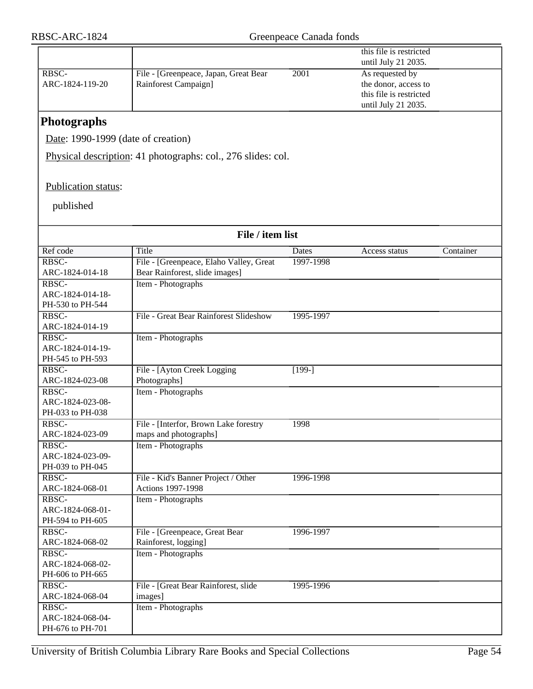|                                      |                                                                 |           | this file is restricted |           |
|--------------------------------------|-----------------------------------------------------------------|-----------|-------------------------|-----------|
|                                      |                                                                 |           | until July 21 2035.     |           |
| RBSC-                                | File - [Greenpeace, Japan, Great Bear                           | 2001      | As requested by         |           |
| ARC-1824-119-20                      | Rainforest Campaign]                                            |           | the donor, access to    |           |
|                                      |                                                                 |           | this file is restricted |           |
|                                      |                                                                 |           | until July 21 2035.     |           |
| <b>Photographs</b>                   |                                                                 |           |                         |           |
| Date: 1990-1999 (date of creation)   |                                                                 |           |                         |           |
|                                      | Physical description: 41 photographs: col., 276 slides: col.    |           |                         |           |
|                                      |                                                                 |           |                         |           |
| Publication status:                  |                                                                 |           |                         |           |
| published                            |                                                                 |           |                         |           |
|                                      |                                                                 |           |                         |           |
|                                      | File / item list                                                |           |                         |           |
| Ref code                             | Title                                                           | Dates     | Access status           | Container |
| RBSC-                                | File - [Greenpeace, Elaho Valley, Great                         | 1997-1998 |                         |           |
| ARC-1824-014-18                      | Bear Rainforest, slide images]                                  |           |                         |           |
| RBSC-                                | Item - Photographs                                              |           |                         |           |
| ARC-1824-014-18-                     |                                                                 |           |                         |           |
| PH-530 to PH-544                     |                                                                 |           |                         |           |
| RBSC-                                | File - Great Bear Rainforest Slideshow                          | 1995-1997 |                         |           |
| ARC-1824-014-19<br>RBSC-             |                                                                 |           |                         |           |
| ARC-1824-014-19-                     | Item - Photographs                                              |           |                         |           |
| PH-545 to PH-593                     |                                                                 |           |                         |           |
| RBSC-                                | File - [Ayton Creek Logging                                     | $[199-]$  |                         |           |
| ARC-1824-023-08                      | Photographs]                                                    |           |                         |           |
| RBSC-                                | Item - Photographs                                              |           |                         |           |
| ARC-1824-023-08-                     |                                                                 |           |                         |           |
| PH-033 to PH-038                     |                                                                 |           |                         |           |
| RBSC-                                | File - [Interfor, Brown Lake forestry                           | 1998      |                         |           |
| ARC-1824-023-09                      | maps and photographs]                                           |           |                         |           |
| RBSC-                                | Item - Photographs                                              |           |                         |           |
| ARC-1824-023-09-                     |                                                                 |           |                         |           |
| PH-039 to PH-045<br>RBSC-            |                                                                 |           |                         |           |
| ARC-1824-068-01                      | File - Kid's Banner Project / Other<br><b>Actions 1997-1998</b> | 1996-1998 |                         |           |
| RBSC-                                | Item - Photographs                                              |           |                         |           |
| ARC-1824-068-01-                     |                                                                 |           |                         |           |
| PH-594 to PH-605                     |                                                                 |           |                         |           |
| RBSC-                                | File - [Greenpeace, Great Bear                                  | 1996-1997 |                         |           |
| ARC-1824-068-02                      | Rainforest, logging]                                            |           |                         |           |
| RBSC-                                | Item - Photographs                                              |           |                         |           |
| ARC-1824-068-02-                     |                                                                 |           |                         |           |
| PH-606 to PH-665                     |                                                                 |           |                         |           |
| RBSC-                                | File - [Great Bear Rainforest, slide]                           | 1995-1996 |                         |           |
| ARC-1824-068-04                      | images]                                                         |           |                         |           |
| RBSC-                                | Item - Photographs                                              |           |                         |           |
| ARC-1824-068-04-<br>PH-676 to PH-701 |                                                                 |           |                         |           |
|                                      |                                                                 |           |                         |           |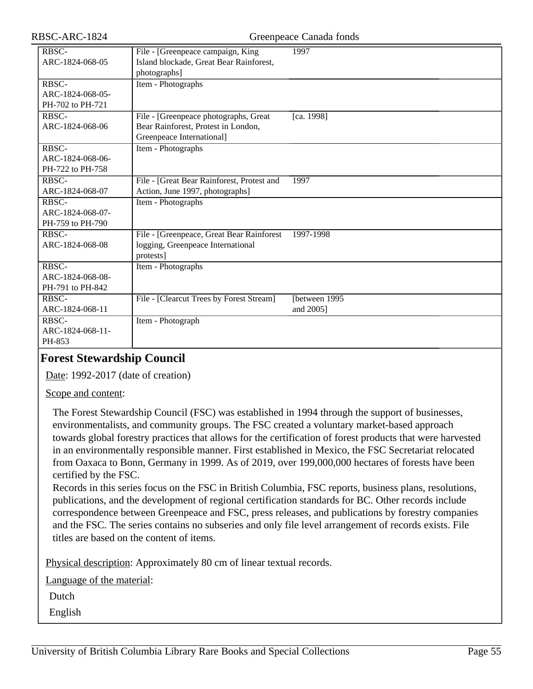| RBSC-ARC-1824                                 |                                                                                                           | Greenpeace Canada fonds    |
|-----------------------------------------------|-----------------------------------------------------------------------------------------------------------|----------------------------|
| RBSC-<br>ARC-1824-068-05                      | File - [Greenpeace campaign, King<br>Island blockade, Great Bear Rainforest,<br>photographs]              | 1997                       |
| RBSC-<br>ARC-1824-068-05-<br>PH-702 to PH-721 | Item - Photographs                                                                                        |                            |
| RBSC-<br>ARC-1824-068-06                      | File - [Greenpeace photographs, Great<br>Bear Rainforest, Protest in London,<br>Greenpeace International] | [ca. 1998]                 |
| RBSC-<br>ARC-1824-068-06-<br>PH-722 to PH-758 | Item - Photographs                                                                                        |                            |
| RBSC-<br>ARC-1824-068-07                      | File - [Great Bear Rainforest, Protest and<br>Action, June 1997, photographs]                             | 1997                       |
| RBSC-<br>ARC-1824-068-07-<br>PH-759 to PH-790 | Item - Photographs                                                                                        |                            |
| RBSC-<br>ARC-1824-068-08                      | File - [Greenpeace, Great Bear Rainforest<br>logging, Greenpeace International<br>protests]               | 1997-1998                  |
| RBSC-<br>ARC-1824-068-08-<br>PH-791 to PH-842 | Item - Photographs                                                                                        |                            |
| RBSC-<br>ARC-1824-068-11                      | File - [Clearcut Trees by Forest Stream]                                                                  | [between 1995<br>and 2005] |
| RBSC-<br>ARC-1824-068-11-<br>PH-853           | Item - Photograph                                                                                         |                            |

# **Forest Stewardship Council**

Date: 1992-2017 (date of creation)

Scope and content:

The Forest Stewardship Council (FSC) was established in 1994 through the support of businesses, environmentalists, and community groups. The FSC created a voluntary market-based approach towards global forestry practices that allows for the certification of forest products that were harvested in an environmentally responsible manner. First established in Mexico, the FSC Secretariat relocated from Oaxaca to Bonn, Germany in 1999. As of 2019, over 199,000,000 hectares of forests have been certified by the FSC.

Records in this series focus on the FSC in British Columbia, FSC reports, business plans, resolutions, publications, and the development of regional certification standards for BC. Other records include correspondence between Greenpeace and FSC, press releases, and publications by forestry companies and the FSC. The series contains no subseries and only file level arrangement of records exists. File titles are based on the content of items.

Physical description: Approximately 80 cm of linear textual records.

Language of the material:

Dutch

English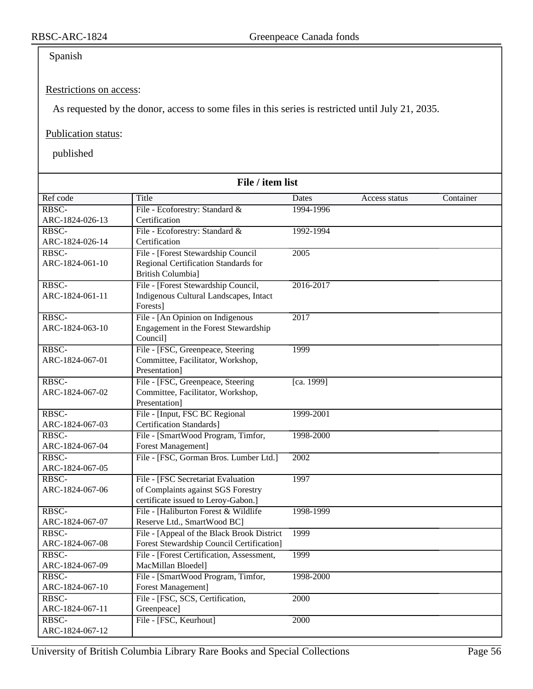### Spanish

#### Restrictions on access:

As requested by the donor, access to some files in this series is restricted until July 21, 2035.

#### Publication status:

| File / item list         |                                                                           |            |               |           |
|--------------------------|---------------------------------------------------------------------------|------------|---------------|-----------|
| Ref code                 | Title                                                                     | Dates      | Access status | Container |
| RBSC-                    | File - Ecoforestry: Standard &                                            | 1994-1996  |               |           |
| ARC-1824-026-13          | Certification                                                             |            |               |           |
| RBSC-                    | File - Ecoforestry: Standard &                                            | 1992-1994  |               |           |
| ARC-1824-026-14          | Certification                                                             |            |               |           |
| RBSC-                    | File - [Forest Stewardship Council                                        | 2005       |               |           |
| ARC-1824-061-10          | Regional Certification Standards for                                      |            |               |           |
|                          | <b>British Columbia]</b>                                                  |            |               |           |
| RBSC-                    | File - [Forest Stewardship Council,                                       | 2016-2017  |               |           |
| ARC-1824-061-11          | Indigenous Cultural Landscapes, Intact                                    |            |               |           |
|                          | Forests]                                                                  |            |               |           |
| RBSC-                    | File - [An Opinion on Indigenous                                          | 2017       |               |           |
| ARC-1824-063-10          | Engagement in the Forest Stewardship                                      |            |               |           |
|                          | Council]                                                                  |            |               |           |
| RBSC-                    | File - [FSC, Greenpeace, Steering                                         | 1999       |               |           |
| ARC-1824-067-01          | Committee, Facilitator, Workshop,                                         |            |               |           |
|                          | Presentation]                                                             |            |               |           |
| RBSC-                    | File - [FSC, Greenpeace, Steering]                                        | [ca. 1999] |               |           |
| ARC-1824-067-02          | Committee, Facilitator, Workshop,                                         |            |               |           |
|                          | Presentation]                                                             |            |               |           |
| RBSC-                    | File - [Input, FSC BC Regional                                            | 1999-2001  |               |           |
| ARC-1824-067-03          | Certification Standards]                                                  |            |               |           |
| RBSC-                    | File - [SmartWood Program, Timfor,                                        | 1998-2000  |               |           |
| ARC-1824-067-04          | <b>Forest Management]</b>                                                 |            |               |           |
| RBSC-                    | File - [FSC, Gorman Bros. Lumber Ltd.]                                    | 2002       |               |           |
| ARC-1824-067-05          |                                                                           |            |               |           |
| RBSC-                    | File - [FSC Secretariat Evaluation                                        | 1997       |               |           |
| ARC-1824-067-06          | of Complaints against SGS Forestry                                        |            |               |           |
|                          | certificate issued to Leroy-Gabon.]                                       |            |               |           |
| RBSC-<br>ARC-1824-067-07 | File - [Haliburton Forest & Wildlife                                      | 1998-1999  |               |           |
| RBSC-                    | Reserve Ltd., SmartWood BC]<br>File - [Appeal of the Black Brook District | 1999       |               |           |
| ARC-1824-067-08          | Forest Stewardship Council Certification]                                 |            |               |           |
| RBSC-                    | File - [Forest Certification, Assessment,                                 | 1999       |               |           |
| ARC-1824-067-09          | MacMillan Bloedel]                                                        |            |               |           |
| RBSC-                    | File - [SmartWood Program, Timfor,                                        | 1998-2000  |               |           |
| ARC-1824-067-10          | Forest Management]                                                        |            |               |           |
| RBSC-                    | File - [FSC, SCS, Certification,                                          | 2000       |               |           |
| ARC-1824-067-11          | Greenpeace]                                                               |            |               |           |
| RBSC-                    | File - [FSC, Keurhout]                                                    | 2000       |               |           |
| ARC-1824-067-12          |                                                                           |            |               |           |
|                          |                                                                           |            |               |           |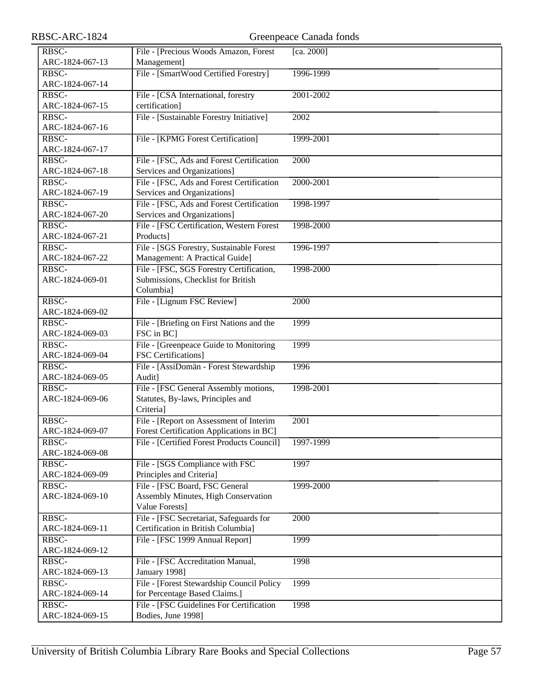| RBSC-ARC-1824                                 |                                                                                        | Greenpeace Canada fonds |
|-----------------------------------------------|----------------------------------------------------------------------------------------|-------------------------|
| RBSC-                                         | File - [Precious Woods Amazon, Forest                                                  | [ca. 2000]              |
| ARC-1824-067-13                               | Management]                                                                            |                         |
| RBSC-                                         | File - [SmartWood Certified Forestry]                                                  | 1996-1999               |
| ARC-1824-067-14                               |                                                                                        |                         |
| RBSC-                                         | File - [CSA International, forestry                                                    | 2001-2002               |
| ARC-1824-067-15                               | certification]                                                                         |                         |
| RBSC-                                         | File - [Sustainable Forestry Initiative]                                               | 2002                    |
| ARC-1824-067-16                               |                                                                                        |                         |
| RBSC-                                         | File - [KPMG Forest Certification]                                                     | 1999-2001               |
| ARC-1824-067-17                               |                                                                                        |                         |
| RBSC-                                         | File - [FSC, Ads and Forest Certification                                              | 2000                    |
| ARC-1824-067-18                               | Services and Organizations]                                                            |                         |
| RBSC-                                         | File - [FSC, Ads and Forest Certification                                              | 2000-2001               |
| ARC-1824-067-19                               | Services and Organizations]                                                            |                         |
| RBSC-                                         | File - [FSC, Ads and Forest Certification                                              | 1998-1997               |
| ARC-1824-067-20                               | Services and Organizations]                                                            |                         |
| RBSC-                                         | File - [FSC Certification, Western Forest                                              | 1998-2000               |
| ARC-1824-067-21                               | Products]                                                                              |                         |
| RBSC-                                         | File - [SGS Forestry, Sustainable Forest                                               | 1996-1997               |
| ARC-1824-067-22                               | Management: A Practical Guide]                                                         |                         |
| RBSC-                                         | File - [FSC, SGS Forestry Certification,                                               | 1998-2000               |
| ARC-1824-069-01                               | Submissions, Checklist for British                                                     |                         |
|                                               | Columbia]                                                                              |                         |
| RBSC-                                         | File - [Lignum FSC Review]                                                             | 2000                    |
| ARC-1824-069-02                               |                                                                                        |                         |
| RBSC-                                         | File - [Briefing on First Nations and the                                              | 1999                    |
| ARC-1824-069-03                               | FSC in BC]                                                                             |                         |
| RBSC-                                         | File - [Greenpeace Guide to Monitoring]                                                | 1999                    |
| ARC-1824-069-04                               | <b>FSC</b> Certifications]                                                             |                         |
| RBSC-                                         | File - [AssiDomän - Forest Stewardship                                                 | 1996                    |
| ARC-1824-069-05                               | Audit]                                                                                 |                         |
| RBSC-                                         | File - [FSC General Assembly motions,                                                  | 1998-2001               |
| ARC-1824-069-06                               | Statutes, By-laws, Principles and                                                      |                         |
|                                               | Criteria]                                                                              |                         |
| RBSC-<br>ARC-1824-069-07                      | File - [Report on Assessment of Interim                                                | 2001                    |
| RBSC-                                         | Forest Certification Applications in BC]<br>File - [Certified Forest Products Council] | 1997-1999               |
| ARC-1824-069-08                               |                                                                                        |                         |
| RBSC-                                         | File - [SGS Compliance with FSC                                                        | 1997                    |
| ARC-1824-069-09                               | Principles and Criteria]                                                               |                         |
| $R\overline{B}$ <sub>S</sub> $\overline{C}$ - | File - [FSC Board, FSC General                                                         | 1999-2000               |
| ARC-1824-069-10                               | Assembly Minutes, High Conservation                                                    |                         |
|                                               | Value Forests]                                                                         |                         |
| RBSC-                                         | File - [FSC Secretariat, Safeguards for                                                | 2000                    |
| ARC-1824-069-11                               | Certification in British Columbia]                                                     |                         |
| RBSC-                                         | File - [FSC 1999 Annual Report]                                                        | 1999                    |
| ARC-1824-069-12                               |                                                                                        |                         |
| RBSC-                                         | File - [FSC Accreditation Manual,                                                      | 1998                    |
| ARC-1824-069-13                               | January 1998]                                                                          |                         |
| RBSC-                                         | File - [Forest Stewardship Council Policy                                              | 1999                    |
| ARC-1824-069-14                               | for Percentage Based Claims.]                                                          |                         |
| RBSC-                                         | File - [FSC Guidelines For Certification                                               | 1998                    |
| ARC-1824-069-15                               | Bodies, June 1998]                                                                     |                         |
|                                               |                                                                                        |                         |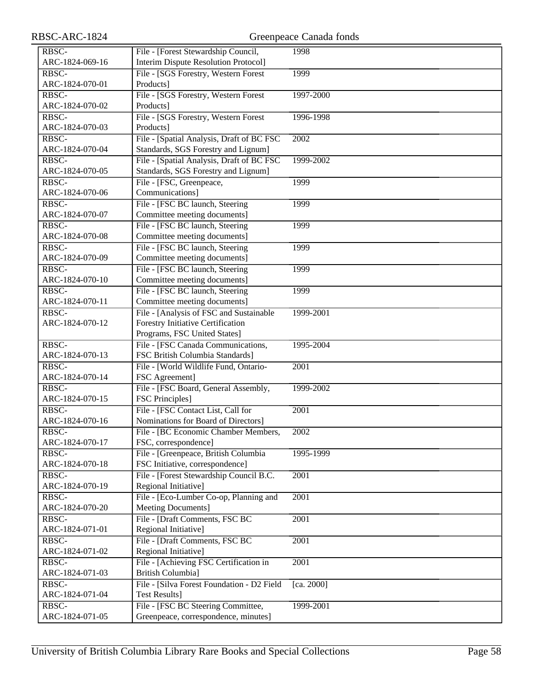| RBSC-           | File - [Forest Stewardship Council,         | 1998       |
|-----------------|---------------------------------------------|------------|
| ARC-1824-069-16 | <b>Interim Dispute Resolution Protocol]</b> |            |
| RBSC-           | File - [SGS Forestry, Western Forest        | 1999       |
| ARC-1824-070-01 | Products]                                   |            |
| RBSC-           | File - [SGS Forestry, Western Forest        | 1997-2000  |
| ARC-1824-070-02 | Products]                                   |            |
| RBSC-           | File - [SGS Forestry, Western Forest        | 1996-1998  |
| ARC-1824-070-03 | Products]                                   |            |
| RBSC-           | File - [Spatial Analysis, Draft of BC FSC   | 2002       |
| ARC-1824-070-04 | Standards, SGS Forestry and Lignum]         |            |
| RBSC-           | File - [Spatial Analysis, Draft of BC FSC   | 1999-2002  |
| ARC-1824-070-05 | Standards, SGS Forestry and Lignum]         |            |
| RBSC-           | File - [FSC, Greenpeace,                    | 1999       |
| ARC-1824-070-06 | Communications]                             |            |
| RBSC-           | File - [FSC BC launch, Steering             | 1999       |
| ARC-1824-070-07 | Committee meeting documents]                |            |
| RBSC-           | File - [FSC BC launch, Steering             | 1999       |
| ARC-1824-070-08 | Committee meeting documents]                |            |
| RBSC-           | File - [FSC BC launch, Steering             | 1999       |
| ARC-1824-070-09 | Committee meeting documents]                |            |
| RBSC-           | File - [FSC BC launch, Steering             | 1999       |
| ARC-1824-070-10 | Committee meeting documents]                |            |
| RBSC-           | File - [FSC BC launch, Steering             | 1999       |
| ARC-1824-070-11 | Committee meeting documents]                |            |
| RBSC-           | File - [Analysis of FSC and Sustainable     | 1999-2001  |
| ARC-1824-070-12 | Forestry Initiative Certification           |            |
|                 | Programs, FSC United States]                |            |
| RBSC-           | File - [FSC Canada Communications,          | 1995-2004  |
| ARC-1824-070-13 | FSC British Columbia Standards]             |            |
| RBSC-           | File - [World Wildlife Fund, Ontario-       | 2001       |
| ARC-1824-070-14 | FSC Agreement]                              |            |
| RBSC-           | File - [FSC Board, General Assembly,        | 1999-2002  |
| ARC-1824-070-15 | <b>FSC Principles</b> ]                     |            |
| RBSC-           | File - [FSC Contact List, Call for          | 2001       |
| ARC-1824-070-16 | Nominations for Board of Directors]         |            |
| RBSC-           | File - [BC Economic Chamber Members,        | 2002       |
| ARC-1824-070-17 | FSC, correspondence]                        |            |
| RBSC-           | File - [Greenpeace, British Columbia        | 1995-1999  |
| ARC-1824-070-18 | FSC Initiative, correspondence]             |            |
| RBSC-           | File - [Forest Stewardship Council B.C.]    | 2001       |
| ARC-1824-070-19 | Regional Initiative]                        |            |
| RBSC-           | File - [Eco-Lumber Co-op, Planning and      | 2001       |
| ARC-1824-070-20 | Meeting Documents]                          |            |
| RBSC-           | File - [Draft Comments, FSC BC              | 2001       |
| ARC-1824-071-01 | Regional Initiative]                        |            |
| RBSC-           | File - [Draft Comments, FSC BC              | 2001       |
| ARC-1824-071-02 | Regional Initiative]                        |            |
| RBSC-           | File - [Achieving FSC Certification in      | 2001       |
| ARC-1824-071-03 | British Columbia]                           |            |
| RBSC-           | File - [Silva Forest Foundation - D2 Field  | [ca. 2000] |
| ARC-1824-071-04 | <b>Test Results]</b>                        |            |
| RBSC-           | File - [FSC BC Steering Committee,          | 1999-2001  |
| ARC-1824-071-05 | Greenpeace, correspondence, minutes]        |            |
|                 |                                             |            |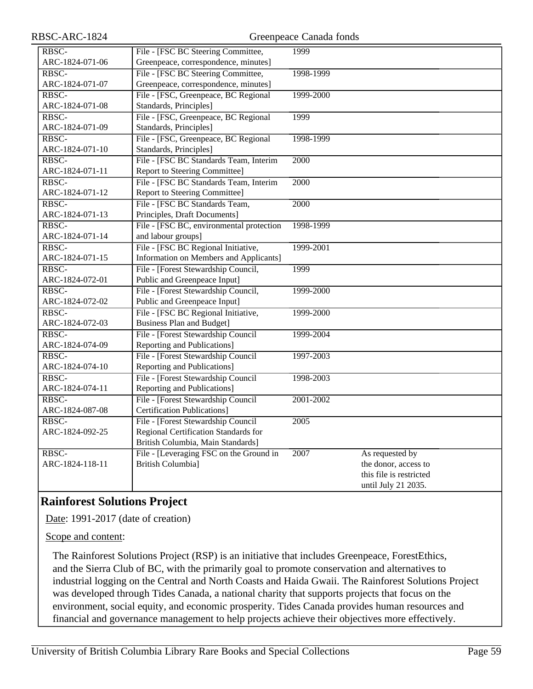| RBSC-           | File - [FSC BC Steering Committee,       | 1999      |                         |
|-----------------|------------------------------------------|-----------|-------------------------|
| ARC-1824-071-06 | Greenpeace, correspondence, minutes]     |           |                         |
| RBSC-           | File - [FSC BC Steering Committee,       | 1998-1999 |                         |
| ARC-1824-071-07 | Greenpeace, correspondence, minutes]     |           |                         |
| RBSC-           | File - [FSC, Greenpeace, BC Regional     | 1999-2000 |                         |
| ARC-1824-071-08 | Standards, Principles]                   |           |                         |
| RBSC-           | File - [FSC, Greenpeace, BC Regional     | 1999      |                         |
| ARC-1824-071-09 | Standards, Principles]                   |           |                         |
| RBSC-           | File - [FSC, Greenpeace, BC Regional     | 1998-1999 |                         |
| ARC-1824-071-10 | Standards, Principles]                   |           |                         |
| RBSC-           | File - [FSC BC Standards Team, Interim   | 2000      |                         |
| ARC-1824-071-11 | Report to Steering Committee]            |           |                         |
| RBSC-           | File - [FSC BC Standards Team, Interim   | 2000      |                         |
| ARC-1824-071-12 | Report to Steering Committee]            |           |                         |
| RBSC-           | File - [FSC BC Standards Team,           | 2000      |                         |
| ARC-1824-071-13 | Principles, Draft Documents]             |           |                         |
| RBSC-           | File - [FSC BC, environmental protection | 1998-1999 |                         |
| ARC-1824-071-14 | and labour groups]                       |           |                         |
| RBSC-           | File - [FSC BC Regional Initiative,      | 1999-2001 |                         |
| ARC-1824-071-15 | Information on Members and Applicants]   |           |                         |
| RBSC-           | File - [Forest Stewardship Council,      | 1999      |                         |
| ARC-1824-072-01 | Public and Greenpeace Input]             |           |                         |
| RBSC-           | File - [Forest Stewardship Council,      | 1999-2000 |                         |
| ARC-1824-072-02 | Public and Greenpeace Input]             |           |                         |
| RBSC-           | File - [FSC BC Regional Initiative,      | 1999-2000 |                         |
| ARC-1824-072-03 | <b>Business Plan and Budget]</b>         |           |                         |
| RBSC-           | File - [Forest Stewardship Council       | 1999-2004 |                         |
| ARC-1824-074-09 | Reporting and Publications]              |           |                         |
| RBSC-           | File - [Forest Stewardship Council       | 1997-2003 |                         |
| ARC-1824-074-10 | Reporting and Publications]              |           |                         |
| RBSC-           | File - [Forest Stewardship Council       | 1998-2003 |                         |
| ARC-1824-074-11 | Reporting and Publications]              |           |                         |
| RBSC-           | File - [Forest Stewardship Council       | 2001-2002 |                         |
| ARC-1824-087-08 | <b>Certification Publications</b> ]      |           |                         |
| RBSC-           | File - [Forest Stewardship Council       | 2005      |                         |
| ARC-1824-092-25 | Regional Certification Standards for     |           |                         |
|                 | British Columbia, Main Standards]        |           |                         |
| RBSC-           | File - [Leveraging FSC on the Ground in  | 2007      | As requested by         |
| ARC-1824-118-11 | <b>British Columbia]</b>                 |           | the donor, access to    |
|                 |                                          |           | this file is restricted |
|                 |                                          |           | until July 21 2035.     |

# **Rainforest Solutions Project**

Date: 1991-2017 (date of creation)

Scope and content:

The Rainforest Solutions Project (RSP) is an initiative that includes Greenpeace, ForestEthics, and the Sierra Club of BC, with the primarily goal to promote conservation and alternatives to industrial logging on the Central and North Coasts and Haida Gwaii. The Rainforest Solutions Project was developed through Tides Canada, a national charity that supports projects that focus on the environment, social equity, and economic prosperity. Tides Canada provides human resources and financial and governance management to help projects achieve their objectives more effectively.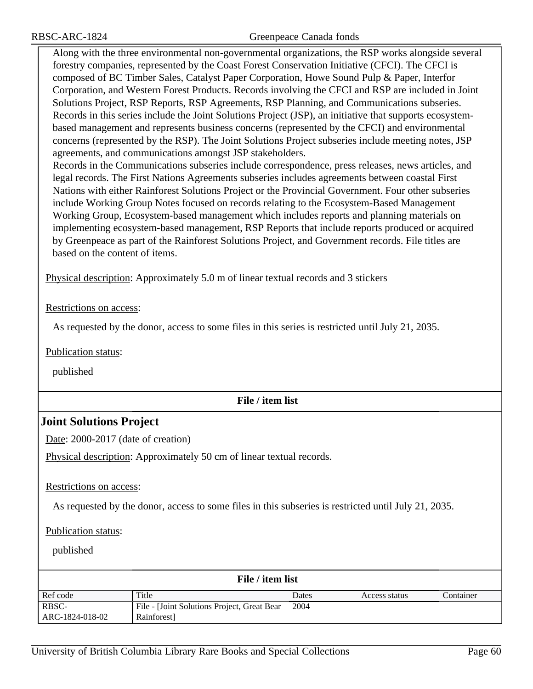Along with the three environmental non-governmental organizations, the RSP works alongside several forestry companies, represented by the Coast Forest Conservation Initiative (CFCI). The CFCI is composed of BC Timber Sales, Catalyst Paper Corporation, Howe Sound Pulp & Paper, Interfor Corporation, and Western Forest Products. Records involving the CFCI and RSP are included in Joint Solutions Project, RSP Reports, RSP Agreements, RSP Planning, and Communications subseries. Records in this series include the Joint Solutions Project (JSP), an initiative that supports ecosystembased management and represents business concerns (represented by the CFCI) and environmental concerns (represented by the RSP). The Joint Solutions Project subseries include meeting notes, JSP agreements, and communications amongst JSP stakeholders.

Records in the Communications subseries include correspondence, press releases, news articles, and legal records. The First Nations Agreements subseries includes agreements between coastal First Nations with either Rainforest Solutions Project or the Provincial Government. Four other subseries include Working Group Notes focused on records relating to the Ecosystem-Based Management Working Group, Ecosystem-based management which includes reports and planning materials on implementing ecosystem-based management, RSP Reports that include reports produced or acquired by Greenpeace as part of the Rainforest Solutions Project, and Government records. File titles are based on the content of items.

Physical description: Approximately 5.0 m of linear textual records and 3 stickers

Restrictions on access:

As requested by the donor, access to some files in this series is restricted until July 21, 2035.

Publication status:

published

#### **File / item list**

### **Joint Solutions Project**

Date: 2000-2017 (date of creation)

Physical description: Approximately 50 cm of linear textual records.

Restrictions on access:

As requested by the donor, access to some files in this subseries is restricted until July 21, 2035.

Publication status:

| File / item list |                                             |       |               |           |
|------------------|---------------------------------------------|-------|---------------|-----------|
| Ref code         | Title                                       | Dates | Access status | Container |
| RBSC-            | File - [Joint Solutions Project, Great Bear | 2004  |               |           |
| ARC-1824-018-02  | Rainforest                                  |       |               |           |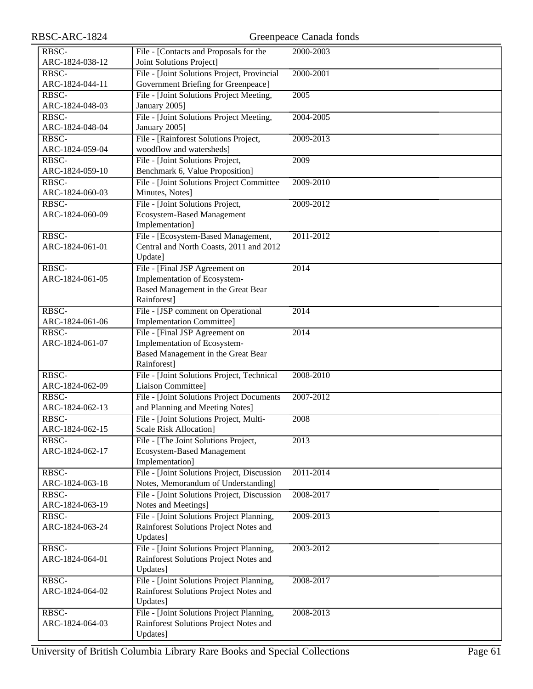| RBSC-ARC-1824            |                                             | Greenpeace Canada fonds |
|--------------------------|---------------------------------------------|-------------------------|
| RBSC-                    | File - [Contacts and Proposals for the      | 2000-2003               |
| ARC-1824-038-12          | Joint Solutions Project]                    |                         |
| RBSC-                    | File - [Joint Solutions Project, Provincial | 2000-2001               |
| ARC-1824-044-11          | Government Briefing for Greenpeace]         |                         |
| RBSC-                    | File - [Joint Solutions Project Meeting,    | 2005                    |
| ARC-1824-048-03          | January 2005]                               |                         |
| RBSC-                    | File - [Joint Solutions Project Meeting,    | 2004-2005               |
| ARC-1824-048-04          | January 2005]                               |                         |
| RBSC-                    | File - [Rainforest Solutions Project,       | 2009-2013               |
| ARC-1824-059-04          | woodflow and watersheds]                    |                         |
| RBSC-                    | File - [Joint Solutions Project,            | 2009                    |
| ARC-1824-059-10          | Benchmark 6, Value Proposition]             |                         |
| RBSC-                    | File - [Joint Solutions Project Committee   | 2009-2010               |
| ARC-1824-060-03          | Minutes, Notes]                             |                         |
| RBSC-                    | File - [Joint Solutions Project,            | 2009-2012               |
| ARC-1824-060-09          | <b>Ecosystem-Based Management</b>           |                         |
|                          | Implementation]                             |                         |
|                          | File - [Ecosystem-Based Management,         |                         |
| RBSC-<br>ARC-1824-061-01 |                                             | 2011-2012               |
|                          | Central and North Coasts, 2011 and 2012     |                         |
|                          | Update]                                     |                         |
| RBSC-                    | File - [Final JSP Agreement on              | 2014                    |
| ARC-1824-061-05          | Implementation of Ecosystem-                |                         |
|                          | Based Management in the Great Bear          |                         |
|                          | Rainforest]                                 |                         |
| RBSC-                    | File - [JSP comment on Operational          | $\overline{2014}$       |
| ARC-1824-061-06          | <b>Implementation Committee]</b>            |                         |
| RBSC-                    | File - [Final JSP Agreement on              | $\overline{2014}$       |
| ARC-1824-061-07          | Implementation of Ecosystem-                |                         |
|                          | Based Management in the Great Bear          |                         |
|                          | Rainforest]                                 |                         |
| RBSC-                    | File - [Joint Solutions Project, Technical  | 2008-2010               |
| ARC-1824-062-09          | Liaison Committee]                          |                         |
| RBSC-                    | File - [Joint Solutions Project Documents   | 2007-2012               |
| ARC-1824-062-13          | and Planning and Meeting Notes]             |                         |
| $RBSC-$                  | File - [Joint Solutions Project, Multi-     | 2008                    |
| ARC-1824-062-15          | <b>Scale Risk Allocation]</b>               |                         |
| $R\overline{BSC}$        | File - [The Joint Solutions Project,        | 2013                    |
| ARC-1824-062-17          | <b>Ecosystem-Based Management</b>           |                         |
|                          | Implementation]                             |                         |
| RBSC-                    | File - [Joint Solutions Project, Discussion | 2011-2014               |
| ARC-1824-063-18          | Notes, Memorandum of Understanding]         |                         |
| RBSC-                    | File - [Joint Solutions Project, Discussion | 2008-2017               |
| ARC-1824-063-19          | Notes and Meetings]                         |                         |
| RBSC-                    | File - [Joint Solutions Project Planning,   | 2009-2013               |
| ARC-1824-063-24          | Rainforest Solutions Project Notes and      |                         |
|                          | Updates]                                    |                         |
| RBSC-                    | File - [Joint Solutions Project Planning,   | 2003-2012               |
| ARC-1824-064-01          | Rainforest Solutions Project Notes and      |                         |
|                          | Updates]                                    |                         |
| RBSC-                    | File - [Joint Solutions Project Planning,   | 2008-2017               |
| ARC-1824-064-02          | Rainforest Solutions Project Notes and      |                         |
|                          | Updates]                                    |                         |
| RBSC-                    | File - [Joint Solutions Project Planning,   | 2008-2013               |
| ARC-1824-064-03          | Rainforest Solutions Project Notes and      |                         |
|                          | Updates]                                    |                         |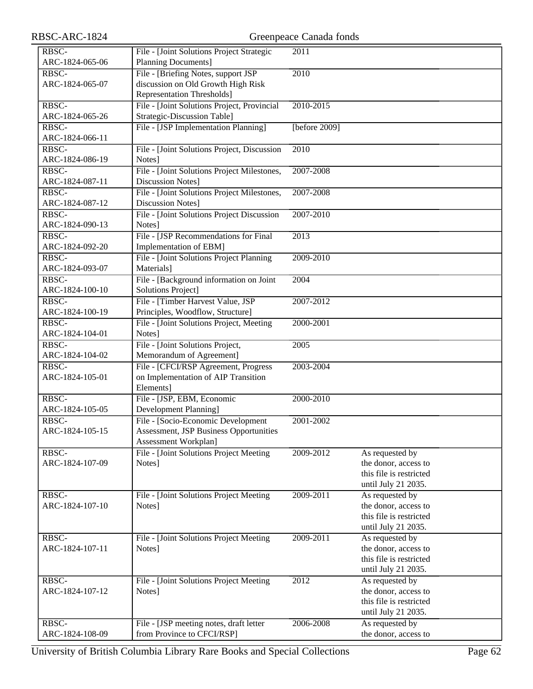| RBSC-ARC-1824            | Greenpeace Canada fonds                                               |                   |                                         |  |
|--------------------------|-----------------------------------------------------------------------|-------------------|-----------------------------------------|--|
| RBSC-                    | File - [Joint Solutions Project Strategic                             | 2011              |                                         |  |
| ARC-1824-065-06          | <b>Planning Documents]</b>                                            |                   |                                         |  |
| RBSC-                    | File - [Briefing Notes, support JSP                                   | 2010              |                                         |  |
| ARC-1824-065-07          | discussion on Old Growth High Risk                                    |                   |                                         |  |
|                          | <b>Representation Thresholds</b> ]                                    |                   |                                         |  |
| RBSC-                    | File - [Joint Solutions Project, Provincial                           | 2010-2015         |                                         |  |
| ARC-1824-065-26          | Strategic-Discussion Table]                                           |                   |                                         |  |
| RBSC-                    | File - [JSP Implementation Planning]                                  | [before 2009]     |                                         |  |
| ARC-1824-066-11          |                                                                       |                   |                                         |  |
| RBSC-                    | File - [Joint Solutions Project, Discussion                           | 2010              |                                         |  |
| ARC-1824-086-19<br>RBSC- | Notes]                                                                |                   |                                         |  |
| ARC-1824-087-11          | File - [Joint Solutions Project Milestones,<br>Discussion Notes]      | 2007-2008         |                                         |  |
| RBSC-                    | File - [Joint Solutions Project Milestones,                           | 2007-2008         |                                         |  |
| ARC-1824-087-12          | <b>Discussion Notes]</b>                                              |                   |                                         |  |
| RBSC-                    | File - [Joint Solutions Project Discussion                            | 2007-2010         |                                         |  |
| ARC-1824-090-13          | Notes]                                                                |                   |                                         |  |
| RBSC-                    | File - [JSP Recommendations for Final                                 | $\overline{2013}$ |                                         |  |
| ARC-1824-092-20          | Implementation of EBM]                                                |                   |                                         |  |
| RBSC-                    | File - [Joint Solutions Project Planning                              | 2009-2010         |                                         |  |
| ARC-1824-093-07          | Materials]                                                            |                   |                                         |  |
| RBSC-                    | File - [Background information on Joint                               | 2004              |                                         |  |
| ARC-1824-100-10          | <b>Solutions Project]</b>                                             |                   |                                         |  |
| RBSC-                    | File - [Timber Harvest Value, JSP                                     | 2007-2012         |                                         |  |
| ARC-1824-100-19          | Principles, Woodflow, Structure]                                      |                   |                                         |  |
| RBSC-                    | File - [Joint Solutions Project, Meeting                              | 2000-2001         |                                         |  |
| ARC-1824-104-01          | Notes]                                                                |                   |                                         |  |
| RBSC-<br>ARC-1824-104-02 | File - [Joint Solutions Project,<br>Memorandum of Agreement]          | 2005              |                                         |  |
| RBSC-                    | File - [CFCI/RSP Agreement, Progress                                  | 2003-2004         |                                         |  |
| ARC-1824-105-01          | on Implementation of AIP Transition                                   |                   |                                         |  |
|                          | Elements]                                                             |                   |                                         |  |
| RBSC-                    | File - [JSP, EBM, Economic                                            | 2000-2010         |                                         |  |
| ARC-1824-105-05          | Development Planning]                                                 |                   |                                         |  |
| RBSC-                    | File - [Socio-Economic Development]                                   | 2001-2002         |                                         |  |
| ARC-1824-105-15          | <b>Assessment, JSP Business Opportunities</b>                         |                   |                                         |  |
|                          | Assessment Workplan]                                                  |                   |                                         |  |
| RBSC-                    | File - [Joint Solutions Project Meeting                               | 2009-2012         | As requested by                         |  |
| ARC-1824-107-09          | Notes]                                                                |                   | the donor, access to                    |  |
|                          |                                                                       |                   | this file is restricted                 |  |
| RBSC-                    |                                                                       | 2009-2011         | until July 21 2035.                     |  |
| ARC-1824-107-10          | File - [Joint Solutions Project Meeting<br>Notes]                     |                   | As requested by<br>the donor, access to |  |
|                          |                                                                       |                   | this file is restricted                 |  |
|                          |                                                                       |                   | until July 21 2035.                     |  |
| RBSC-                    | File - [Joint Solutions Project Meeting                               | 2009-2011         | As requested by                         |  |
| ARC-1824-107-11          | Notes]                                                                |                   | the donor, access to                    |  |
|                          |                                                                       |                   | this file is restricted                 |  |
|                          |                                                                       |                   | until July 21 2035.                     |  |
| RBSC-                    | File - [Joint Solutions Project Meeting                               | 2012              | As requested by                         |  |
| ARC-1824-107-12          | Notes]                                                                |                   | the donor, access to                    |  |
|                          |                                                                       |                   | this file is restricted                 |  |
|                          |                                                                       |                   | until July 21 2035.                     |  |
| RBSC-                    | File - [JSP meeting notes, draft letter<br>from Province to CFCI/RSP] | 2006-2008         | As requested by<br>the donor, access to |  |
| ARC-1824-108-09          |                                                                       |                   |                                         |  |

University of British Columbia Library Rare Books and Special Collections Page 62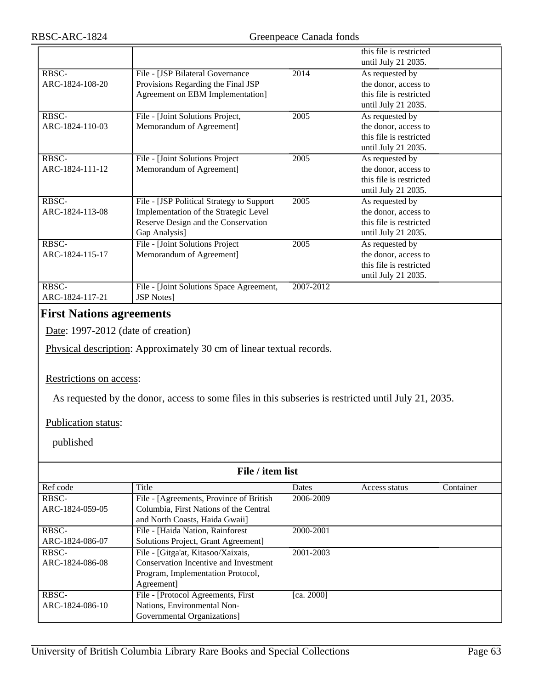|                 |                                           |           | this file is restricted |
|-----------------|-------------------------------------------|-----------|-------------------------|
|                 |                                           |           | until July 21 2035.     |
| RBSC-           | File - [JSP Bilateral Governance          | 2014      | As requested by         |
| ARC-1824-108-20 | Provisions Regarding the Final JSP        |           | the donor, access to    |
|                 | Agreement on EBM Implementation]          |           | this file is restricted |
|                 |                                           |           | until July 21 2035.     |
| RBSC-           | File - [Joint Solutions Project,          | 2005      | As requested by         |
| ARC-1824-110-03 | Memorandum of Agreement]                  |           | the donor, access to    |
|                 |                                           |           | this file is restricted |
|                 |                                           |           | until July 21 2035.     |
| RBSC-           | File - [Joint Solutions Project           | 2005      | As requested by         |
| ARC-1824-111-12 | Memorandum of Agreement]                  |           | the donor, access to    |
|                 |                                           |           | this file is restricted |
|                 |                                           |           | until July 21 2035.     |
| RBSC-           | File - [JSP Political Strategy to Support | 2005      | As requested by         |
| ARC-1824-113-08 | Implementation of the Strategic Level     |           | the donor, access to    |
|                 | Reserve Design and the Conservation       |           | this file is restricted |
|                 | Gap Analysis]                             |           | until July 21 2035.     |
| RBSC-           | File - [Joint Solutions Project]          | 2005      | As requested by         |
| ARC-1824-115-17 | Memorandum of Agreement]                  |           | the donor, access to    |
|                 |                                           |           | this file is restricted |
|                 |                                           |           | until July 21 2035.     |
| RBSC-           | File - [Joint Solutions Space Agreement,  | 2007-2012 |                         |
| ARC-1824-117-21 | <b>JSP</b> Notes]                         |           |                         |

# **First Nations agreements**

Date: 1997-2012 (date of creation)

Physical description: Approximately 30 cm of linear textual records.

#### Restrictions on access:

As requested by the donor, access to some files in this subseries is restricted until July 21, 2035.

#### Publication status:

| File / item list |                                         |            |               |           |
|------------------|-----------------------------------------|------------|---------------|-----------|
| Ref code         | Title                                   | Dates      | Access status | Container |
| RBSC-            | File - [Agreements, Province of British | 2006-2009  |               |           |
| ARC-1824-059-05  | Columbia, First Nations of the Central  |            |               |           |
|                  | and North Coasts, Haida Gwaii]          |            |               |           |
| RBSC-            | File - [Haida Nation, Rainforest]       | 2000-2001  |               |           |
| ARC-1824-086-07  | Solutions Project, Grant Agreement]     |            |               |           |
| RBSC-            | File - [Gitga'at, Kitasoo/Xaixais,      | 2001-2003  |               |           |
| ARC-1824-086-08  | Conservation Incentive and Investment   |            |               |           |
|                  | Program, Implementation Protocol,       |            |               |           |
|                  | Agreement]                              |            |               |           |
| RBSC-            | File - [Protocol Agreements, First      | [ca. 2000] |               |           |
| ARC-1824-086-10  | Nations, Environmental Non-             |            |               |           |
|                  | Governmental Organizations]             |            |               |           |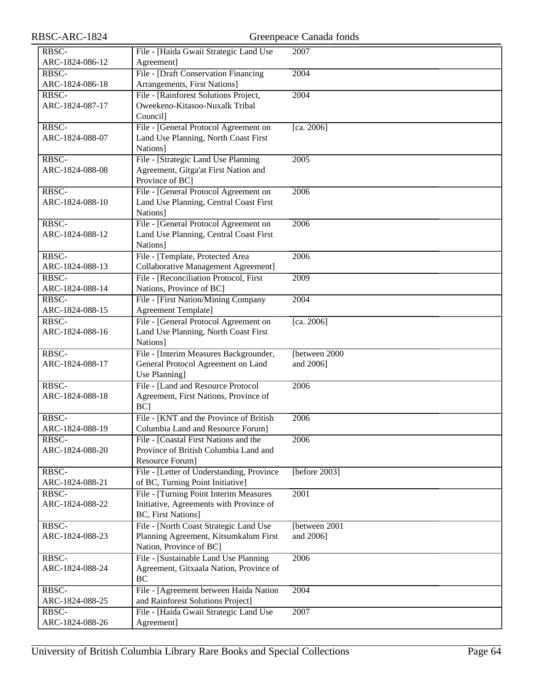| RBSC-ARC-1824 |  |
|---------------|--|
|---------------|--|

| RBSC-           | File - [Haida Gwaii Strategic Land Use     | 2007           |
|-----------------|--------------------------------------------|----------------|
| ARC-1824-086-12 | Agreement]                                 |                |
|                 |                                            |                |
| RBSC-           | File - [Draft Conservation Financing       | 2004           |
| ARC-1824-086-18 | Arrangements, First Nations]               |                |
| RBSC-           | File - [Rainforest Solutions Project,      | 2004           |
| ARC-1824-087-17 | Oweekeno-Kitasoo-Nuxalk Tribal             |                |
|                 | Council]                                   |                |
| RBSC-           | File - [General Protocol Agreement on      | [ca. 2006]     |
| ARC-1824-088-07 | Land Use Planning, North Coast First       |                |
|                 | Nations]                                   |                |
| RBSC-           | File - [Strategic Land Use Planning]       | 2005           |
| ARC-1824-088-08 | Agreement, Gitga'at First Nation and       |                |
|                 | Province of BC]                            |                |
| RBSC-           | File - [General Protocol Agreement on      | 2006           |
|                 |                                            |                |
| ARC-1824-088-10 | Land Use Planning, Central Coast First     |                |
|                 | Nations]                                   |                |
| RBSC-           | File - [General Protocol Agreement on      | 2006           |
| ARC-1824-088-12 | Land Use Planning, Central Coast First     |                |
|                 | Nations]                                   |                |
| RBSC-           | File - [Template, Protected Area           | 2006           |
| ARC-1824-088-13 | <b>Collaborative Management Agreement]</b> |                |
| RBSC-           | File - [Reconciliation Protocol, First     | 2009           |
| ARC-1824-088-14 | Nations, Province of BC]                   |                |
| RBSC-           | File - [First Nation/Mining Company        | 2004           |
| ARC-1824-088-15 | Agreement Template]                        |                |
| RBSC-           |                                            |                |
|                 | File - [General Protocol Agreement on      | [ca. 2006]     |
| ARC-1824-088-16 | Land Use Planning, North Coast First       |                |
|                 | Nations]                                   |                |
| RBSC-           | File - [Interim Measures Backgrounder,     | [between 2000] |
| ARC-1824-088-17 | General Protocol Agreement on Land         | and 2006]      |
|                 | Use Planning]                              |                |
| RBSC-           | File - [Land and Resource Protocol         | 2006           |
| ARC-1824-088-18 | Agreement, First Nations, Province of      |                |
|                 | BC]                                        |                |
| RBSC-           | File - [KNT and the Province of British    | 2006           |
| ARC-1824-088-19 | Columbia Land and Resource Forum]          |                |
| RBSC-           | File - [Coastal First Nations and the      | 2006           |
| ARC-1824-088-20 | Province of British Columbia Land and      |                |
|                 | Resource Forum]                            |                |
|                 |                                            |                |
| RBSC-           | File - [Letter of Understanding, Province  | [before 2003]  |
| ARC-1824-088-21 | of BC, Turning Point Initiative]           |                |
| RBSC-           | File - [Turning Point Interim Measures     | 2001           |
| ARC-1824-088-22 | Initiative, Agreements with Province of    |                |
|                 | <b>BC, First Nations]</b>                  |                |
| RBSC-           | File - [North Coast Strategic Land Use     | [between 2001  |
| ARC-1824-088-23 | Planning Agreement, Kitsumkalum First      | and 2006]      |
|                 | Nation, Province of BC]                    |                |
| RBSC-           | File - [Sustainable Land Use Planning      | 2006           |
| ARC-1824-088-24 | Agreement, Gitxaala Nation, Province of    |                |
|                 | BC                                         |                |
| RBSC-           | File - [Agreement between Haida Nation     | 2004           |
|                 |                                            |                |
| ARC-1824-088-25 | and Rainforest Solutions Project]          |                |
| RBSC-           | File - [Haida Gwaii Strategic Land Use     | 2007           |
| ARC-1824-088-26 | Agreement]                                 |                |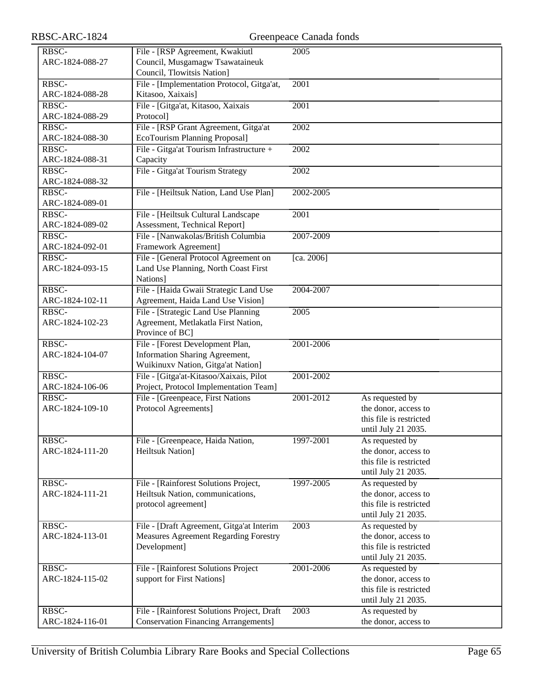| RBSC-ARC-1824            | Greenpeace Canada fonds                                              |                   |                                         |  |
|--------------------------|----------------------------------------------------------------------|-------------------|-----------------------------------------|--|
| RBSC-                    | File - [RSP Agreement, Kwakiutl                                      | 2005              |                                         |  |
| ARC-1824-088-27          | Council, Musgamagw Tsawataineuk                                      |                   |                                         |  |
|                          | Council, Tlowitsis Nation]                                           |                   |                                         |  |
| RBSC-                    | File - [Implementation Protocol, Gitga'at,                           | 2001              |                                         |  |
| ARC-1824-088-28          | Kitasoo, Xaixais]                                                    |                   |                                         |  |
| RBSC-                    | File - [Gitga'at, Kitasoo, Xaixais                                   | $\overline{2001}$ |                                         |  |
| ARC-1824-088-29          | Protocol]                                                            |                   |                                         |  |
| RBSC-                    | File - [RSP Grant Agreement, Gitga'at                                | 2002              |                                         |  |
| ARC-1824-088-30          | EcoTourism Planning Proposal]                                        |                   |                                         |  |
| RBSC-                    | File - Gitga'at Tourism Infrastructure +                             | 2002              |                                         |  |
| ARC-1824-088-31          | Capacity                                                             |                   |                                         |  |
| RBSC-                    | File - Gitga'at Tourism Strategy                                     | 2002              |                                         |  |
| ARC-1824-088-32          |                                                                      |                   |                                         |  |
| RBSC-                    | File - [Heiltsuk Nation, Land Use Plan]                              | 2002-2005         |                                         |  |
| ARC-1824-089-01<br>RBSC- |                                                                      | 2001              |                                         |  |
| ARC-1824-089-02          | File - [Heiltsuk Cultural Landscape<br>Assessment, Technical Report] |                   |                                         |  |
| RBSC-                    | File - [Nanwakolas/British Columbia                                  | 2007-2009         |                                         |  |
| ARC-1824-092-01          | Framework Agreement]                                                 |                   |                                         |  |
| RBSC-                    | File - [General Protocol Agreement on                                | [ca. 2006]        |                                         |  |
| ARC-1824-093-15          | Land Use Planning, North Coast First                                 |                   |                                         |  |
|                          | Nations]                                                             |                   |                                         |  |
| RBSC-                    | File - [Haida Gwaii Strategic Land Use                               | 2004-2007         |                                         |  |
| ARC-1824-102-11          | Agreement, Haida Land Use Vision]                                    |                   |                                         |  |
| RBSC-                    | File - [Strategic Land Use Planning                                  | 2005              |                                         |  |
| ARC-1824-102-23          | Agreement, Metlakatla First Nation,                                  |                   |                                         |  |
|                          | Province of BC]                                                      |                   |                                         |  |
| RBSC-                    | File - [Forest Development Plan,                                     | 2001-2006         |                                         |  |
| ARC-1824-104-07          | Information Sharing Agreement,                                       |                   |                                         |  |
|                          | Wuikinuxv Nation, Gitga'at Nation]                                   |                   |                                         |  |
| RBSC-                    | File - [Gitga'at-Kitasoo/Xaixais, Pilot                              | 2001-2002         |                                         |  |
| ARC-1824-106-06          | Project, Protocol Implementation Team]                               |                   |                                         |  |
| RBSC-<br>ARC-1824-109-10 | File - [Greenpeace, First Nations                                    | 2001-2012         | As requested by<br>the donor, access to |  |
|                          | Protocol Agreements]                                                 |                   | this file is restricted                 |  |
|                          |                                                                      |                   | until July 21 2035.                     |  |
| RBSC-                    | File - [Greenpeace, Haida Nation,                                    | 1997-2001         | As requested by                         |  |
| ARC-1824-111-20          | <b>Heiltsuk Nation</b> ]                                             |                   | the donor, access to                    |  |
|                          |                                                                      |                   | this file is restricted                 |  |
|                          |                                                                      |                   | until July 21 2035.                     |  |
| RBSC-                    | File - [Rainforest Solutions Project,                                | 1997-2005         | As requested by                         |  |
| ARC-1824-111-21          | Heiltsuk Nation, communications,                                     |                   | the donor, access to                    |  |
|                          | protocol agreement]                                                  |                   | this file is restricted                 |  |
|                          |                                                                      |                   | until July 21 2035.                     |  |
| RBSC-                    | File - [Draft Agreement, Gitga'at Interim                            | 2003              | As requested by                         |  |
| ARC-1824-113-01          | <b>Measures Agreement Regarding Forestry</b>                         |                   | the donor, access to                    |  |
|                          | Development]                                                         |                   | this file is restricted                 |  |
|                          |                                                                      |                   | until July 21 2035.                     |  |
| RBSC-                    | File - [Rainforest Solutions Project                                 | 2001-2006         | As requested by<br>the donor, access to |  |
| ARC-1824-115-02          | support for First Nations]                                           |                   | this file is restricted                 |  |
|                          |                                                                      |                   | until July 21 2035.                     |  |
| RBSC-                    | File - [Rainforest Solutions Project, Draft                          | 2003              | As requested by                         |  |
| ARC-1824-116-01          | <b>Conservation Financing Arrangements]</b>                          |                   | the donor, access to                    |  |
|                          |                                                                      |                   |                                         |  |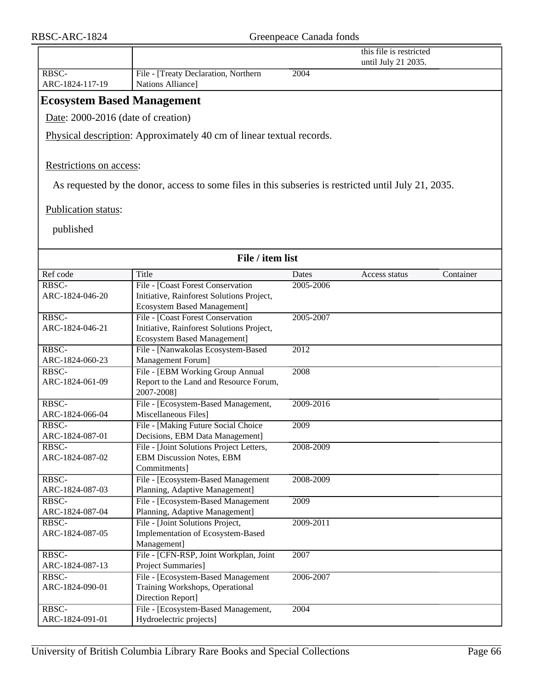|                                    |                                                                                                      |           | this file is restricted<br>until July 21 2035. |           |
|------------------------------------|------------------------------------------------------------------------------------------------------|-----------|------------------------------------------------|-----------|
| RBSC-<br>ARC-1824-117-19           | File - [Treaty Declaration, Northern<br>Nations Alliance]                                            | 2004      |                                                |           |
| <b>Ecosystem Based Management</b>  |                                                                                                      |           |                                                |           |
| Date: 2000-2016 (date of creation) |                                                                                                      |           |                                                |           |
|                                    |                                                                                                      |           |                                                |           |
|                                    | Physical description: Approximately 40 cm of linear textual records.                                 |           |                                                |           |
|                                    |                                                                                                      |           |                                                |           |
| Restrictions on access:            |                                                                                                      |           |                                                |           |
|                                    | As requested by the donor, access to some files in this subseries is restricted until July 21, 2035. |           |                                                |           |
| Publication status:                |                                                                                                      |           |                                                |           |
| published                          |                                                                                                      |           |                                                |           |
|                                    |                                                                                                      |           |                                                |           |
|                                    | File / item list                                                                                     |           |                                                |           |
| Ref code                           | Title                                                                                                | Dates     | Access status                                  | Container |
| RBSC-                              | File - [Coast Forest Conservation                                                                    | 2005-2006 |                                                |           |
| ARC-1824-046-20                    | Initiative, Rainforest Solutions Project,                                                            |           |                                                |           |
|                                    | <b>Ecosystem Based Management]</b>                                                                   |           |                                                |           |
| RBSC-                              | File - [Coast Forest Conservation                                                                    | 2005-2007 |                                                |           |
| ARC-1824-046-21                    | Initiative, Rainforest Solutions Project,                                                            |           |                                                |           |
|                                    | <b>Ecosystem Based Management]</b>                                                                   |           |                                                |           |
| RBSC-                              | File - [Nanwakolas Ecosystem-Based                                                                   | 2012      |                                                |           |
| ARC-1824-060-23                    | Management Forum]                                                                                    |           |                                                |           |
| RBSC-                              | File - [EBM Working Group Annual                                                                     | 2008      |                                                |           |
| ARC-1824-061-09                    | Report to the Land and Resource Forum,<br>2007-2008]                                                 |           |                                                |           |
| RBSC-                              | File - [Ecosystem-Based Management,                                                                  | 2009-2016 |                                                |           |
| ARC-1824-066-04                    | Miscellaneous Files]                                                                                 |           |                                                |           |
| RBSC-                              | File - [Making Future Social Choice                                                                  | 2009      |                                                |           |
| ARC-1824-087-01                    | Decisions, EBM Data Management]                                                                      |           |                                                |           |
| RBSC-                              | File - [Joint Solutions Project Letters,                                                             | 2008-2009 |                                                |           |
| ARC-1824-087-02                    | <b>EBM Discussion Notes, EBM</b>                                                                     |           |                                                |           |
|                                    | Commitments]                                                                                         |           |                                                |           |
| RBSC-                              | File - [Ecosystem-Based Management                                                                   | 2008-2009 |                                                |           |
| ARC-1824-087-03                    | Planning, Adaptive Management]                                                                       |           |                                                |           |
| RBSC-                              | File - [Ecosystem-Based Management]                                                                  | 2009      |                                                |           |
| ARC-1824-087-04<br>RBSC-           | Planning, Adaptive Management]<br>File - [Joint Solutions Project,                                   | 2009-2011 |                                                |           |
| ARC-1824-087-05                    | Implementation of Ecosystem-Based                                                                    |           |                                                |           |
|                                    | Management]                                                                                          |           |                                                |           |
| RBSC-                              | File - [CFN-RSP, Joint Workplan, Joint                                                               | 2007      |                                                |           |
| ARC-1824-087-13                    | Project Summaries]                                                                                   |           |                                                |           |
| RBSC-                              | File - [Ecosystem-Based Management                                                                   | 2006-2007 |                                                |           |
| ARC-1824-090-01                    | Training Workshops, Operational                                                                      |           |                                                |           |
|                                    | Direction Report]                                                                                    |           |                                                |           |
| RBSC-                              | File - [Ecosystem-Based Management,                                                                  | 2004      |                                                |           |
| ARC-1824-091-01                    | Hydroelectric projects]                                                                              |           |                                                |           |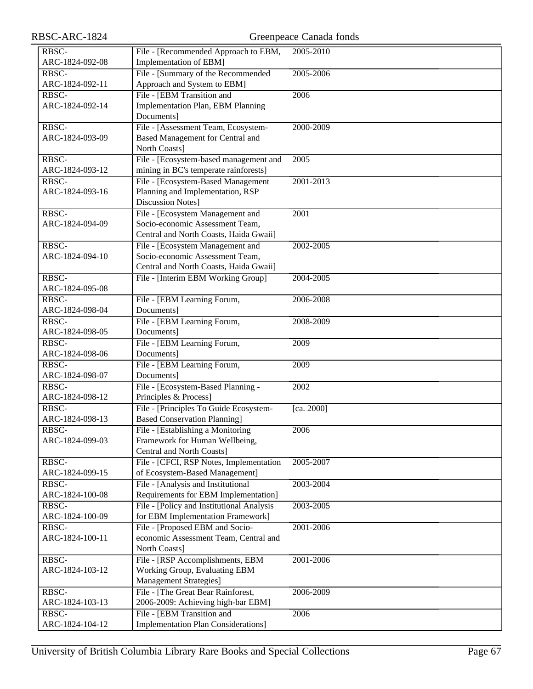| RBSC-ARC-1824            |                                                                 | Greenpeace Canada fonds |
|--------------------------|-----------------------------------------------------------------|-------------------------|
| RBSC-                    | File - [Recommended Approach to EBM,                            | 2005-2010               |
| ARC-1824-092-08          | Implementation of EBM]                                          |                         |
| RBSC-                    | File - [Summary of the Recommended                              | 2005-2006               |
| ARC-1824-092-11          | Approach and System to EBM]                                     |                         |
| RBSC-                    | File - [EBM Transition and                                      | 2006                    |
| ARC-1824-092-14          | Implementation Plan, EBM Planning                               |                         |
|                          | Documents]                                                      |                         |
| RBSC-                    | File - [Assessment Team, Ecosystem-                             | 2000-2009               |
| ARC-1824-093-09          | Based Management for Central and                                |                         |
|                          | North Coasts]                                                   |                         |
| RBSC-                    | File - [Ecosystem-based management and                          | 2005                    |
| ARC-1824-093-12          | mining in BC's temperate rainforests]                           |                         |
| RBSC-                    | File - [Ecosystem-Based Management                              | 2001-2013               |
| ARC-1824-093-16          | Planning and Implementation, RSP                                |                         |
|                          | <b>Discussion Notes</b>                                         |                         |
| RBSC-                    | File - [Ecosystem Management and                                | 2001                    |
| ARC-1824-094-09          | Socio-economic Assessment Team,                                 |                         |
|                          | Central and North Coasts, Haida Gwaii]                          |                         |
| RBSC-                    | File - [Ecosystem Management and                                | 2002-2005               |
| ARC-1824-094-10          | Socio-economic Assessment Team,                                 |                         |
|                          | Central and North Coasts, Haida Gwaii]                          |                         |
| RBSC-                    | File - [Interim EBM Working Group]                              | 2004-2005               |
| ARC-1824-095-08          |                                                                 |                         |
| RBSC-                    | File - [EBM Learning Forum,                                     | 2006-2008               |
| ARC-1824-098-04          | Documents]                                                      |                         |
| RBSC-<br>ARC-1824-098-05 | File - [EBM Learning Forum,<br>Documents]                       | 2008-2009               |
| RBSC-                    | File - [EBM Learning Forum,                                     | 2009                    |
| ARC-1824-098-06          | Documents]                                                      |                         |
| RBSC-                    | File - [EBM Learning Forum,                                     | 2009                    |
| ARC-1824-098-07          | Documents]                                                      |                         |
| RBSC-                    | File - [Ecosystem-Based Planning -                              | 2002                    |
| ARC-1824-098-12          | Principles & Process]                                           |                         |
| RBSC-                    | File - [Principles To Guide Ecosystem-                          | [ca. 2000]              |
| ARC-1824-098-13          | <b>Based Conservation Planning]</b>                             |                         |
| RBSC-                    | File - [Establishing a Monitoring                               | 2006                    |
| ARC-1824-099-03          | Framework for Human Wellbeing,                                  |                         |
|                          | Central and North Coasts]                                       |                         |
| RBSC-                    | File - [CFCI, RSP Notes, Implementation                         | 2005-2007               |
| ARC-1824-099-15          | of Ecosystem-Based Management]                                  |                         |
| RBSC-                    | File - [Analysis and Institutional                              | 2003-2004               |
| ARC-1824-100-08          | Requirements for EBM Implementation]                            |                         |
| RBSC-                    | File - [Policy and Institutional Analysis                       | 2003-2005               |
| ARC-1824-100-09          | for EBM Implementation Framework]                               |                         |
| RBSC-                    | File - [Proposed EBM and Socio-                                 | 2001-2006               |
| ARC-1824-100-11          | economic Assessment Team, Central and                           |                         |
|                          | North Coasts]                                                   |                         |
| RBSC-                    | File - [RSP Accomplishments, EBM                                | 2001-2006               |
| ARC-1824-103-12          | Working Group, Evaluating EBM<br><b>Management Strategies</b> ] |                         |
| RBSC-                    | File - [The Great Bear Rainforest,                              | 2006-2009               |
| ARC-1824-103-13          | 2006-2009: Achieving high-bar EBM]                              |                         |
| RBSC-                    | File - [EBM Transition and                                      | 2006                    |
| ARC-1824-104-12          | <b>Implementation Plan Considerations]</b>                      |                         |
|                          |                                                                 |                         |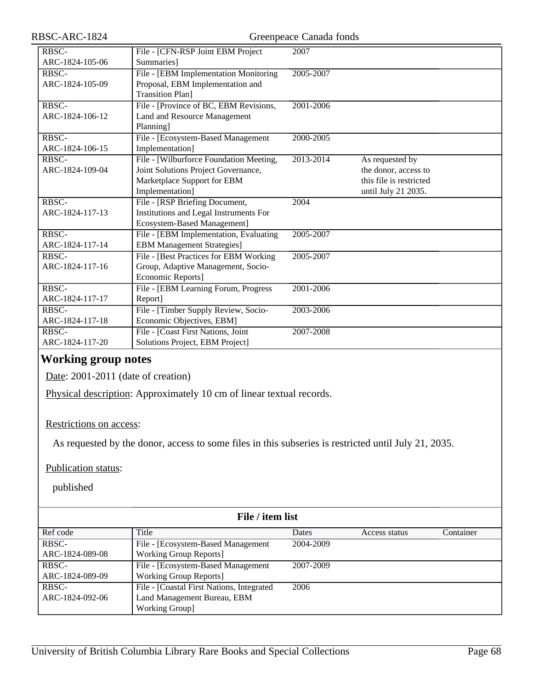| RBSC-ARC-1824            | Greenpeace Canada fonds                                                                                                          |                   |                                                                                           |  |
|--------------------------|----------------------------------------------------------------------------------------------------------------------------------|-------------------|-------------------------------------------------------------------------------------------|--|
| RBSC-<br>ARC-1824-105-06 | File - [CFN-RSP Joint EBM Project<br>Summaries]                                                                                  | 2007              |                                                                                           |  |
| RBSC-<br>ARC-1824-105-09 | File - [EBM Implementation Monitoring<br>Proposal, EBM Implementation and<br><b>Transition Plan]</b>                             | 2005-2007         |                                                                                           |  |
| RBSC-<br>ARC-1824-106-12 | File - [Province of BC, EBM Revisions,<br>Land and Resource Management<br>Planning]                                              | 2001-2006         |                                                                                           |  |
| RBSC-<br>ARC-1824-106-15 | File - [Ecosystem-Based Management<br>Implementation]                                                                            | 2000-2005         |                                                                                           |  |
| RBSC-<br>ARC-1824-109-04 | File - [Wilburforce Foundation Meeting,<br>Joint Solutions Project Governance,<br>Marketplace Support for EBM<br>Implementation] | 2013-2014         | As requested by<br>the donor, access to<br>this file is restricted<br>until July 21 2035. |  |
| RBSC-<br>ARC-1824-117-13 | File - [RSP Briefing Document,<br>Institutions and Legal Instruments For<br>Ecosystem-Based Management]                          | $\overline{2004}$ |                                                                                           |  |
| RBSC-<br>ARC-1824-117-14 | File - [EBM Implementation, Evaluating<br><b>EBM Management Strategies]</b>                                                      | 2005-2007         |                                                                                           |  |
| RBSC-<br>ARC-1824-117-16 | File - [Best Practices for EBM Working<br>Group, Adaptive Management, Socio-<br>Economic Reports]                                | 2005-2007         |                                                                                           |  |
| RBSC-<br>ARC-1824-117-17 | File - [EBM Learning Forum, Progress<br>Report]                                                                                  | 2001-2006         |                                                                                           |  |
| RBSC-<br>ARC-1824-117-18 | File - [Timber Supply Review, Socio-<br>Economic Objectives, EBM]                                                                | 2003-2006         |                                                                                           |  |
| RBSC-<br>ARC-1824-117-20 | File - [Coast First Nations, Joint]<br>Solutions Project, EBM Project]                                                           | 2007-2008         |                                                                                           |  |

### **Working group notes**

Date: 2001-2011 (date of creation)

Physical description: Approximately 10 cm of linear textual records.

#### Restrictions on access:

As requested by the donor, access to some files in this subseries is restricted until July 21, 2035.

Publication status:

| File / item list |                                           |           |               |           |
|------------------|-------------------------------------------|-----------|---------------|-----------|
| Ref code         | Title                                     | Dates     | Access status | Container |
| RBSC-            | File - [Ecosystem-Based Management]       | 2004-2009 |               |           |
| ARC-1824-089-08  | <b>Working Group Reports</b>              |           |               |           |
| RBSC-            | File - [Ecosystem-Based Management]       | 2007-2009 |               |           |
| ARC-1824-089-09  | <b>Working Group Reports</b>              |           |               |           |
| RBSC-            | File - [Coastal First Nations, Integrated | 2006      |               |           |
| ARC-1824-092-06  | Land Management Bureau, EBM               |           |               |           |
|                  | <b>Working Group]</b>                     |           |               |           |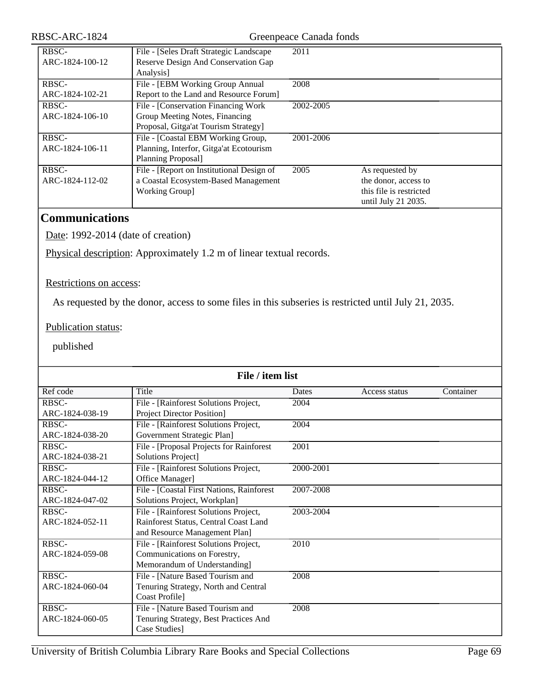| RBSC-           | File - [Seles Draft Strategic Landscape]  | 2011      |                         |
|-----------------|-------------------------------------------|-----------|-------------------------|
| ARC-1824-100-12 | Reserve Design And Conservation Gap       |           |                         |
|                 | Analysis]                                 |           |                         |
| RBSC-           | File - [EBM Working Group Annual          | 2008      |                         |
| ARC-1824-102-21 | Report to the Land and Resource Forum]    |           |                         |
| RBSC-           | File - [Conservation Financing Work]      | 2002-2005 |                         |
| ARC-1824-106-10 | Group Meeting Notes, Financing            |           |                         |
|                 | Proposal, Gitga'at Tourism Strategy]      |           |                         |
| RBSC-           | File - [Coastal EBM Working Group,        | 2001-2006 |                         |
| ARC-1824-106-11 | Planning, Interfor, Gitga'at Ecotourism   |           |                         |
|                 | Planning Proposal]                        |           |                         |
| RBSC-           | File - [Report on Institutional Design of | 2005      | As requested by         |
| ARC-1824-112-02 | a Coastal Ecosystem-Based Management      |           | the donor, access to    |
|                 | <b>Working Group]</b>                     |           | this file is restricted |
|                 |                                           |           | until July 21 2035.     |

# **Communications**

Date: 1992-2014 (date of creation)

Physical description: Approximately 1.2 m of linear textual records.

#### Restrictions on access:

As requested by the donor, access to some files in this subseries is restricted until July 21, 2035.

#### Publication status:

| File / item list |                                           |           |               |           |
|------------------|-------------------------------------------|-----------|---------------|-----------|
| Ref code         | Title                                     | Dates     | Access status | Container |
| RBSC-            | File - [Rainforest Solutions Project,     | 2004      |               |           |
| ARC-1824-038-19  | <b>Project Director Position]</b>         |           |               |           |
| RBSC-            | File - [Rainforest Solutions Project,     | 2004      |               |           |
| ARC-1824-038-20  | Government Strategic Plan]                |           |               |           |
| RBSC-            | File - [Proposal Projects for Rainforest  | 2001      |               |           |
| ARC-1824-038-21  | Solutions Project]                        |           |               |           |
| RBSC-            | File - [Rainforest Solutions Project,     | 2000-2001 |               |           |
| ARC-1824-044-12  | Office Manager]                           |           |               |           |
| RBSC-            | File - [Coastal First Nations, Rainforest | 2007-2008 |               |           |
| ARC-1824-047-02  | Solutions Project, Workplan]              |           |               |           |
| RBSC-            | File - [Rainforest Solutions Project,     | 2003-2004 |               |           |
| ARC-1824-052-11  | Rainforest Status, Central Coast Land     |           |               |           |
|                  | and Resource Management Plan]             |           |               |           |
| RBSC-            | File - [Rainforest Solutions Project,     | 2010      |               |           |
| ARC-1824-059-08  | Communications on Forestry,               |           |               |           |
|                  | Memorandum of Understanding]              |           |               |           |
| RBSC-            | File - [Nature Based Tourism and          | 2008      |               |           |
| ARC-1824-060-04  | Tenuring Strategy, North and Central      |           |               |           |
|                  | Coast Profile]                            |           |               |           |
| RBSC-            | File - [Nature Based Tourism and          | 2008      |               |           |
| ARC-1824-060-05  | Tenuring Strategy, Best Practices And     |           |               |           |
|                  | Case Studies]                             |           |               |           |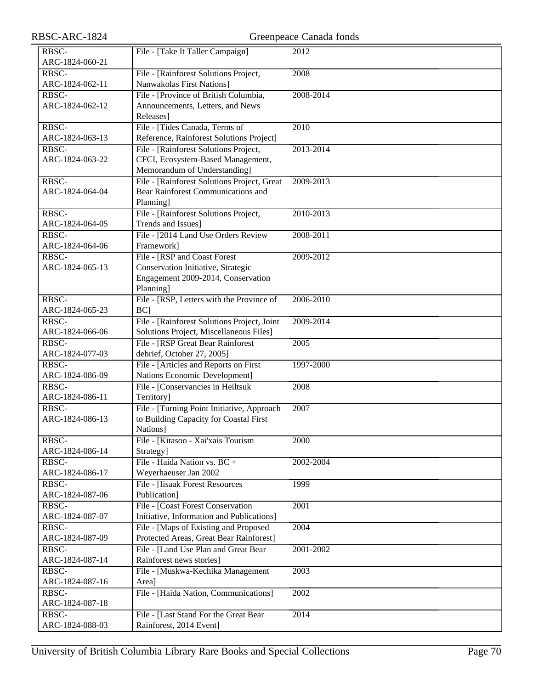| RBSC-ARC-1824                     | Greenpeace Canada fonds                                                            |                   |  |
|-----------------------------------|------------------------------------------------------------------------------------|-------------------|--|
| RBSC-                             | File - [Take It Taller Campaign]                                                   | 2012              |  |
| ARC-1824-060-21                   |                                                                                    |                   |  |
| RBSC-                             | File - [Rainforest Solutions Project,                                              | 2008              |  |
| ARC-1824-062-11                   | Nanwakolas First Nations]                                                          |                   |  |
| RBSC-                             | File - [Province of British Columbia,                                              | 2008-2014         |  |
| ARC-1824-062-12                   | Announcements, Letters, and News                                                   |                   |  |
|                                   | Releases]                                                                          |                   |  |
| RBSC-                             | File - [Tides Canada, Terms of                                                     | 2010              |  |
| ARC-1824-063-13                   | Reference, Rainforest Solutions Project]                                           |                   |  |
| RBSC-                             | File - [Rainforest Solutions Project,                                              | 2013-2014         |  |
| ARC-1824-063-22                   | CFCI, Ecosystem-Based Management,                                                  |                   |  |
|                                   | Memorandum of Understanding]                                                       |                   |  |
| RBSC-                             | File - [Rainforest Solutions Project, Great                                        | 2009-2013         |  |
| ARC-1824-064-04                   | Bear Rainforest Communications and                                                 |                   |  |
|                                   | Planning]                                                                          |                   |  |
| RBSC-                             | File - [Rainforest Solutions Project,                                              | 2010-2013         |  |
| ARC-1824-064-05                   | Trends and Issues]                                                                 |                   |  |
| RBSC-                             | File - [2014 Land Use Orders Review                                                | 2008-2011         |  |
| ARC-1824-064-06                   | Framework]                                                                         |                   |  |
| $R\overline{\text{BSC}}$          | File - [RSP and Coast Forest]                                                      | 2009-2012         |  |
| ARC-1824-065-13                   | Conservation Initiative, Strategic                                                 |                   |  |
|                                   | Engagement 2009-2014, Conservation                                                 |                   |  |
| RBSC-                             | Planning]                                                                          | 2006-2010         |  |
| ARC-1824-065-23                   | File - [RSP, Letters with the Province of<br><b>BC</b>                             |                   |  |
| RBSC-                             | File - [Rainforest Solutions Project, Joint                                        | 2009-2014         |  |
| ARC-1824-066-06                   | Solutions Project, Miscellaneous Files]                                            |                   |  |
| RBSC-                             | File - [RSP Great Bear Rainforest                                                  | 2005              |  |
| ARC-1824-077-03                   | debrief, October 27, 2005]                                                         |                   |  |
| RBSC-                             | File - [Articles and Reports on First                                              | 1997-2000         |  |
| ARC-1824-086-09                   | Nations Economic Development]                                                      |                   |  |
| RBSC-                             | File - [Conservancies in Heiltsuk                                                  | 2008              |  |
| ARC-1824-086-11                   | Territory]                                                                         |                   |  |
| RBSC-                             | File - [Turning Point Initiative, Approach                                         | 2007              |  |
| ARC-1824-086-13                   | to Building Capacity for Coastal First                                             |                   |  |
|                                   | Nations]                                                                           |                   |  |
| RBSC-                             | File - [Kitasoo - Xai'xais Tourism                                                 | 2000              |  |
| ARC-1824-086-14                   | Strategy]                                                                          |                   |  |
| RBSC-                             | File - Haida Nation vs. $BC +$                                                     | 2002-2004         |  |
| ARC-1824-086-17                   | Weyerhaeuser Jan 2002                                                              |                   |  |
| RBSC-                             | File - [Iisaak Forest Resources                                                    | 1999              |  |
| ARC-1824-087-06                   | Publication]                                                                       |                   |  |
| RBSC-<br>ARC-1824-087-07          | File - [Coast Forest Conservation                                                  | 2001              |  |
| RBSC-                             | Initiative, Information and Publications]<br>File - [Maps of Existing and Proposed | 2004              |  |
| ARC-1824-087-09                   | Protected Areas, Great Bear Rainforest]                                            |                   |  |
| $R\overline{BSC}$                 | File - [Land Use Plan and Great Bear                                               | 2001-2002         |  |
| ARC-1824-087-14                   | Rainforest news stories]                                                           |                   |  |
| RBSC-                             | File - [Muskwa-Kechika Management                                                  | 2003              |  |
| ARC-1824-087-16                   | Area]                                                                              |                   |  |
| $R\overline{B}$ <sub>SC</sub> $-$ | File - [Haida Nation, Communications]                                              | 2002              |  |
| ARC-1824-087-18                   |                                                                                    |                   |  |
| RBSC-                             | File - [Last Stand For the Great Bear                                              | $\overline{2014}$ |  |
| ARC-1824-088-03                   | Rainforest, 2014 Event]                                                            |                   |  |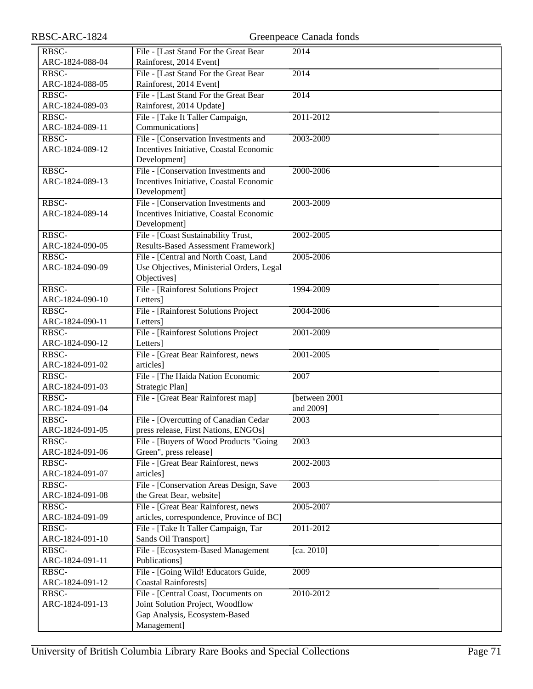| RBSC-ARC-1824   |                                            | Greenpeace Canada fonds |
|-----------------|--------------------------------------------|-------------------------|
| RBSC-           | File - [Last Stand For the Great Bear      | 2014                    |
| ARC-1824-088-04 | Rainforest, 2014 Event]                    |                         |
| RBSC-           | File - [Last Stand For the Great Bear      | 2014                    |
| ARC-1824-088-05 | Rainforest, 2014 Event]                    |                         |
| RBSC-           | File - [Last Stand For the Great Bear      | $\overline{2014}$       |
| ARC-1824-089-03 | Rainforest, 2014 Update]                   |                         |
| RBSC-           | File - [Take It Taller Campaign,           | 2011-2012               |
| ARC-1824-089-11 | Communications]                            |                         |
| RBSC-           | File - [Conservation Investments and       | 2003-2009               |
| ARC-1824-089-12 | Incentives Initiative, Coastal Economic    |                         |
|                 | Development]                               |                         |
| RBSC-           | File - [Conservation Investments and       | 2000-2006               |
| ARC-1824-089-13 | Incentives Initiative, Coastal Economic    |                         |
|                 | Development]                               |                         |
| RBSC-           | File - [Conservation Investments and       | 2003-2009               |
| ARC-1824-089-14 | Incentives Initiative, Coastal Economic    |                         |
|                 | Development]                               |                         |
| RBSC-           | File - [Coast Sustainability Trust,        | 2002-2005               |
| ARC-1824-090-05 | <b>Results-Based Assessment Framework]</b> |                         |
| RBSC-           | File - [Central and North Coast, Land      | 2005-2006               |
| ARC-1824-090-09 | Use Objectives, Ministerial Orders, Legal  |                         |
|                 | Objectives]                                |                         |
| RBSC-           | File - [Rainforest Solutions Project       | 1994-2009               |
| ARC-1824-090-10 | Letters]                                   |                         |
| RBSC-           | File - [Rainforest Solutions Project       | 2004-2006               |
| ARC-1824-090-11 | Letters]                                   |                         |
| RBSC-           | File - [Rainforest Solutions Project       | 2001-2009               |
| ARC-1824-090-12 | Letters]                                   |                         |
| RBSC-           | File - [Great Bear Rainforest, news        | 2001-2005               |
| ARC-1824-091-02 | articles]                                  |                         |
| RBSC-           | File - [The Haida Nation Economic          | 2007                    |
| ARC-1824-091-03 | Strategic Plan]                            |                         |
| RBSC-           | File - [Great Bear Rainforest map]         | [between 2001]          |
| ARC-1824-091-04 |                                            | and 2009]               |
| RBSC-           | File - [Overcutting of Canadian Cedar      | $\overline{2003}$       |
| ARC-1824-091-05 | press release, First Nations, ENGOs]       |                         |
| RBSC-           | File - [Buyers of Wood Products "Going     | 2003                    |
| ARC-1824-091-06 | Green", press release]                     |                         |
| RBSC-           | File - [Great Bear Rainforest, news        | 2002-2003               |
| ARC-1824-091-07 | articles]                                  |                         |
| RBSC-           | File - [Conservation Areas Design, Save    | 2003                    |
| ARC-1824-091-08 | the Great Bear, website]                   |                         |
| RBSC-           | File - [Great Bear Rainforest, news        | 2005-2007               |
| ARC-1824-091-09 | articles, correspondence, Province of BC]  |                         |
| RBSC-           | File - [Take It Taller Campaign, Tar       | 2011-2012               |
| ARC-1824-091-10 | Sands Oil Transport]                       |                         |
| RBSC-           | File - [Ecosystem-Based Management         | [ca. 2010]              |
| ARC-1824-091-11 | Publications]                              |                         |
| RBSC-           | File - [Going Wild! Educators Guide,       | 2009                    |
| ARC-1824-091-12 | <b>Coastal Rainforests]</b>                |                         |
| RBSC-           | File - [Central Coast, Documents on        | 2010-2012               |
| ARC-1824-091-13 | Joint Solution Project, Woodflow           |                         |
|                 | Gap Analysis, Ecosystem-Based              |                         |
|                 | Management]                                |                         |
|                 |                                            |                         |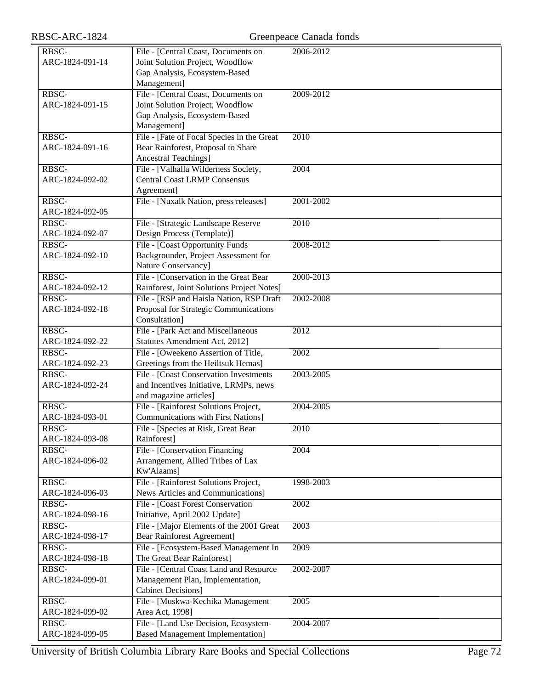| RBSC-           | File - [Central Coast, Documents on        | 2006-2012         |
|-----------------|--------------------------------------------|-------------------|
| ARC-1824-091-14 | Joint Solution Project, Woodflow           |                   |
|                 | Gap Analysis, Ecosystem-Based              |                   |
|                 | Management]                                |                   |
| RBSC-           | File - [Central Coast, Documents on        | 2009-2012         |
| ARC-1824-091-15 | Joint Solution Project, Woodflow           |                   |
|                 | Gap Analysis, Ecosystem-Based              |                   |
|                 | Management]                                |                   |
| RBSC-           | File - [Fate of Focal Species in the Great | 2010              |
| ARC-1824-091-16 | Bear Rainforest, Proposal to Share         |                   |
|                 | Ancestral Teachings]                       |                   |
| RBSC-           | File - [Valhalla Wilderness Society,       | 2004              |
|                 |                                            |                   |
| ARC-1824-092-02 | <b>Central Coast LRMP Consensus</b>        |                   |
|                 | Agreement]                                 |                   |
| RBSC-           | File - [Nuxalk Nation, press releases]     | 2001-2002         |
| ARC-1824-092-05 |                                            |                   |
| RBSC-           | File - [Strategic Landscape Reserve        | $\overline{2010}$ |
| ARC-1824-092-07 | Design Process (Template)]                 |                   |
| RBSC-           | File - [Coast Opportunity Funds            | 2008-2012         |
| ARC-1824-092-10 | Backgrounder, Project Assessment for       |                   |
|                 | Nature Conservancy]                        |                   |
| RBSC-           | File - [Conservation in the Great Bear     | 2000-2013         |
| ARC-1824-092-12 | Rainforest, Joint Solutions Project Notes] |                   |
| RBSC-           | File - [RSP and Haisla Nation, RSP Draft   | 2002-2008         |
| ARC-1824-092-18 | Proposal for Strategic Communications      |                   |
|                 | Consultation]                              |                   |
|                 |                                            |                   |
| RBSC-           | File - [Park Act and Miscellaneous         | 2012              |
| ARC-1824-092-22 | Statutes Amendment Act, 2012]              |                   |
| RBSC-           | File - [Oweekeno Assertion of Title,       | 2002              |
| ARC-1824-092-23 | Greetings from the Heiltsuk Hemas]         |                   |
| RBSC-           | File - [Coast Conservation Investments     | 2003-2005         |
| ARC-1824-092-24 | and Incentives Initiative, LRMPs, news     |                   |
|                 | and magazine articles]                     |                   |
| RBSC-           | File - [Rainforest Solutions Project,      | 2004-2005         |
| ARC-1824-093-01 | <b>Communications with First Nations]</b>  |                   |
| RBSC-           | File - [Species at Risk, Great Bear        | 2010              |
| ARC-1824-093-08 | Rainforest]                                |                   |
| RBSC-           | File - [Conservation Financing             | $\overline{2004}$ |
| ARC-1824-096-02 | Arrangement, Allied Tribes of Lax          |                   |
|                 | Kw'Alaams]                                 |                   |
| RBSC-           | File - [Rainforest Solutions Project,      | 1998-2003         |
| ARC-1824-096-03 | News Articles and Communications]          |                   |
| RBSC-           | File - [Coast Forest Conservation]         | 2002              |
| ARC-1824-098-16 | Initiative, April 2002 Update]             |                   |
| RBSC-           |                                            |                   |
|                 | File - [Major Elements of the 2001 Great   | 2003              |
| ARC-1824-098-17 | <b>Bear Rainforest Agreement]</b>          |                   |
| RBSC-           | File - [Ecosystem-Based Management In      | 2009              |
| ARC-1824-098-18 | The Great Bear Rainforest]                 |                   |
| RBSC-           | File - [Central Coast Land and Resource    | 2002-2007         |
| ARC-1824-099-01 | Management Plan, Implementation,           |                   |
|                 | <b>Cabinet Decisions]</b>                  |                   |
| RBSC-           | File - [Muskwa-Kechika Management          | 2005              |
| ARC-1824-099-02 | Area Act, 1998]                            |                   |
| RBSC-           | File - [Land Use Decision, Ecosystem-      | 2004-2007         |
| ARC-1824-099-05 | <b>Based Management Implementation]</b>    |                   |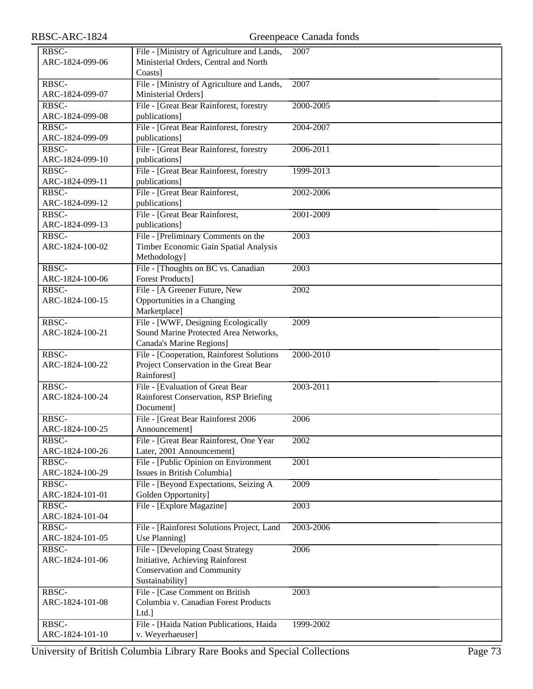| RBSC-ARC-1824            |                                                                   | Greenpeace Canada fonds |
|--------------------------|-------------------------------------------------------------------|-------------------------|
| RBSC-                    | File - [Ministry of Agriculture and Lands,                        | 2007                    |
| ARC-1824-099-06          | Ministerial Orders, Central and North                             |                         |
|                          | Coasts]                                                           |                         |
| RBSC-                    | File - [Ministry of Agriculture and Lands,                        | 2007                    |
| ARC-1824-099-07          | Ministerial Orders]                                               |                         |
| RBSC-                    | File - [Great Bear Rainforest, forestry                           | 2000-2005               |
| ARC-1824-099-08          | publications]                                                     |                         |
| RBSC-                    | File - [Great Bear Rainforest, forestry                           | 2004-2007               |
| ARC-1824-099-09          | publications]                                                     |                         |
| RBSC-                    | File - [Great Bear Rainforest, forestry                           | 2006-2011               |
| ARC-1824-099-10          | publications]                                                     |                         |
| RBSC-                    | File - [Great Bear Rainforest, forestry                           | 1999-2013               |
| ARC-1824-099-11          | publications]                                                     |                         |
| RBSC-<br>ARC-1824-099-12 | File - [Great Bear Rainforest,<br>publications]                   | 2002-2006               |
| RBSC-                    | File - [Great Bear Rainforest,                                    | 2001-2009               |
| ARC-1824-099-13          | publications]                                                     |                         |
| RBSC-                    | File - [Preliminary Comments on the                               | 2003                    |
| ARC-1824-100-02          | Timber Economic Gain Spatial Analysis                             |                         |
|                          | Methodology]                                                      |                         |
| RBSC-                    | File - [Thoughts on BC vs. Canadian                               | 2003                    |
| ARC-1824-100-06          | <b>Forest Products]</b>                                           |                         |
| RBSC-                    | File - [A Greener Future, New                                     | 2002                    |
| ARC-1824-100-15          | Opportunities in a Changing                                       |                         |
|                          | Marketplace]                                                      |                         |
| RBSC-                    | File - [WWF, Designing Ecologically                               | 2009                    |
| ARC-1824-100-21          | Sound Marine Protected Area Networks,<br>Canada's Marine Regions] |                         |
| RBSC-                    | File - [Cooperation, Rainforest Solutions                         | 2000-2010               |
| ARC-1824-100-22          | Project Conservation in the Great Bear                            |                         |
|                          | Rainforest]                                                       |                         |
| RBSC-                    | File - [Evaluation of Great Bear                                  | 2003-2011               |
| ARC-1824-100-24          | Rainforest Conservation, RSP Briefing                             |                         |
|                          | Document]                                                         |                         |
| RBSC-                    | File - [Great Bear Rainforest 2006                                | 2006                    |
| ARC-1824-100-25          | Announcement]                                                     |                         |
| RBSC-                    | File - [Great Bear Rainforest, One Year                           | 2002                    |
| ARC-1824-100-26          | Later, 2001 Announcement]                                         |                         |
| RBSC-                    | File - [Public Opinion on Environment                             | 2001                    |
| ARC-1824-100-29          | Issues in British Columbia]                                       |                         |
| RBSC-<br>ARC-1824-101-01 | File - [Beyond Expectations, Seizing A<br>Golden Opportunity]     | 2009                    |
| RBSC-                    | File - [Explore Magazine]                                         | 2003                    |
| ARC-1824-101-04          |                                                                   |                         |
| RBSC-                    | File - [Rainforest Solutions Project, Land                        | 2003-2006               |
| ARC-1824-101-05          | Use Planning]                                                     |                         |
| RBSC-                    | File - [Developing Coast Strategy                                 | 2006                    |
| ARC-1824-101-06          | Initiative, Achieving Rainforest                                  |                         |
|                          | <b>Conservation and Community</b>                                 |                         |
|                          | Sustainability]                                                   |                         |
| RBSC-                    | File - [Case Comment on British                                   | 2003                    |
| ARC-1824-101-08          | Columbia v. Canadian Forest Products                              |                         |
|                          | Ltd.]                                                             |                         |
| RBSC-<br>ARC-1824-101-10 | File - [Haida Nation Publications, Haida<br>v. Weyerhaeuser]      | 1999-2002               |
|                          |                                                                   |                         |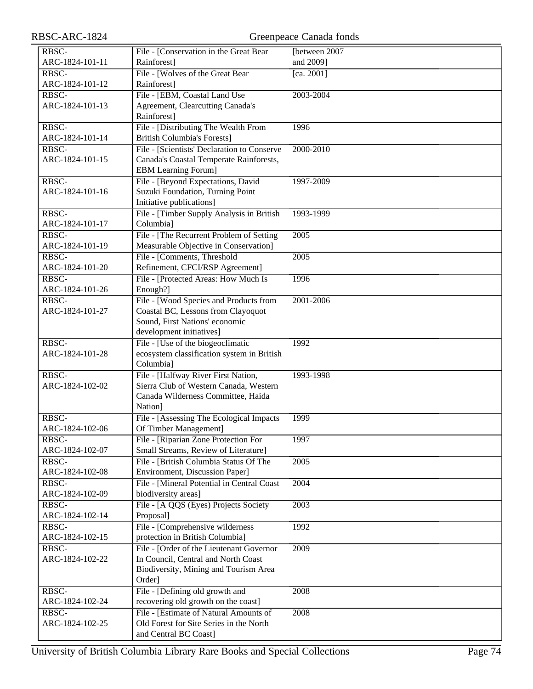| RBSC-ARC-1824            |                                                                              | Greenpeace Canada fonds |
|--------------------------|------------------------------------------------------------------------------|-------------------------|
| RBSC-                    | File - [Conservation in the Great Bear                                       | [between 2007           |
| ARC-1824-101-11          | Rainforest]                                                                  | and 2009]               |
| RBSC-                    | File - [Wolves of the Great Bear                                             | [ca. 2001]              |
| ARC-1824-101-12          | Rainforest]                                                                  |                         |
| RBSC-                    | File - [EBM, Coastal Land Use                                                | 2003-2004               |
| ARC-1824-101-13          | Agreement, Clearcutting Canada's                                             |                         |
|                          | Rainforest]                                                                  |                         |
| RBSC-                    | File - [Distributing The Wealth From                                         | 1996                    |
| ARC-1824-101-14          | <b>British Columbia's Forests]</b>                                           |                         |
| RBSC-                    | File - [Scientists' Declaration to Conserve                                  | 2000-2010               |
| ARC-1824-101-15          | Canada's Coastal Temperate Rainforests,                                      |                         |
|                          | <b>EBM</b> Learning Forum]                                                   |                         |
| RBSC-                    | File - [Beyond Expectations, David                                           | 1997-2009               |
| ARC-1824-101-16          | Suzuki Foundation, Turning Point                                             |                         |
|                          | Initiative publications]                                                     |                         |
| RBSC-                    | File - [Timber Supply Analysis in British                                    | 1993-1999               |
| ARC-1824-101-17          | Columbia]                                                                    |                         |
| RBSC-                    | File - [The Recurrent Problem of Setting                                     | $\overline{2005}$       |
| ARC-1824-101-19          | Measurable Objective in Conservation]                                        |                         |
| RBSC-                    | File - [Comments, Threshold                                                  | 2005                    |
| ARC-1824-101-20          | Refinement, CFCI/RSP Agreement]                                              |                         |
| RBSC-                    | File - [Protected Areas: How Much Is                                         | 1996                    |
| ARC-1824-101-26<br>RBSC- | Enough?]                                                                     | 2001-2006               |
| ARC-1824-101-27          | File - [Wood Species and Products from<br>Coastal BC, Lessons from Clayoquot |                         |
|                          | Sound, First Nations' economic                                               |                         |
|                          | development initiatives]                                                     |                         |
| RBSC-                    | File - [Use of the biogeoclimatic                                            | 1992                    |
| ARC-1824-101-28          | ecosystem classification system in British                                   |                         |
|                          | Columbia]                                                                    |                         |
| RBSC-                    | File - [Halfway River First Nation,                                          | 1993-1998               |
| ARC-1824-102-02          | Sierra Club of Western Canada, Western                                       |                         |
|                          | Canada Wilderness Committee, Haida                                           |                         |
|                          | Nation]                                                                      |                         |
| RBSC-                    | File - [Assessing The Ecological Impacts                                     | 1999                    |
| ARC-1824-102-06          | Of Timber Management]                                                        |                         |
| RBSC-                    | File - [Riparian Zone Protection For                                         | 1997                    |
| ARC-1824-102-07          | Small Streams, Review of Literature]                                         |                         |
| RBSC-                    | File - [British Columbia Status Of The                                       | 2005                    |
| ARC-1824-102-08          | Environment, Discussion Paper]                                               |                         |
| RBSC-                    | File - [Mineral Potential in Central Coast                                   | 2004                    |
| ARC-1824-102-09          | biodiversity areas]                                                          |                         |
| RBSC-                    | File - [A QQS (Eyes) Projects Society                                        | 2003                    |
| ARC-1824-102-14          | Proposal]                                                                    |                         |
| RBSC-                    | File - [Comprehensive wilderness                                             | 1992                    |
| ARC-1824-102-15          | protection in British Columbia]                                              |                         |
| RBSC-                    | File - [Order of the Lieutenant Governor                                     | 2009                    |
| ARC-1824-102-22          | In Council, Central and North Coast                                          |                         |
|                          | Biodiversity, Mining and Tourism Area                                        |                         |
| RBSC-                    | Order]                                                                       | 2008                    |
| ARC-1824-102-24          | File - [Defining old growth and<br>recovering old growth on the coast]       |                         |
| RBSC-                    | File - [Estimate of Natural Amounts of                                       | 2008                    |
| ARC-1824-102-25          | Old Forest for Site Series in the North                                      |                         |
|                          | and Central BC Coast]                                                        |                         |
|                          |                                                                              |                         |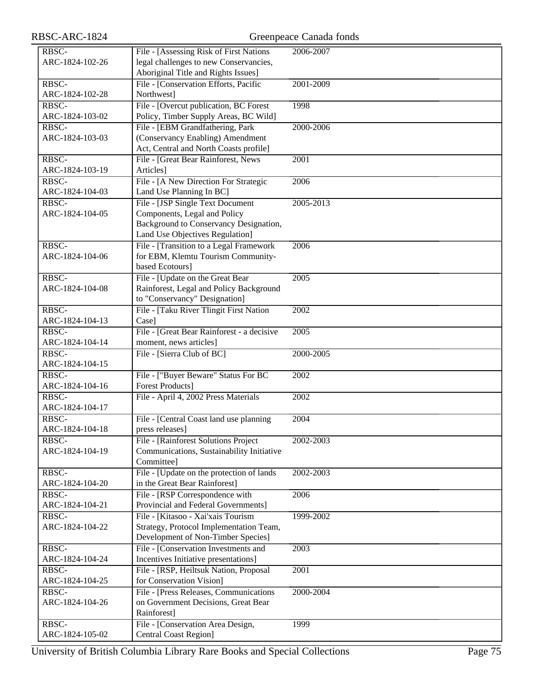| RBSC-           | File - [Assessing Risk of First Nations    | 2006-2007     |
|-----------------|--------------------------------------------|---------------|
| ARC-1824-102-26 | legal challenges to new Conservancies,     |               |
|                 | Aboriginal Title and Rights Issues]        |               |
| RBSC-           | File - [Conservation Efforts, Pacific      | 2001-2009     |
| ARC-1824-102-28 | Northwest]                                 |               |
| RBSC-           | File - [Overcut publication, BC Forest]    | 1998          |
| ARC-1824-103-02 | Policy, Timber Supply Areas, BC Wild]      |               |
| RBSC-           | File - [EBM Grandfathering, Park           | 2000-2006     |
| ARC-1824-103-03 | (Conservancy Enabling) Amendment           |               |
|                 | Act, Central and North Coasts profile]     |               |
|                 |                                            |               |
| RBSC-           | File - [Great Bear Rainforest, News        | 2001          |
| ARC-1824-103-19 | Articles]                                  |               |
| RBSC-           | File - [A New Direction For Strategic      | 2006          |
| ARC-1824-104-03 | Land Use Planning In BC]                   |               |
| RBSC-           | File - [JSP Single Text Document           | 2005-2013     |
| ARC-1824-104-05 | Components, Legal and Policy               |               |
|                 | Background to Conservancy Designation,     |               |
|                 | Land Use Objectives Regulation]            |               |
| RBSC-           | File - [Transition to a Legal Framework    | 2006          |
| ARC-1824-104-06 | for EBM, Klemtu Tourism Community-         |               |
|                 | based Ecotours]                            |               |
| RBSC-           | File - [Update on the Great Bear           | 2005          |
| ARC-1824-104-08 | Rainforest, Legal and Policy Background    |               |
|                 | to "Conservancy" Designation]              |               |
| RBSC-           | File - [Taku River Tlingit First Nation    | 2002          |
| ARC-1824-104-13 | Case]                                      |               |
| RBSC-           | File - [Great Bear Rainforest - a decisive | 2005          |
| ARC-1824-104-14 | moment, news articles]                     |               |
|                 |                                            |               |
| RBSC-           | File - [Sierra Club of BC]                 | 2000-2005     |
| ARC-1824-104-15 |                                            |               |
| RBSC-           | File - ["Buyer Beware" Status For BC       | 2002          |
| ARC-1824-104-16 | <b>Forest Products</b> ]                   |               |
| RBSC-           | File - April 4, 2002 Press Materials       | 2002          |
| ARC-1824-104-17 |                                            |               |
| RBSC-           | File - [Central Coast land use planning]   | 2004          |
| ARC-1824-104-18 | press releases]                            |               |
| RBSC-           | File - [Rainforest Solutions Project       | 2002-2003     |
| ARC-1824-104-19 | Communications, Sustainability Initiative  |               |
|                 | Committee]                                 |               |
| RBSC-           | File - [Update on the protection of lands] | 2002-2003     |
| ARC-1824-104-20 | in the Great Bear Rainforest]              |               |
| RBSC-           | File - [RSP Correspondence with            | 2006          |
| ARC-1824-104-21 | Provincial and Federal Governments]        |               |
| RBSC-           | File - [Kitasoo - Xai'xais Tourism         | 1999-2002     |
| ARC-1824-104-22 | Strategy, Protocol Implementation Team,    |               |
|                 | Development of Non-Timber Species]         |               |
| RBSC-           | File - [Conservation Investments and       | $\sqrt{2003}$ |
| ARC-1824-104-24 | Incentives Initiative presentations]       |               |
|                 |                                            |               |
| RBSC-           | File - [RSP, Heiltsuk Nation, Proposal     | 2001          |
| ARC-1824-104-25 | for Conservation Vision]                   |               |
| RBSC-           | File - [Press Releases, Communications     | 2000-2004     |
| ARC-1824-104-26 | on Government Decisions, Great Bear        |               |
|                 | Rainforest]                                |               |
| RBSC-           | File - [Conservation Area Design,          | 1999          |
| ARC-1824-105-02 | <b>Central Coast Region]</b>               |               |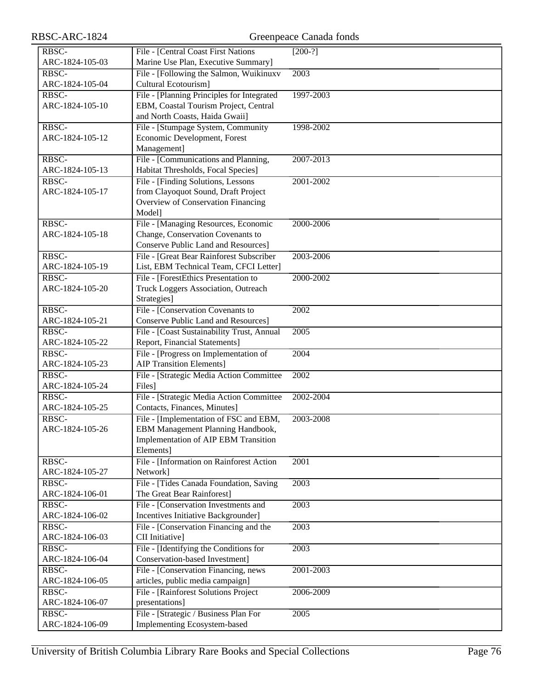| RBSC-                    | File - [Central Coast First Nations                                                | $[200-?]$         |
|--------------------------|------------------------------------------------------------------------------------|-------------------|
| ARC-1824-105-03          | Marine Use Plan, Executive Summary]                                                |                   |
| RBSC-                    | File - [Following the Salmon, Wuikinuxv                                            | 2003              |
| ARC-1824-105-04          | Cultural Ecotourism]                                                               |                   |
| RBSC-                    | File - [Planning Principles for Integrated                                         | 1997-2003         |
| ARC-1824-105-10          | EBM, Coastal Tourism Project, Central                                              |                   |
|                          | and North Coasts, Haida Gwaii]                                                     |                   |
| RBSC-                    | File - [Stumpage System, Community                                                 | 1998-2002         |
| ARC-1824-105-12          | Economic Development, Forest                                                       |                   |
|                          | Management]                                                                        |                   |
| RBSC-                    | File - [Communications and Planning,                                               | 2007-2013         |
| ARC-1824-105-13          | Habitat Thresholds, Focal Species]                                                 |                   |
| RBSC-                    | File - [Finding Solutions, Lessons]                                                | 2001-2002         |
| ARC-1824-105-17          | from Clayoquot Sound, Draft Project                                                |                   |
|                          | Overview of Conservation Financing                                                 |                   |
|                          | Model]                                                                             |                   |
| RBSC-                    | File - [Managing Resources, Economic                                               | 2000-2006         |
| ARC-1824-105-18          | Change, Conservation Covenants to                                                  |                   |
|                          | Conserve Public Land and Resources]                                                |                   |
| RBSC-<br>ARC-1824-105-19 | File - [Great Bear Rainforest Subscriber<br>List, EBM Technical Team, CFCI Letter] | 2003-2006         |
| RBSC-                    | File - [ForestEthics Presentation to                                               | 2000-2002         |
| ARC-1824-105-20          | Truck Loggers Association, Outreach                                                |                   |
|                          | Strategies]                                                                        |                   |
| RBSC-                    | File - [Conservation Covenants to                                                  | 2002              |
| ARC-1824-105-21          | <b>Conserve Public Land and Resources]</b>                                         |                   |
| RBSC-                    | File - [Coast Sustainability Trust, Annual                                         | 2005              |
| ARC-1824-105-22          | Report, Financial Statements]                                                      |                   |
| RBSC-                    | File - [Progress on Implementation of                                              | $\overline{2004}$ |
| ARC-1824-105-23          | <b>AIP Transition Elements]</b>                                                    |                   |
| RBSC-                    | File - [Strategic Media Action Committee                                           | 2002              |
| ARC-1824-105-24          | Files]                                                                             |                   |
| RBSC-                    | File - [Strategic Media Action Committee                                           | 2002-2004         |
| ARC-1824-105-25          | Contacts, Finances, Minutes]                                                       |                   |
| RBSC-                    | File - [Implementation of FSC and EBM,                                             | 2003-2008         |
| ARC-1824-105-26          | EBM Management Planning Handbook,                                                  |                   |
|                          | Implementation of AIP EBM Transition                                               |                   |
|                          | Elements]                                                                          |                   |
| RBSC-                    | File - [Information on Rainforest Action                                           | 2001              |
| ARC-1824-105-27          | Network]                                                                           |                   |
| RBSC-                    | File - [Tides Canada Foundation, Saving                                            | 2003              |
| ARC-1824-106-01          | The Great Bear Rainforest]                                                         |                   |
| RBSC-                    | File - [Conservation Investments and                                               | 2003              |
| ARC-1824-106-02          | Incentives Initiative Backgrounder]                                                |                   |
| RBSC-                    | File - [Conservation Financing and the                                             | 2003              |
| ARC-1824-106-03          | CII Initiative]                                                                    |                   |
| RBSC-                    | File - [Identifying the Conditions for                                             | 2003              |
| ARC-1824-106-04          | Conservation-based Investment]                                                     |                   |
| RBSC-                    | File - [Conservation Financing, news                                               | 2001-2003         |
| ARC-1824-106-05          | articles, public media campaign]                                                   |                   |
| RBSC-                    | File - [Rainforest Solutions Project                                               | 2006-2009         |
| ARC-1824-106-07          | presentations]                                                                     |                   |
| RBSC-                    | File - [Strategic / Business Plan For                                              | 2005              |
| ARC-1824-106-09          | Implementing Ecosystem-based                                                       |                   |

RBSC-ARC-1824 Greenpeace Canada fonds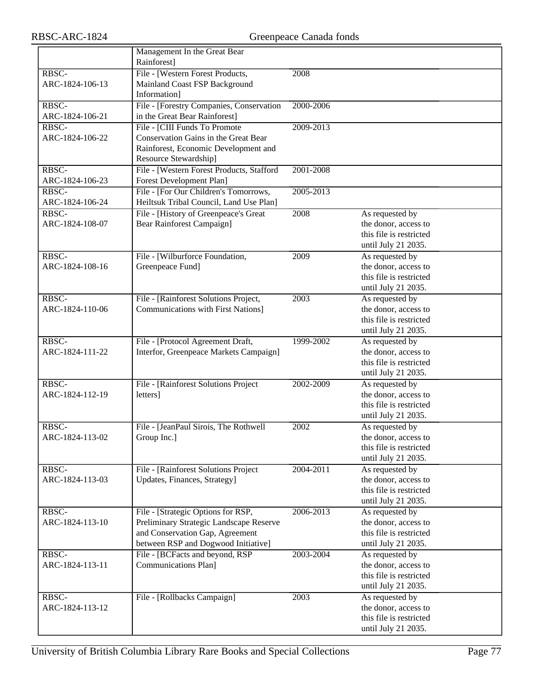|                 | Management In the Great Bear              |           |                         |
|-----------------|-------------------------------------------|-----------|-------------------------|
|                 | Rainforest]                               |           |                         |
| RBSC-           | File - [Western Forest Products,          | 2008      |                         |
| ARC-1824-106-13 | Mainland Coast FSP Background             |           |                         |
|                 | Information]                              |           |                         |
| RBSC-           | File - [Forestry Companies, Conservation  | 2000-2006 |                         |
| ARC-1824-106-21 | in the Great Bear Rainforest]             |           |                         |
| RBSC-           | File - [CIII Funds To Promote             | 2009-2013 |                         |
| ARC-1824-106-22 | Conservation Gains in the Great Bear      |           |                         |
|                 | Rainforest, Economic Development and      |           |                         |
|                 | Resource Stewardship]                     |           |                         |
| RBSC-           | File - [Western Forest Products, Stafford | 2001-2008 |                         |
| ARC-1824-106-23 | Forest Development Plan]                  |           |                         |
| RBSC-           | File - [For Our Children's Tomorrows,     | 2005-2013 |                         |
| ARC-1824-106-24 | Heiltsuk Tribal Council, Land Use Plan]   |           |                         |
| RBSC-           | File - [History of Greenpeace's Great     | 2008      | As requested by         |
| ARC-1824-108-07 | <b>Bear Rainforest Campaign]</b>          |           | the donor, access to    |
|                 |                                           |           | this file is restricted |
|                 |                                           |           | until July 21 2035.     |
| RBSC-           | File - [Wilburforce Foundation,           | 2009      | As requested by         |
| ARC-1824-108-16 | Greenpeace Fund]                          |           | the donor, access to    |
|                 |                                           |           | this file is restricted |
|                 |                                           |           | until July 21 2035.     |
| RBSC-           | File - [Rainforest Solutions Project,     | 2003      | As requested by         |
| ARC-1824-110-06 | <b>Communications with First Nations]</b> |           | the donor, access to    |
|                 |                                           |           | this file is restricted |
|                 |                                           |           | until July 21 2035.     |
| RBSC-           | File - [Protocol Agreement Draft,         | 1999-2002 | As requested by         |
| ARC-1824-111-22 | Interfor, Greenpeace Markets Campaign]    |           | the donor, access to    |
|                 |                                           |           | this file is restricted |
|                 |                                           |           | until July 21 2035.     |
| RBSC-           | File - [Rainforest Solutions Project]     | 2002-2009 | As requested by         |
| ARC-1824-112-19 | letters]                                  |           | the donor, access to    |
|                 |                                           |           | this file is restricted |
|                 |                                           |           | until July 21 2035.     |
| RBSC-           | File - [JeanPaul Sirois, The Rothwell     | 2002      | As requested by         |
| ARC-1824-113-02 | Group Inc.]                               |           | the donor, access to    |
|                 |                                           |           | this file is restricted |
|                 |                                           |           | until July 21 2035.     |
| RBSC-           | File - [Rainforest Solutions Project]     | 2004-2011 | As requested by         |
| ARC-1824-113-03 | Updates, Finances, Strategy]              |           | the donor, access to    |
|                 |                                           |           | this file is restricted |
|                 |                                           |           | until July 21 2035.     |
| RBSC-           | File - [Strategic Options for RSP,        | 2006-2013 | As requested by         |
| ARC-1824-113-10 | Preliminary Strategic Landscape Reserve   |           | the donor, access to    |
|                 | and Conservation Gap, Agreement           |           | this file is restricted |
|                 | between RSP and Dogwood Initiative]       |           | until July 21 2035.     |
| RBSC-           | File - [BCFacts and beyond, RSP           | 2003-2004 | As requested by         |
| ARC-1824-113-11 | Communications Plan]                      |           | the donor, access to    |
|                 |                                           |           | this file is restricted |
|                 |                                           |           | until July 21 2035.     |
| RBSC-           | File - [Rollbacks Campaign]               | 2003      | As requested by         |
| ARC-1824-113-12 |                                           |           | the donor, access to    |
|                 |                                           |           | this file is restricted |
|                 |                                           |           | until July 21 2035.     |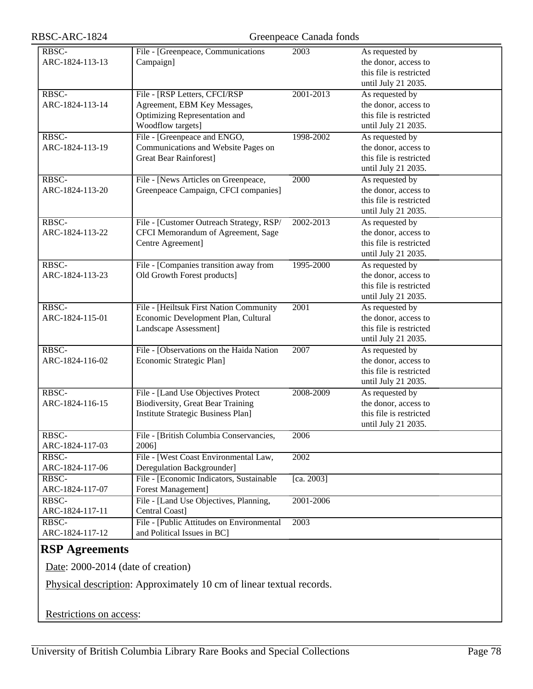| RBSC-ARC-1824 |  |  |
|---------------|--|--|
|---------------|--|--|

| RBSC-           | File - [Greenpeace, Communications        | 2003       | As requested by         |
|-----------------|-------------------------------------------|------------|-------------------------|
| ARC-1824-113-13 | Campaign]                                 |            | the donor, access to    |
|                 |                                           |            | this file is restricted |
|                 |                                           |            | until July 21 2035.     |
| RBSC-           | File - [RSP Letters, CFCI/RSP             | 2001-2013  | As requested by         |
| ARC-1824-113-14 | Agreement, EBM Key Messages,              |            | the donor, access to    |
|                 | Optimizing Representation and             |            | this file is restricted |
|                 | Woodflow targets]                         |            | until July 21 2035.     |
| RBSC-           | File - [Greenpeace and ENGO,              | 1998-2002  | As requested by         |
| ARC-1824-113-19 | Communications and Website Pages on       |            | the donor, access to    |
|                 | <b>Great Bear Rainforest]</b>             |            | this file is restricted |
|                 |                                           |            | until July 21 2035.     |
| RBSC-           | File - [News Articles on Greenpeace,      | 2000       | As requested by         |
| ARC-1824-113-20 | Greenpeace Campaign, CFCI companies]      |            | the donor, access to    |
|                 |                                           |            | this file is restricted |
|                 |                                           |            |                         |
| RBSC-           |                                           | 2002-2013  | until July 21 2035.     |
|                 | File - [Customer Outreach Strategy, RSP/  |            | As requested by         |
| ARC-1824-113-22 | CFCI Memorandum of Agreement, Sage        |            | the donor, access to    |
|                 | Centre Agreement]                         |            | this file is restricted |
|                 |                                           |            | until July 21 2035.     |
| RBSC-           | File - [Companies transition away from    | 1995-2000  | As requested by         |
| ARC-1824-113-23 | Old Growth Forest products]               |            | the donor, access to    |
|                 |                                           |            | this file is restricted |
|                 |                                           |            | until July 21 2035.     |
| RBSC-           | File - [Heiltsuk First Nation Community   | 2001       | As requested by         |
| ARC-1824-115-01 | Economic Development Plan, Cultural       |            | the donor, access to    |
|                 | Landscape Assessment]                     |            | this file is restricted |
|                 |                                           |            | until July 21 2035.     |
| RBSC-           | File - [Observations on the Haida Nation  | 2007       | As requested by         |
| ARC-1824-116-02 | Economic Strategic Plan]                  |            | the donor, access to    |
|                 |                                           |            | this file is restricted |
|                 |                                           |            | until July 21 2035.     |
| RBSC-           | File - [Land Use Objectives Protect       | 2008-2009  | As requested by         |
| ARC-1824-116-15 | <b>Biodiversity, Great Bear Training</b>  |            | the donor, access to    |
|                 | Institute Strategic Business Plan]        |            | this file is restricted |
|                 |                                           |            | until July 21 2035.     |
| RBSC-           | File - [British Columbia Conservancies,   | 2006       |                         |
| ARC-1824-117-03 | 2006]                                     |            |                         |
| RBSC-           | File - [West Coast Environmental Law,     | 2002       |                         |
| ARC-1824-117-06 | Deregulation Backgrounder]                |            |                         |
| RBSC-           | File - [Economic Indicators, Sustainable  | [ca. 2003] |                         |
| ARC-1824-117-07 | Forest Management]                        |            |                         |
| RBSC-           | File - [Land Use Objectives, Planning,    | 2001-2006  |                         |
| ARC-1824-117-11 | Central Coast]                            |            |                         |
| RBSC-           | File - [Public Attitudes on Environmental | 2003       |                         |
| ARC-1824-117-12 | and Political Issues in BC]               |            |                         |
|                 |                                           |            |                         |

## **RSP Agreements**

Date: 2000-2014 (date of creation)

Physical description: Approximately 10 cm of linear textual records.

Restrictions on access: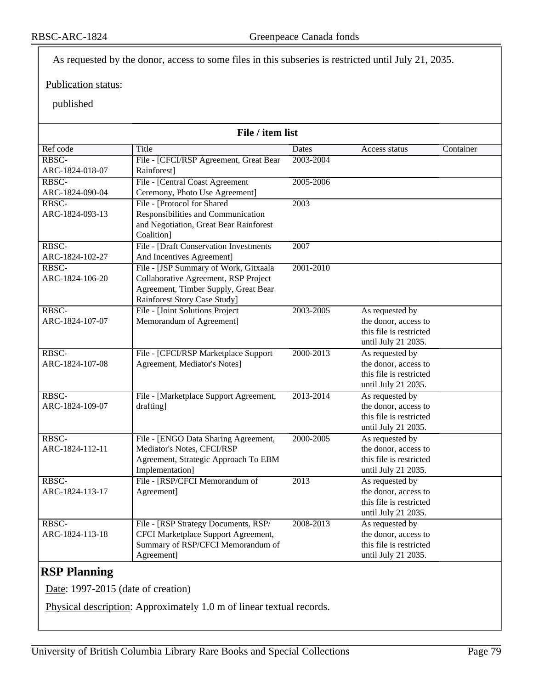As requested by the donor, access to some files in this subseries is restricted until July 21, 2035.

#### Publication status:

#### published

| Ref code<br>Title<br>Container<br>Dates<br>Access status<br>RBSC-<br>File - [CFCI/RSP Agreement, Great Bear<br>2003-2004<br>Rainforest]<br>ARC-1824-018-07<br>File - [Central Coast Agreement<br>2005-2006<br>RBSC-<br>Ceremony, Photo Use Agreement]<br>ARC-1824-090-04<br>RBSC-<br>File - [Protocol for Shared]<br>2003<br>Responsibilities and Communication<br>ARC-1824-093-13<br>and Negotiation, Great Bear Rainforest<br>Coalition]<br>RBSC-<br>File - [Draft Conservation Investments]<br>2007<br>And Incentives Agreement]<br>ARC-1824-102-27<br>RBSC-<br>File - [JSP Summary of Work, Gitxaala<br>2001-2010<br>Collaborative Agreement, RSP Project<br>ARC-1824-106-20<br>Agreement, Timber Supply, Great Bear<br>Rainforest Story Case Study]<br>File - [Joint Solutions Project<br>RBSC-<br>2003-2005<br>As requested by<br>Memorandum of Agreement]<br>the donor, access to<br>ARC-1824-107-07<br>this file is restricted<br>until July 21 2035.<br>RBSC-<br>File - [CFCI/RSP Marketplace Support<br>2000-2013<br>As requested by<br>ARC-1824-107-08<br>Agreement, Mediator's Notes]<br>the donor, access to<br>this file is restricted<br>until July 21 2035.<br>As requested by<br>RBSC-<br>File - [Marketplace Support Agreement,<br>2013-2014<br>ARC-1824-109-07<br>drafting]<br>the donor, access to<br>this file is restricted<br>until July 21 2035.<br>File - [ENGO Data Sharing Agreement,<br>2000-2005<br>As requested by<br>RBSC-<br>Mediator's Notes, CFCI/RSP<br>the donor, access to<br>ARC-1824-112-11<br>Agreement, Strategic Approach To EBM<br>this file is restricted<br>Implementation]<br>until July 21 2035. | File / item list |                                |                   |                 |  |
|-------------------------------------------------------------------------------------------------------------------------------------------------------------------------------------------------------------------------------------------------------------------------------------------------------------------------------------------------------------------------------------------------------------------------------------------------------------------------------------------------------------------------------------------------------------------------------------------------------------------------------------------------------------------------------------------------------------------------------------------------------------------------------------------------------------------------------------------------------------------------------------------------------------------------------------------------------------------------------------------------------------------------------------------------------------------------------------------------------------------------------------------------------------------------------------------------------------------------------------------------------------------------------------------------------------------------------------------------------------------------------------------------------------------------------------------------------------------------------------------------------------------------------------------------------------------------------------------------------------------------------------------------|------------------|--------------------------------|-------------------|-----------------|--|
|                                                                                                                                                                                                                                                                                                                                                                                                                                                                                                                                                                                                                                                                                                                                                                                                                                                                                                                                                                                                                                                                                                                                                                                                                                                                                                                                                                                                                                                                                                                                                                                                                                                 |                  |                                |                   |                 |  |
|                                                                                                                                                                                                                                                                                                                                                                                                                                                                                                                                                                                                                                                                                                                                                                                                                                                                                                                                                                                                                                                                                                                                                                                                                                                                                                                                                                                                                                                                                                                                                                                                                                                 |                  |                                |                   |                 |  |
|                                                                                                                                                                                                                                                                                                                                                                                                                                                                                                                                                                                                                                                                                                                                                                                                                                                                                                                                                                                                                                                                                                                                                                                                                                                                                                                                                                                                                                                                                                                                                                                                                                                 |                  |                                |                   |                 |  |
|                                                                                                                                                                                                                                                                                                                                                                                                                                                                                                                                                                                                                                                                                                                                                                                                                                                                                                                                                                                                                                                                                                                                                                                                                                                                                                                                                                                                                                                                                                                                                                                                                                                 |                  |                                |                   |                 |  |
|                                                                                                                                                                                                                                                                                                                                                                                                                                                                                                                                                                                                                                                                                                                                                                                                                                                                                                                                                                                                                                                                                                                                                                                                                                                                                                                                                                                                                                                                                                                                                                                                                                                 |                  |                                |                   |                 |  |
|                                                                                                                                                                                                                                                                                                                                                                                                                                                                                                                                                                                                                                                                                                                                                                                                                                                                                                                                                                                                                                                                                                                                                                                                                                                                                                                                                                                                                                                                                                                                                                                                                                                 |                  |                                |                   |                 |  |
|                                                                                                                                                                                                                                                                                                                                                                                                                                                                                                                                                                                                                                                                                                                                                                                                                                                                                                                                                                                                                                                                                                                                                                                                                                                                                                                                                                                                                                                                                                                                                                                                                                                 |                  |                                |                   |                 |  |
|                                                                                                                                                                                                                                                                                                                                                                                                                                                                                                                                                                                                                                                                                                                                                                                                                                                                                                                                                                                                                                                                                                                                                                                                                                                                                                                                                                                                                                                                                                                                                                                                                                                 |                  |                                |                   |                 |  |
|                                                                                                                                                                                                                                                                                                                                                                                                                                                                                                                                                                                                                                                                                                                                                                                                                                                                                                                                                                                                                                                                                                                                                                                                                                                                                                                                                                                                                                                                                                                                                                                                                                                 |                  |                                |                   |                 |  |
|                                                                                                                                                                                                                                                                                                                                                                                                                                                                                                                                                                                                                                                                                                                                                                                                                                                                                                                                                                                                                                                                                                                                                                                                                                                                                                                                                                                                                                                                                                                                                                                                                                                 |                  |                                |                   |                 |  |
|                                                                                                                                                                                                                                                                                                                                                                                                                                                                                                                                                                                                                                                                                                                                                                                                                                                                                                                                                                                                                                                                                                                                                                                                                                                                                                                                                                                                                                                                                                                                                                                                                                                 |                  |                                |                   |                 |  |
|                                                                                                                                                                                                                                                                                                                                                                                                                                                                                                                                                                                                                                                                                                                                                                                                                                                                                                                                                                                                                                                                                                                                                                                                                                                                                                                                                                                                                                                                                                                                                                                                                                                 |                  |                                |                   |                 |  |
|                                                                                                                                                                                                                                                                                                                                                                                                                                                                                                                                                                                                                                                                                                                                                                                                                                                                                                                                                                                                                                                                                                                                                                                                                                                                                                                                                                                                                                                                                                                                                                                                                                                 |                  |                                |                   |                 |  |
|                                                                                                                                                                                                                                                                                                                                                                                                                                                                                                                                                                                                                                                                                                                                                                                                                                                                                                                                                                                                                                                                                                                                                                                                                                                                                                                                                                                                                                                                                                                                                                                                                                                 |                  |                                |                   |                 |  |
|                                                                                                                                                                                                                                                                                                                                                                                                                                                                                                                                                                                                                                                                                                                                                                                                                                                                                                                                                                                                                                                                                                                                                                                                                                                                                                                                                                                                                                                                                                                                                                                                                                                 |                  |                                |                   |                 |  |
|                                                                                                                                                                                                                                                                                                                                                                                                                                                                                                                                                                                                                                                                                                                                                                                                                                                                                                                                                                                                                                                                                                                                                                                                                                                                                                                                                                                                                                                                                                                                                                                                                                                 |                  |                                |                   |                 |  |
|                                                                                                                                                                                                                                                                                                                                                                                                                                                                                                                                                                                                                                                                                                                                                                                                                                                                                                                                                                                                                                                                                                                                                                                                                                                                                                                                                                                                                                                                                                                                                                                                                                                 |                  |                                |                   |                 |  |
|                                                                                                                                                                                                                                                                                                                                                                                                                                                                                                                                                                                                                                                                                                                                                                                                                                                                                                                                                                                                                                                                                                                                                                                                                                                                                                                                                                                                                                                                                                                                                                                                                                                 |                  |                                |                   |                 |  |
|                                                                                                                                                                                                                                                                                                                                                                                                                                                                                                                                                                                                                                                                                                                                                                                                                                                                                                                                                                                                                                                                                                                                                                                                                                                                                                                                                                                                                                                                                                                                                                                                                                                 |                  |                                |                   |                 |  |
|                                                                                                                                                                                                                                                                                                                                                                                                                                                                                                                                                                                                                                                                                                                                                                                                                                                                                                                                                                                                                                                                                                                                                                                                                                                                                                                                                                                                                                                                                                                                                                                                                                                 |                  |                                |                   |                 |  |
|                                                                                                                                                                                                                                                                                                                                                                                                                                                                                                                                                                                                                                                                                                                                                                                                                                                                                                                                                                                                                                                                                                                                                                                                                                                                                                                                                                                                                                                                                                                                                                                                                                                 |                  |                                |                   |                 |  |
|                                                                                                                                                                                                                                                                                                                                                                                                                                                                                                                                                                                                                                                                                                                                                                                                                                                                                                                                                                                                                                                                                                                                                                                                                                                                                                                                                                                                                                                                                                                                                                                                                                                 |                  |                                |                   |                 |  |
|                                                                                                                                                                                                                                                                                                                                                                                                                                                                                                                                                                                                                                                                                                                                                                                                                                                                                                                                                                                                                                                                                                                                                                                                                                                                                                                                                                                                                                                                                                                                                                                                                                                 |                  |                                |                   |                 |  |
|                                                                                                                                                                                                                                                                                                                                                                                                                                                                                                                                                                                                                                                                                                                                                                                                                                                                                                                                                                                                                                                                                                                                                                                                                                                                                                                                                                                                                                                                                                                                                                                                                                                 |                  |                                |                   |                 |  |
|                                                                                                                                                                                                                                                                                                                                                                                                                                                                                                                                                                                                                                                                                                                                                                                                                                                                                                                                                                                                                                                                                                                                                                                                                                                                                                                                                                                                                                                                                                                                                                                                                                                 |                  |                                |                   |                 |  |
|                                                                                                                                                                                                                                                                                                                                                                                                                                                                                                                                                                                                                                                                                                                                                                                                                                                                                                                                                                                                                                                                                                                                                                                                                                                                                                                                                                                                                                                                                                                                                                                                                                                 |                  |                                |                   |                 |  |
|                                                                                                                                                                                                                                                                                                                                                                                                                                                                                                                                                                                                                                                                                                                                                                                                                                                                                                                                                                                                                                                                                                                                                                                                                                                                                                                                                                                                                                                                                                                                                                                                                                                 |                  |                                |                   |                 |  |
|                                                                                                                                                                                                                                                                                                                                                                                                                                                                                                                                                                                                                                                                                                                                                                                                                                                                                                                                                                                                                                                                                                                                                                                                                                                                                                                                                                                                                                                                                                                                                                                                                                                 |                  |                                |                   |                 |  |
|                                                                                                                                                                                                                                                                                                                                                                                                                                                                                                                                                                                                                                                                                                                                                                                                                                                                                                                                                                                                                                                                                                                                                                                                                                                                                                                                                                                                                                                                                                                                                                                                                                                 |                  |                                |                   |                 |  |
|                                                                                                                                                                                                                                                                                                                                                                                                                                                                                                                                                                                                                                                                                                                                                                                                                                                                                                                                                                                                                                                                                                                                                                                                                                                                                                                                                                                                                                                                                                                                                                                                                                                 |                  |                                |                   |                 |  |
|                                                                                                                                                                                                                                                                                                                                                                                                                                                                                                                                                                                                                                                                                                                                                                                                                                                                                                                                                                                                                                                                                                                                                                                                                                                                                                                                                                                                                                                                                                                                                                                                                                                 | RBSC-            | File - [RSP/CFCI Memorandum of | $\overline{2013}$ | As requested by |  |
| Agreement]<br>the donor, access to<br>ARC-1824-113-17                                                                                                                                                                                                                                                                                                                                                                                                                                                                                                                                                                                                                                                                                                                                                                                                                                                                                                                                                                                                                                                                                                                                                                                                                                                                                                                                                                                                                                                                                                                                                                                           |                  |                                |                   |                 |  |
| this file is restricted                                                                                                                                                                                                                                                                                                                                                                                                                                                                                                                                                                                                                                                                                                                                                                                                                                                                                                                                                                                                                                                                                                                                                                                                                                                                                                                                                                                                                                                                                                                                                                                                                         |                  |                                |                   |                 |  |
| until July 21 2035.                                                                                                                                                                                                                                                                                                                                                                                                                                                                                                                                                                                                                                                                                                                                                                                                                                                                                                                                                                                                                                                                                                                                                                                                                                                                                                                                                                                                                                                                                                                                                                                                                             |                  |                                |                   |                 |  |
| RBSC-<br>File - [RSP Strategy Documents, RSP/<br>2008-2013<br>As requested by                                                                                                                                                                                                                                                                                                                                                                                                                                                                                                                                                                                                                                                                                                                                                                                                                                                                                                                                                                                                                                                                                                                                                                                                                                                                                                                                                                                                                                                                                                                                                                   |                  |                                |                   |                 |  |
| CFCI Marketplace Support Agreement,<br>the donor, access to<br>ARC-1824-113-18                                                                                                                                                                                                                                                                                                                                                                                                                                                                                                                                                                                                                                                                                                                                                                                                                                                                                                                                                                                                                                                                                                                                                                                                                                                                                                                                                                                                                                                                                                                                                                  |                  |                                |                   |                 |  |
| Summary of RSP/CFCI Memorandum of<br>this file is restricted                                                                                                                                                                                                                                                                                                                                                                                                                                                                                                                                                                                                                                                                                                                                                                                                                                                                                                                                                                                                                                                                                                                                                                                                                                                                                                                                                                                                                                                                                                                                                                                    |                  |                                |                   |                 |  |
| Agreement]<br>until July 21 2035.                                                                                                                                                                                                                                                                                                                                                                                                                                                                                                                                                                                                                                                                                                                                                                                                                                                                                                                                                                                                                                                                                                                                                                                                                                                                                                                                                                                                                                                                                                                                                                                                               |                  |                                |                   |                 |  |

## **RSP Planning**

Date: 1997-2015 (date of creation)

Physical description: Approximately 1.0 m of linear textual records.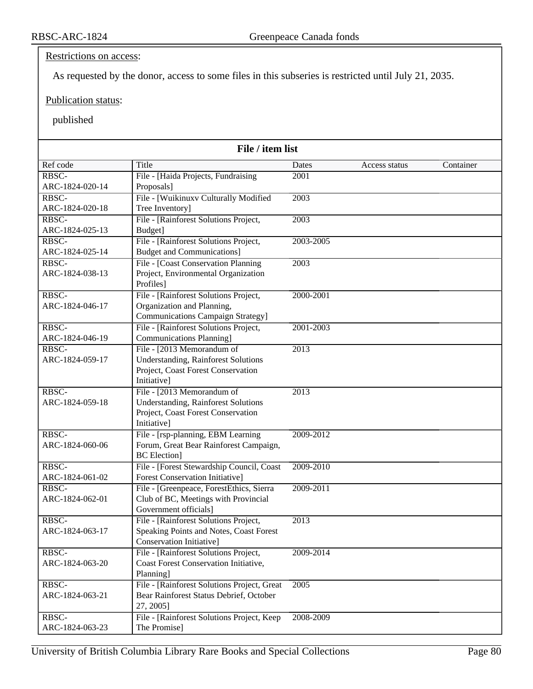Restrictions on access:

As requested by the donor, access to some files in this subseries is restricted until July 21, 2035.

Publication status:

published

| File / item list         |                                                                                  |           |               |           |
|--------------------------|----------------------------------------------------------------------------------|-----------|---------------|-----------|
| Ref code                 | Title                                                                            | Dates     | Access status | Container |
| RBSC-                    | File - [Haida Projects, Fundraising                                              | 2001      |               |           |
| ARC-1824-020-14          | Proposals]                                                                       |           |               |           |
| RBSC-                    | File - [Wuikinuxv Culturally Modified                                            | 2003      |               |           |
| ARC-1824-020-18          | Tree Inventory]                                                                  |           |               |           |
| RBSC-                    | File - [Rainforest Solutions Project,                                            | 2003      |               |           |
| ARC-1824-025-13          | Budget]                                                                          |           |               |           |
| RBSC-                    | File - [Rainforest Solutions Project,                                            | 2003-2005 |               |           |
| ARC-1824-025-14          | <b>Budget and Communications]</b>                                                |           |               |           |
| RBSC-                    | File - [Coast Conservation Planning                                              | 2003      |               |           |
| ARC-1824-038-13          | Project, Environmental Organization                                              |           |               |           |
|                          | Profiles]                                                                        |           |               |           |
| RBSC-                    | File - [Rainforest Solutions Project,                                            | 2000-2001 |               |           |
| ARC-1824-046-17          | Organization and Planning,                                                       |           |               |           |
|                          | <b>Communications Campaign Strategy</b> ]                                        |           |               |           |
| RBSC-<br>ARC-1824-046-19 | File - [Rainforest Solutions Project,                                            | 2001-2003 |               |           |
|                          | <b>Communications Planning]</b>                                                  |           |               |           |
| RBSC-<br>ARC-1824-059-17 | File - [2013 Memorandum of                                                       | 2013      |               |           |
|                          | <b>Understanding, Rainforest Solutions</b><br>Project, Coast Forest Conservation |           |               |           |
|                          | Initiative]                                                                      |           |               |           |
| RBSC-                    | File - [2013 Memorandum of                                                       | 2013      |               |           |
| ARC-1824-059-18          | <b>Understanding, Rainforest Solutions</b>                                       |           |               |           |
|                          | Project, Coast Forest Conservation                                               |           |               |           |
|                          | Initiative]                                                                      |           |               |           |
| RBSC-                    | File - [rsp-planning, EBM Learning                                               | 2009-2012 |               |           |
| ARC-1824-060-06          | Forum, Great Bear Rainforest Campaign,                                           |           |               |           |
|                          | <b>BC</b> Election]                                                              |           |               |           |
| RBSC-                    | File - [Forest Stewardship Council, Coast                                        | 2009-2010 |               |           |
| ARC-1824-061-02          | <b>Forest Conservation Initiative]</b>                                           |           |               |           |
| RBSC-                    | File - [Greenpeace, ForestEthics, Sierra                                         | 2009-2011 |               |           |
| ARC-1824-062-01          | Club of BC, Meetings with Provincial                                             |           |               |           |
|                          | Government officials]                                                            |           |               |           |
| RBSC-                    | File - [Rainforest Solutions Project,                                            | 2013      |               |           |
| ARC-1824-063-17          | Speaking Points and Notes, Coast Forest                                          |           |               |           |
|                          | Conservation Initiative]                                                         |           |               |           |
| RBSC-                    | File - [Rainforest Solutions Project,                                            | 2009-2014 |               |           |
| ARC-1824-063-20          | Coast Forest Conservation Initiative,                                            |           |               |           |
|                          | Planning]                                                                        |           |               |           |
| RBSC-                    | File - [Rainforest Solutions Project, Great                                      | 2005      |               |           |
| ARC-1824-063-21          | Bear Rainforest Status Debrief, October                                          |           |               |           |
|                          | 27, 2005]                                                                        |           |               |           |
| RBSC-                    | File - [Rainforest Solutions Project, Keep]                                      | 2008-2009 |               |           |
| ARC-1824-063-23          | The Promise]                                                                     |           |               |           |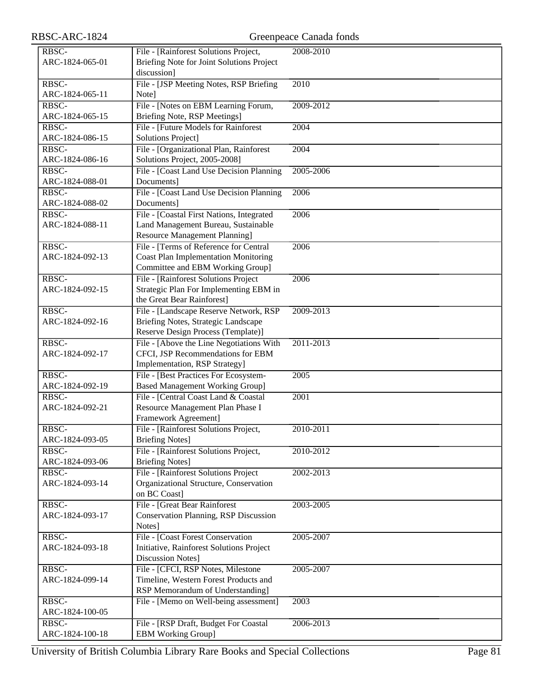| RBSC-ARC-1824   |                                                                      | Greenpeace Canada fonds |
|-----------------|----------------------------------------------------------------------|-------------------------|
| RBSC-           | File - [Rainforest Solutions Project,                                | 2008-2010               |
| ARC-1824-065-01 | Briefing Note for Joint Solutions Project                            |                         |
|                 | discussion]                                                          |                         |
| RBSC-           | File - [JSP Meeting Notes, RSP Briefing                              | 2010                    |
| ARC-1824-065-11 | Note]                                                                |                         |
| RBSC-           | File - [Notes on EBM Learning Forum,                                 | 2009-2012               |
| ARC-1824-065-15 | Briefing Note, RSP Meetings]                                         |                         |
| RBSC-           | File - [Future Models for Rainforest]                                | 2004                    |
| ARC-1824-086-15 | Solutions Project]                                                   |                         |
| RBSC-           | File - [Organizational Plan, Rainforest                              | 2004                    |
| ARC-1824-086-16 | Solutions Project, 2005-2008]                                        |                         |
| RBSC-           | File - [Coast Land Use Decision Planning                             | 2005-2006               |
| ARC-1824-088-01 | Documents]                                                           |                         |
| RBSC-           | File - [Coast Land Use Decision Planning                             | 2006                    |
| ARC-1824-088-02 | Documents]                                                           |                         |
| RBSC-           | File - [Coastal First Nations, Integrated                            | 2006                    |
| ARC-1824-088-11 | Land Management Bureau, Sustainable                                  |                         |
|                 | <b>Resource Management Planning]</b>                                 |                         |
| RBSC-           | File - [Terms of Reference for Central                               | 2006                    |
| ARC-1824-092-13 | <b>Coast Plan Implementation Monitoring</b>                          |                         |
|                 | Committee and EBM Working Group]                                     |                         |
| RBSC-           | File - [Rainforest Solutions Project                                 | 2006                    |
| ARC-1824-092-15 | Strategic Plan For Implementing EBM in<br>the Great Bear Rainforest] |                         |
| RBSC-           | File - [Landscape Reserve Network, RSP                               | 2009-2013               |
| ARC-1824-092-16 | Briefing Notes, Strategic Landscape                                  |                         |
|                 | Reserve Design Process (Template)]                                   |                         |
| RBSC-           | File - [Above the Line Negotiations With                             | 2011-2013               |
| ARC-1824-092-17 | CFCI, JSP Recommendations for EBM                                    |                         |
|                 | Implementation, RSP Strategy]                                        |                         |
| RBSC-           | File - [Best Practices For Ecosystem-                                | 2005                    |
| ARC-1824-092-19 | <b>Based Management Working Group]</b>                               |                         |
| RBSC-           | File - [Central Coast Land & Coastal                                 | 2001                    |
| ARC-1824-092-21 | Resource Management Plan Phase I                                     |                         |
|                 | Framework Agreement]                                                 |                         |
| RBSC-           | File - [Rainforest Solutions Project,                                | 2010-2011               |
| ARC-1824-093-05 | <b>Briefing Notes]</b>                                               |                         |
| RBSC-           | File - [Rainforest Solutions Project,                                | 2010-2012               |
| ARC-1824-093-06 | <b>Briefing Notes]</b>                                               |                         |
| RBSC-           | File - [Rainforest Solutions Project                                 | 2002-2013               |
| ARC-1824-093-14 | Organizational Structure, Conservation                               |                         |
|                 | on BC Coast]                                                         |                         |
| RBSC-           | File - [Great Bear Rainforest]                                       | 2003-2005               |
| ARC-1824-093-17 | <b>Conservation Planning, RSP Discussion</b><br>Notes]               |                         |
| RBSC-           | File - [Coast Forest Conservation                                    | 2005-2007               |
| ARC-1824-093-18 | Initiative, Rainforest Solutions Project                             |                         |
|                 | Discussion Notes]                                                    |                         |
| RBSC-           | File - [CFCI, RSP Notes, Milestone                                   | 2005-2007               |
| ARC-1824-099-14 | Timeline, Western Forest Products and                                |                         |
|                 | RSP Memorandum of Understanding]                                     |                         |
| RBSC-           | File - [Memo on Well-being assessment]                               | 2003                    |
| ARC-1824-100-05 |                                                                      |                         |
| RBSC-           | File - [RSP Draft, Budget For Coastal                                | 2006-2013               |
| ARC-1824-100-18 | <b>EBM Working Group]</b>                                            |                         |

University of British Columbia Library Rare Books and Special Collections Page 81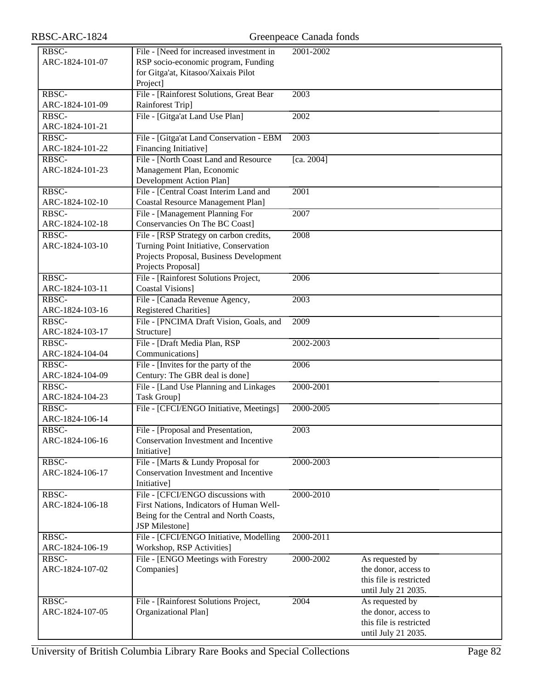| RBSC-           | File - [Need for increased investment in | 2001-2002         |                         |  |
|-----------------|------------------------------------------|-------------------|-------------------------|--|
| ARC-1824-101-07 | RSP socio-economic program, Funding      |                   |                         |  |
|                 | for Gitga'at, Kitasoo/Xaixais Pilot      |                   |                         |  |
|                 |                                          |                   |                         |  |
|                 | Project]                                 |                   |                         |  |
| RBSC-           | File - [Rainforest Solutions, Great Bear | 2003              |                         |  |
| ARC-1824-101-09 | Rainforest Trip]                         |                   |                         |  |
| RBSC-           | File - [Gitga'at Land Use Plan]          | 2002              |                         |  |
| ARC-1824-101-21 |                                          |                   |                         |  |
| RBSC-           | File - [Gitga'at Land Conservation - EBM | 2003              |                         |  |
| ARC-1824-101-22 | Financing Initiative]                    |                   |                         |  |
| RBSC-           | File - [North Coast Land and Resource    | [ca. 2004]        |                         |  |
| ARC-1824-101-23 | Management Plan, Economic                |                   |                         |  |
|                 |                                          |                   |                         |  |
|                 | Development Action Plan]                 |                   |                         |  |
| RBSC-           | File - [Central Coast Interim Land and   | $\overline{2001}$ |                         |  |
| ARC-1824-102-10 | <b>Coastal Resource Management Plan]</b> |                   |                         |  |
| RBSC-           | File - [Management Planning For          | 2007              |                         |  |
| ARC-1824-102-18 | Conservancies On The BC Coast]           |                   |                         |  |
| RBSC-           | File - [RSP Strategy on carbon credits,  | 2008              |                         |  |
| ARC-1824-103-10 | Turning Point Initiative, Conservation   |                   |                         |  |
|                 | Projects Proposal, Business Development  |                   |                         |  |
|                 | Projects Proposal]                       |                   |                         |  |
| RBSC-           |                                          |                   |                         |  |
|                 | File - [Rainforest Solutions Project,    | 2006              |                         |  |
| ARC-1824-103-11 | Coastal Visions]                         |                   |                         |  |
| RBSC-           | File - [Canada Revenue Agency,           | 2003              |                         |  |
| ARC-1824-103-16 | <b>Registered Charities</b> ]            |                   |                         |  |
| RBSC-           | File - [PNCIMA Draft Vision, Goals, and  | 2009              |                         |  |
| ARC-1824-103-17 | Structure]                               |                   |                         |  |
| RBSC-           | File - [Draft Media Plan, RSP            | 2002-2003         |                         |  |
| ARC-1824-104-04 | Communications]                          |                   |                         |  |
| RBSC-           | File - [Invites for the party of the     | 2006              |                         |  |
| ARC-1824-104-09 | Century: The GBR deal is done]           |                   |                         |  |
|                 | File - [Land Use Planning and Linkages]  | 2000-2001         |                         |  |
| RBSC-           |                                          |                   |                         |  |
| ARC-1824-104-23 | Task Group]                              |                   |                         |  |
| RBSC-           | File - [CFCI/ENGO Initiative, Meetings]  | 2000-2005         |                         |  |
| ARC-1824-106-14 |                                          |                   |                         |  |
| RBSC-           | File - [Proposal and Presentation,       | $\overline{2003}$ |                         |  |
| ARC-1824-106-16 | Conservation Investment and Incentive    |                   |                         |  |
|                 | <b>Initiativel</b>                       |                   |                         |  |
| RBSC-           | File - [Marts & Lundy Proposal for       | 2000-2003         |                         |  |
| ARC-1824-106-17 | Conservation Investment and Incentive    |                   |                         |  |
|                 | Initiative]                              |                   |                         |  |
| RBSC-           | File - [CFCI/ENGO discussions with       | 2000-2010         |                         |  |
| ARC-1824-106-18 | First Nations, Indicators of Human Well- |                   |                         |  |
|                 |                                          |                   |                         |  |
|                 | Being for the Central and North Coasts,  |                   |                         |  |
|                 | <b>JSP</b> Milestone]                    |                   |                         |  |
| RBSC-           | File - [CFCI/ENGO Initiative, Modelling  | 2000-2011         |                         |  |
| ARC-1824-106-19 | Workshop, RSP Activities]                |                   |                         |  |
| RBSC-           | File - [ENGO Meetings with Forestry      | 2000-2002         | As requested by         |  |
| ARC-1824-107-02 | Companies]                               |                   | the donor, access to    |  |
|                 |                                          |                   | this file is restricted |  |
|                 |                                          |                   | until July 21 2035.     |  |
| RBSC-           | File - [Rainforest Solutions Project,    | 2004              | As requested by         |  |
| ARC-1824-107-05 | Organizational Plan]                     |                   | the donor, access to    |  |
|                 |                                          |                   | this file is restricted |  |
|                 |                                          |                   |                         |  |
|                 |                                          |                   | until July 21 2035.     |  |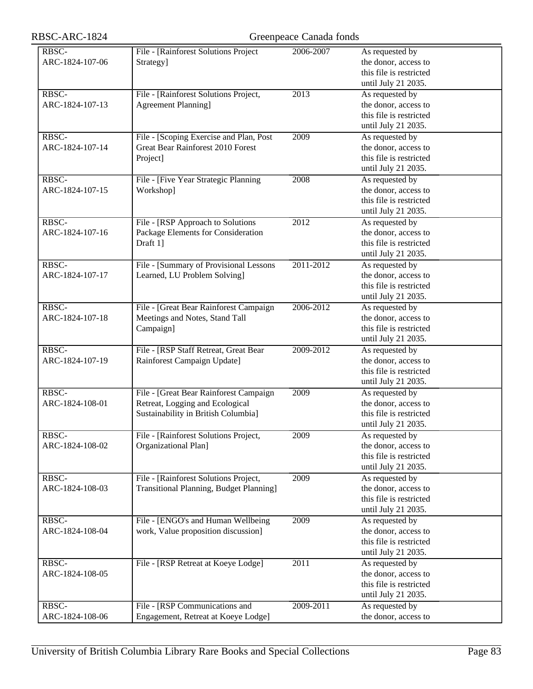| RBSC-ARC-1824 |  |
|---------------|--|
|---------------|--|

| RBSC-           | File - [Rainforest Solutions Project    | 2006-2007 | As requested by                                 |
|-----------------|-----------------------------------------|-----------|-------------------------------------------------|
| ARC-1824-107-06 | Strategy]                               |           | the donor, access to                            |
|                 |                                         |           | this file is restricted                         |
|                 |                                         |           | until July 21 2035.                             |
| RBSC-           | File - [Rainforest Solutions Project,   | 2013      | As requested by                                 |
| ARC-1824-107-13 | <b>Agreement Planning</b> ]             |           | the donor, access to                            |
|                 |                                         |           | this file is restricted                         |
|                 |                                         |           |                                                 |
|                 |                                         |           | until July 21 2035.                             |
| RBSC-           | File - [Scoping Exercise and Plan, Post | 2009      | As requested by                                 |
| ARC-1824-107-14 | Great Bear Rainforest 2010 Forest       |           | the donor, access to                            |
|                 | Project]                                |           | this file is restricted                         |
|                 |                                         |           | until July 21 2035.                             |
| RBSC-           | File - [Five Year Strategic Planning    | 2008      | As requested by                                 |
| ARC-1824-107-15 | Workshop]                               |           | the donor, access to                            |
|                 |                                         |           | this file is restricted                         |
|                 |                                         |           |                                                 |
|                 |                                         |           | until July 21 2035.                             |
| RBSC-           | File - [RSP Approach to Solutions       | 2012      | As requested by                                 |
| ARC-1824-107-16 | Package Elements for Consideration      |           | the donor, access to                            |
|                 | Draft 1]                                |           | this file is restricted                         |
|                 |                                         |           | until July 21 2035.                             |
| RBSC-           | File - [Summary of Provisional Lessons  | 2011-2012 | As requested by                                 |
| ARC-1824-107-17 | Learned, LU Problem Solving]            |           | the donor, access to                            |
|                 |                                         |           | this file is restricted                         |
|                 |                                         |           | until July 21 2035.                             |
|                 |                                         |           |                                                 |
| RBSC-           | File - [Great Bear Rainforest Campaign  | 2006-2012 | As requested by                                 |
| ARC-1824-107-18 | Meetings and Notes, Stand Tall          |           | the donor, access to                            |
|                 | Campaign]                               |           | this file is restricted                         |
|                 |                                         |           | until July 21 2035.                             |
| RBSC-           | File - [RSP Staff Retreat, Great Bear   | 2009-2012 | As requested by                                 |
| ARC-1824-107-19 | Rainforest Campaign Update]             |           | the donor, access to                            |
|                 |                                         |           | this file is restricted                         |
|                 |                                         |           | until July 21 2035.                             |
| RBSC-           | File - [Great Bear Rainforest Campaign  | 2009      | As requested by                                 |
|                 |                                         |           |                                                 |
| ARC-1824-108-01 | Retreat, Logging and Ecological         |           | the donor, access to                            |
|                 | Sustainability in British Columbia]     |           | this file is restricted                         |
|                 |                                         |           | until July 21 2035.                             |
| RBSC-           | File - [Rainforest Solutions Project,   | 2009      | As requested by                                 |
| ARC-1824-108-02 | Organizational Plan]                    |           | the donor, access to                            |
|                 |                                         |           | this file is restricted                         |
|                 |                                         |           | until July 21 2035.                             |
| RBSC-           | File - [Rainforest Solutions Project,   | 2009      | As requested by                                 |
| ARC-1824-108-03 | Transitional Planning, Budget Planning] |           |                                                 |
|                 |                                         |           | the donor, access to<br>this file is restricted |
|                 |                                         |           |                                                 |
|                 |                                         |           | until July 21 2035.                             |
| RBSC-           | File - [ENGO's and Human Wellbeing      | 2009      | As requested by                                 |
| ARC-1824-108-04 | work, Value proposition discussion]     |           | the donor, access to                            |
|                 |                                         |           | this file is restricted                         |
|                 |                                         |           | until July 21 2035.                             |
| RBSC-           | File - [RSP Retreat at Koeye Lodge]     | 2011      | As requested by                                 |
| ARC-1824-108-05 |                                         |           | the donor, access to                            |
|                 |                                         |           |                                                 |
|                 |                                         |           | this file is restricted                         |
|                 |                                         |           | until July 21 2035.                             |
| RBSC-           | File - [RSP Communications and          | 2009-2011 | As requested by                                 |
| ARC-1824-108-06 | Engagement, Retreat at Koeye Lodge]     |           | the donor, access to                            |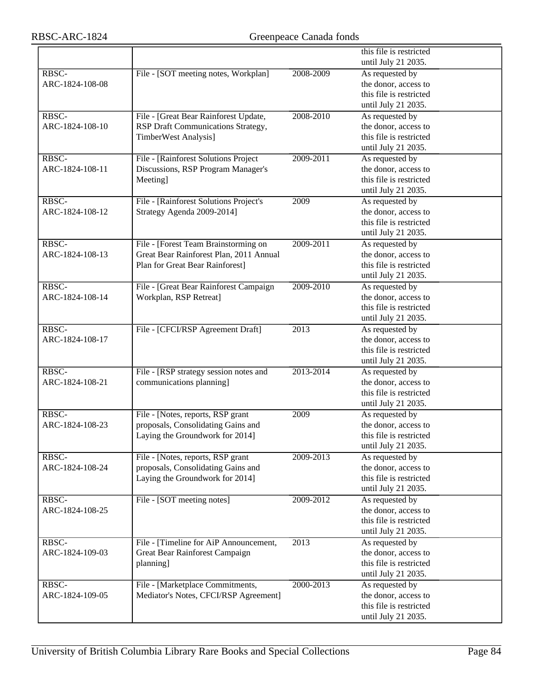|                 |                                         |                   | this file is restricted |
|-----------------|-----------------------------------------|-------------------|-------------------------|
|                 |                                         |                   | until July 21 2035.     |
| RBSC-           | File - [SOT meeting notes, Workplan]    | 2008-2009         | As requested by         |
| ARC-1824-108-08 |                                         |                   | the donor, access to    |
|                 |                                         |                   | this file is restricted |
|                 |                                         |                   | until July 21 2035.     |
| RBSC-           |                                         |                   |                         |
|                 | File - [Great Bear Rainforest Update,   | 2008-2010         | As requested by         |
| ARC-1824-108-10 | RSP Draft Communications Strategy,      |                   | the donor, access to    |
|                 | TimberWest Analysis]                    |                   | this file is restricted |
|                 |                                         |                   | until July 21 2035.     |
| RBSC-           | File - [Rainforest Solutions Project    | 2009-2011         | As requested by         |
| ARC-1824-108-11 | Discussions, RSP Program Manager's      |                   | the donor, access to    |
|                 | Meeting]                                |                   | this file is restricted |
|                 |                                         |                   | until July 21 2035.     |
| RBSC-           | File - [Rainforest Solutions Project's  | 2009              | As requested by         |
| ARC-1824-108-12 | Strategy Agenda 2009-2014]              |                   | the donor, access to    |
|                 |                                         |                   | this file is restricted |
|                 |                                         |                   | until July 21 2035.     |
| RBSC-           | File - [Forest Team Brainstorming on    | 2009-2011         | As requested by         |
| ARC-1824-108-13 | Great Bear Rainforest Plan, 2011 Annual |                   | the donor, access to    |
|                 | Plan for Great Bear Rainforest]         |                   | this file is restricted |
|                 |                                         |                   | until July 21 2035.     |
| RBSC-           | File - [Great Bear Rainforest Campaign  | 2009-2010         | As requested by         |
| ARC-1824-108-14 | Workplan, RSP Retreat]                  |                   | the donor, access to    |
|                 |                                         |                   | this file is restricted |
|                 |                                         |                   | until July 21 2035.     |
| RBSC-           | File - [CFCI/RSP Agreement Draft]       | 2013              | As requested by         |
| ARC-1824-108-17 |                                         |                   | the donor, access to    |
|                 |                                         |                   | this file is restricted |
|                 |                                         |                   |                         |
|                 |                                         |                   | until July 21 2035.     |
| RBSC-           | File - [RSP strategy session notes and  | 2013-2014         | As requested by         |
| ARC-1824-108-21 | communications planning]                |                   | the donor, access to    |
|                 |                                         |                   | this file is restricted |
|                 |                                         |                   | until July 21 2035.     |
| RBSC-           | File - [Notes, reports, RSP grant       | 2009              | As requested by         |
| ARC-1824-108-23 | proposals, Consolidating Gains and      |                   | the donor, access to    |
|                 | Laying the Groundwork for 2014]         |                   | this file is restricted |
|                 |                                         |                   | until July 21 2035.     |
| RBSC-           | File - [Notes, reports, RSP grant       | 2009-2013         | As requested by         |
| ARC-1824-108-24 | proposals, Consolidating Gains and      |                   | the donor, access to    |
|                 | Laying the Groundwork for 2014]         |                   | this file is restricted |
|                 |                                         |                   | until July 21 2035.     |
| RBSC-           | File - [SOT meeting notes]              | 2009-2012         | As requested by         |
| ARC-1824-108-25 |                                         |                   | the donor, access to    |
|                 |                                         |                   | this file is restricted |
|                 |                                         |                   | until July 21 2035.     |
| RBSC-           | File - [Timeline for AiP Announcement,  | $\overline{2013}$ | As requested by         |
| ARC-1824-109-03 | Great Bear Rainforest Campaign          |                   | the donor, access to    |
|                 | planning]                               |                   | this file is restricted |
|                 |                                         |                   | until July 21 2035.     |
| RBSC-           | File - [Marketplace Commitments,        | 2000-2013         | As requested by         |
|                 |                                         |                   | the donor, access to    |
| ARC-1824-109-05 | Mediator's Notes, CFCI/RSP Agreement]   |                   |                         |
|                 |                                         |                   | this file is restricted |
|                 |                                         |                   | until July 21 2035.     |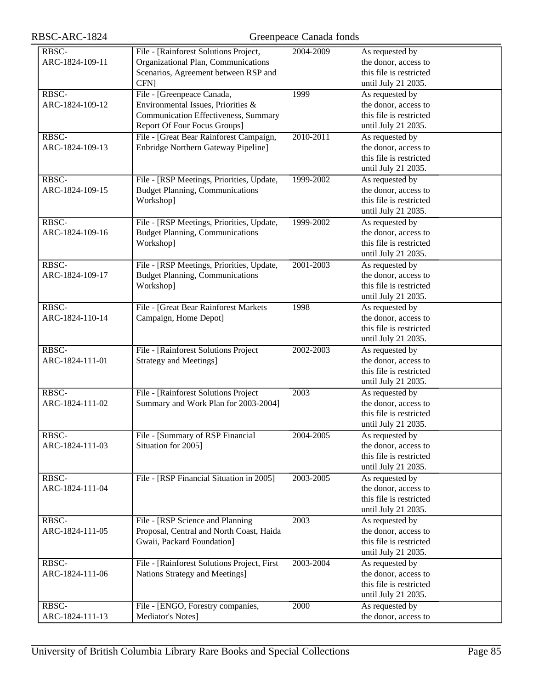| RBSC-           | File - [Rainforest Solutions Project,       | 2004-2009 | As requested by         |
|-----------------|---------------------------------------------|-----------|-------------------------|
| ARC-1824-109-11 | Organizational Plan, Communications         |           | the donor, access to    |
|                 | Scenarios, Agreement between RSP and        |           | this file is restricted |
|                 | <b>CFN</b>                                  |           |                         |
|                 |                                             |           | until July 21 2035.     |
| RBSC-           | File - [Greenpeace Canada,                  | 1999      | As requested by         |
| ARC-1824-109-12 | Environmental Issues, Priorities &          |           | the donor, access to    |
|                 | Communication Effectiveness, Summary        |           | this file is restricted |
|                 | Report Of Four Focus Groups]                |           | until July 21 2035.     |
| RBSC-           | File - [Great Bear Rainforest Campaign,     | 2010-2011 | As requested by         |
| ARC-1824-109-13 | Enbridge Northern Gateway Pipeline]         |           | the donor, access to    |
|                 |                                             |           | this file is restricted |
|                 |                                             |           | until July 21 2035.     |
| RBSC-           | File - [RSP Meetings, Priorities, Update,   | 1999-2002 | As requested by         |
| ARC-1824-109-15 | <b>Budget Planning, Communications</b>      |           | the donor, access to    |
|                 | Workshop]                                   |           | this file is restricted |
|                 |                                             |           | until July 21 2035.     |
| RBSC-           | File - [RSP Meetings, Priorities, Update,   | 1999-2002 | As requested by         |
| ARC-1824-109-16 | <b>Budget Planning, Communications</b>      |           | the donor, access to    |
|                 | Workshop]                                   |           | this file is restricted |
|                 |                                             |           |                         |
|                 |                                             |           | until July 21 2035.     |
| RBSC-           | File - [RSP Meetings, Priorities, Update,   | 2001-2003 | As requested by         |
| ARC-1824-109-17 | <b>Budget Planning, Communications</b>      |           | the donor, access to    |
|                 | Workshop]                                   |           | this file is restricted |
|                 |                                             |           | until July 21 2035.     |
| RBSC-           | File - [Great Bear Rainforest Markets       | 1998      | As requested by         |
| ARC-1824-110-14 | Campaign, Home Depot]                       |           | the donor, access to    |
|                 |                                             |           | this file is restricted |
|                 |                                             |           | until July 21 2035.     |
| RBSC-           | File - [Rainforest Solutions Project        | 2002-2003 | As requested by         |
| ARC-1824-111-01 | <b>Strategy and Meetings]</b>               |           | the donor, access to    |
|                 |                                             |           | this file is restricted |
|                 |                                             |           | until July 21 2035.     |
| RBSC-           | File - [Rainforest Solutions Project]       | 2003      | As requested by         |
| ARC-1824-111-02 | Summary and Work Plan for 2003-2004]        |           | the donor, access to    |
|                 |                                             |           | this file is restricted |
|                 |                                             |           |                         |
|                 |                                             |           | until July 21 2035.     |
| RBSC-           | File - [Summary of RSP Financial            | 2004-2005 | As requested by         |
| ARC-1824-111-03 | Situation for 2005]                         |           | the donor, access to    |
|                 |                                             |           | this file is restricted |
|                 |                                             |           | until July 21 2035.     |
| RBSC-           | File - [RSP Financial Situation in 2005]    | 2003-2005 | As requested by         |
| ARC-1824-111-04 |                                             |           | the donor, access to    |
|                 |                                             |           | this file is restricted |
|                 |                                             |           | until July 21 2035.     |
| RBSC-           | File - [RSP Science and Planning            | 2003      | As requested by         |
| ARC-1824-111-05 | Proposal, Central and North Coast, Haida    |           | the donor, access to    |
|                 | Gwaii, Packard Foundation]                  |           | this file is restricted |
|                 |                                             |           | until July 21 2035.     |
| RBSC-           | File - [Rainforest Solutions Project, First | 2003-2004 | As requested by         |
| ARC-1824-111-06 | Nations Strategy and Meetings]              |           | the donor, access to    |
|                 |                                             |           | this file is restricted |
|                 |                                             |           |                         |
|                 |                                             |           | until July 21 2035.     |
| RBSC-           | File - [ENGO, Forestry companies,           | 2000      | As requested by         |
| ARC-1824-111-13 | Mediator's Notes]                           |           | the donor, access to    |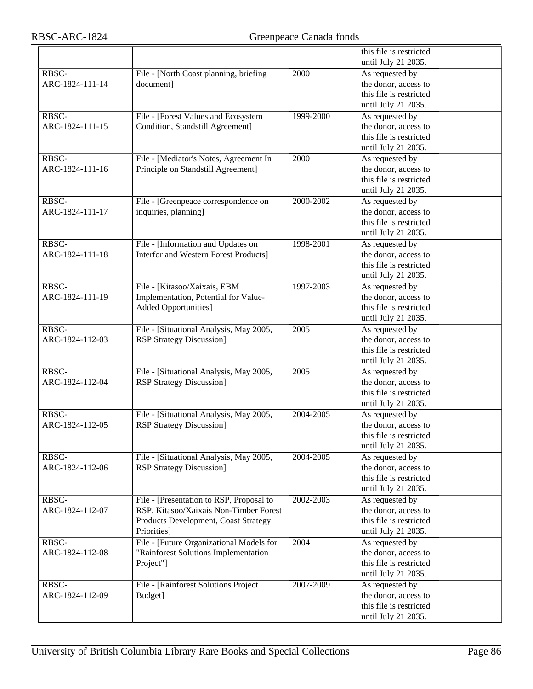|                 |                                          |           | this file is restricted |
|-----------------|------------------------------------------|-----------|-------------------------|
|                 |                                          |           | until July 21 2035.     |
| RBSC-           | File - [North Coast planning, briefing   | 2000      | As requested by         |
| ARC-1824-111-14 | document]                                |           | the donor, access to    |
|                 |                                          |           | this file is restricted |
|                 |                                          |           | until July 21 2035.     |
| RBSC-           | File - [Forest Values and Ecosystem      | 1999-2000 | As requested by         |
| ARC-1824-111-15 | Condition, Standstill Agreement]         |           | the donor, access to    |
|                 |                                          |           | this file is restricted |
|                 |                                          |           | until July 21 2035.     |
| RBSC-           | File - [Mediator's Notes, Agreement In   | 2000      | As requested by         |
| ARC-1824-111-16 | Principle on Standstill Agreement]       |           | the donor, access to    |
|                 |                                          |           | this file is restricted |
|                 |                                          |           | until July 21 2035.     |
| RBSC-           | File - [Greenpeace correspondence on     | 2000-2002 | As requested by         |
| ARC-1824-111-17 | inquiries, planning]                     |           | the donor, access to    |
|                 |                                          |           | this file is restricted |
|                 |                                          |           | until July 21 2035.     |
| RBSC-           | File - [Information and Updates on       | 1998-2001 | As requested by         |
| ARC-1824-111-18 | Interfor and Western Forest Products]    |           | the donor, access to    |
|                 |                                          |           | this file is restricted |
|                 |                                          |           | until July 21 2035.     |
| RBSC-           | File - [Kitasoo/Xaixais, EBM             | 1997-2003 | As requested by         |
| ARC-1824-111-19 | Implementation, Potential for Value-     |           | the donor, access to    |
|                 | <b>Added Opportunities]</b>              |           | this file is restricted |
|                 |                                          |           | until July 21 2035.     |
| RBSC-           | File - [Situational Analysis, May 2005,  | 2005      | As requested by         |
| ARC-1824-112-03 | <b>RSP Strategy Discussion]</b>          |           | the donor, access to    |
|                 |                                          |           | this file is restricted |
|                 |                                          |           | until July 21 2035.     |
| RBSC-           | File - [Situational Analysis, May 2005,  | 2005      | As requested by         |
| ARC-1824-112-04 | <b>RSP Strategy Discussion]</b>          |           | the donor, access to    |
|                 |                                          |           | this file is restricted |
|                 |                                          |           | until July 21 2035.     |
| RBSC-           | File - [Situational Analysis, May 2005,  | 2004-2005 | As requested by         |
| ARC-1824-112-05 | <b>RSP Strategy Discussion]</b>          |           | the donor, access to    |
|                 |                                          |           | this file is restricted |
|                 |                                          |           | until July 21 2035.     |
| RBSC-           | File - [Situational Analysis, May 2005,  | 2004-2005 | As requested by         |
| ARC-1824-112-06 | <b>RSP Strategy Discussion]</b>          |           | the donor, access to    |
|                 |                                          |           | this file is restricted |
|                 |                                          |           | until July 21 2035.     |
| RBSC-           | File - [Presentation to RSP, Proposal to | 2002-2003 | As requested by         |
| ARC-1824-112-07 | RSP, Kitasoo/Xaixais Non-Timber Forest   |           | the donor, access to    |
|                 | Products Development, Coast Strategy     |           | this file is restricted |
|                 | Priorities]                              |           | until July 21 2035.     |
| RBSC-           | File - [Future Organizational Models for | 2004      | As requested by         |
| ARC-1824-112-08 | "Rainforest Solutions Implementation     |           | the donor, access to    |
|                 | Project"]                                |           | this file is restricted |
|                 |                                          |           | until July 21 2035.     |
| RBSC-           | File - [Rainforest Solutions Project     | 2007-2009 | As requested by         |
| ARC-1824-112-09 | Budget]                                  |           | the donor, access to    |
|                 |                                          |           | this file is restricted |
|                 |                                          |           | until July 21 2035.     |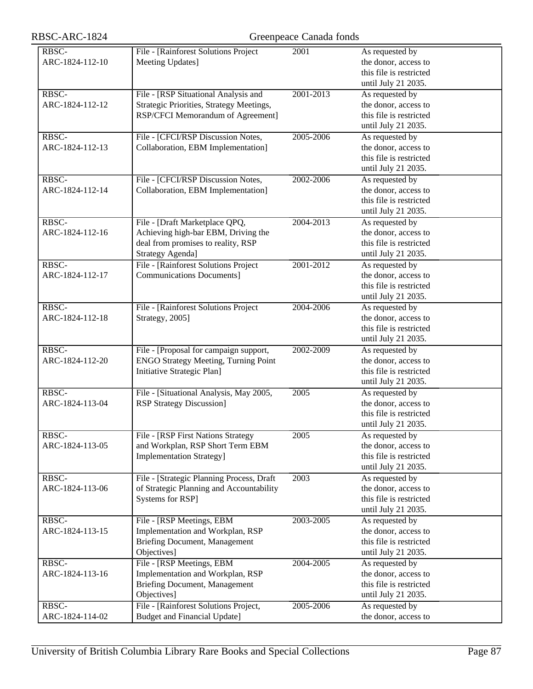| RBSC-ARC-1824            | Greenpeace Canada fonds                                                                                                                |           |                                                                                           |
|--------------------------|----------------------------------------------------------------------------------------------------------------------------------------|-----------|-------------------------------------------------------------------------------------------|
| RBSC-<br>ARC-1824-112-10 | File - [Rainforest Solutions Project<br>Meeting Updates]                                                                               | 2001      | As requested by<br>the donor, access to<br>this file is restricted<br>until July 21 2035. |
| RBSC-<br>ARC-1824-112-12 | File - [RSP Situational Analysis and<br>Strategic Priorities, Strategy Meetings,<br>RSP/CFCI Memorandum of Agreement]                  | 2001-2013 | As requested by<br>the donor, access to<br>this file is restricted<br>until July 21 2035. |
| RBSC-<br>ARC-1824-112-13 | File - [CFCI/RSP Discussion Notes,<br>Collaboration, EBM Implementation]                                                               | 2005-2006 | As requested by<br>the donor, access to<br>this file is restricted<br>until July 21 2035. |
| RBSC-<br>ARC-1824-112-14 | File - [CFCI/RSP Discussion Notes,<br>Collaboration, EBM Implementation]                                                               | 2002-2006 | As requested by<br>the donor, access to<br>this file is restricted<br>until July 21 2035. |
| RBSC-<br>ARC-1824-112-16 | File - [Draft Marketplace QPQ,<br>Achieving high-bar EBM, Driving the<br>deal from promises to reality, RSP<br><b>Strategy Agenda]</b> | 2004-2013 | As requested by<br>the donor, access to<br>this file is restricted<br>until July 21 2035. |
| RBSC-<br>ARC-1824-112-17 | File - [Rainforest Solutions Project<br><b>Communications Documents]</b>                                                               | 2001-2012 | As requested by<br>the donor, access to<br>this file is restricted<br>until July 21 2035. |
| RBSC-<br>ARC-1824-112-18 | File - [Rainforest Solutions Project<br>Strategy, 2005]                                                                                | 2004-2006 | As requested by<br>the donor, access to<br>this file is restricted<br>until July 21 2035. |
| RBSC-<br>ARC-1824-112-20 | File - [Proposal for campaign support,<br><b>ENGO Strategy Meeting, Turning Point</b><br>Initiative Strategic Plan]                    | 2002-2009 | As requested by<br>the donor, access to<br>this file is restricted<br>until July 21 2035. |
| RBSC-<br>ARC-1824-113-04 | File - [Situational Analysis, May 2005,<br><b>RSP Strategy Discussion]</b>                                                             | 2005      | As requested by<br>the donor, access to<br>this file is restricted<br>until July 21 2035. |
| RBSC-<br>ARC-1824-113-05 | File - [RSP First Nations Strategy<br>and Workplan, RSP Short Term EBM<br><b>Implementation Strategy]</b>                              | 2005      | As requested by<br>the donor, access to<br>this file is restricted<br>until July 21 2035. |
| RBSC-<br>ARC-1824-113-06 | File - [Strategic Planning Process, Draft<br>of Strategic Planning and Accountability<br>Systems for RSP]                              | 2003      | As requested by<br>the donor, access to<br>this file is restricted<br>until July 21 2035. |
| RBSC-<br>ARC-1824-113-15 | File - [RSP Meetings, EBM<br>Implementation and Workplan, RSP<br>Briefing Document, Management<br>Objectives]                          | 2003-2005 | As requested by<br>the donor, access to<br>this file is restricted<br>until July 21 2035. |
| RBSC-<br>ARC-1824-113-16 | File - [RSP Meetings, EBM<br>Implementation and Workplan, RSP<br>Briefing Document, Management<br>Objectives]                          | 2004-2005 | As requested by<br>the donor, access to<br>this file is restricted<br>until July 21 2035. |
| RBSC-<br>ARC-1824-114-02 | File - [Rainforest Solutions Project,<br><b>Budget and Financial Update]</b>                                                           | 2005-2006 | As requested by<br>the donor, access to                                                   |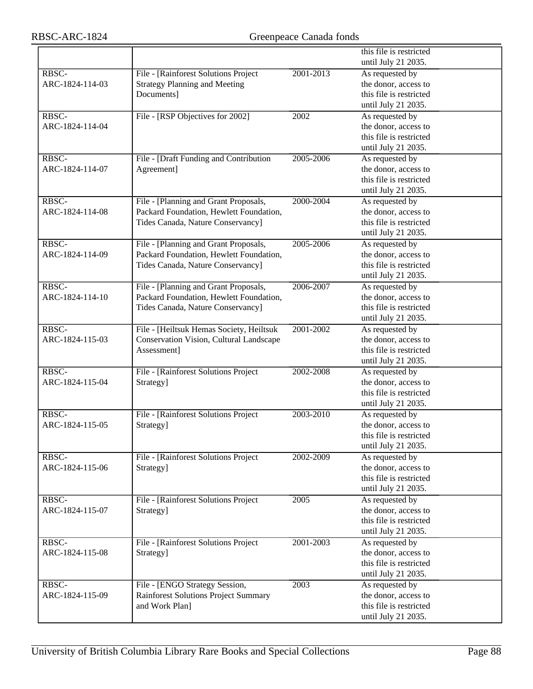|                 |                                          |           | this file is restricted |
|-----------------|------------------------------------------|-----------|-------------------------|
|                 |                                          |           | until July 21 2035.     |
| RBSC-           | File - [Rainforest Solutions Project     | 2001-2013 | As requested by         |
| ARC-1824-114-03 | <b>Strategy Planning and Meeting</b>     |           | the donor, access to    |
|                 | Documents]                               |           | this file is restricted |
|                 |                                          |           | until July 21 2035.     |
| RBSC-           | File - [RSP Objectives for 2002]         | 2002      | As requested by         |
| ARC-1824-114-04 |                                          |           | the donor, access to    |
|                 |                                          |           | this file is restricted |
|                 |                                          |           | until July 21 2035.     |
| RBSC-           | File - [Draft Funding and Contribution   | 2005-2006 | As requested by         |
| ARC-1824-114-07 | Agreement]                               |           | the donor, access to    |
|                 |                                          |           | this file is restricted |
|                 |                                          |           | until July 21 2035.     |
| RBSC-           | File - [Planning and Grant Proposals,    | 2000-2004 | As requested by         |
| ARC-1824-114-08 | Packard Foundation, Hewlett Foundation,  |           | the donor, access to    |
|                 | Tides Canada, Nature Conservancy]        |           | this file is restricted |
|                 |                                          |           | until July 21 2035.     |
| RBSC-           | File - [Planning and Grant Proposals,    | 2005-2006 | As requested by         |
| ARC-1824-114-09 | Packard Foundation, Hewlett Foundation,  |           | the donor, access to    |
|                 |                                          |           | this file is restricted |
|                 | Tides Canada, Nature Conservancy]        |           |                         |
| RBSC-           |                                          |           | until July 21 2035.     |
|                 | File - [Planning and Grant Proposals,    | 2006-2007 | As requested by         |
| ARC-1824-114-10 | Packard Foundation, Hewlett Foundation,  |           | the donor, access to    |
|                 | Tides Canada, Nature Conservancy]        |           | this file is restricted |
|                 |                                          |           | until July 21 2035.     |
| RBSC-           | File - [Heiltsuk Hemas Society, Heiltsuk | 2001-2002 | As requested by         |
| ARC-1824-115-03 | Conservation Vision, Cultural Landscape  |           | the donor, access to    |
|                 | Assessment]                              |           | this file is restricted |
|                 |                                          |           | until July 21 2035.     |
| RBSC-           | File - [Rainforest Solutions Project     | 2002-2008 | As requested by         |
| ARC-1824-115-04 | Strategy]                                |           | the donor, access to    |
|                 |                                          |           | this file is restricted |
|                 |                                          |           | until July 21 2035.     |
| RBSC-           | File - [Rainforest Solutions Project     | 2003-2010 | As requested by         |
| ARC-1824-115-05 | Strategy]                                |           | the donor, access to    |
|                 |                                          |           | this file is restricted |
|                 |                                          |           | until July 21 2035.     |
| RBSC-           | File - [Rainforest Solutions Project     | 2002-2009 | As requested by         |
| ARC-1824-115-06 | Strategy]                                |           | the donor, access to    |
|                 |                                          |           | this file is restricted |
|                 |                                          |           | until July 21 2035.     |
| RBSC-           | File - [Rainforest Solutions Project     | 2005      | As requested by         |
| ARC-1824-115-07 | Strategy]                                |           | the donor, access to    |
|                 |                                          |           | this file is restricted |
|                 |                                          |           | until July 21 2035.     |
| RBSC-           | File - [Rainforest Solutions Project     | 2001-2003 | As requested by         |
| ARC-1824-115-08 | Strategy]                                |           | the donor, access to    |
|                 |                                          |           | this file is restricted |
|                 |                                          |           | until July 21 2035.     |
| RBSC-           | File - [ENGO Strategy Session,           | 2003      | As requested by         |
| ARC-1824-115-09 | Rainforest Solutions Project Summary     |           | the donor, access to    |
|                 | and Work Plan]                           |           | this file is restricted |
|                 |                                          |           | until July 21 2035.     |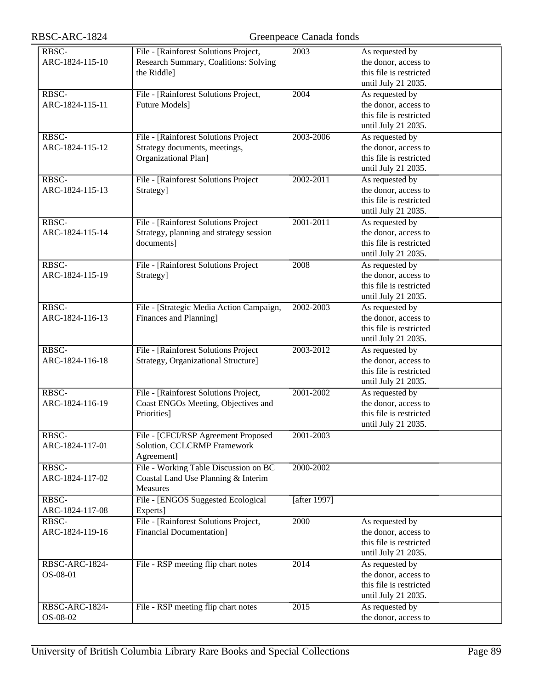| RBSC-           | File - [Rainforest Solutions Project,    | 2003         | As requested by         |
|-----------------|------------------------------------------|--------------|-------------------------|
| ARC-1824-115-10 |                                          |              | the donor, access to    |
|                 | Research Summary, Coalitions: Solving    |              |                         |
|                 | the Riddle]                              |              | this file is restricted |
|                 |                                          |              | until July 21 2035.     |
| RBSC-           | File - [Rainforest Solutions Project,    | 2004         | As requested by         |
| ARC-1824-115-11 | <b>Future Models</b> ]                   |              | the donor, access to    |
|                 |                                          |              | this file is restricted |
|                 |                                          |              | until July 21 2035.     |
| RBSC-           | File - [Rainforest Solutions Project]    | 2003-2006    | As requested by         |
|                 |                                          |              |                         |
| ARC-1824-115-12 | Strategy documents, meetings,            |              | the donor, access to    |
|                 | Organizational Plan]                     |              | this file is restricted |
|                 |                                          |              | until July 21 2035.     |
| RBSC-           | File - [Rainforest Solutions Project     | 2002-2011    | As requested by         |
| ARC-1824-115-13 | Strategy]                                |              | the donor, access to    |
|                 |                                          |              | this file is restricted |
|                 |                                          |              | until July 21 2035.     |
| RBSC-           | File - [Rainforest Solutions Project     | 2001-2011    | As requested by         |
|                 |                                          |              |                         |
| ARC-1824-115-14 | Strategy, planning and strategy session  |              | the donor, access to    |
|                 | documents]                               |              | this file is restricted |
|                 |                                          |              | until July 21 2035.     |
| RBSC-           | File - [Rainforest Solutions Project     | 2008         | As requested by         |
| ARC-1824-115-19 | Strategy]                                |              | the donor, access to    |
|                 |                                          |              | this file is restricted |
|                 |                                          |              | until July 21 2035.     |
| RBSC-           |                                          | 2002-2003    | As requested by         |
|                 | File - [Strategic Media Action Campaign, |              |                         |
| ARC-1824-116-13 | Finances and Planning]                   |              | the donor, access to    |
|                 |                                          |              | this file is restricted |
|                 |                                          |              | until July 21 2035.     |
| RBSC-           | File - [Rainforest Solutions Project]    | 2003-2012    | As requested by         |
| ARC-1824-116-18 | Strategy, Organizational Structure]      |              | the donor, access to    |
|                 |                                          |              | this file is restricted |
|                 |                                          |              | until July 21 2035.     |
| RBSC-           | File - [Rainforest Solutions Project,    | 2001-2002    | As requested by         |
|                 |                                          |              |                         |
| ARC-1824-116-19 | Coast ENGOs Meeting, Objectives and      |              | the donor, access to    |
|                 | Priorities]                              |              | this file is restricted |
|                 |                                          |              | until July 21 2035.     |
| RBSC-           | File - [CFCI/RSP Agreement Proposed      | 2001-2003    |                         |
| ARC-1824-117-01 | Solution, CCLCRMP Framework              |              |                         |
|                 | Agreement]                               |              |                         |
| RBSC-           | File - Working Table Discussion on BC    | 2000-2002    |                         |
| ARC-1824-117-02 | Coastal Land Use Planning & Interim      |              |                         |
|                 | <b>Measures</b>                          |              |                         |
|                 |                                          |              |                         |
| RBSC-           | File - [ENGOS Suggested Ecological       | [after 1997] |                         |
| ARC-1824-117-08 | Experts]                                 |              |                         |
| RBSC-           | File - [Rainforest Solutions Project,    | 2000         | As requested by         |
| ARC-1824-119-16 | <b>Financial Documentation]</b>          |              | the donor, access to    |
|                 |                                          |              | this file is restricted |
|                 |                                          |              | until July 21 2035.     |
| RBSC-ARC-1824-  | File - RSP meeting flip chart notes      | 2014         | As requested by         |
| OS-08-01        |                                          |              | the donor, access to    |
|                 |                                          |              |                         |
|                 |                                          |              | this file is restricted |
|                 |                                          |              | until July 21 2035.     |
| RBSC-ARC-1824-  | File - RSP meeting flip chart notes      | 2015         | As requested by         |
| OS-08-02        |                                          |              | the donor, access to    |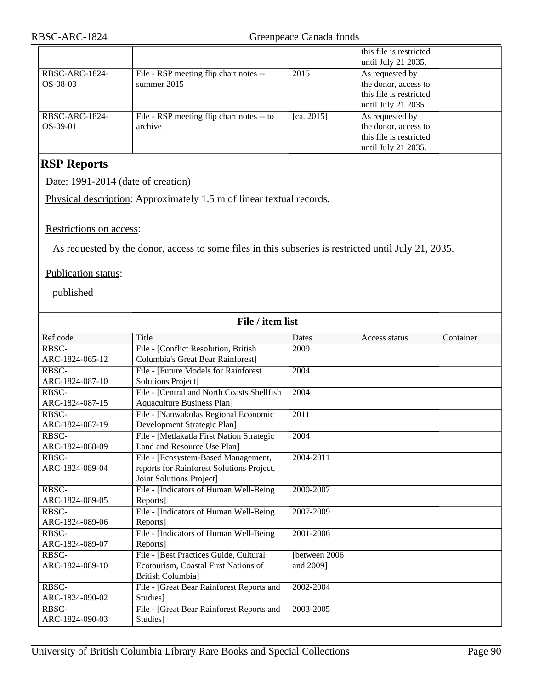|                |                                           |               | this file is restricted |
|----------------|-------------------------------------------|---------------|-------------------------|
|                |                                           |               | until July 21 2035.     |
| RBSC-ARC-1824- | File - RSP meeting flip chart notes --    | 2015          | As requested by         |
| $OS-08-03$     | summer 2015                               |               | the donor, access to    |
|                |                                           |               | this file is restricted |
|                |                                           |               | until July 21 2035.     |
| RBSC-ARC-1824- | File - RSP meeting flip chart notes -- to | [ca. $2015$ ] | As requested by         |
| $OS-09-01$     | archive                                   |               | the donor, access to    |
|                |                                           |               | this file is restricted |
|                |                                           |               | until July 21 2035.     |

## **RSP Reports**

Date: 1991-2014 (date of creation)

Physical description: Approximately 1.5 m of linear textual records.

#### Restrictions on access:

As requested by the donor, access to some files in this subseries is restricted until July 21, 2035.

#### Publication status:

published

| File / item list |                                            |               |               |           |
|------------------|--------------------------------------------|---------------|---------------|-----------|
| Ref code         | Title                                      | <b>Dates</b>  | Access status | Container |
| RBSC-            | File - [Conflict Resolution, British       | 2009          |               |           |
| ARC-1824-065-12  | Columbia's Great Bear Rainforest]          |               |               |           |
| RBSC-            | File - [Future Models for Rainforest       | 2004          |               |           |
| ARC-1824-087-10  | Solutions Project]                         |               |               |           |
| RBSC-            | File - [Central and North Coasts Shellfish | 2004          |               |           |
| ARC-1824-087-15  | <b>Aquaculture Business Plan]</b>          |               |               |           |
| RBSC-            | File - [Nanwakolas Regional Economic       | 2011          |               |           |
| ARC-1824-087-19  | Development Strategic Plan]                |               |               |           |
| RBSC-            | File - [Metlakatla First Nation Strategic  | 2004          |               |           |
| ARC-1824-088-09  | Land and Resource Use Plan]                |               |               |           |
| RBSC-            | File - [Ecosystem-Based Management,        | 2004-2011     |               |           |
| ARC-1824-089-04  | reports for Rainforest Solutions Project,  |               |               |           |
|                  | Joint Solutions Project]                   |               |               |           |
| RBSC-            | File - [Indicators of Human Well-Being     | 2000-2007     |               |           |
| ARC-1824-089-05  | Reports]                                   |               |               |           |
| RBSC-            | File - [Indicators of Human Well-Being     | 2007-2009     |               |           |
| ARC-1824-089-06  | Reports]                                   |               |               |           |
| RBSC-            | File - [Indicators of Human Well-Being     | 2001-2006     |               |           |
| ARC-1824-089-07  | Reports]                                   |               |               |           |
| RBSC-            | File - [Best Practices Guide, Cultural     | [between 2006 |               |           |
| ARC-1824-089-10  | Ecotourism, Coastal First Nations of       | and 2009]     |               |           |
|                  | <b>British Columbia]</b>                   |               |               |           |
| RBSC-            | File - [Great Bear Rainforest Reports and  | 2002-2004     |               |           |
| ARC-1824-090-02  | Studies]                                   |               |               |           |
| RBSC-            | File - [Great Bear Rainforest Reports and  | 2003-2005     |               |           |
| ARC-1824-090-03  | Studies]                                   |               |               |           |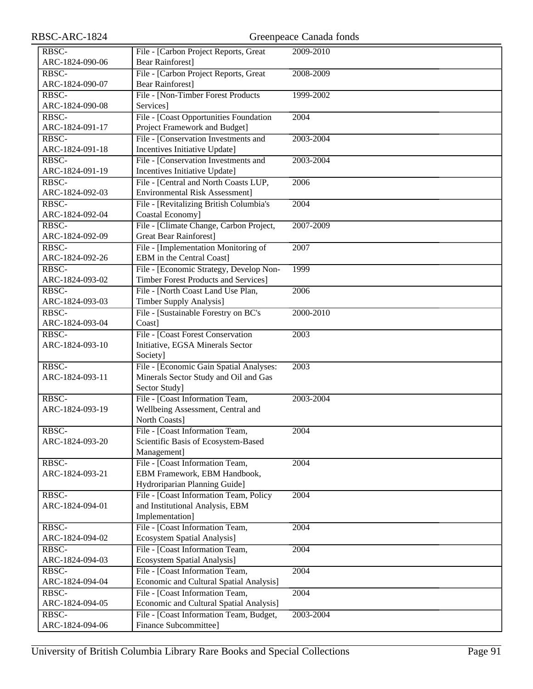| RBSC-ARC-1824   |                                                                       | Greenpeace Canada fonds |
|-----------------|-----------------------------------------------------------------------|-------------------------|
| RBSC-           | File - [Carbon Project Reports, Great                                 | 2009-2010               |
| ARC-1824-090-06 | <b>Bear Rainforest]</b>                                               |                         |
| RBSC-           | File - [Carbon Project Reports, Great                                 | 2008-2009               |
| ARC-1824-090-07 | <b>Bear Rainforest]</b>                                               |                         |
| RBSC-           | File - [Non-Timber Forest Products                                    | 1999-2002               |
| ARC-1824-090-08 | Services]                                                             |                         |
| RBSC-           | File - [Coast Opportunities Foundation                                | 2004                    |
| ARC-1824-091-17 | Project Framework and Budget]                                         |                         |
| RBSC-           | File - [Conservation Investments and                                  | 2003-2004               |
| ARC-1824-091-18 | Incentives Initiative Update]                                         |                         |
| RBSC-           | File - [Conservation Investments and                                  | 2003-2004               |
| ARC-1824-091-19 | Incentives Initiative Update]                                         |                         |
| RBSC-           | File - [Central and North Coasts LUP,                                 | 2006                    |
| ARC-1824-092-03 | <b>Environmental Risk Assessment]</b>                                 |                         |
| RBSC-           | File - [Revitalizing British Columbia's                               | 2004                    |
| ARC-1824-092-04 | Coastal Economy]                                                      |                         |
| RBSC-           | File - [Climate Change, Carbon Project,                               | 2007-2009               |
| ARC-1824-092-09 | <b>Great Bear Rainforest</b> ]                                        |                         |
| RBSC-           | File - [Implementation Monitoring of                                  | 2007                    |
| ARC-1824-092-26 | <b>EBM</b> in the Central Coast]                                      |                         |
| RBSC-           | File - [Economic Strategy, Develop Non-                               | 1999                    |
| ARC-1824-093-02 | <b>Timber Forest Products and Services]</b>                           |                         |
| RBSC-           | File - [North Coast Land Use Plan,                                    | 2006                    |
| ARC-1824-093-03 | <b>Timber Supply Analysis]</b>                                        |                         |
| RBSC-           | File - [Sustainable Forestry on BC's                                  | 2000-2010               |
| ARC-1824-093-04 | Coast]                                                                |                         |
| RBSC-           | File - [Coast Forest Conservation                                     | 2003                    |
| ARC-1824-093-10 | Initiative, EGSA Minerals Sector                                      |                         |
|                 | Society]                                                              |                         |
| RBSC-           | File - [Economic Gain Spatial Analyses:                               | 2003                    |
| ARC-1824-093-11 | Minerals Sector Study and Oil and Gas                                 |                         |
|                 | Sector Study]                                                         |                         |
| RBSC-           | File - [Coast Information Team,                                       | 2003-2004               |
| ARC-1824-093-19 | Wellbeing Assessment, Central and                                     |                         |
|                 | North Coasts]                                                         |                         |
| RBSC-           | File - [Coast Information Team,                                       | 2004                    |
| ARC-1824-093-20 | Scientific Basis of Ecosystem-Based                                   |                         |
|                 | Management]                                                           |                         |
| RBSC-           | File - [Coast Information Team,                                       | 2004                    |
| ARC-1824-093-21 | EBM Framework, EBM Handbook,                                          |                         |
|                 | Hydroriparian Planning Guide]                                         |                         |
| RBSC-           | File - [Coast Information Team, Policy                                | 2004                    |
| ARC-1824-094-01 | and Institutional Analysis, EBM                                       |                         |
| RBSC-           | Implementation]                                                       | 2004                    |
| ARC-1824-094-02 | File - [Coast Information Team,<br><b>Ecosystem Spatial Analysis]</b> |                         |
| RBSC-           | File - [Coast Information Team,                                       | 2004                    |
| ARC-1824-094-03 | Ecosystem Spatial Analysis]                                           |                         |
| RBSC-           | File - [Coast Information Team,                                       | 2004                    |
| ARC-1824-094-04 | Economic and Cultural Spatial Analysis]                               |                         |
| RBSC-           | File - [Coast Information Team,                                       | 2004                    |
| ARC-1824-094-05 | Economic and Cultural Spatial Analysis]                               |                         |
| RBSC-           | File - [Coast Information Team, Budget,                               | 2003-2004               |
| ARC-1824-094-06 | Finance Subcommittee]                                                 |                         |
|                 |                                                                       |                         |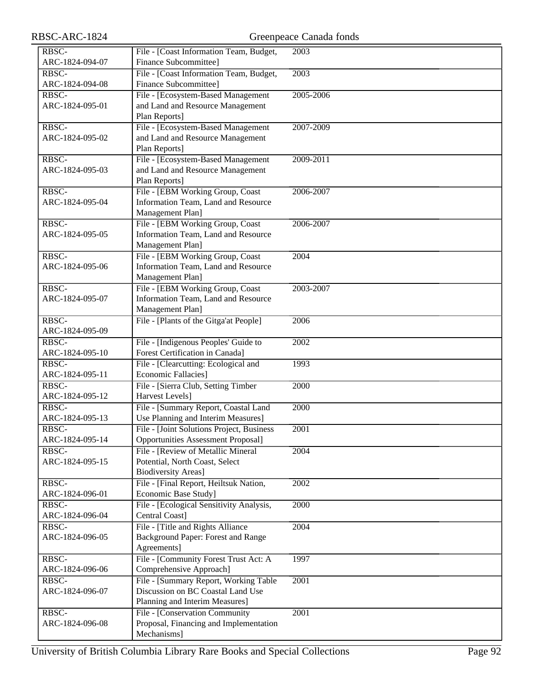| RBSC-ARC-1824            |                                                                | Greenpeace Canada fonds |
|--------------------------|----------------------------------------------------------------|-------------------------|
| RBSC-                    | File - [Coast Information Team, Budget,                        | 2003                    |
| ARC-1824-094-07          | <b>Finance Subcommittee]</b>                                   |                         |
| RBSC-                    | File - [Coast Information Team, Budget,                        | 2003                    |
| ARC-1824-094-08          | Finance Subcommittee]                                          |                         |
| RBSC-                    | File - [Ecosystem-Based Management                             | 2005-2006               |
| ARC-1824-095-01          | and Land and Resource Management                               |                         |
|                          | Plan Reports]                                                  |                         |
| RBSC-                    | File - [Ecosystem-Based Management                             | 2007-2009               |
| ARC-1824-095-02          | and Land and Resource Management                               |                         |
| RBSC-                    | Plan Reports]<br>File - [Ecosystem-Based Management            | 2009-2011               |
| ARC-1824-095-03          | and Land and Resource Management                               |                         |
|                          | Plan Reports]                                                  |                         |
| RBSC-                    | File - [EBM Working Group, Coast                               | 2006-2007               |
| ARC-1824-095-04          | Information Team, Land and Resource                            |                         |
|                          | Management Plan]                                               |                         |
| RBSC-                    | File - [EBM Working Group, Coast                               | 2006-2007               |
| ARC-1824-095-05          | Information Team, Land and Resource                            |                         |
|                          | Management Plan]                                               |                         |
| RBSC-                    | File - [EBM Working Group, Coast                               | $\overline{200}4$       |
| ARC-1824-095-06          | Information Team, Land and Resource                            |                         |
|                          | Management Plan]                                               |                         |
| RBSC-                    | File - [EBM Working Group, Coast                               | 2003-2007               |
| ARC-1824-095-07          | Information Team, Land and Resource                            |                         |
|                          | Management Plan]                                               |                         |
| RBSC-                    | File - [Plants of the Gitga'at People]                         | 2006                    |
| ARC-1824-095-09<br>RBSC- | File - [Indigenous Peoples' Guide to                           | 2002                    |
| ARC-1824-095-10          | Forest Certification in Canada]                                |                         |
| RBSC-                    | File - [Clearcutting: Ecological and                           | 1993                    |
| ARC-1824-095-11          | <b>Economic Fallacies</b> ]                                    |                         |
| RBSC-                    | File - [Sierra Club, Setting Timber                            | 2000                    |
| ARC-1824-095-12          | Harvest Levels]                                                |                         |
| RBSC-                    | File - [Summary Report, Coastal Land                           | 2000                    |
| ARC-1824-095-13          | Use Planning and Interim Measures]                             |                         |
| RBSC-                    | File - [Joint Solutions Project, Business                      | $\overline{200}1$       |
| ARC-1824-095-14          | <b>Opportunities Assessment Proposal]</b>                      |                         |
| RBSC-                    | File - [Review of Metallic Mineral]                            | 2004                    |
| ARC-1824-095-15          | Potential, North Coast, Select                                 |                         |
|                          | <b>Biodiversity Areas]</b>                                     |                         |
| RBSC-<br>ARC-1824-096-01 | File - [Final Report, Heiltsuk Nation,<br>Economic Base Study] | 2002                    |
| RBSC-                    | File - [Ecological Sensitivity Analysis,                       | 2000                    |
| ARC-1824-096-04          | Central Coast]                                                 |                         |
| RBSC-                    | File - [Title and Rights Alliance                              | 2004                    |
| ARC-1824-096-05          | Background Paper: Forest and Range                             |                         |
|                          | Agreements]                                                    |                         |
| RBSC-                    | File - [Community Forest Trust Act: A                          | 1997                    |
| ARC-1824-096-06          | Comprehensive Approach]                                        |                         |
| RBSC-                    | File - [Summary Report, Working Table                          | $\overline{2001}$       |
| ARC-1824-096-07          | Discussion on BC Coastal Land Use                              |                         |
|                          | Planning and Interim Measures]                                 |                         |
| RBSC-                    | File - [Conservation Community                                 | 2001                    |
| ARC-1824-096-08          | Proposal, Financing and Implementation<br>Mechanisms]          |                         |
|                          |                                                                |                         |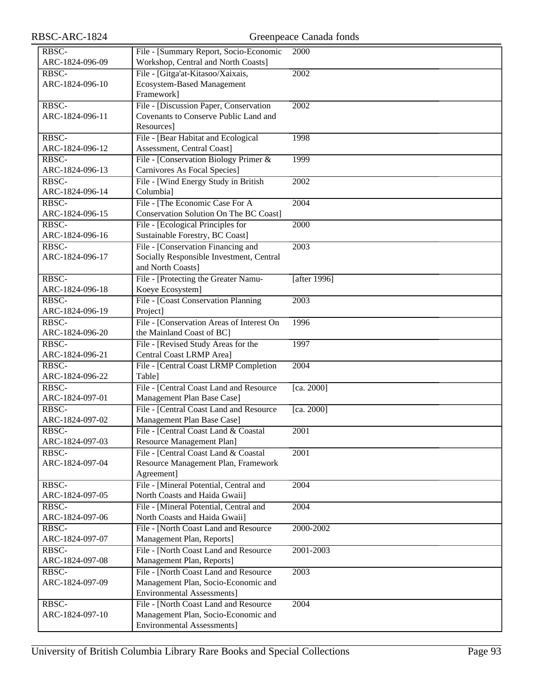| RBSC-           | File - [Summary Report, Socio-Economic    | 2000         |
|-----------------|-------------------------------------------|--------------|
| ARC-1824-096-09 | Workshop, Central and North Coasts]       |              |
| RBSC-           | File - [Gitga'at-Kitasoo/Xaixais,         | 2002         |
| ARC-1824-096-10 | <b>Ecosystem-Based Management</b>         |              |
|                 | Framework]                                |              |
| RBSC-           | File - [Discussion Paper, Conservation    | 2002         |
| ARC-1824-096-11 | Covenants to Conserve Public Land and     |              |
|                 | Resources]                                |              |
| RBSC-           | File - [Bear Habitat and Ecological       | 1998         |
| ARC-1824-096-12 | Assessment, Central Coast]                |              |
| RBSC-           | File - [Conservation Biology Primer &     | 1999         |
| ARC-1824-096-13 | Carnivores As Focal Species]              |              |
| RBSC-           | File - [Wind Energy Study in British      | 2002         |
| ARC-1824-096-14 | Columbia]                                 |              |
| RBSC-           | File - [The Economic Case For A           | 2004         |
| ARC-1824-096-15 | Conservation Solution On The BC Coast]    |              |
| RBSC-           | File - [Ecological Principles for         | 2000         |
| ARC-1824-096-16 | Sustainable Forestry, BC Coast]           |              |
| RBSC-           | File - [Conservation Financing and        | 2003         |
|                 | Socially Responsible Investment, Central  |              |
| ARC-1824-096-17 |                                           |              |
|                 | and North Coasts]                         |              |
| RBSC-           | File - [Protecting the Greater Namu-      | [after 1996] |
| ARC-1824-096-18 | Koeye Ecosystem]                          |              |
| RBSC-           | File - [Coast Conservation Planning       | 2003         |
| ARC-1824-096-19 | Project]                                  |              |
| RBSC-           | File - [Conservation Areas of Interest On | 1996         |
| ARC-1824-096-20 | the Mainland Coast of BC]                 |              |
| RBSC-           | File - [Revised Study Areas for the       | 1997         |
| ARC-1824-096-21 | Central Coast LRMP Area]                  |              |
| RBSC-           | File - [Central Coast LRMP Completion     | 2004         |
| ARC-1824-096-22 | Table]                                    |              |
| RBSC-           | File - [Central Coast Land and Resource]  | [ca. 2000]   |
| ARC-1824-097-01 | Management Plan Base Case]                |              |
| RBSC-           | File - [Central Coast Land and Resource   | [ca. 2000]   |
| ARC-1824-097-02 | Management Plan Base Case]                |              |
| RBSC-           | File - [Central Coast Land & Coastal      | 2001         |
| ARC-1824-097-03 | Resource Management Plan]                 |              |
| RBSC-           | File - [Central Coast Land & Coastal      | 2001         |
| ARC-1824-097-04 | Resource Management Plan, Framework       |              |
|                 | Agreement]                                |              |
| RBSC-           | File - [Mineral Potential, Central and    | 2004         |
| ARC-1824-097-05 | North Coasts and Haida Gwaii]             |              |
| RBSC-           | File - [Mineral Potential, Central and    | 2004         |
| ARC-1824-097-06 | North Coasts and Haida Gwaii]             |              |
| RBSC-           | File - [North Coast Land and Resource     | 2000-2002    |
| ARC-1824-097-07 | Management Plan, Reports]                 |              |
| RBSC-           | File - [North Coast Land and Resource     | 2001-2003    |
| ARC-1824-097-08 | Management Plan, Reports]                 |              |
| RBSC-           | File - [North Coast Land and Resource     | 2003         |
| ARC-1824-097-09 | Management Plan, Socio-Economic and       |              |
|                 | <b>Environmental Assessments</b> ]        |              |
| RBSC-           | File - [North Coast Land and Resource     | 2004         |
| ARC-1824-097-10 | Management Plan, Socio-Economic and       |              |
|                 | Environmental Assessments]                |              |
|                 |                                           |              |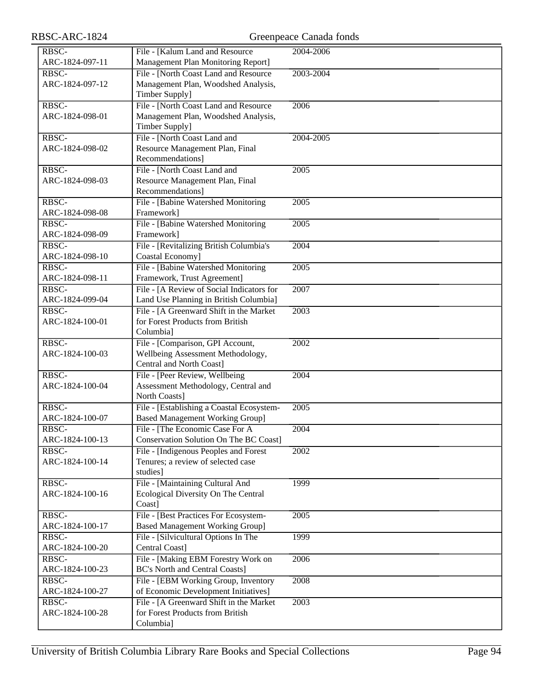| RBSC-ARC-1824            |                                                                              | Greenpeace Canada fonds |
|--------------------------|------------------------------------------------------------------------------|-------------------------|
| RBSC-                    | File - [Kalum Land and Resource                                              | 2004-2006               |
| ARC-1824-097-11          | Management Plan Monitoring Report]                                           |                         |
| RBSC-                    | File - [North Coast Land and Resource                                        | 2003-2004               |
| ARC-1824-097-12          | Management Plan, Woodshed Analysis,                                          |                         |
|                          | Timber Supply]                                                               |                         |
| RBSC-                    | File - [North Coast Land and Resource                                        | 2006                    |
| ARC-1824-098-01          | Management Plan, Woodshed Analysis,                                          |                         |
|                          | Timber Supply]                                                               |                         |
| RBSC-                    | File - [North Coast Land and                                                 | 2004-2005               |
| ARC-1824-098-02          | Resource Management Plan, Final                                              |                         |
|                          | Recommendations]                                                             |                         |
| RBSC-                    | File - [North Coast Land and                                                 | 2005                    |
| ARC-1824-098-03          | Resource Management Plan, Final                                              |                         |
|                          | Recommendations]                                                             |                         |
| RBSC-                    | File - [Babine Watershed Monitoring                                          | 2005                    |
| ARC-1824-098-08          | Framework]                                                                   |                         |
| RBSC-                    | File - [Babine Watershed Monitoring                                          | 2005                    |
| ARC-1824-098-09          | Framework]                                                                   |                         |
| RBSC-                    | File - [Revitalizing British Columbia's                                      | 2004                    |
| ARC-1824-098-10          | Coastal Economy]                                                             |                         |
| RBSC-<br>ARC-1824-098-11 | File - [Babine Watershed Monitoring                                          | 2005                    |
| RBSC-                    | Framework, Trust Agreement]<br>File - [A Review of Social Indicators for     | 2007                    |
| ARC-1824-099-04          | Land Use Planning in British Columbia]                                       |                         |
| RBSC-                    | File - [A Greenward Shift in the Market]                                     | 2003                    |
| ARC-1824-100-01          | for Forest Products from British                                             |                         |
|                          | Columbia]                                                                    |                         |
| RBSC-                    | File - [Comparison, GPI Account,                                             | 2002                    |
| ARC-1824-100-03          | Wellbeing Assessment Methodology,                                            |                         |
|                          | Central and North Coast]                                                     |                         |
| RBSC-                    | File - [Peer Review, Wellbeing                                               | 2004                    |
| ARC-1824-100-04          | Assessment Methodology, Central and                                          |                         |
|                          | North Coasts]                                                                |                         |
| RBSC-                    | File - [Establishing a Coastal Ecosystem-                                    | 2005                    |
| ARC-1824-100-07          | <b>Based Management Working Group]</b>                                       |                         |
| RBSC-                    | File - [The Economic Case For A                                              | 2004                    |
| ARC-1824-100-13          | <b>Conservation Solution On The BC Coast]</b>                                |                         |
| RBSC-                    | File - [Indigenous Peoples and Forest                                        | 2002                    |
| ARC-1824-100-14          | Tenures; a review of selected case                                           |                         |
|                          | studies]                                                                     |                         |
| RBSC-                    | File - [Maintaining Cultural And                                             | 1999                    |
| ARC-1824-100-16          | Ecological Diversity On The Central                                          |                         |
|                          | Coast]                                                                       |                         |
| RBSC-                    | File - [Best Practices For Ecosystem-                                        | 2005                    |
| ARC-1824-100-17          | <b>Based Management Working Group]</b>                                       |                         |
| RBSC-                    | File - [Silvicultural Options In The                                         | 1999                    |
| ARC-1824-100-20          | Central Coast]                                                               |                         |
| RBSC-                    | File - [Making EBM Forestry Work on                                          | 2006                    |
| ARC-1824-100-23          | <b>BC's North and Central Coasts]</b>                                        |                         |
| RBSC-<br>ARC-1824-100-27 | File - [EBM Working Group, Inventory<br>of Economic Development Initiatives] | 2008                    |
| RBSC-                    | File - [A Greenward Shift in the Market                                      | 2003                    |
| ARC-1824-100-28          | for Forest Products from British                                             |                         |
|                          | Columbia]                                                                    |                         |
|                          |                                                                              |                         |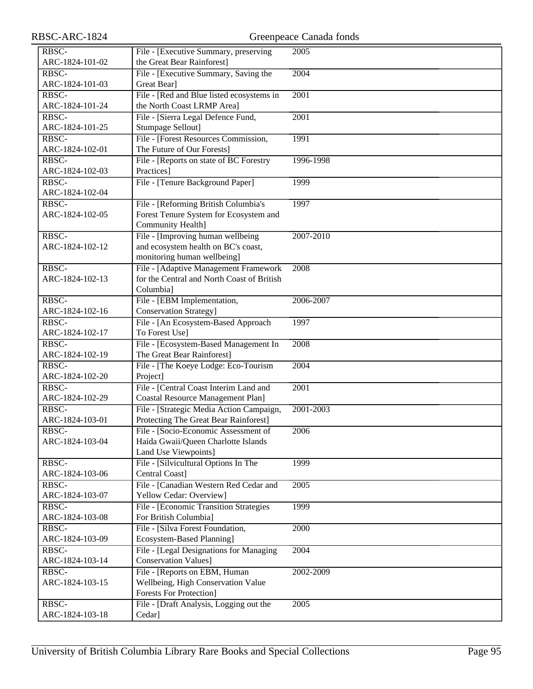| RBSC-ARC-1824            |                                                                                                          | Greenpeace Canada fonds |
|--------------------------|----------------------------------------------------------------------------------------------------------|-------------------------|
| RBSC-<br>ARC-1824-101-02 | File - [Executive Summary, preserving<br>the Great Bear Rainforest]                                      | $\sqrt{2005}$           |
| RBSC-<br>ARC-1824-101-03 | File - [Executive Summary, Saving the<br>Great Bear]                                                     | 2004                    |
| RBSC-<br>ARC-1824-101-24 | File - [Red and Blue listed ecosystems in<br>the North Coast LRMP Area]                                  | $\overline{2001}$       |
| RBSC-<br>ARC-1824-101-25 | File - [Sierra Legal Defence Fund,<br>Stumpage Sellout]                                                  | 2001                    |
| RBSC-<br>ARC-1824-102-01 | File - [Forest Resources Commission,<br>The Future of Our Forests]                                       | 1991                    |
| RBSC-<br>ARC-1824-102-03 | File - [Reports on state of BC Forestry<br>Practices]                                                    | 1996-1998               |
| RBSC-<br>ARC-1824-102-04 | File - [Tenure Background Paper]                                                                         | 1999                    |
| RBSC-<br>ARC-1824-102-05 | File - [Reforming British Columbia's<br>Forest Tenure System for Ecosystem and<br>Community Health]      | 1997                    |
| RBSC-<br>ARC-1824-102-12 | File - [Improving human wellbeing]<br>and ecosystem health on BC's coast,<br>monitoring human wellbeing] | 2007-2010               |
| RBSC-<br>ARC-1824-102-13 | File - [Adaptive Management Framework]<br>for the Central and North Coast of British<br>Columbia]        | 2008                    |
| RBSC-<br>ARC-1824-102-16 | File - [EBM Implementation,<br><b>Conservation Strategy]</b>                                             | 2006-2007               |
| RBSC-<br>ARC-1824-102-17 | File - [An Ecosystem-Based Approach<br>To Forest Use]                                                    | 1997                    |
| RBSC-<br>ARC-1824-102-19 | File - [Ecosystem-Based Management In<br>The Great Bear Rainforest]                                      | 2008                    |
| RBSC-<br>ARC-1824-102-20 | File - [The Koeye Lodge: Eco-Tourism<br>Project]                                                         | 2004                    |
| RBSC-<br>ARC-1824-102-29 | File - [Central Coast Interim Land and<br><b>Coastal Resource Management Plan]</b>                       | 2001                    |
| RBSC-<br>ARC-1824-103-01 | File - [Strategic Media Action Campaign,<br>Protecting The Great Bear Rainforest]                        | 2001-2003               |
| RBSC-<br>ARC-1824-103-04 | File - [Socio-Economic Assessment of<br>Haida Gwaii/Queen Charlotte Islands<br>Land Use Viewpoints]      | 2006                    |
| RBSC-<br>ARC-1824-103-06 | File - [Silvicultural Options In The<br>Central Coast]                                                   | 1999                    |
| RBSC-<br>ARC-1824-103-07 | File - [Canadian Western Red Cedar and<br>Yellow Cedar: Overview]                                        | 2005                    |
| RBSC-<br>ARC-1824-103-08 | File - [Economic Transition Strategies<br>For British Columbia]                                          | 1999                    |
| RBSC-<br>ARC-1824-103-09 | File - [Silva Forest Foundation,<br>Ecosystem-Based Planning]                                            | 2000                    |
| RBSC-<br>ARC-1824-103-14 | File - [Legal Designations for Managing<br><b>Conservation Values]</b>                                   | 2004                    |
| RBSC-<br>ARC-1824-103-15 | File - [Reports on EBM, Human<br>Wellbeing, High Conservation Value<br><b>Forests For Protection]</b>    | 2002-2009               |
| RBSC-<br>ARC-1824-103-18 | File - [Draft Analysis, Logging out the<br>Cedar]                                                        | 2005                    |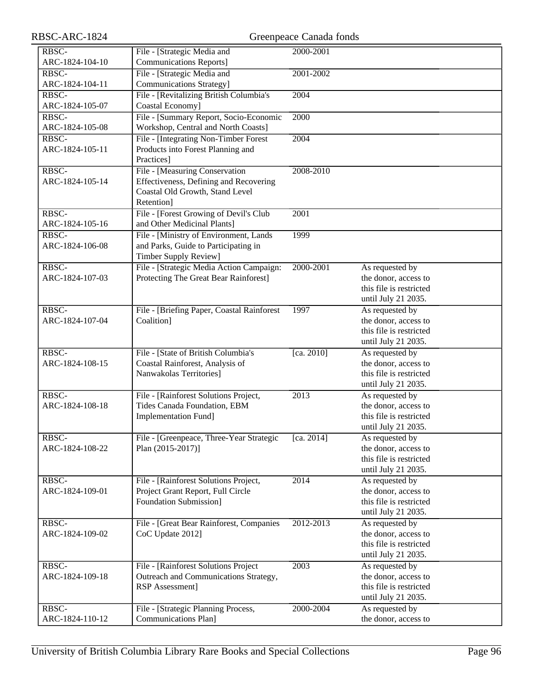| RBSC-ARC-1824            |                                                                                                                           | Greenpeace Canada fonds |                                                                                           |
|--------------------------|---------------------------------------------------------------------------------------------------------------------------|-------------------------|-------------------------------------------------------------------------------------------|
| RBSC-<br>ARC-1824-104-10 | File - [Strategic Media and<br><b>Communications Reports]</b>                                                             | 2000-2001               |                                                                                           |
| RBSC-<br>ARC-1824-104-11 | File - [Strategic Media and<br><b>Communications Strategy]</b>                                                            | 2001-2002               |                                                                                           |
| RBSC-<br>ARC-1824-105-07 | File - [Revitalizing British Columbia's<br>Coastal Economy]                                                               | 2004                    |                                                                                           |
| RBSC-<br>ARC-1824-105-08 | File - [Summary Report, Socio-Economic<br>Workshop, Central and North Coasts]                                             | 2000                    |                                                                                           |
| RBSC-<br>ARC-1824-105-11 | File - [Integrating Non-Timber Forest<br>Products into Forest Planning and<br>Practices]                                  | 2004                    |                                                                                           |
| RBSC-<br>ARC-1824-105-14 | File - [Measuring Conservation<br>Effectiveness, Defining and Recovering<br>Coastal Old Growth, Stand Level<br>Retention] | 2008-2010               |                                                                                           |
| RBSC-<br>ARC-1824-105-16 | File - [Forest Growing of Devil's Club<br>and Other Medicinal Plants]                                                     | 2001                    |                                                                                           |
| RBSC-<br>ARC-1824-106-08 | File - [Ministry of Environment, Lands<br>and Parks, Guide to Participating in<br><b>Timber Supply Review]</b>            | 1999                    |                                                                                           |
| RBSC-<br>ARC-1824-107-03 | File - [Strategic Media Action Campaign:<br>Protecting The Great Bear Rainforest]                                         | 2000-2001               | As requested by<br>the donor, access to<br>this file is restricted<br>until July 21 2035. |
| RBSC-<br>ARC-1824-107-04 | File - [Briefing Paper, Coastal Rainforest<br>Coalition]                                                                  | 1997                    | As requested by<br>the donor, access to<br>this file is restricted<br>until July 21 2035. |
| RBSC-<br>ARC-1824-108-15 | File - [State of British Columbia's<br>Coastal Rainforest, Analysis of<br>Nanwakolas Territories]                         | [ca. 2010]              | As requested by<br>the donor, access to<br>this file is restricted<br>until July 21 2035. |
| RBSC-<br>ARC-1824-108-18 | File - [Rainforest Solutions Project,<br>Tides Canada Foundation, EBM<br>Implementation Fund]                             | $\overline{2013}$       | As requested by<br>the donor, access to<br>this file is restricted<br>until July 21 2035. |
| RBSC-<br>ARC-1824-108-22 | File - [Greenpeace, Three-Year Strategic<br>Plan (2015-2017)]                                                             | [ca. 2014]              | As requested by<br>the donor, access to<br>this file is restricted<br>until July 21 2035. |
| RBSC-<br>ARC-1824-109-01 | File - [Rainforest Solutions Project,<br>Project Grant Report, Full Circle<br><b>Foundation Submission]</b>               | 2014                    | As requested by<br>the donor, access to<br>this file is restricted<br>until July 21 2035. |
| RBSC-<br>ARC-1824-109-02 | File - [Great Bear Rainforest, Companies<br>CoC Update 2012]                                                              | 2012-2013               | As requested by<br>the donor, access to<br>this file is restricted<br>until July 21 2035. |
| RBSC-<br>ARC-1824-109-18 | File - [Rainforest Solutions Project<br>Outreach and Communications Strategy,<br>RSP Assessment]                          | 2003                    | As requested by<br>the donor, access to<br>this file is restricted<br>until July 21 2035. |
| RBSC-<br>ARC-1824-110-12 | File - [Strategic Planning Process,<br>Communications Plan]                                                               | 2000-2004               | As requested by<br>the donor, access to                                                   |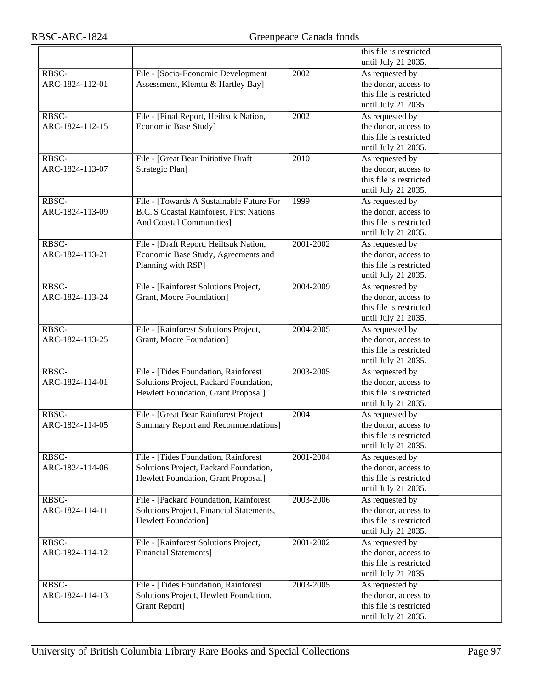|                 |                                                 |           | this file is restricted |
|-----------------|-------------------------------------------------|-----------|-------------------------|
|                 |                                                 |           | until July 21 2035.     |
| RBSC-           | File - [Socio-Economic Development              | 2002      | As requested by         |
| ARC-1824-112-01 | Assessment, Klemtu & Hartley Bay]               |           | the donor, access to    |
|                 |                                                 |           | this file is restricted |
|                 |                                                 |           | until July 21 2035.     |
| RBSC-           | File - [Final Report, Heiltsuk Nation,          | 2002      | As requested by         |
| ARC-1824-112-15 | Economic Base Study]                            |           | the donor, access to    |
|                 |                                                 |           | this file is restricted |
|                 |                                                 |           | until July 21 2035.     |
| RBSC-           | File - [Great Bear Initiative Draft             | 2010      | As requested by         |
| ARC-1824-113-07 | Strategic Plan]                                 |           | the donor, access to    |
|                 |                                                 |           | this file is restricted |
|                 |                                                 |           | until July 21 2035.     |
| RBSC-           | File - [Towards A Sustainable Future For        | 1999      | As requested by         |
| ARC-1824-113-09 | <b>B.C.'S Coastal Rainforest, First Nations</b> |           | the donor, access to    |
|                 | <b>And Coastal Communities]</b>                 |           | this file is restricted |
|                 |                                                 |           | until July 21 2035.     |
| RBSC-           | File - [Draft Report, Heiltsuk Nation,          | 2001-2002 | As requested by         |
| ARC-1824-113-21 | Economic Base Study, Agreements and             |           | the donor, access to    |
|                 | Planning with RSP]                              |           | this file is restricted |
|                 |                                                 |           | until July 21 2035.     |
| RBSC-           | File - [Rainforest Solutions Project,           | 2004-2009 | As requested by         |
| ARC-1824-113-24 | Grant, Moore Foundation]                        |           | the donor, access to    |
|                 |                                                 |           | this file is restricted |
|                 |                                                 |           | until July 21 2035.     |
| RBSC-           | File - [Rainforest Solutions Project,           | 2004-2005 | As requested by         |
| ARC-1824-113-25 | Grant, Moore Foundation]                        |           | the donor, access to    |
|                 |                                                 |           | this file is restricted |
|                 |                                                 |           | until July 21 2035.     |
| RBSC-           | File - [Tides Foundation, Rainforest            | 2003-2005 | As requested by         |
| ARC-1824-114-01 | Solutions Project, Packard Foundation,          |           | the donor, access to    |
|                 | Hewlett Foundation, Grant Proposal]             |           | this file is restricted |
|                 |                                                 |           | until July 21 2035.     |
| RBSC-           | File - [Great Bear Rainforest Project           | 2004      | As requested by         |
| ARC-1824-114-05 | <b>Summary Report and Recommendations]</b>      |           | the donor, access to    |
|                 |                                                 |           | this file is restricted |
|                 |                                                 |           | until July 21 2035.     |
| RBSC-           | File - [Tides Foundation, Rainforest            | 2001-2004 | As requested by         |
| ARC-1824-114-06 | Solutions Project, Packard Foundation,          |           | the donor, access to    |
|                 | Hewlett Foundation, Grant Proposal]             |           | this file is restricted |
|                 |                                                 |           | until July 21 2035.     |
| RBSC-           | File - [Packard Foundation, Rainforest          | 2003-2006 | As requested by         |
| ARC-1824-114-11 | Solutions Project, Financial Statements,        |           | the donor, access to    |
|                 | <b>Hewlett Foundation</b> ]                     |           | this file is restricted |
|                 |                                                 |           | until July 21 2035.     |
| RBSC-           | File - [Rainforest Solutions Project,           | 2001-2002 | As requested by         |
| ARC-1824-114-12 | <b>Financial Statements</b> ]                   |           | the donor, access to    |
|                 |                                                 |           | this file is restricted |
|                 |                                                 |           | until July 21 2035.     |
| RBSC-           | File - [Tides Foundation, Rainforest            | 2003-2005 | As requested by         |
| ARC-1824-114-13 | Solutions Project, Hewlett Foundation,          |           | the donor, access to    |
|                 | Grant Report]                                   |           | this file is restricted |
|                 |                                                 |           | until July 21 2035.     |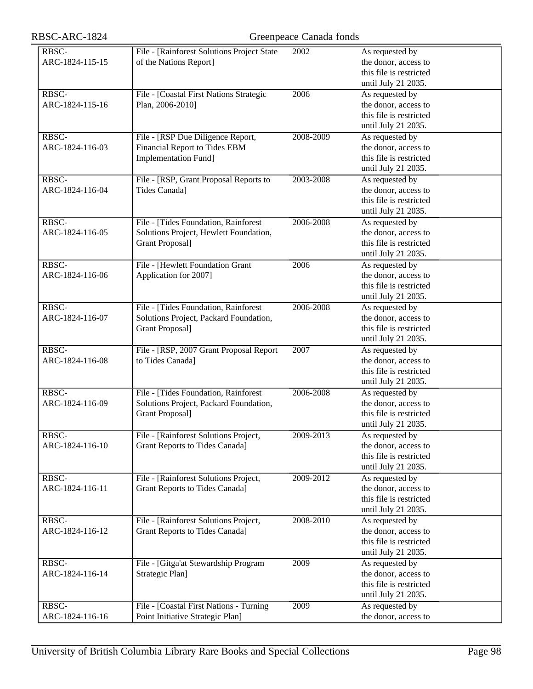| RBSC-ARC-1824 |  |
|---------------|--|
|---------------|--|

| RBSC-ARC-1824            | Greenpeace Canada fonds                                                                                   |           |                                                                                           |
|--------------------------|-----------------------------------------------------------------------------------------------------------|-----------|-------------------------------------------------------------------------------------------|
| RBSC-<br>ARC-1824-115-15 | File - [Rainforest Solutions Project State<br>of the Nations Report]                                      | 2002      | As requested by<br>the donor, access to<br>this file is restricted<br>until July 21 2035. |
| RBSC-<br>ARC-1824-115-16 | File - [Coastal First Nations Strategic<br>Plan, 2006-2010]                                               | 2006      | As requested by<br>the donor, access to<br>this file is restricted<br>until July 21 2035. |
| RBSC-<br>ARC-1824-116-03 | File - [RSP Due Diligence Report,<br>Financial Report to Tides EBM<br><b>Implementation Fund]</b>         | 2008-2009 | As requested by<br>the donor, access to<br>this file is restricted<br>until July 21 2035. |
| RBSC-<br>ARC-1824-116-04 | File - [RSP, Grant Proposal Reports to<br>Tides Canada]                                                   | 2003-2008 | As requested by<br>the donor, access to<br>this file is restricted<br>until July 21 2035. |
| RBSC-<br>ARC-1824-116-05 | File - [Tides Foundation, Rainforest<br>Solutions Project, Hewlett Foundation,<br><b>Grant Proposal</b> ] | 2006-2008 | As requested by<br>the donor, access to<br>this file is restricted<br>until July 21 2035. |
| RBSC-<br>ARC-1824-116-06 | File - [Hewlett Foundation Grant<br>Application for 2007]                                                 | 2006      | As requested by<br>the donor, access to<br>this file is restricted<br>until July 21 2035. |
| RBSC-<br>ARC-1824-116-07 | File - [Tides Foundation, Rainforest<br>Solutions Project, Packard Foundation,<br>Grant Proposal]         | 2006-2008 | As requested by<br>the donor, access to<br>this file is restricted<br>until July 21 2035. |
| RBSC-<br>ARC-1824-116-08 | File - [RSP, 2007 Grant Proposal Report<br>to Tides Canada]                                               | 2007      | As requested by<br>the donor, access to<br>this file is restricted<br>until July 21 2035. |
| RBSC-<br>ARC-1824-116-09 | File - [Tides Foundation, Rainforest<br>Solutions Project, Packard Foundation,<br><b>Grant Proposal</b> ] | 2006-2008 | As requested by<br>the donor, access to<br>this file is restricted<br>until July 21 2035. |
| RBSC-<br>ARC-1824-116-10 | File - [Rainforest Solutions Project,<br>Grant Reports to Tides Canada]                                   | 2009-2013 | As requested by<br>the donor, access to<br>this file is restricted<br>until July 21 2035. |
| RBSC-<br>ARC-1824-116-11 | File - [Rainforest Solutions Project,<br><b>Grant Reports to Tides Canada]</b>                            | 2009-2012 | As requested by<br>the donor, access to<br>this file is restricted<br>until July 21 2035. |
| RBSC-<br>ARC-1824-116-12 | File - [Rainforest Solutions Project,<br><b>Grant Reports to Tides Canada]</b>                            | 2008-2010 | As requested by<br>the donor, access to<br>this file is restricted<br>until July 21 2035. |
| RBSC-<br>ARC-1824-116-14 | File - [Gitga'at Stewardship Program<br>Strategic Plan]                                                   | 2009      | As requested by<br>the donor, access to<br>this file is restricted<br>until July 21 2035. |
| RBSC-<br>ARC-1824-116-16 | File - [Coastal First Nations - Turning<br>Point Initiative Strategic Plan]                               | 2009      | As requested by<br>the donor, access to                                                   |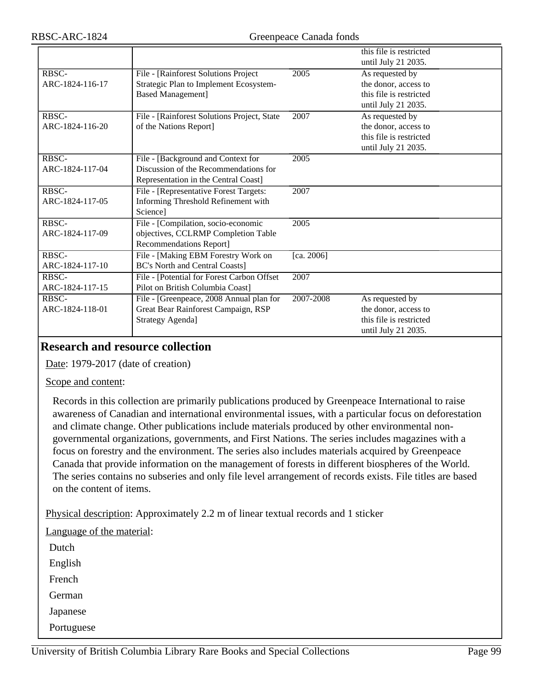|                 |                                             |                   | this file is restricted |
|-----------------|---------------------------------------------|-------------------|-------------------------|
|                 |                                             |                   | until July 21 2035.     |
| RBSC-           | File - [Rainforest Solutions Project        | 2005              | As requested by         |
| ARC-1824-116-17 | Strategic Plan to Implement Ecosystem-      |                   | the donor, access to    |
|                 | <b>Based Management]</b>                    |                   | this file is restricted |
|                 |                                             |                   | until July 21 2035.     |
| RBSC-           | File - [Rainforest Solutions Project, State | 2007              | As requested by         |
| ARC-1824-116-20 | of the Nations Report]                      |                   | the donor, access to    |
|                 |                                             |                   | this file is restricted |
|                 |                                             |                   | until July 21 2035.     |
| RBSC-           | File - [Background and Context for          | 2005              |                         |
| ARC-1824-117-04 | Discussion of the Recommendations for       |                   |                         |
|                 | Representation in the Central Coast]        |                   |                         |
| RBSC-           | File - [Representative Forest Targets:      | 2007              |                         |
| ARC-1824-117-05 | Informing Threshold Refinement with         |                   |                         |
|                 | Science]                                    |                   |                         |
| RBSC-           | File - [Compilation, socio-economic         | $\overline{2005}$ |                         |
| ARC-1824-117-09 | objectives, CCLRMP Completion Table         |                   |                         |
|                 | Recommendations Report]                     |                   |                         |
| RBSC-           | File - [Making EBM Forestry Work on         | [ca. 2006]        |                         |
| ARC-1824-117-10 | <b>BC's North and Central Coasts]</b>       |                   |                         |
| RBSC-           | File - [Potential for Forest Carbon Offset  | 2007              |                         |
| ARC-1824-117-15 | Pilot on British Columbia Coast]            |                   |                         |
| RBSC-           | File - [Greenpeace, 2008 Annual plan for    | 2007-2008         | As requested by         |
| ARC-1824-118-01 | Great Bear Rainforest Campaign, RSP         |                   | the donor, access to    |
|                 | <b>Strategy Agenda]</b>                     |                   | this file is restricted |
|                 |                                             |                   | until July 21 2035.     |

## **Research and resource collection**

Date: 1979-2017 (date of creation)

#### Scope and content:

Records in this collection are primarily publications produced by Greenpeace International to raise awareness of Canadian and international environmental issues, with a particular focus on deforestation and climate change. Other publications include materials produced by other environmental nongovernmental organizations, governments, and First Nations. The series includes magazines with a focus on forestry and the environment. The series also includes materials acquired by Greenpeace Canada that provide information on the management of forests in different biospheres of the World. The series contains no subseries and only file level arrangement of records exists. File titles are based on the content of items.

Physical description: Approximately 2.2 m of linear textual records and 1 sticker

Language of the material: Dutch English French German Japanese

Portuguese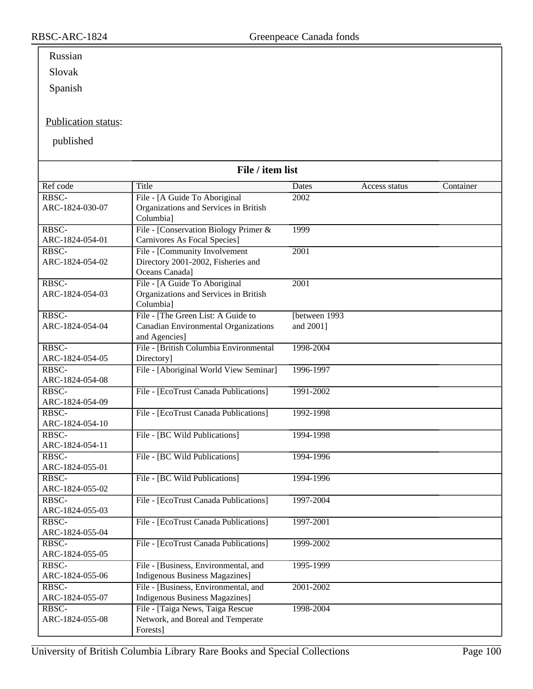# Russian

Slovak

Spanish

### Publication status:

published

| File / item list         |                                        |                |               |           |
|--------------------------|----------------------------------------|----------------|---------------|-----------|
| Ref code                 | Title                                  | Dates          | Access status | Container |
| RBSC-                    | File - [A Guide To Aboriginal          | 2002           |               |           |
| ARC-1824-030-07          | Organizations and Services in British  |                |               |           |
|                          | Columbial                              |                |               |           |
| RBSC-                    | File - [Conservation Biology Primer &  | 1999           |               |           |
| ARC-1824-054-01          | Carnivores As Focal Species]           |                |               |           |
| RBSC-                    | File - [Community Involvement          | 2001           |               |           |
| ARC-1824-054-02          | Directory 2001-2002, Fisheries and     |                |               |           |
|                          | Oceans Canada]                         |                |               |           |
| RBSC-                    | File - [A Guide To Aboriginal          | 2001           |               |           |
| ARC-1824-054-03          | Organizations and Services in British  |                |               |           |
|                          | Columbia]                              |                |               |           |
| RBSC-                    | File - [The Green List: A Guide to     | [between 1993] |               |           |
| ARC-1824-054-04          | Canadian Environmental Organizations   | and 2001]      |               |           |
|                          | and Agencies]                          |                |               |           |
| RBSC-                    | File - [British Columbia Environmental | 1998-2004      |               |           |
| ARC-1824-054-05          | Directory]                             |                |               |           |
| RBSC-                    | File - [Aboriginal World View Seminar] | 1996-1997      |               |           |
| ARC-1824-054-08          |                                        |                |               |           |
| RBSC-<br>ARC-1824-054-09 | File - [EcoTrust Canada Publications]  | 1991-2002      |               |           |
| RBSC-                    | File - [EcoTrust Canada Publications]  | 1992-1998      |               |           |
| ARC-1824-054-10          |                                        |                |               |           |
| RBSC-                    | File - [BC Wild Publications]          | 1994-1998      |               |           |
| ARC-1824-054-11          |                                        |                |               |           |
| RBSC-                    | File - [BC Wild Publications]          | 1994-1996      |               |           |
| ARC-1824-055-01          |                                        |                |               |           |
| RBSC-                    | File - [BC Wild Publications]          | 1994-1996      |               |           |
| ARC-1824-055-02          |                                        |                |               |           |
| RBSC-                    | File - [EcoTrust Canada Publications]  | 1997-2004      |               |           |
| ARC-1824-055-03          |                                        |                |               |           |
| RBSC-                    | File - [EcoTrust Canada Publications]  | 1997-2001      |               |           |
| ARC-1824-055-04          |                                        |                |               |           |
| RBSC-                    | File - [EcoTrust Canada Publications]  | 1999-2002      |               |           |
| ARC-1824-055-05          |                                        |                |               |           |
| RBSC-                    | File - [Business, Environmental, and   | 1995-1999      |               |           |
| ARC-1824-055-06          | <b>Indigenous Business Magazines</b> ] |                |               |           |
| RBSC-                    | File - [Business, Environmental, and   | 2001-2002      |               |           |
| ARC-1824-055-07          | <b>Indigenous Business Magazines</b> ] |                |               |           |
| RBSC-                    | File - [Taiga News, Taiga Rescue]      | 1998-2004      |               |           |
| ARC-1824-055-08          | Network, and Boreal and Temperate      |                |               |           |
|                          | Forests]                               |                |               |           |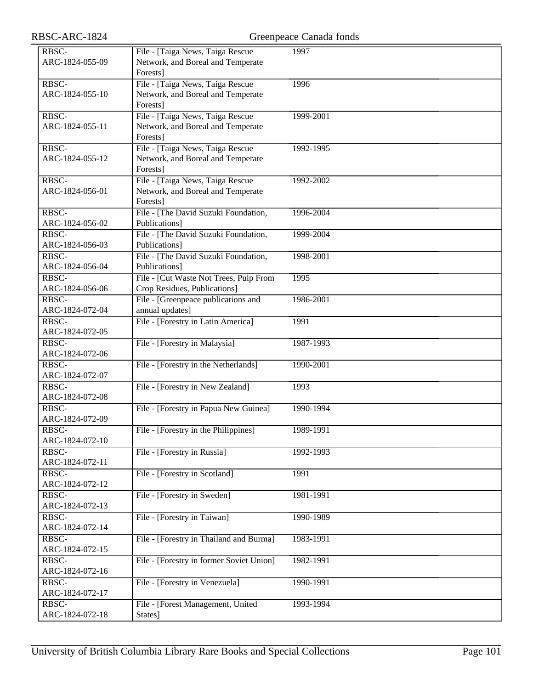| RBSC-ARC-1824            |                                                                                    | Greenpeace Canada fonds |
|--------------------------|------------------------------------------------------------------------------------|-------------------------|
| RBSC-<br>ARC-1824-055-09 | File - [Taiga News, Taiga Rescue<br>Network, and Boreal and Temperate<br>Forests]  | 1997                    |
| RBSC-<br>ARC-1824-055-10 | File - [Taiga News, Taiga Rescue]<br>Network, and Boreal and Temperate<br>Forests] | 1996                    |
| RBSC-<br>ARC-1824-055-11 | File - [Taiga News, Taiga Rescue]<br>Network, and Boreal and Temperate<br>Forests] | 1999-2001               |
| RBSC-<br>ARC-1824-055-12 | File - [Taiga News, Taiga Rescue<br>Network, and Boreal and Temperate<br>Forests]  | 1992-1995               |
| RBSC-<br>ARC-1824-056-01 | File - [Taiga News, Taiga Rescue]<br>Network, and Boreal and Temperate<br>Forests] | 1992-2002               |
| RBSC-<br>ARC-1824-056-02 | File - [The David Suzuki Foundation,<br>Publications]                              | 1996-2004               |
| RBSC-<br>ARC-1824-056-03 | File - The David Suzuki Foundation,<br>Publications]                               | 1999-2004               |
| RBSC-<br>ARC-1824-056-04 | File - [The David Suzuki Foundation,<br>Publications]                              | 1998-2001               |
| RBSC-<br>ARC-1824-056-06 | File - [Cut Waste Not Trees, Pulp From<br>Crop Residues, Publications]             | 1995                    |
| RBSC-<br>ARC-1824-072-04 | File - [Greenpeace publications and<br>annual updates]                             | 1986-2001               |
| RBSC-<br>ARC-1824-072-05 | File - [Forestry in Latin America]                                                 | 1991                    |
| RBSC-<br>ARC-1824-072-06 | File - [Forestry in Malaysia]                                                      | 1987-1993               |
| RBSC-<br>ARC-1824-072-07 | File - [Forestry in the Netherlands]                                               | 1990-2001               |
| RBSC-<br>ARC-1824-072-08 | File - [Forestry in New Zealand]                                                   | 1993                    |
| RBSC-<br>ARC-1824-072-09 | File - [Forestry in Papua New Guinea]                                              | 1990-1994               |
| RBSC-<br>ARC-1824-072-10 | File - [Forestry in the Philippines]                                               | 1989-1991               |
| RBSC-<br>ARC-1824-072-11 | File - [Forestry in Russia]                                                        | 1992-1993               |
| RBSC-<br>ARC-1824-072-12 | File - [Forestry in Scotland]                                                      | 1991                    |
| RBSC-<br>ARC-1824-072-13 | File - [Forestry in Sweden]                                                        | 1981-1991               |
| RBSC-<br>ARC-1824-072-14 | File - [Forestry in Taiwan]                                                        | 1990-1989               |
| RBSC-<br>ARC-1824-072-15 | File - [Forestry in Thailand and Burma]                                            | 1983-1991               |
| RBSC-<br>ARC-1824-072-16 | File - [Forestry in former Soviet Union]                                           | 1982-1991               |
| RBSC-<br>ARC-1824-072-17 | File - [Forestry in Venezuela]                                                     | 1990-1991               |
| RBSC-<br>ARC-1824-072-18 | File - [Forest Management, United<br>States]                                       | 1993-1994               |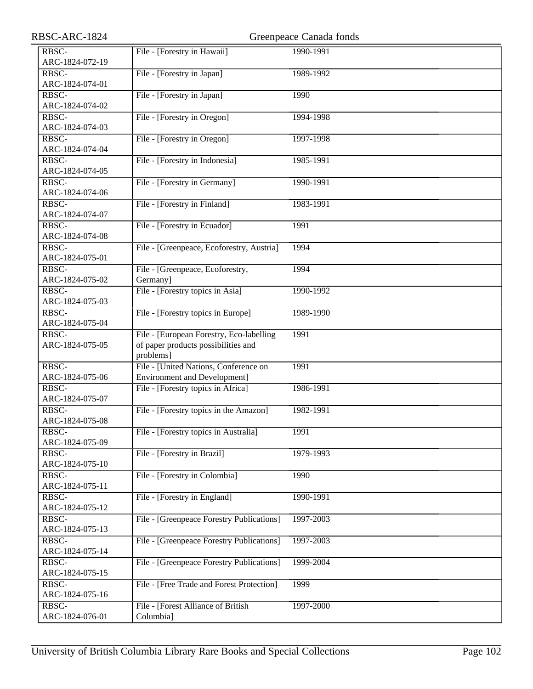| RBSC-ARC-1824            |                                           | Greenpeace Canada fonds |
|--------------------------|-------------------------------------------|-------------------------|
| RBSC-                    | File - [Forestry in Hawaii]               | 1990-1991               |
| ARC-1824-072-19          |                                           |                         |
| RBSC-                    | File - [Forestry in Japan]                | 1989-1992               |
| ARC-1824-074-01          |                                           |                         |
| RBSC-                    | File - [Forestry in Japan]                | 1990                    |
| ARC-1824-074-02          |                                           |                         |
| RBSC-                    | File - [Forestry in Oregon]               | 1994-1998               |
| ARC-1824-074-03          |                                           |                         |
| RBSC-                    | File - [Forestry in Oregon]               | 1997-1998               |
| ARC-1824-074-04          |                                           |                         |
| RBSC-                    | File - [Forestry in Indonesia]            | 1985-1991               |
| ARC-1824-074-05          |                                           |                         |
| RBSC-                    | File - [Forestry in Germany]              | 1990-1991               |
| ARC-1824-074-06          |                                           |                         |
| RBSC-                    | File - [Forestry in Finland]              | 1983-1991               |
| ARC-1824-074-07          |                                           |                         |
| RBSC-                    | File - [Forestry in Ecuador]              | 1991                    |
| ARC-1824-074-08          |                                           |                         |
| RBSC-                    | File - [Greenpeace, Ecoforestry, Austria] | 1994                    |
| ARC-1824-075-01          |                                           |                         |
| RBSC-                    | File - [Greenpeace, Ecoforestry,          | 1994                    |
| ARC-1824-075-02          | Germany]                                  |                         |
| RBSC-                    | File - [Forestry topics in Asia]          | 1990-1992               |
| ARC-1824-075-03          |                                           |                         |
| RBSC-                    | File - [Forestry topics in Europe]        | 1989-1990               |
| ARC-1824-075-04          |                                           |                         |
| RBSC-                    | File - [European Forestry, Eco-labelling  | 1991                    |
| ARC-1824-075-05          | of paper products possibilities and       |                         |
|                          | problems]                                 |                         |
| RBSC-                    | File - [United Nations, Conference on     | 1991                    |
| ARC-1824-075-06          | <b>Environment and Development]</b>       |                         |
| RBSC-                    | File - [Forestry topics in Africa]        | 1986-1991               |
| ARC-1824-075-07          |                                           |                         |
| RBSC-                    | File - [Forestry topics in the Amazon]    | 1982-1991               |
| ARC-1824-075-08          |                                           |                         |
| RBSC-                    | File - [Forestry topics in Australia]     | 1991                    |
| ARC-1824-075-09          |                                           |                         |
| RBSC-                    | File - [Forestry in Brazil]               | 1979-1993               |
| ARC-1824-075-10          |                                           |                         |
| RBSC-                    | File - [Forestry in Colombia]             | 1990                    |
| ARC-1824-075-11          |                                           |                         |
| RBSC-<br>ARC-1824-075-12 | File - [Forestry in England]              | 1990-1991               |
| RBSC-                    | File - [Greenpeace Forestry Publications] | 1997-2003               |
| ARC-1824-075-13          |                                           |                         |
| RBSC-                    | File - [Greenpeace Forestry Publications] | 1997-2003               |
| ARC-1824-075-14          |                                           |                         |
| RBSC-                    | File - [Greenpeace Forestry Publications] | 1999-2004               |
| ARC-1824-075-15          |                                           |                         |
| RBSC-                    | File - [Free Trade and Forest Protection] | 1999                    |
| ARC-1824-075-16          |                                           |                         |
| RBSC-                    | File - [Forest Alliance of British        | 1997-2000               |
| ARC-1824-076-01          | Columbia]                                 |                         |
|                          |                                           |                         |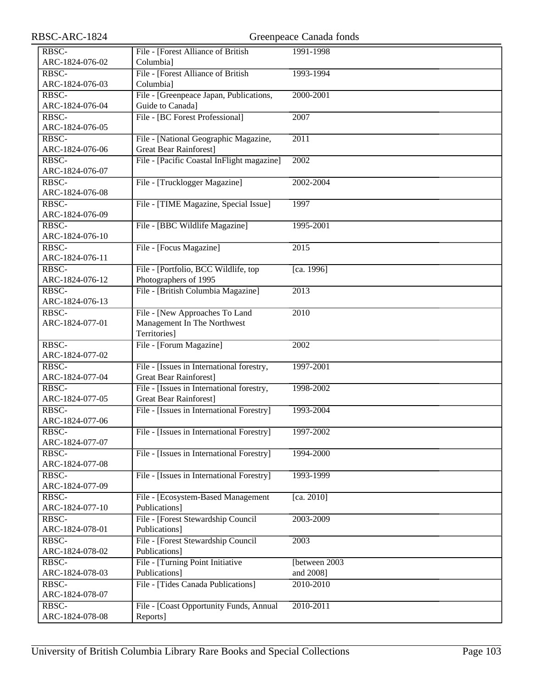| RBSC-ARC-1824   | Greenpeace Canada fonds                    |                   |  |
|-----------------|--------------------------------------------|-------------------|--|
| RBSC-           | File - [Forest Alliance of British         | 1991-1998         |  |
| ARC-1824-076-02 | Columbia]                                  |                   |  |
| RBSC-           | File - [Forest Alliance of British         | 1993-1994         |  |
| ARC-1824-076-03 | Columbia]                                  |                   |  |
| RBSC-           | File - [Greenpeace Japan, Publications,    | 2000-2001         |  |
| ARC-1824-076-04 | Guide to Canada]                           |                   |  |
| RBSC-           | File - [BC Forest Professional]            | 2007              |  |
| ARC-1824-076-05 |                                            |                   |  |
| RBSC-           | File - [National Geographic Magazine,      | $\overline{2011}$ |  |
| ARC-1824-076-06 | <b>Great Bear Rainforest]</b>              |                   |  |
| RBSC-           | File - [Pacific Coastal InFlight magazine] | 2002              |  |
| ARC-1824-076-07 |                                            |                   |  |
| RBSC-           | File - [Trucklogger Magazine]              | 2002-2004         |  |
| ARC-1824-076-08 |                                            |                   |  |
| RBSC-           | File - [TIME Magazine, Special Issue]      | 1997              |  |
| ARC-1824-076-09 |                                            |                   |  |
| RBSC-           | File - [BBC Wildlife Magazine]             | 1995-2001         |  |
| ARC-1824-076-10 |                                            |                   |  |
| RBSC-           | File - [Focus Magazine]                    | 2015              |  |
| ARC-1824-076-11 |                                            |                   |  |
| RBSC-           | File - [Portfolio, BCC Wildlife, top       | [ca. 1996]        |  |
| ARC-1824-076-12 | Photographers of 1995                      |                   |  |
| RBSC-           | File - [British Columbia Magazine]         | 2013              |  |
| ARC-1824-076-13 |                                            |                   |  |
| RBSC-           | File - [New Approaches To Land             | 2010              |  |
| ARC-1824-077-01 | Management In The Northwest                |                   |  |
|                 | Territories]                               |                   |  |
| RBSC-           | File - [Forum Magazine]                    | 2002              |  |
| ARC-1824-077-02 |                                            |                   |  |
| RBSC-           | File - [Issues in International forestry,  | 1997-2001         |  |
| ARC-1824-077-04 | <b>Great Bear Rainforest]</b>              |                   |  |
| RBSC-           | File - [Issues in International forestry,  | 1998-2002         |  |
| ARC-1824-077-05 | <b>Great Bear Rainforest]</b>              |                   |  |
| RBSC-           | File - [Issues in International Forestry]  | 1993-2004         |  |
| ARC-1824-077-06 |                                            |                   |  |
| RBSC-           | File - [Issues in International Forestry]  | 1997-2002         |  |
| ARC-1824-077-07 |                                            |                   |  |
| RBSC-           | File - [Issues in International Forestry]  | 1994-2000         |  |
| ARC-1824-077-08 |                                            |                   |  |
| RBSC-           | File - [Issues in International Forestry]  | 1993-1999         |  |
| ARC-1824-077-09 |                                            |                   |  |
| RBSC-           | File - [Ecosystem-Based Management         | [ca. 2010]        |  |
| ARC-1824-077-10 | Publications]                              |                   |  |
| RBSC-           | File - [Forest Stewardship Council         | 2003-2009         |  |
| ARC-1824-078-01 | Publications]                              |                   |  |
| RBSC-           | File - [Forest Stewardship Council         | 2003              |  |
| ARC-1824-078-02 | Publications]                              |                   |  |
| RBSC-           | File - [Turning Point Initiative           | [between 2003]    |  |
| ARC-1824-078-03 | Publications]                              | and 2008]         |  |
| RBSC-           | File - [Tides Canada Publications]         | 2010-2010         |  |
| ARC-1824-078-07 |                                            |                   |  |
| RBSC-           | File - [Coast Opportunity Funds, Annual    | 2010-2011         |  |
| ARC-1824-078-08 | Reports]                                   |                   |  |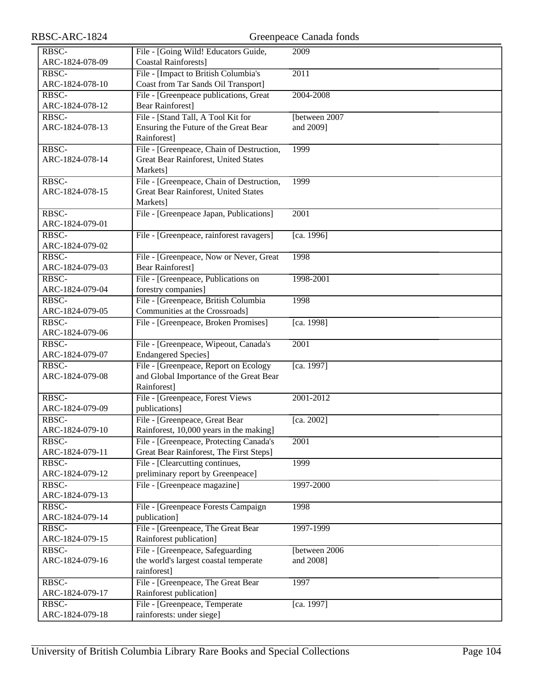| RBSC-ARC-1824   |                                           | Greenpeace Canada fonds |
|-----------------|-------------------------------------------|-------------------------|
| RBSC-           | File - [Going Wild! Educators Guide,      | 2009                    |
| ARC-1824-078-09 | <b>Coastal Rainforests]</b>               |                         |
| RBSC-           | File - [Impact to British Columbia's      | 2011                    |
| ARC-1824-078-10 | Coast from Tar Sands Oil Transport]       |                         |
| RBSC-           | File - [Greenpeace publications, Great    | 2004-2008               |
| ARC-1824-078-12 | <b>Bear Rainforest]</b>                   |                         |
| RBSC-           | File - [Stand Tall, A Tool Kit for        | [between 2007           |
| ARC-1824-078-13 | Ensuring the Future of the Great Bear     | and 2009]               |
|                 | Rainforest]                               |                         |
| RBSC-           | File - [Greenpeace, Chain of Destruction, | 1999                    |
| ARC-1824-078-14 | Great Bear Rainforest, United States      |                         |
|                 | Markets]                                  |                         |
| RBSC-           | File - [Greenpeace, Chain of Destruction, | 1999                    |
| ARC-1824-078-15 | Great Bear Rainforest, United States      |                         |
|                 | Markets]                                  |                         |
| RBSC-           | File - [Greenpeace Japan, Publications]   | 2001                    |
| ARC-1824-079-01 |                                           |                         |
| RBSC-           | File - [Greenpeace, rainforest ravagers]  | [ca. 1996]              |
| ARC-1824-079-02 |                                           |                         |
| RBSC-           | File - [Greenpeace, Now or Never, Great   | 1998                    |
| ARC-1824-079-03 | <b>Bear Rainforest]</b>                   |                         |
| RBSC-           | File - [Greenpeace, Publications on       | 1998-2001               |
| ARC-1824-079-04 | forestry companies]                       |                         |
| RBSC-           | File - [Greenpeace, British Columbia      | 1998                    |
| ARC-1824-079-05 | Communities at the Crossroads]            |                         |
| RBSC-           | File - [Greenpeace, Broken Promises]      | [ca. 1998]              |
| ARC-1824-079-06 |                                           |                         |
| RBSC-           | File - [Greenpeace, Wipeout, Canada's     | 2001                    |
| ARC-1824-079-07 | <b>Endangered Species</b> ]               |                         |
| RBSC-           | File - [Greenpeace, Report on Ecology     | [ca. 1997]              |
| ARC-1824-079-08 | and Global Importance of the Great Bear   |                         |
|                 | Rainforest]                               |                         |
| RBSC-           | File - [Greenpeace, Forest Views          | 2001-2012               |
| ARC-1824-079-09 | publications]                             |                         |
| RBSC-           | File - [Greenpeace, Great Bear            | [ca. 2002]              |
| ARC-1824-079-10 | Rainforest, 10,000 years in the making]   |                         |
| RBSC-           | File - [Greenpeace, Protecting Canada's   | 2001                    |
| ARC-1824-079-11 | Great Bear Rainforest, The First Steps]   |                         |
| RBSC-           | File - [Clearcutting continues,           | 1999                    |
| ARC-1824-079-12 | preliminary report by Greenpeace]         |                         |
| RBSC-           | File - [Greenpeace magazine]              | 1997-2000               |
| ARC-1824-079-13 |                                           |                         |
| RBSC-           | File - [Greenpeace Forests Campaign       | 1998                    |
| ARC-1824-079-14 | publication]                              |                         |
| RBSC-           | File - [Greenpeace, The Great Bear        | 1997-1999               |
| ARC-1824-079-15 | Rainforest publication]                   |                         |
| RBSC-           | File - [Greenpeace, Safeguarding          | [between 2006]          |
| ARC-1824-079-16 | the world's largest coastal temperate     | and 2008]               |
|                 | rainforest]                               |                         |
| RBSC-           | File - [Greenpeace, The Great Bear        | 1997                    |
| ARC-1824-079-17 | Rainforest publication]                   |                         |
| RBSC-           | File - [Greenpeace, Temperate             | [ca. 1997]              |
| ARC-1824-079-18 | rainforests: under siege]                 |                         |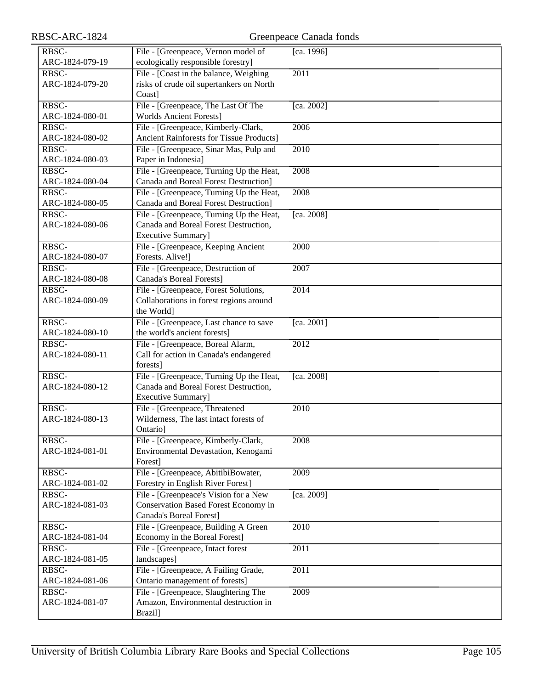| RBSC-           | File - [Greenpeace, Vernon model of      | [ca. 1996]        |
|-----------------|------------------------------------------|-------------------|
| ARC-1824-079-19 | ecologically responsible forestry]       |                   |
| RBSC-           | File - [Coast in the balance, Weighing]  | 2011              |
| ARC-1824-079-20 | risks of crude oil supertankers on North |                   |
|                 | Coast]                                   |                   |
| RBSC-           | File - [Greenpeace, The Last Of The      | [ca. 2002]        |
| ARC-1824-080-01 | <b>Worlds Ancient Forests]</b>           |                   |
| RBSC-           | File - [Greenpeace, Kimberly-Clark,      | 2006              |
| ARC-1824-080-02 | Ancient Rainforests for Tissue Products] |                   |
| RBSC-           | File - [Greenpeace, Sinar Mas, Pulp and  | 2010              |
| ARC-1824-080-03 | Paper in Indonesia]                      |                   |
| RBSC-           | File - [Greenpeace, Turning Up the Heat, | 2008              |
| ARC-1824-080-04 | Canada and Boreal Forest Destruction]    |                   |
| RBSC-           | File - [Greenpeace, Turning Up the Heat, | 2008              |
| ARC-1824-080-05 | Canada and Boreal Forest Destruction]    |                   |
| RBSC-           | File - [Greenpeace, Turning Up the Heat, | [ca. 2008]        |
| ARC-1824-080-06 | Canada and Boreal Forest Destruction,    |                   |
|                 | Executive Summary]                       |                   |
| RBSC-           | File - [Greenpeace, Keeping Ancient      | 2000              |
| ARC-1824-080-07 | Forests. Alive!]                         |                   |
| RBSC-           | File - [Greenpeace, Destruction of       | 2007              |
| ARC-1824-080-08 | <b>Canada's Boreal Forests]</b>          |                   |
| RBSC-           | File - [Greenpeace, Forest Solutions,    | 2014              |
| ARC-1824-080-09 | Collaborations in forest regions around  |                   |
|                 | the World]                               |                   |
| RBSC-           | File - [Greenpeace, Last chance to save  | [ca. 2001]        |
| ARC-1824-080-10 | the world's ancient forests]             |                   |
| RBSC-           | File - [Greenpeace, Boreal Alarm,        | 2012              |
| ARC-1824-080-11 | Call for action in Canada's endangered   |                   |
|                 | forests]                                 |                   |
| RBSC-           | File - [Greenpeace, Turning Up the Heat, | [ca. 2008]        |
| ARC-1824-080-12 | Canada and Boreal Forest Destruction,    |                   |
|                 | Executive Summary]                       |                   |
| RBSC-           | File - [Greenpeace, Threatened           | 2010              |
| ARC-1824-080-13 | Wilderness, The last intact forests of   |                   |
|                 | Ontario]                                 |                   |
| RBSC-           | File - [Greenpeace, Kimberly-Clark,      | 2008              |
| ARC-1824-081-01 | Environmental Devastation, Kenogami      |                   |
|                 | Forest]                                  |                   |
| RBSC-           | File - [Greenpeace, AbitibiBowater,      | 2009              |
| ARC-1824-081-02 | Forestry in English River Forest]        |                   |
| RBSC-           | File - [Greenpeace's Vision for a New    | [ca. 2009]        |
| ARC-1824-081-03 | Conservation Based Forest Economy in     |                   |
|                 | Canada's Boreal Forest]                  |                   |
| RBSC-           | File - [Greenpeace, Building A Green     | 2010              |
| ARC-1824-081-04 | Economy in the Boreal Forest]            |                   |
| RBSC-           | File - [Greenpeace, Intact forest        | 2011              |
| ARC-1824-081-05 | landscapes]                              |                   |
| RBSC-           | File - [Greenpeace, A Failing Grade,     | $\overline{2011}$ |
| ARC-1824-081-06 | Ontario management of forests]           |                   |
| RBSC-           | File - [Greenpeace, Slaughtering The     | 2009              |
| ARC-1824-081-07 | Amazon, Environmental destruction in     |                   |
|                 | Brazil]                                  |                   |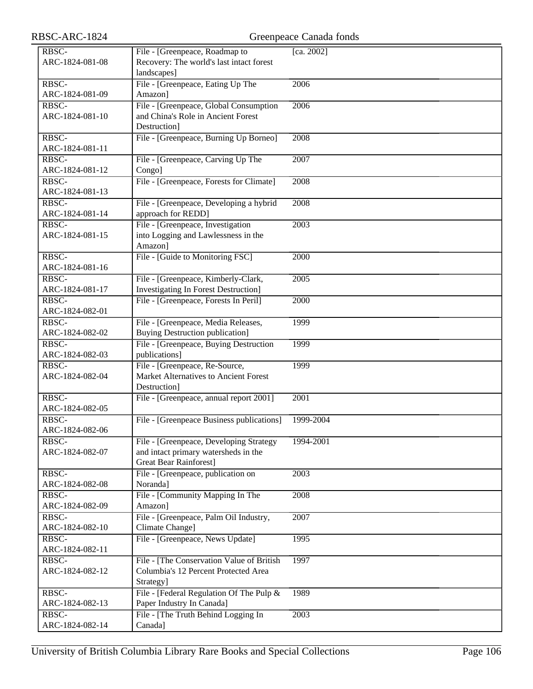| RBSC-ARC-1824            | Greenpeace Canada fonds                                                                                          |                   |  |
|--------------------------|------------------------------------------------------------------------------------------------------------------|-------------------|--|
| RBSC-                    | File - [Greenpeace, Roadmap to                                                                                   | [ca. 2002]        |  |
| ARC-1824-081-08          | Recovery: The world's last intact forest<br>landscapes]                                                          |                   |  |
| RBSC-<br>ARC-1824-081-09 | File - [Greenpeace, Eating Up The<br>Amazon]                                                                     | 2006              |  |
| RBSC-                    | File - [Greenpeace, Global Consumption                                                                           | 2006              |  |
| ARC-1824-081-10          | and China's Role in Ancient Forest<br>Destruction]                                                               |                   |  |
| RBSC-<br>ARC-1824-081-11 | File - [Greenpeace, Burning Up Borneo]                                                                           | 2008              |  |
| RBSC-<br>ARC-1824-081-12 | File - [Greenpeace, Carving Up The<br>Congo]                                                                     | 2007              |  |
| RBSC-<br>ARC-1824-081-13 | File - [Greenpeace, Forests for Climate]                                                                         | 2008              |  |
| RBSC-                    | File - [Greenpeace, Developing a hybrid                                                                          | 2008              |  |
| ARC-1824-081-14          | approach for REDD]                                                                                               |                   |  |
| RBSC-<br>ARC-1824-081-15 | File - [Greenpeace, Investigation<br>into Logging and Lawlessness in the<br>Amazon]                              | 2003              |  |
| RBSC-<br>ARC-1824-081-16 | File - [Guide to Monitoring FSC]                                                                                 | 2000              |  |
| RBSC-                    | File - [Greenpeace, Kimberly-Clark,                                                                              | 2005              |  |
| ARC-1824-081-17          | <b>Investigating In Forest Destruction]</b>                                                                      |                   |  |
| RBSC-<br>ARC-1824-082-01 | File - [Greenpeace, Forests In Peril]                                                                            | 2000              |  |
| RBSC-<br>ARC-1824-082-02 | File - [Greenpeace, Media Releases,<br><b>Buying Destruction publication]</b>                                    | 1999              |  |
| RBSC-<br>ARC-1824-082-03 | File - [Greenpeace, Buying Destruction<br>publications]                                                          | 1999              |  |
| RBSC-<br>ARC-1824-082-04 | File - [Greenpeace, Re-Source,<br>Market Alternatives to Ancient Forest<br>Destruction]                          | 1999              |  |
| RBSC-<br>ARC-1824-082-05 | File - [Greenpeace, annual report 2001]                                                                          | $\overline{2001}$ |  |
| RBSC-<br>ARC-1824-082-06 | File - [Greenpeace Business publications]                                                                        | 1999-2004         |  |
| RBSC-<br>ARC-1824-082-07 | File - [Greenpeace, Developing Strategy<br>and intact primary watersheds in the<br><b>Great Bear Rainforest]</b> | 1994-2001         |  |
| RBSC-<br>ARC-1824-082-08 | File - [Greenpeace, publication on<br>Noranda]                                                                   | 2003              |  |
| RBSC-<br>ARC-1824-082-09 | File - [Community Mapping In The<br>Amazon]                                                                      | 2008              |  |
| RBSC-<br>ARC-1824-082-10 | File - [Greenpeace, Palm Oil Industry,<br>Climate Change]                                                        | 2007              |  |
| RBSC-<br>ARC-1824-082-11 | File - [Greenpeace, News Update]                                                                                 | 1995              |  |
| RBSC-<br>ARC-1824-082-12 | File - [The Conservation Value of British<br>Columbia's 12 Percent Protected Area<br>Strategy]                   | 1997              |  |
| RBSC-<br>ARC-1824-082-13 | File - [Federal Regulation Of The Pulp &<br>Paper Industry In Canada]                                            | 1989              |  |
| RBSC-<br>ARC-1824-082-14 | File - [The Truth Behind Logging In<br>Canada]                                                                   | 2003              |  |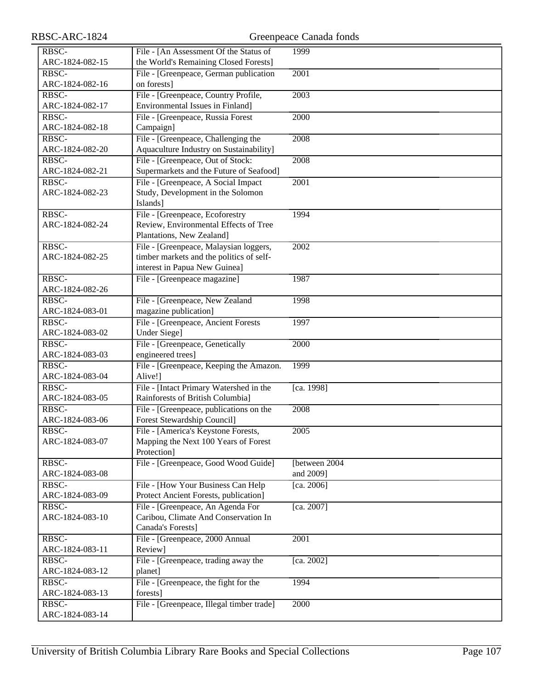| RBSC-           | File - [An Assessment Of the Status of    | 1999           |
|-----------------|-------------------------------------------|----------------|
| ARC-1824-082-15 | the World's Remaining Closed Forests]     |                |
| RBSC-           | File - [Greenpeace, German publication    | 2001           |
| ARC-1824-082-16 | on forests]                               |                |
| RBSC-           | File - [Greenpeace, Country Profile,      | 2003           |
| ARC-1824-082-17 | Environmental Issues in Finland]          |                |
| RBSC-           | File - [Greenpeace, Russia Forest         | 2000           |
| ARC-1824-082-18 | Campaign]                                 |                |
| RBSC-           | File - [Greenpeace, Challenging the       | 2008           |
| ARC-1824-082-20 | Aquaculture Industry on Sustainability]   |                |
| RBSC-           | File - [Greenpeace, Out of Stock:         | 2008           |
| ARC-1824-082-21 | Supermarkets and the Future of Seafood]   |                |
| RBSC-           | File - [Greenpeace, A Social Impact       | 2001           |
| ARC-1824-082-23 | Study, Development in the Solomon         |                |
|                 | Islands]                                  |                |
| RBSC-           | File - [Greenpeace, Ecoforestry           | 1994           |
| ARC-1824-082-24 | Review, Environmental Effects of Tree     |                |
|                 | Plantations, New Zealand]                 |                |
| RBSC-           | File - [Greenpeace, Malaysian loggers,    | 2002           |
| ARC-1824-082-25 | timber markets and the politics of self-  |                |
|                 | interest in Papua New Guinea]             |                |
| RBSC-           | File - [Greenpeace magazine]              | 1987           |
| ARC-1824-082-26 |                                           |                |
| RBSC-           | File - [Greenpeace, New Zealand           | 1998           |
| ARC-1824-083-01 | magazine publication]                     |                |
| RBSC-           | File - [Greenpeace, Ancient Forests       | 1997           |
| ARC-1824-083-02 | Under Siege]                              |                |
| RBSC-           | File - [Greenpeace, Genetically           | 2000           |
| ARC-1824-083-03 | engineered trees]                         |                |
| RBSC-           | File - [Greenpeace, Keeping the Amazon.   | 1999           |
| ARC-1824-083-04 | Alive!]                                   |                |
| RBSC-           | File - [Intact Primary Watershed in the   | [ca. 1998]     |
| ARC-1824-083-05 | Rainforests of British Columbia]          |                |
| RBSC-           | File - [Greenpeace, publications on the   | 2008           |
| ARC-1824-083-06 | Forest Stewardship Council]               |                |
| RBSC-           | File - [America's Keystone Forests,       | 2005           |
| ARC-1824-083-07 | Mapping the Next 100 Years of Forest      |                |
|                 | Protection]                               |                |
| RBSC-           | File - [Greenpeace, Good Wood Guide]      | [between 2004] |
| ARC-1824-083-08 |                                           | and 2009]      |
| RBSC-           | File - [How Your Business Can Help        | [ca. 2006]     |
| ARC-1824-083-09 | Protect Ancient Forests, publication]     |                |
| RBSC-           | File - [Greenpeace, An Agenda For         | [ca. 2007]     |
| ARC-1824-083-10 | Caribou, Climate And Conservation In      |                |
|                 | Canada's Forests]                         |                |
| RBSC-           | File - [Greenpeace, 2000 Annual           | 2001           |
| ARC-1824-083-11 | Review]                                   |                |
| RBSC-           | File - [Greenpeace, trading away the      | [ca. 2002]     |
| ARC-1824-083-12 | planet]                                   |                |
| RBSC-           | File - [Greenpeace, the fight for the     | 1994           |
| ARC-1824-083-13 | forests]                                  |                |
| RBSC-           | File - [Greenpeace, Illegal timber trade] | 2000           |
| ARC-1824-083-14 |                                           |                |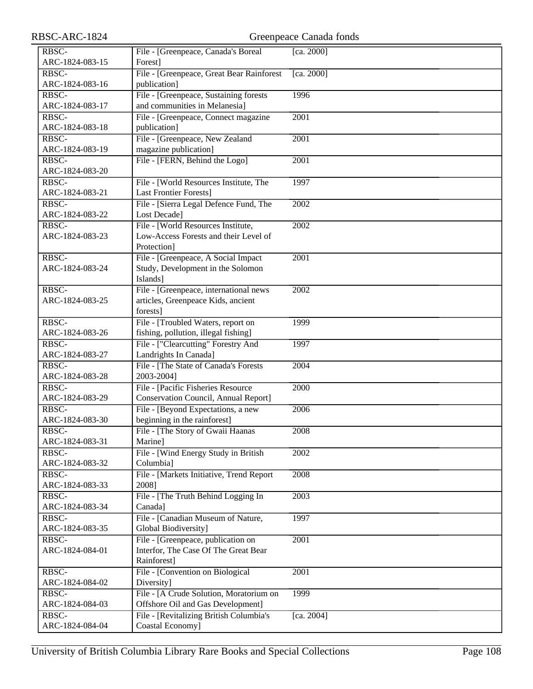| RBSC-ARC-1824   | Greenpeace Canada fonds                   |            |  |
|-----------------|-------------------------------------------|------------|--|
| RBSC-           | File - [Greenpeace, Canada's Boreal       | [ca. 2000] |  |
| ARC-1824-083-15 | Forest]                                   |            |  |
| RBSC-           | File - [Greenpeace, Great Bear Rainforest | [ca. 2000] |  |
| ARC-1824-083-16 | publication]                              |            |  |
| RBSC-           | File - [Greenpeace, Sustaining forests]   | 1996       |  |
| ARC-1824-083-17 | and communities in Melanesia]             |            |  |
| RBSC-           | File - [Greenpeace, Connect magazine      | 2001       |  |
| ARC-1824-083-18 | publication]                              |            |  |
| RBSC-           | File - [Greenpeace, New Zealand           | 2001       |  |
| ARC-1824-083-19 | magazine publication]                     |            |  |
| RBSC-           | File - [FERN, Behind the Logo]            | 2001       |  |
| ARC-1824-083-20 |                                           |            |  |
| RBSC-           | File - [World Resources Institute, The    | 1997       |  |
| ARC-1824-083-21 | <b>Last Frontier Forests]</b>             |            |  |
| RBSC-           | File - [Sierra Legal Defence Fund, The    | 2002       |  |
| ARC-1824-083-22 | Lost Decade]                              |            |  |
| RBSC-           | File - [World Resources Institute,        | 2002       |  |
| ARC-1824-083-23 | Low-Access Forests and their Level of     |            |  |
|                 | Protection]                               |            |  |
| RBSC-           | File - [Greenpeace, A Social Impact       | 2001       |  |
| ARC-1824-083-24 | Study, Development in the Solomon         |            |  |
|                 | Islands]                                  |            |  |
| RBSC-           | File - [Greenpeace, international news    | 2002       |  |
| ARC-1824-083-25 | articles, Greenpeace Kids, ancient        |            |  |
|                 | forests]                                  |            |  |
| RBSC-           | File - [Troubled Waters, report on        | 1999       |  |
| ARC-1824-083-26 | fishing, pollution, illegal fishing]      |            |  |
| RBSC-           | File - ["Clearcutting" Forestry And       | 1997       |  |
| ARC-1824-083-27 | Landrights In Canada]                     |            |  |
| RBSC-           | File - [The State of Canada's Forests     | 2004       |  |
| ARC-1824-083-28 | 2003-2004]                                |            |  |
| RBSC-           | File - [Pacific Fisheries Resource        | 2000       |  |
| ARC-1824-083-29 | Conservation Council, Annual Report]      |            |  |
| RBSC-           | File - [Beyond Expectations, a new        | 2006       |  |
| ARC-1824-083-30 | beginning in the rainforest]              |            |  |
| RBSC-           | File - [The Story of Gwaii Haanas         | 2008       |  |
| ARC-1824-083-31 | Marine]                                   |            |  |
| RBSC-           | File - [Wind Energy Study in British      | 2002       |  |
| ARC-1824-083-32 | Columbia]                                 |            |  |
| RBSC-           | File - [Markets Initiative, Trend Report  | 2008       |  |
| ARC-1824-083-33 | 2008]                                     |            |  |
| RBSC-           | File - [The Truth Behind Logging In       | 2003       |  |
| ARC-1824-083-34 | Canada]                                   |            |  |
| RBSC-           | File - [Canadian Museum of Nature,        | 1997       |  |
| ARC-1824-083-35 | Global Biodiversity]                      |            |  |
| RBSC-           | File - [Greenpeace, publication on        | 2001       |  |
| ARC-1824-084-01 | Interfor, The Case Of The Great Bear      |            |  |
|                 | Rainforest]                               |            |  |
| RBSC-           | File - [Convention on Biological          | 2001       |  |
| ARC-1824-084-02 | Diversity]                                |            |  |
| RBSC-           | File - [A Crude Solution, Moratorium on   | 1999       |  |
| ARC-1824-084-03 | Offshore Oil and Gas Development]         |            |  |
| RBSC-           | File - [Revitalizing British Columbia's   | [ca. 2004] |  |
| ARC-1824-084-04 | Coastal Economy]                          |            |  |
|                 |                                           |            |  |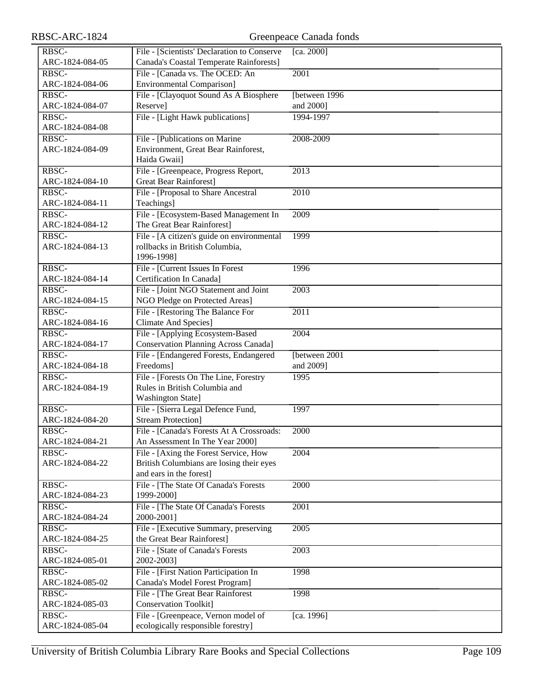| RBSC-           | File - [Scientists' Declaration to Conserve | [ca. 2000]        |
|-----------------|---------------------------------------------|-------------------|
| ARC-1824-084-05 | Canada's Coastal Temperate Rainforests]     |                   |
| RBSC-           | File - [Canada vs. The OCED: An             | 2001              |
| ARC-1824-084-06 | <b>Environmental Comparison]</b>            |                   |
| RBSC-           | File - [Clayoquot Sound As A Biosphere      | [between 1996]    |
| ARC-1824-084-07 | Reserve]                                    | and 2000]         |
|                 |                                             |                   |
| RBSC-           | File - [Light Hawk publications]            | 1994-1997         |
| ARC-1824-084-08 |                                             |                   |
| RBSC-           | File - [Publications on Marine]             | 2008-2009         |
| ARC-1824-084-09 | Environment, Great Bear Rainforest,         |                   |
|                 | Haida Gwaii]                                |                   |
| RBSC-           | File - [Greenpeace, Progress Report,        | $\overline{2013}$ |
| ARC-1824-084-10 | <b>Great Bear Rainforest</b> ]              |                   |
| RBSC-           | File - [Proposal to Share Ancestral         | 2010              |
| ARC-1824-084-11 | Teachings]                                  |                   |
| RBSC-           | File - [Ecosystem-Based Management In       | 2009              |
| ARC-1824-084-12 | The Great Bear Rainforest]                  |                   |
| RBSC-           | File - [A citizen's guide on environmental  | 1999              |
| ARC-1824-084-13 | rollbacks in British Columbia,              |                   |
|                 | 1996-1998]                                  |                   |
| RBSC-           | File - [Current Issues In Forest]           | 1996              |
| ARC-1824-084-14 | Certification In Canada]                    |                   |
| RBSC-           | File - [Joint NGO Statement and Joint       | 2003              |
| ARC-1824-084-15 | NGO Pledge on Protected Areas]              |                   |
| RBSC-           | File - [Restoring The Balance For           | $\overline{2011}$ |
| ARC-1824-084-16 | <b>Climate And Species]</b>                 |                   |
| RBSC-           | File - [Applying Ecosystem-Based            | 2004              |
| ARC-1824-084-17 | <b>Conservation Planning Across Canada]</b> |                   |
| RBSC-           | File - [Endangered Forests, Endangered      | [between 2001]    |
| ARC-1824-084-18 | Freedoms]                                   | and 2009]         |
| RBSC-           | File - [Forests On The Line, Forestry       | 1995              |
|                 |                                             |                   |
| ARC-1824-084-19 | Rules in British Columbia and               |                   |
|                 | <b>Washington State]</b>                    |                   |
| RBSC-           | File - [Sierra Legal Defence Fund,          | 1997              |
| ARC-1824-084-20 | <b>Stream Protection]</b>                   |                   |
| RBSC-           | File - [Canada's Forests At A Crossroads:   | 2000              |
| ARC-1824-084-21 | An Assessment In The Year 2000]             |                   |
| RBSC-           | File - [Axing the Forest Service, How       | 2004              |
| ARC-1824-084-22 | British Columbians are losing their eyes    |                   |
|                 | and ears in the forest]                     |                   |
| RBSC-           | File - [The State Of Canada's Forests       | 2000              |
| ARC-1824-084-23 | 1999-2000]                                  |                   |
| RBSC-           | File - [The State Of Canada's Forests       | 2001              |
| ARC-1824-084-24 | 2000-2001]                                  |                   |
| RBSC-           | File - [Executive Summary, preserving       | 2005              |
| ARC-1824-084-25 | the Great Bear Rainforest]                  |                   |
| RBSC-           | File - [State of Canada's Forests           | 2003              |
| ARC-1824-085-01 | 2002-2003]                                  |                   |
| RBSC-           | File - [First Nation Participation In       | 1998              |
| ARC-1824-085-02 | Canada's Model Forest Program]              |                   |
| RBSC-           | File - [The Great Bear Rainforest           | 1998              |
| ARC-1824-085-03 | <b>Conservation Toolkit]</b>                |                   |
| RBSC-           | File - [Greenpeace, Vernon model of         | [ca. 1996]        |
| ARC-1824-085-04 | ecologically responsible forestry]          |                   |
|                 |                                             |                   |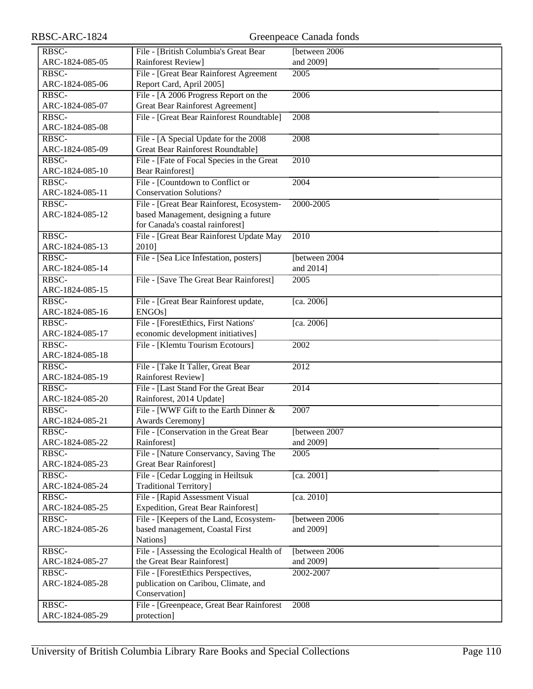| RBSC-ARC-1824   | Greenpeace Canada fonds                    |                   |  |
|-----------------|--------------------------------------------|-------------------|--|
| RBSC-           | File - [British Columbia's Great Bear      | [between 2006     |  |
| ARC-1824-085-05 | Rainforest Review]                         | and 2009]         |  |
| RBSC-           | File - [Great Bear Rainforest Agreement    | 2005              |  |
| ARC-1824-085-06 | Report Card, April 2005]                   |                   |  |
| RBSC-           | File - [A 2006 Progress Report on the      | 2006              |  |
| ARC-1824-085-07 | <b>Great Bear Rainforest Agreement]</b>    |                   |  |
| RBSC-           | File - [Great Bear Rainforest Roundtable]  | 2008              |  |
| ARC-1824-085-08 |                                            |                   |  |
| RBSC-           | File - [A Special Update for the 2008]     | 2008              |  |
| ARC-1824-085-09 | <b>Great Bear Rainforest Roundtable</b> ]  |                   |  |
| RBSC-           | File - [Fate of Focal Species in the Great | $\overline{2010}$ |  |
| ARC-1824-085-10 | <b>Bear Rainforest]</b>                    |                   |  |
| RBSC-           | File - [Countdown to Conflict or           | 2004              |  |
| ARC-1824-085-11 | <b>Conservation Solutions?</b>             |                   |  |
| RBSC-           | File - [Great Bear Rainforest, Ecosystem-  | 2000-2005         |  |
| ARC-1824-085-12 | based Management, designing a future       |                   |  |
|                 | for Canada's coastal rainforest]           |                   |  |
| RBSC-           | File - [Great Bear Rainforest Update May   | $\overline{2010}$ |  |
| ARC-1824-085-13 | 2010]                                      |                   |  |
| RBSC-           | File - [Sea Lice Infestation, posters]     | [between 2004]    |  |
| ARC-1824-085-14 |                                            | and 2014]         |  |
| RBSC-           | File - [Save The Great Bear Rainforest]    | 2005              |  |
| ARC-1824-085-15 |                                            |                   |  |
| RBSC-           | File - [Great Bear Rainforest update,      | [ca. 2006]        |  |
| ARC-1824-085-16 | ENGOs]                                     |                   |  |
| RBSC-           | File - [ForestEthics, First Nations'       | [ca. 2006]        |  |
| ARC-1824-085-17 | economic development initiatives]          |                   |  |
| RBSC-           | File - [Klemtu Tourism Ecotours]           | 2002              |  |
| ARC-1824-085-18 |                                            |                   |  |
| RBSC-           | File - [Take It Taller, Great Bear         | 2012              |  |
| ARC-1824-085-19 | Rainforest Review]                         |                   |  |
| RBSC-           | File - [Last Stand For the Great Bear      | 2014              |  |
| ARC-1824-085-20 | Rainforest, 2014 Update]                   |                   |  |
| RBSC-           | File - [WWF Gift to the Earth Dinner $&$   | 2007              |  |
| ARC-1824-085-21 | <b>Awards Ceremony</b> ]                   |                   |  |
| RBSC-           | File - [Conservation in the Great Bear     | [between 2007]    |  |
| ARC-1824-085-22 | Rainforest]                                | and 2009]         |  |
| RBSC-           | File - [Nature Conservancy, Saving The     | 2005              |  |
| ARC-1824-085-23 | <b>Great Bear Rainforest]</b>              |                   |  |
| RBSC-           | File - [Cedar Logging in Heiltsuk          | [ca. 2001]        |  |
| ARC-1824-085-24 | <b>Traditional Territory</b> ]             |                   |  |
| RBSC-           | File - [Rapid Assessment Visual            | [ca. 2010]        |  |
| ARC-1824-085-25 | <b>Expedition, Great Bear Rainforest]</b>  |                   |  |
| RBSC-           | File - [Keepers of the Land, Ecosystem-    | [between 2006     |  |
| ARC-1824-085-26 | based management, Coastal First            | and 2009]         |  |
|                 | Nations]                                   |                   |  |
| RBSC-           | File - [Assessing the Ecological Health of | [between 2006     |  |
| ARC-1824-085-27 | the Great Bear Rainforest]                 | and 2009]         |  |
| RBSC-           | File - [ForestEthics Perspectives,         | 2002-2007         |  |
| ARC-1824-085-28 | publication on Caribou, Climate, and       |                   |  |
|                 | Conservation]                              |                   |  |
| RBSC-           | File - [Greenpeace, Great Bear Rainforest  | 2008              |  |
| ARC-1824-085-29 | protection]                                |                   |  |
|                 |                                            |                   |  |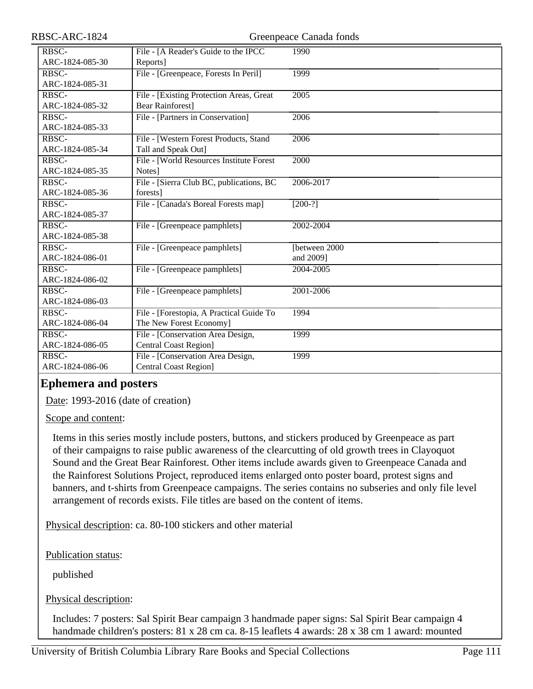| RBSC-ARC-1824                                 | Greenpeace Canada fonds                   |                   |
|-----------------------------------------------|-------------------------------------------|-------------------|
| RBSC-                                         | File - [A Reader's Guide to the IPCC      | 1990              |
| ARC-1824-085-30                               | Reports]                                  |                   |
| RBSC-                                         | File - [Greenpeace, Forests In Peril]     | 1999              |
| ARC-1824-085-31                               |                                           |                   |
| RBSC-                                         | File - [Existing Protection Areas, Great  | $\overline{2005}$ |
| ARC-1824-085-32                               | <b>Bear Rainforest]</b>                   |                   |
| RBSC-                                         | File - [Partners in Conservation]         | 2006              |
| ARC-1824-085-33                               |                                           |                   |
| RBSC-                                         | File - [Western Forest Products, Stand    | 2006              |
| ARC-1824-085-34                               | Tall and Speak Out]                       |                   |
| RBSC-                                         | File - [World Resources Institute Forest] | 2000              |
| ARC-1824-085-35                               | Notes]                                    |                   |
| RBSC-                                         | File - [Sierra Club BC, publications, BC  | 2006-2017         |
| ARC-1824-085-36                               | forests]                                  |                   |
| RBSC-                                         | File - [Canada's Boreal Forests map]      | $[200-?]$         |
| ARC-1824-085-37                               |                                           |                   |
| RBSC-                                         | File - [Greenpeace pamphlets]             | 2002-2004         |
| ARC-1824-085-38                               |                                           |                   |
| RBSC-                                         | File - [Greenpeace pamphlets]             | [between 2000     |
| ARC-1824-086-01                               |                                           | and 2009]         |
| RBSC-                                         | File - [Greenpeace pamphlets]             | 2004-2005         |
| ARC-1824-086-02                               |                                           |                   |
| RBSC-                                         | File - [Greenpeace pamphlets]             | 2001-2006         |
| ARC-1824-086-03                               |                                           |                   |
| RBSC-                                         | File - [Forestopia, A Practical Guide To  | 1994              |
| ARC-1824-086-04                               | The New Forest Economy]                   |                   |
| $R\overline{B}$ <sub>S</sub> $\overline{C}$ - | File - [Conservation Area Design,         | 1999              |
| ARC-1824-086-05                               | <b>Central Coast Region]</b>              |                   |
| RBSC-                                         | File - [Conservation Area Design,         | 1999              |
| ARC-1824-086-06                               | <b>Central Coast Region]</b>              |                   |
|                                               |                                           |                   |

### **Ephemera and posters**

Date: 1993-2016 (date of creation)

Scope and content:

Items in this series mostly include posters, buttons, and stickers produced by Greenpeace as part of their campaigns to raise public awareness of the clearcutting of old growth trees in Clayoquot Sound and the Great Bear Rainforest. Other items include awards given to Greenpeace Canada and the Rainforest Solutions Project, reproduced items enlarged onto poster board, protest signs and banners, and t-shirts from Greenpeace campaigns. The series contains no subseries and only file level arrangement of records exists. File titles are based on the content of items.

Physical description: ca. 80-100 stickers and other material

Publication status:

published

Physical description:

Includes: 7 posters: Sal Spirit Bear campaign 3 handmade paper signs: Sal Spirit Bear campaign 4 handmade children's posters: 81 x 28 cm ca. 8-15 leaflets 4 awards: 28 x 38 cm 1 award: mounted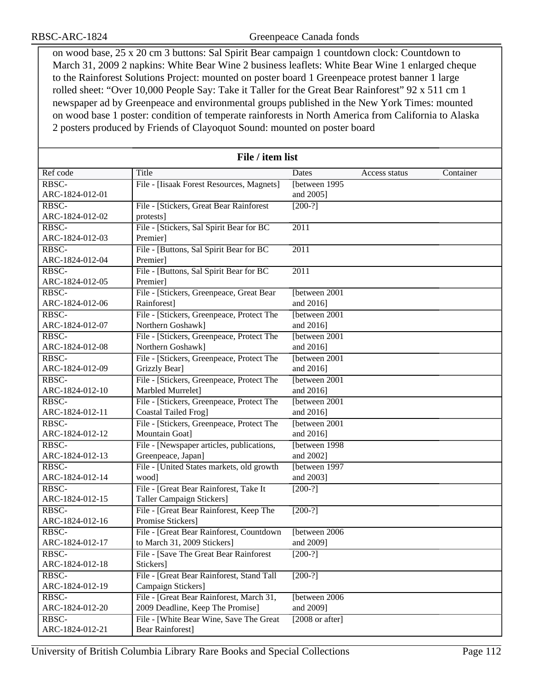on wood base, 25 x 20 cm 3 buttons: Sal Spirit Bear campaign 1 countdown clock: Countdown to March 31, 2009 2 napkins: White Bear Wine 2 business leaflets: White Bear Wine 1 enlarged cheque to the Rainforest Solutions Project: mounted on poster board 1 Greenpeace protest banner 1 large rolled sheet: "Over 10,000 People Say: Take it Taller for the Great Bear Rainforest" 92 x 511 cm 1 newspaper ad by Greenpeace and environmental groups published in the New York Times: mounted on wood base 1 poster: condition of temperate rainforests in North America from California to Alaska 2 posters produced by Friends of Clayoquot Sound: mounted on poster board

| File / item list |                                           |                           |               |           |
|------------------|-------------------------------------------|---------------------------|---------------|-----------|
| Ref code         | Title                                     | Dates                     | Access status | Container |
| RBSC-            | File - [Iisaak Forest Resources, Magnets] | [between 1995]            |               |           |
| ARC-1824-012-01  |                                           | and 2005]                 |               |           |
| RBSC-            | File - [Stickers, Great Bear Rainforest   | $[200-?]$                 |               |           |
| ARC-1824-012-02  | protests]                                 |                           |               |           |
| RBSC-            | File - [Stickers, Sal Spirit Bear for BC  | 2011                      |               |           |
| ARC-1824-012-03  | Premier]                                  |                           |               |           |
| RBSC-            | File - [Buttons, Sal Spirit Bear for BC   | $\overline{2011}$         |               |           |
| ARC-1824-012-04  | Premier]                                  |                           |               |           |
| RBSC-            | File - [Buttons, Sal Spirit Bear for BC]  | $\overline{2011}$         |               |           |
| ARC-1824-012-05  | Premier]                                  |                           |               |           |
| RBSC-            | File - [Stickers, Greenpeace, Great Bear  | [between 2001             |               |           |
| ARC-1824-012-06  | Rainforest]                               | and 2016]                 |               |           |
| RBSC-            | File - [Stickers, Greenpeace, Protect The | [between 2001]            |               |           |
| ARC-1824-012-07  | Northern Goshawk]                         | and 2016]                 |               |           |
| RBSC-            | File - [Stickers, Greenpeace, Protect The | [between 2001]            |               |           |
| ARC-1824-012-08  | Northern Goshawk]                         | and 2016]                 |               |           |
| RBSC-            | File - [Stickers, Greenpeace, Protect The | [between 2001             |               |           |
| ARC-1824-012-09  | Grizzly Bear]                             | and 2016]                 |               |           |
| RBSC-            | File - [Stickers, Greenpeace, Protect The | [between 2001             |               |           |
| ARC-1824-012-10  | Marbled Murrelet]                         | and 2016]                 |               |           |
| RBSC-            | File - [Stickers, Greenpeace, Protect The | [between 2001]            |               |           |
| ARC-1824-012-11  | Coastal Tailed Frog]                      | and 2016]                 |               |           |
| RBSC-            | File - [Stickers, Greenpeace, Protect The | [between 2001]            |               |           |
| ARC-1824-012-12  | Mountain Goat]                            | and 2016]                 |               |           |
| RBSC-            | File - [Newspaper articles, publications, | [between 1998]            |               |           |
| ARC-1824-012-13  | Greenpeace, Japan]                        | and 2002]                 |               |           |
| RBSC-            | File - [United States markets, old growth | [between 1997             |               |           |
| ARC-1824-012-14  | wood]                                     | and 2003]                 |               |           |
| RBSC-            | File - [Great Bear Rainforest, Take It    | $[200-?]$                 |               |           |
| ARC-1824-012-15  | Taller Campaign Stickers]                 |                           |               |           |
| RBSC-            | File - [Great Bear Rainforest, Keep The   | $[200-?]$                 |               |           |
| ARC-1824-012-16  | Promise Stickers]                         |                           |               |           |
| RBSC-            | File - [Great Bear Rainforest, Countdown  | [between 2006]            |               |           |
| ARC-1824-012-17  | to March 31, 2009 Stickers]               | and 2009]                 |               |           |
| RBSC-            | File - [Save The Great Bear Rainforest    | $[200-?]$                 |               |           |
| ARC-1824-012-18  | Stickers]                                 |                           |               |           |
| RBSC-            | File - [Great Bear Rainforest, Stand Tall | $[200-?]$                 |               |           |
| ARC-1824-012-19  | Campaign Stickers]                        |                           |               |           |
| RBSC-            | File - [Great Bear Rainforest, March 31,  | [between 2006]            |               |           |
| ARC-1824-012-20  | 2009 Deadline, Keep The Promise]          | and 2009]                 |               |           |
| RBSC-            | File - [White Bear Wine, Save The Great   | $[2008 \text{ or after}]$ |               |           |
| ARC-1824-012-21  | <b>Bear Rainforest]</b>                   |                           |               |           |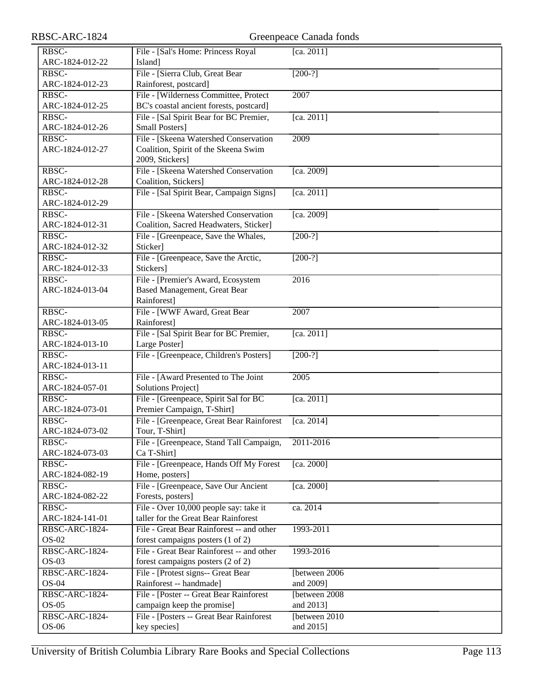| RBSC-ARC-1824              | Greenpeace Canada fonds                   |                |  |
|----------------------------|-------------------------------------------|----------------|--|
| RBSC-                      | File - [Sal's Home: Princess Royal        | [ca. 2011]     |  |
| ARC-1824-012-22            | Island]                                   |                |  |
| RBSC-                      | File - [Sierra Club, Great Bear           | $[200-?]$      |  |
| ARC-1824-012-23            | Rainforest, postcard]                     |                |  |
| $R\overline{\mathrm{BSC}}$ | File - [Wilderness Committee, Protect     | 2007           |  |
| ARC-1824-012-25            | BC's coastal ancient forests, postcard]   |                |  |
| RBSC-                      | File - [Sal Spirit Bear for BC Premier,   | [ca. 2011]     |  |
| ARC-1824-012-26            | <b>Small Posters]</b>                     |                |  |
| RBSC-                      | File - [Skeena Watershed Conservation     | 2009           |  |
| ARC-1824-012-27            | Coalition, Spirit of the Skeena Swim      |                |  |
|                            | 2009, Stickers]                           |                |  |
| RBSC-                      | File - [Skeena Watershed Conservation     | [ca. 2009]     |  |
| ARC-1824-012-28            | Coalition, Stickers]                      |                |  |
| RBSC-                      | File - [Sal Spirit Bear, Campaign Signs]  | [ca. 2011]     |  |
| ARC-1824-012-29            |                                           |                |  |
| RBSC-                      | File - [Skeena Watershed Conservation     | [ca. 2009]     |  |
| ARC-1824-012-31            | Coalition, Sacred Headwaters, Sticker]    |                |  |
| RBSC-                      | File - [Greenpeace, Save the Whales,      | $[200-?]$      |  |
| ARC-1824-012-32            | Sticker]                                  |                |  |
| RBSC-                      | File - [Greenpeace, Save the Arctic,      | $[200-?]$      |  |
| ARC-1824-012-33            | Stickers]                                 |                |  |
| RBSC-                      | File - [Premier's Award, Ecosystem        | 2016           |  |
| ARC-1824-013-04            | <b>Based Management, Great Bear</b>       |                |  |
|                            | Rainforest]                               |                |  |
| RBSC-                      | File - [WWF Award, Great Bear             | 2007           |  |
| ARC-1824-013-05            | Rainforest]                               |                |  |
| RBSC-                      | File - [Sal Spirit Bear for BC Premier,   | [ca. 2011]     |  |
| ARC-1824-013-10            | Large Poster]                             |                |  |
| RBSC-<br>ARC-1824-013-11   | File - [Greenpeace, Children's Posters]   | $[200-?]$      |  |
| RBSC-                      | File - [Award Presented to The Joint      | 2005           |  |
| ARC-1824-057-01            | <b>Solutions Project]</b>                 |                |  |
| RBSC-                      | File - [Greenpeace, Spirit Sal for BC     | [ca. 2011]     |  |
| ARC-1824-073-01            | Premier Campaign, T-Shirt]                |                |  |
| RBSC-                      | File - [Greenpeace, Great Bear Rainforest | [ca. $2014$ ]  |  |
| ARC-1824-073-02            | Tour, T-Shirt]                            |                |  |
| RBSC-                      | File - [Greenpeace, Stand Tall Campaign,  | 2011-2016      |  |
| ARC-1824-073-03            | Ca T-Shirt]                               |                |  |
| RBSC-                      | File - [Greenpeace, Hands Off My Forest   | [ca. 2000]     |  |
| ARC-1824-082-19            | Home, posters]                            |                |  |
| RBSC-                      | File - [Greenpeace, Save Our Ancient      | [ca. 2000]     |  |
| ARC-1824-082-22            | Forests, posters]                         |                |  |
| RBSC-                      | File - Over 10,000 people say: take it    | ca. 2014       |  |
| ARC-1824-141-01            | taller for the Great Bear Rainforest      |                |  |
| RBSC-ARC-1824-             | File - Great Bear Rainforest -- and other | 1993-2011      |  |
| $OS-02$                    | forest campaigns posters (1 of 2)         |                |  |
| RBSC-ARC-1824-             | File - Great Bear Rainforest -- and other | 1993-2016      |  |
| $OS-03$                    | forest campaigns posters (2 of 2)         |                |  |
| RBSC-ARC-1824-             | File - [Protest signs-- Great Bear        | [between 2006] |  |
| $OS-04$                    | Rainforest -- handmade]                   | and 2009]      |  |
| RBSC-ARC-1824-             | File - [Poster -- Great Bear Rainforest]  | [between 2008] |  |
| $OS-05$                    | campaign keep the promise]                | and 2013]      |  |
| RBSC-ARC-1824-             | File - [Posters -- Great Bear Rainforest] | [between 2010  |  |
| OS-06                      | key species]                              | and 2015]      |  |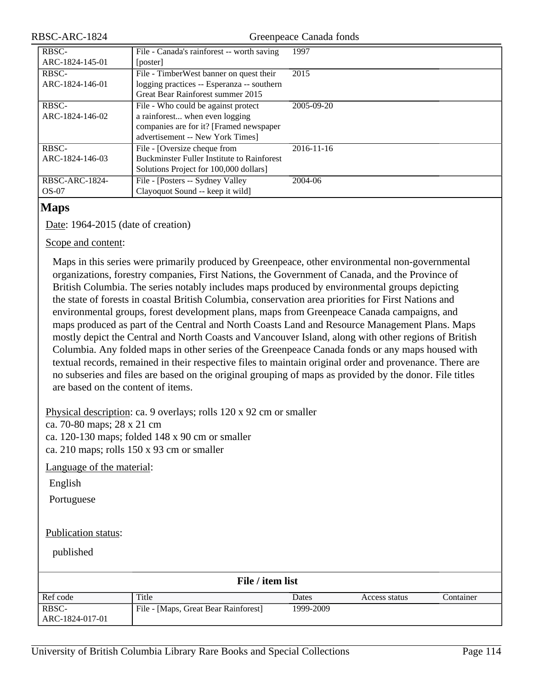Greenpeace Canada fonds

| RBSC-           | File - Canada's rainforest -- worth saving        | 1997       |
|-----------------|---------------------------------------------------|------------|
| ARC-1824-145-01 | [poster]                                          |            |
| RBSC-           | File - TimberWest banner on quest their           | 2015       |
| ARC-1824-146-01 | logging practices -- Esperanza -- southern        |            |
|                 | Great Bear Rainforest summer 2015                 |            |
| RBSC-           | File - Who could be against protect               | 2005-09-20 |
| ARC-1824-146-02 | a rainforest when even logging                    |            |
|                 | companies are for it? [Framed newspaper           |            |
|                 | advertisement -- New York Times]                  |            |
| RBSC-           | File - [Oversize cheque from                      | 2016-11-16 |
| ARC-1824-146-03 | <b>Buckminster Fuller Institute to Rainforest</b> |            |
|                 | Solutions Project for 100,000 dollars]            |            |
| RBSC-ARC-1824-  | File - [Posters -- Sydney Valley                  | 2004-06    |
| $OS-07$         | Clayoquot Sound -- keep it wild]                  |            |

#### **Maps**

Date: 1964-2015 (date of creation)

#### Scope and content:

Maps in this series were primarily produced by Greenpeace, other environmental non-governmental organizations, forestry companies, First Nations, the Government of Canada, and the Province of British Columbia. The series notably includes maps produced by environmental groups depicting the state of forests in coastal British Columbia, conservation area priorities for First Nations and environmental groups, forest development plans, maps from Greenpeace Canada campaigns, and maps produced as part of the Central and North Coasts Land and Resource Management Plans. Maps mostly depict the Central and North Coasts and Vancouver Island, along with other regions of British Columbia. Any folded maps in other series of the Greenpeace Canada fonds or any maps housed with textual records, remained in their respective files to maintain original order and provenance. There are no subseries and files are based on the original grouping of maps as provided by the donor. File titles are based on the content of items.

Physical description: ca. 9 overlays; rolls 120 x 92 cm or smaller

ca. 70-80 maps; 28 x 21 cm

ca. 120-130 maps; folded 148 x 90 cm or smaller

ca. 210 maps; rolls 150 x 93 cm or smaller

Language of the material:

English

Portuguese

#### Publication status:

published

| File / item list |                                      |           |               |           |
|------------------|--------------------------------------|-----------|---------------|-----------|
| Ref code         | Title                                | Dates     | Access status | Container |
| RBSC-            | File - [Maps, Great Bear Rainforest] | 1999-2009 |               |           |
| ARC-1824-017-01  |                                      |           |               |           |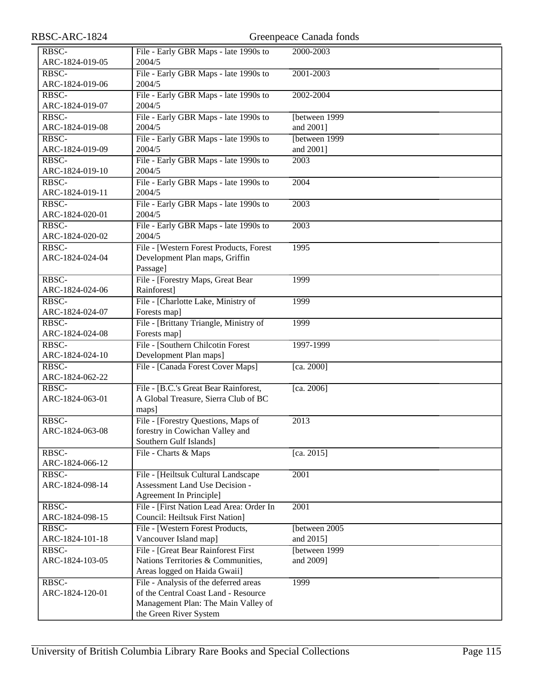| RBSC-ARC-1824            |                                                                               | Greenpeace Canada fonds |
|--------------------------|-------------------------------------------------------------------------------|-------------------------|
| RBSC-                    | File - Early GBR Maps - late 1990s to                                         | 2000-2003               |
| ARC-1824-019-05          | 2004/5                                                                        |                         |
| RBSC-                    | File - Early GBR Maps - late 1990s to                                         | 2001-2003               |
| ARC-1824-019-06          | 2004/5                                                                        |                         |
| RBSC-                    | File - Early GBR Maps - late 1990s to                                         | 2002-2004               |
| ARC-1824-019-07          | 2004/5                                                                        |                         |
| RBSC-                    | File - Early GBR Maps - late 1990s to                                         | [between 1999]          |
| ARC-1824-019-08          | 2004/5                                                                        | and 2001]               |
| RBSC-                    | File - Early GBR Maps - late 1990s to                                         | [between 1999]          |
| ARC-1824-019-09          | 2004/5                                                                        | and 2001]               |
| RBSC-                    | File - Early GBR Maps - late 1990s to                                         | 2003                    |
| ARC-1824-019-10          | 2004/5                                                                        |                         |
| RBSC-                    | File - Early GBR Maps - late 1990s to                                         | 2004                    |
| ARC-1824-019-11          | 2004/5                                                                        |                         |
| RBSC-                    | File - Early GBR Maps - late 1990s to                                         | 2003                    |
| ARC-1824-020-01          | 2004/5                                                                        |                         |
| RBSC-                    | File - Early GBR Maps - late 1990s to                                         | 2003                    |
| ARC-1824-020-02          | 2004/5                                                                        |                         |
| RBSC-                    | File - [Western Forest Products, Forest                                       | 1995                    |
| ARC-1824-024-04          | Development Plan maps, Griffin                                                |                         |
|                          | Passage]                                                                      |                         |
| RBSC-                    | File - [Forestry Maps, Great Bear                                             | 1999                    |
| ARC-1824-024-06          | Rainforest]                                                                   |                         |
| RBSC-                    | File - [Charlotte Lake, Ministry of                                           | 1999                    |
| ARC-1824-024-07          | Forests map]                                                                  |                         |
| RBSC-                    | File - [Brittany Triangle, Ministry of                                        | 1999                    |
| ARC-1824-024-08          | Forests map]                                                                  |                         |
| RBSC-                    | File - [Southern Chilcotin Forest]                                            | 1997-1999               |
| ARC-1824-024-10          | Development Plan maps]                                                        |                         |
| RBSC-                    | File - [Canada Forest Cover Maps]                                             | [ca. 2000]              |
| ARC-1824-062-22          |                                                                               |                         |
| RBSC-<br>ARC-1824-063-01 | File - [B.C.'s Great Bear Rainforest,<br>A Global Treasure, Sierra Club of BC | [ca. 2006]              |
|                          |                                                                               |                         |
| RBSC-                    | maps]<br>File - [Forestry Questions, Maps of                                  | 2013                    |
| ARC-1824-063-08          | forestry in Cowichan Valley and                                               |                         |
|                          | Southern Gulf Islands]                                                        |                         |
| RBSC-                    | File - Charts & Maps                                                          | [ca. 2015]              |
| ARC-1824-066-12          |                                                                               |                         |
| RBSC-                    | File - [Heiltsuk Cultural Landscape                                           | 2001                    |
| ARC-1824-098-14          | <b>Assessment Land Use Decision -</b>                                         |                         |
|                          | Agreement In Principle]                                                       |                         |
| RBSC-                    | File - [First Nation Lead Area: Order In                                      | 2001                    |
| ARC-1824-098-15          | <b>Council: Heiltsuk First Nation]</b>                                        |                         |
| RBSC-                    | File - [Western Forest Products,                                              | [between 2005]          |
| ARC-1824-101-18          | Vancouver Island map]                                                         | and 2015]               |
| RBSC-                    | File - [Great Bear Rainforest First                                           | [between 1999]          |
| ARC-1824-103-05          | Nations Territories & Communities,                                            | and 2009]               |
|                          | Areas logged on Haida Gwaii]                                                  |                         |
| RBSC-                    | File - Analysis of the deferred areas                                         | 1999                    |
| ARC-1824-120-01          | of the Central Coast Land - Resource                                          |                         |
|                          | Management Plan: The Main Valley of                                           |                         |
|                          | the Green River System                                                        |                         |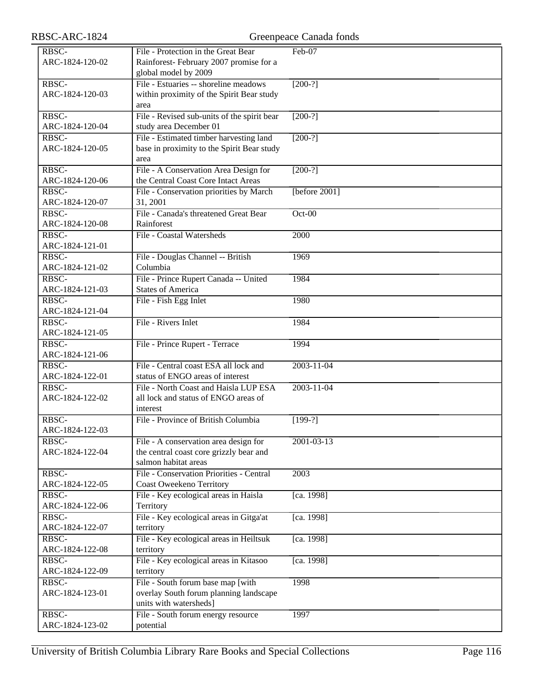| RBSC-ARC-1824            | Greenpeace Canada fonds                                                                                  |                  |  |
|--------------------------|----------------------------------------------------------------------------------------------------------|------------------|--|
| RBSC-<br>ARC-1824-120-02 | File - Protection in the Great Bear<br>Rainforest-February 2007 promise for a                            | Feb-07           |  |
|                          | global model by 2009                                                                                     |                  |  |
| RBSC-<br>ARC-1824-120-03 | File - Estuaries -- shoreline meadows<br>within proximity of the Spirit Bear study<br>area               | $[200-?]$        |  |
| RBSC-<br>ARC-1824-120-04 | File - Revised sub-units of the spirit bear<br>study area December 01                                    | $[200-?]$        |  |
| RBSC-<br>ARC-1824-120-05 | File - Estimated timber harvesting land<br>base in proximity to the Spirit Bear study<br>area            | $[200-?]$        |  |
| RBSC-<br>ARC-1824-120-06 | File - A Conservation Area Design for<br>the Central Coast Core Intact Areas                             | $[200-?]$        |  |
| RBSC-<br>ARC-1824-120-07 | File - Conservation priorities by March<br>31, 2001                                                      | [before $2001$ ] |  |
| RBSC-<br>ARC-1824-120-08 | File - Canada's threatened Great Bear<br>Rainforest                                                      | $Oct-00$         |  |
| RBSC-<br>ARC-1824-121-01 | File - Coastal Watersheds                                                                                | 2000             |  |
| RBSC-<br>ARC-1824-121-02 | File - Douglas Channel -- British<br>Columbia                                                            | 1969             |  |
| RBSC-<br>ARC-1824-121-03 | File - Prince Rupert Canada -- United<br><b>States of America</b>                                        | 1984             |  |
| RBSC-<br>ARC-1824-121-04 | File - Fish Egg Inlet                                                                                    | 1980             |  |
| RBSC-<br>ARC-1824-121-05 | File - Rivers Inlet                                                                                      | 1984             |  |
| RBSC-<br>ARC-1824-121-06 | File - Prince Rupert - Terrace                                                                           | 1994             |  |
| RBSC-<br>ARC-1824-122-01 | File - Central coast ESA all lock and<br>status of ENGO areas of interest                                | $2003 - 11 - 04$ |  |
| RBSC-<br>ARC-1824-122-02 | File - North Coast and Haisla LUP ESA<br>all lock and status of ENGO areas of<br>interest                | $2003 - 11 - 04$ |  |
| RBSC-<br>ARC-1824-122-03 | File - Province of British Columbia                                                                      | $[199-?]$        |  |
| RBSC-<br>ARC-1824-122-04 | File - A conservation area design for<br>the central coast core grizzly bear and<br>salmon habitat areas | $2001 - 03 - 13$ |  |
| RBSC-<br>ARC-1824-122-05 | File - Conservation Priorities - Central<br><b>Coast Oweekeno Territory</b>                              | 2003             |  |
| RBSC-<br>ARC-1824-122-06 | File - Key ecological areas in Haisla<br>Territory                                                       | [ca. 1998]       |  |
| RBSC-<br>ARC-1824-122-07 | File - Key ecological areas in Gitga'at<br>territory                                                     | [ca. 1998]       |  |
| RBSC-<br>ARC-1824-122-08 | File - Key ecological areas in Heiltsuk<br>territory                                                     | [ca. 1998]       |  |
| RBSC-<br>ARC-1824-122-09 | File - Key ecological areas in Kitasoo<br>territory                                                      | [ca. 1998]       |  |
| RBSC-<br>ARC-1824-123-01 | File - South forum base map [with<br>overlay South forum planning landscape<br>units with watersheds]    | 1998             |  |
| RBSC-<br>ARC-1824-123-02 | File - South forum energy resource<br>potential                                                          | 1997             |  |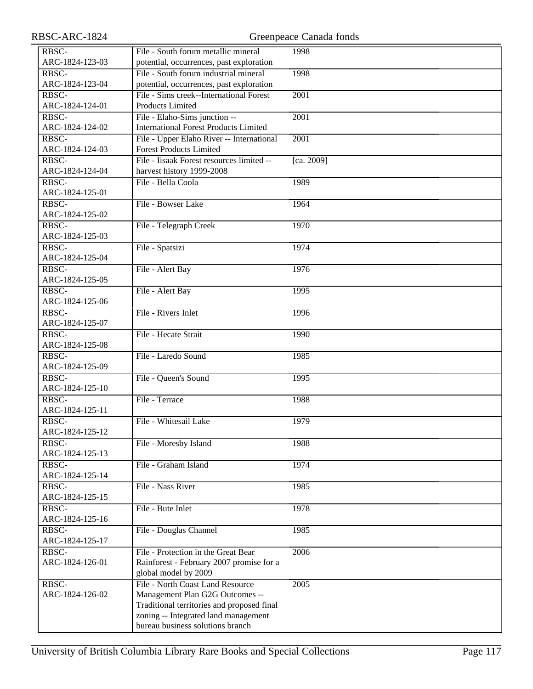| RBSC-           | File - South forum metallic mineral          | 1998       |
|-----------------|----------------------------------------------|------------|
| ARC-1824-123-03 | potential, occurrences, past exploration     |            |
| RBSC-           | File - South forum industrial mineral        | 1998       |
| ARC-1824-123-04 | potential, occurrences, past exploration     |            |
| RBSC-           | File - Sims creek--International Forest      | 2001       |
| ARC-1824-124-01 | Products Limited                             |            |
| RBSC-           | File - Elaho-Sims junction --                | 2001       |
| ARC-1824-124-02 | <b>International Forest Products Limited</b> |            |
| RBSC-           | File - Upper Elaho River -- International    | 2001       |
| ARC-1824-124-03 | <b>Forest Products Limited</b>               |            |
| RBSC-           | File - Iisaak Forest resources limited --    | [ca. 2009] |
| ARC-1824-124-04 | harvest history 1999-2008                    |            |
| RBSC-           | File - Bella Coola                           | 1989       |
| ARC-1824-125-01 |                                              |            |
| RBSC-           | File - Bowser Lake                           | 1964       |
| ARC-1824-125-02 |                                              |            |
| RBSC-           | File - Telegraph Creek                       | 1970       |
| ARC-1824-125-03 |                                              |            |
| RBSC-           | File - Spatsizi                              | 1974       |
| ARC-1824-125-04 |                                              |            |
| RBSC-           | File - Alert Bay                             | 1976       |
| ARC-1824-125-05 |                                              |            |
| RBSC-           | File - Alert Bay                             | 1995       |
| ARC-1824-125-06 |                                              |            |
| RBSC-           | File - Rivers Inlet                          | 1996       |
| ARC-1824-125-07 |                                              |            |
| RBSC-           | File - Hecate Strait                         | 1990       |
| ARC-1824-125-08 |                                              |            |
| RBSC-           | File - Laredo Sound                          | 1985       |
| ARC-1824-125-09 |                                              |            |
| RBSC-           | File - Queen's Sound                         | 1995       |
| ARC-1824-125-10 |                                              |            |
| RBSC-           | File - Terrace                               | 1988       |
| ARC-1824-125-11 |                                              |            |
| RBSC-           | File - Whitesail Lake                        | 1979       |
| ARC-1824-125-12 |                                              |            |
| RBSC-           | File - Moresby Island                        | 1988       |
| ARC-1824-125-13 |                                              |            |
| RBSC-           | File - Graham Island                         | 1974       |
| ARC-1824-125-14 |                                              |            |
| RBSC-           | File - Nass River                            | 1985       |
| ARC-1824-125-15 |                                              |            |
| RBSC-           | File - Bute Inlet                            | 1978       |
| ARC-1824-125-16 |                                              |            |
| RBSC-           | File - Douglas Channel                       | 1985       |
| ARC-1824-125-17 |                                              |            |
| RBSC-           | File - Protection in the Great Bear          | 2006       |
| ARC-1824-126-01 | Rainforest - February 2007 promise for a     |            |
|                 | global model by 2009                         |            |
| RBSC-           | File - North Coast Land Resource             | 2005       |
| ARC-1824-126-02 | Management Plan G2G Outcomes --              |            |
|                 | Traditional territories and proposed final   |            |
|                 | zoning -- Integrated land management         |            |
|                 | bureau business solutions branch             |            |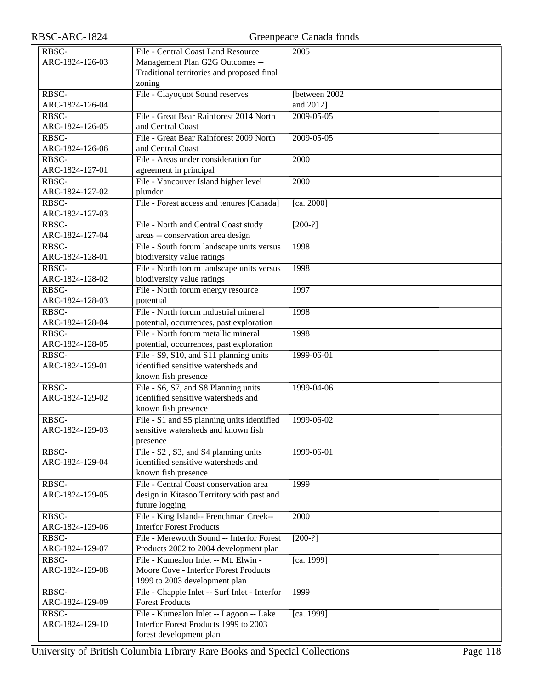| RBSC-           | File - Central Coast Land Resource            | 2005           |
|-----------------|-----------------------------------------------|----------------|
| ARC-1824-126-03 | Management Plan G2G Outcomes --               |                |
|                 | Traditional territories and proposed final    |                |
|                 | zoning                                        |                |
| RBSC-           | File - Clayoquot Sound reserves               | [between 2002] |
| ARC-1824-126-04 |                                               | and 2012]      |
| RBSC-           | File - Great Bear Rainforest 2014 North       | 2009-05-05     |
| ARC-1824-126-05 | and Central Coast                             |                |
| RBSC-           | File - Great Bear Rainforest 2009 North       | 2009-05-05     |
| ARC-1824-126-06 | and Central Coast                             |                |
| RBSC-           | File - Areas under consideration for          | 2000           |
|                 |                                               |                |
| ARC-1824-127-01 | agreement in principal                        |                |
| RBSC-           | File - Vancouver Island higher level          | 2000           |
| ARC-1824-127-02 | plunder                                       |                |
| RBSC-           | File - Forest access and tenures [Canada]     | [ca. 2000]     |
| ARC-1824-127-03 |                                               |                |
| RBSC-           | File - North and Central Coast study          | $[200-?]$      |
| ARC-1824-127-04 | areas -- conservation area design             |                |
| RBSC-           | File - South forum landscape units versus     | 1998           |
| ARC-1824-128-01 | biodiversity value ratings                    |                |
| RBSC-           | File - North forum landscape units versus     | 1998           |
| ARC-1824-128-02 | biodiversity value ratings                    |                |
| RBSC-           | File - North forum energy resource            | 1997           |
| ARC-1824-128-03 | potential                                     |                |
| RBSC-           | File - North forum industrial mineral         | 1998           |
| ARC-1824-128-04 | potential, occurrences, past exploration      |                |
|                 |                                               |                |
| RBSC-           | File - North forum metallic mineral           | 1998           |
| ARC-1824-128-05 | potential, occurrences, past exploration      |                |
| RBSC-           | File - S9, S10, and S11 planning units        | 1999-06-01     |
| ARC-1824-129-01 | identified sensitive watersheds and           |                |
|                 | known fish presence                           |                |
| RBSC-           | File - S6, S7, and S8 Planning units          | 1999-04-06     |
| ARC-1824-129-02 | identified sensitive watersheds and           |                |
|                 | known fish presence                           |                |
| RBSC-           | File - S1 and S5 planning units identified    | 1999-06-02     |
| ARC-1824-129-03 | sensitive watersheds and known fish           |                |
|                 | presence                                      |                |
| RBSC-           | File - S2, S3, and S4 planning units          | 1999-06-01     |
| ARC-1824-129-04 | identified sensitive watersheds and           |                |
|                 | known fish presence                           |                |
| RBSC-           | File - Central Coast conservation area        | 1999           |
| ARC-1824-129-05 | design in Kitasoo Territory with past and     |                |
|                 | future logging                                |                |
| RBSC-           | File - King Island-- Frenchman Creek--        | 2000           |
| ARC-1824-129-06 | <b>Interfor Forest Products</b>               |                |
| RBSC-           | File - Mereworth Sound -- Interfor Forest     | $[200-?]$      |
| ARC-1824-129-07 | Products 2002 to 2004 development plan        |                |
| RBSC-           | File - Kumealon Inlet -- Mt. Elwin -          | [ca. 1999]     |
| ARC-1824-129-08 | Moore Cove - Interfor Forest Products         |                |
|                 |                                               |                |
|                 | 1999 to 2003 development plan                 |                |
| RBSC-           | File - Chapple Inlet -- Surf Inlet - Interfor | 1999           |
| ARC-1824-129-09 | <b>Forest Products</b>                        |                |
| RBSC-           | File - Kumealon Inlet -- Lagoon -- Lake       | [ca. 1999]     |
| ARC-1824-129-10 | Interfor Forest Products 1999 to 2003         |                |
|                 | forest development plan                       |                |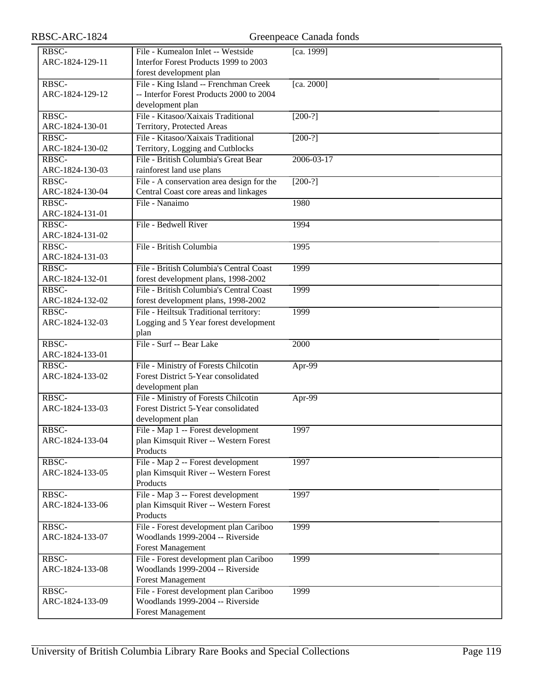| RBSC-ARC-1824            | Greenpeace Canada fonds                                                                                |            |
|--------------------------|--------------------------------------------------------------------------------------------------------|------------|
| RBSC-<br>ARC-1824-129-11 | File - Kumealon Inlet -- Westside<br>Interfor Forest Products 1999 to 2003<br>forest development plan  | [ca. 1999] |
| RBSC-<br>ARC-1824-129-12 | File - King Island -- Frenchman Creek<br>-- Interfor Forest Products 2000 to 2004<br>development plan  | [ca. 2000] |
| RBSC-<br>ARC-1824-130-01 | File - Kitasoo/Xaixais Traditional<br>Territory, Protected Areas                                       | $[200-?]$  |
| RBSC-<br>ARC-1824-130-02 | File - Kitasoo/Xaixais Traditional<br>Territory, Logging and Cutblocks                                 | $[200-?]$  |
| RBSC-<br>ARC-1824-130-03 | File - British Columbia's Great Bear<br>rainforest land use plans                                      | 2006-03-17 |
| RBSC-<br>ARC-1824-130-04 | File - A conservation area design for the<br>Central Coast core areas and linkages                     | $[200-?]$  |
| RBSC-<br>ARC-1824-131-01 | File - Nanaimo                                                                                         | 1980       |
| RBSC-<br>ARC-1824-131-02 | File - Bedwell River                                                                                   | 1994       |
| RBSC-<br>ARC-1824-131-03 | File - British Columbia                                                                                | 1995       |
| RBSC-<br>ARC-1824-132-01 | File - British Columbia's Central Coast<br>forest development plans, 1998-2002                         | 1999       |
| RBSC-<br>ARC-1824-132-02 | File - British Columbia's Central Coast<br>forest development plans, 1998-2002                         | 1999       |
| RBSC-<br>ARC-1824-132-03 | File - Heiltsuk Traditional territory:<br>Logging and 5 Year forest development<br>plan                | 1999       |
| RBSC-<br>ARC-1824-133-01 | File - Surf -- Bear Lake                                                                               | 2000       |
| RBSC-<br>ARC-1824-133-02 | File - Ministry of Forests Chilcotin<br>Forest District 5-Year consolidated<br>development plan        | Apr-99     |
| RBSC-<br>ARC-1824-133-03 | File - Ministry of Forests Chilcotin<br>Forest District 5-Year consolidated<br>development plan        | Apr-99     |
| RBSC-<br>ARC-1824-133-04 | File - Map 1 -- Forest development<br>plan Kimsquit River -- Western Forest<br>Products                | 1997       |
| RBSC-<br>ARC-1824-133-05 | File - Map 2 -- Forest development<br>plan Kimsquit River -- Western Forest<br>Products                | 1997       |
| RBSC-<br>ARC-1824-133-06 | File - Map 3 -- Forest development<br>plan Kimsquit River -- Western Forest<br>Products                | 1997       |
| RBSC-<br>ARC-1824-133-07 | File - Forest development plan Cariboo<br>Woodlands 1999-2004 -- Riverside<br><b>Forest Management</b> | 1999       |
| RBSC-<br>ARC-1824-133-08 | File - Forest development plan Cariboo<br>Woodlands 1999-2004 -- Riverside<br><b>Forest Management</b> | 1999       |
| RBSC-<br>ARC-1824-133-09 | File - Forest development plan Cariboo<br>Woodlands 1999-2004 -- Riverside<br><b>Forest Management</b> | 1999       |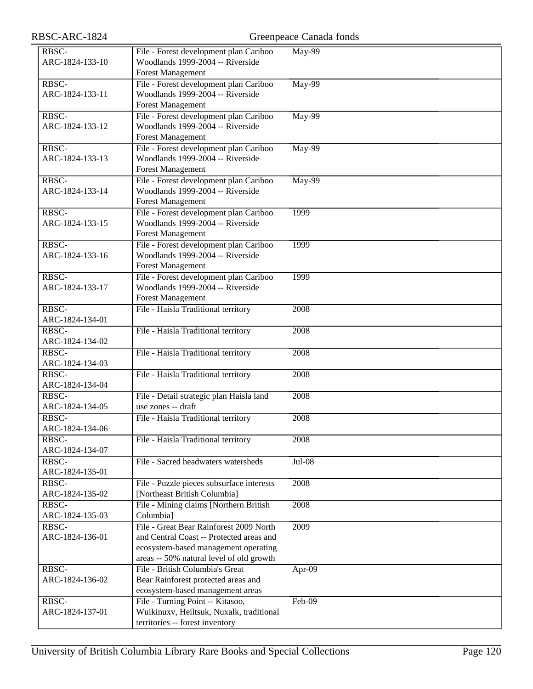| RBSC-ARC-1824                                |                                                                                                                                                                         | Greenpeace Canada fonds |
|----------------------------------------------|-------------------------------------------------------------------------------------------------------------------------------------------------------------------------|-------------------------|
| RBSC-<br>ARC-1824-133-10                     | File - Forest development plan Cariboo<br>Woodlands 1999-2004 -- Riverside<br><b>Forest Management</b>                                                                  | <b>May-99</b>           |
| RBSC-<br>ARC-1824-133-11                     | File - Forest development plan Cariboo<br>Woodlands 1999-2004 -- Riverside<br><b>Forest Management</b>                                                                  | $May-99$                |
| RBSC-<br>ARC-1824-133-12                     | File - Forest development plan Cariboo<br>Woodlands 1999-2004 -- Riverside<br><b>Forest Management</b>                                                                  | $May-99$                |
| RBSC-<br>ARC-1824-133-13                     | File - Forest development plan Cariboo<br>Woodlands 1999-2004 -- Riverside<br><b>Forest Management</b>                                                                  | May-99                  |
| RBSC-<br>ARC-1824-133-14                     | File - Forest development plan Cariboo<br>Woodlands 1999-2004 -- Riverside<br><b>Forest Management</b>                                                                  | May-99                  |
| RBSC-<br>ARC-1824-133-15                     | File - Forest development plan Cariboo<br>Woodlands 1999-2004 -- Riverside<br><b>Forest Management</b>                                                                  | 1999                    |
| RBSC-<br>ARC-1824-133-16                     | File - Forest development plan Cariboo<br>Woodlands 1999-2004 -- Riverside<br><b>Forest Management</b>                                                                  | 1999                    |
| RBSC-<br>ARC-1824-133-17                     | File - Forest development plan Cariboo<br>Woodlands 1999-2004 -- Riverside<br><b>Forest Management</b>                                                                  | 1999                    |
| RBSC-<br>ARC-1824-134-01                     | File - Haisla Traditional territory                                                                                                                                     | 2008                    |
| RBSC-<br>ARC-1824-134-02                     | File - Haisla Traditional territory                                                                                                                                     | 2008                    |
| RBSC-<br>ARC-1824-134-03                     | File - Haisla Traditional territory                                                                                                                                     | 2008                    |
| RBSC-<br>ARC-1824-134-04                     | File - Haisla Traditional territory                                                                                                                                     | 2008                    |
| RBSC-<br>ARC-1824-134-05                     | File - Detail strategic plan Haisla land<br>use zones -- draft                                                                                                          | 2008                    |
| RBSC-<br>ARC-1824-134-06                     | File - Haisla Traditional territory                                                                                                                                     | 2008                    |
| $R\overline{\text{BSC-}}$<br>ARC-1824-134-07 | File - Haisla Traditional territory                                                                                                                                     | 2008                    |
| RBSC-<br>ARC-1824-135-01                     | File - Sacred headwaters watersheds                                                                                                                                     | $Jul-08$                |
| RBSC-<br>ARC-1824-135-02                     | File - Puzzle pieces subsurface interests<br>[Northeast British Columbia]                                                                                               | 2008                    |
| RBSC-<br>ARC-1824-135-03                     | File - Mining claims [Northern British<br>Columbia]                                                                                                                     | 2008                    |
| RBSC-<br>ARC-1824-136-01                     | File - Great Bear Rainforest 2009 North<br>and Central Coast -- Protected areas and<br>ecosystem-based management operating<br>areas -- 50% natural level of old growth | 2009                    |
| RBSC-<br>ARC-1824-136-02                     | File - British Columbia's Great<br>Bear Rainforest protected areas and<br>ecosystem-based management areas                                                              | Apr-09                  |
| RBSC-<br>ARC-1824-137-01                     | File - Turning Point -- Kitasoo,<br>Wuikinuxv, Heiltsuk, Nuxalk, traditional<br>territories -- forest inventory                                                         | $Feb-09$                |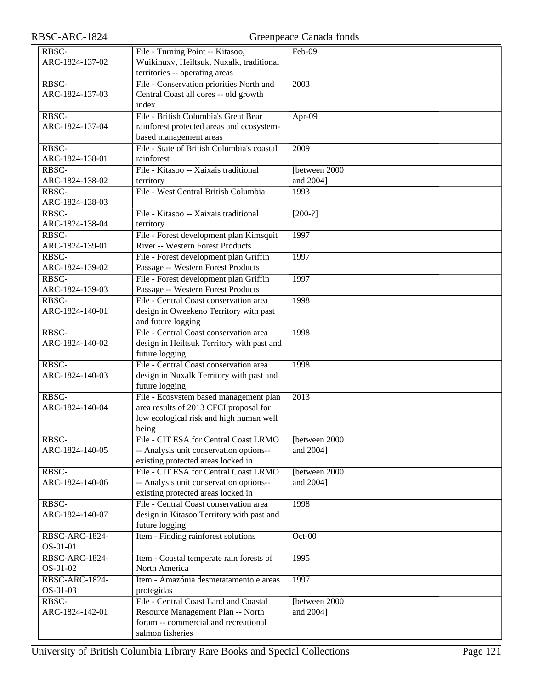| RBSC-           | File - Turning Point -- Kitasoo,           | Feb-09         |
|-----------------|--------------------------------------------|----------------|
|                 |                                            |                |
| ARC-1824-137-02 | Wuikinuxv, Heiltsuk, Nuxalk, traditional   |                |
|                 | territories -- operating areas             |                |
| RBSC-           | File - Conservation priorities North and   | 2003           |
| ARC-1824-137-03 | Central Coast all cores -- old growth      |                |
|                 | index                                      |                |
| RBSC-           | File - British Columbia's Great Bear       | $Apr-09$       |
| ARC-1824-137-04 | rainforest protected areas and ecosystem-  |                |
|                 |                                            |                |
|                 | based management areas                     |                |
| RBSC-           | File - State of British Columbia's coastal | 2009           |
| ARC-1824-138-01 | rainforest                                 |                |
| RBSC-           | File - Kitasoo -- Xaixais traditional      | [between 2000  |
| ARC-1824-138-02 | territory                                  | and 2004]      |
| RBSC-           | File - West Central British Columbia       | 1993           |
| ARC-1824-138-03 |                                            |                |
| RBSC-           | File - Kitasoo -- Xaixais traditional      |                |
|                 |                                            | $[200-?]$      |
| ARC-1824-138-04 | territory                                  |                |
| RBSC-           | File - Forest development plan Kimsquit    | 1997           |
| ARC-1824-139-01 | River -- Western Forest Products           |                |
| RBSC-           | File - Forest development plan Griffin     | 1997           |
| ARC-1824-139-02 | Passage -- Western Forest Products         |                |
| RBSC-           | File - Forest development plan Griffin     | 1997           |
| ARC-1824-139-03 | Passage -- Western Forest Products         |                |
|                 |                                            |                |
| RBSC-           | File - Central Coast conservation area     | 1998           |
| ARC-1824-140-01 | design in Oweekeno Territory with past     |                |
|                 | and future logging                         |                |
| RBSC-           | File - Central Coast conservation area     | 1998           |
| ARC-1824-140-02 | design in Heiltsuk Territory with past and |                |
|                 | future logging                             |                |
| RBSC-           | File - Central Coast conservation area     | 1998           |
| ARC-1824-140-03 |                                            |                |
|                 | design in Nuxalk Territory with past and   |                |
|                 | future logging                             |                |
| RBSC-           | File - Ecosystem based management plan     | 2013           |
| ARC-1824-140-04 | area results of 2013 CFCI proposal for     |                |
|                 | low ecological risk and high human well    |                |
|                 | being                                      |                |
| RBSC-           | File - CIT ESA for Central Coast LRMO      | [between 2000  |
| ARC-1824-140-05 | -- Analysis unit conservation options--    | and 2004]      |
|                 | existing protected areas locked in         |                |
|                 |                                            |                |
| RBSC-           | File - CIT ESA for Central Coast LRMO      | [between 2000] |
| ARC-1824-140-06 | -- Analysis unit conservation options--    | and 2004]      |
|                 | existing protected areas locked in         |                |
| RBSC-           | File - Central Coast conservation area     | 1998           |
| ARC-1824-140-07 | design in Kitasoo Territory with past and  |                |
|                 | future logging                             |                |
| RBSC-ARC-1824-  | Item - Finding rainforest solutions        | $Oct-00$       |
| OS-01-01        |                                            |                |
|                 |                                            |                |
| RBSC-ARC-1824-  | Item - Coastal temperate rain forests of   | 1995           |
| OS-01-02        | North America                              |                |
| RBSC-ARC-1824-  | Item - Amazónia desmetatamento e areas     | 1997           |
| OS-01-03        | protegidas                                 |                |
| RBSC-           | File - Central Coast Land and Coastal      | [between 2000] |
| ARC-1824-142-01 | Resource Management Plan -- North          | and 2004]      |
|                 | forum -- commercial and recreational       |                |
|                 | salmon fisheries                           |                |
|                 |                                            |                |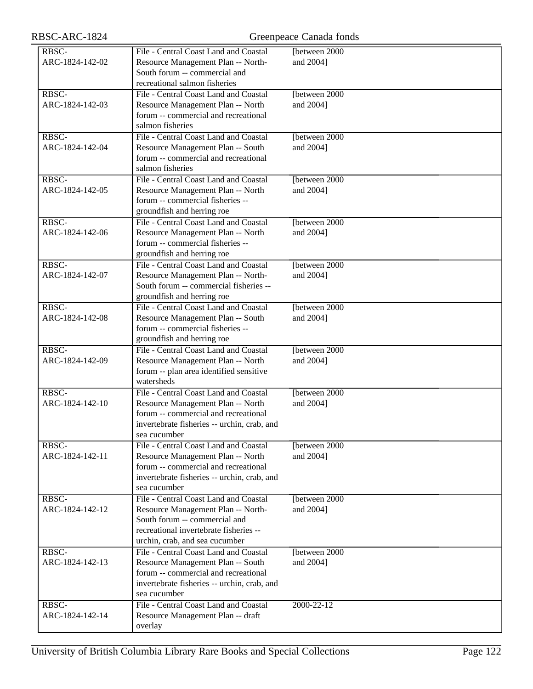| RBSC-ARC-1824            |                                                                                                                                                                                          | Greenpeace Canada fonds     |
|--------------------------|------------------------------------------------------------------------------------------------------------------------------------------------------------------------------------------|-----------------------------|
| RBSC-<br>ARC-1824-142-02 | File - Central Coast Land and Coastal<br>Resource Management Plan -- North-<br>South forum -- commercial and<br>recreational salmon fisheries                                            | Ibetween 2000<br>and 2004]  |
| RBSC-<br>ARC-1824-142-03 | File - Central Coast Land and Coastal<br>Resource Management Plan -- North<br>forum -- commercial and recreational<br>salmon fisheries                                                   | [between 2000<br>and 2004]  |
| RBSC-<br>ARC-1824-142-04 | File - Central Coast Land and Coastal<br>Resource Management Plan -- South<br>forum -- commercial and recreational<br>salmon fisheries                                                   | [between 2000]<br>and 2004] |
| RBSC-<br>ARC-1824-142-05 | File - Central Coast Land and Coastal<br>Resource Management Plan -- North<br>forum -- commercial fisheries --<br>groundfish and herring roe                                             | [between 2000]<br>and 2004] |
| RBSC-<br>ARC-1824-142-06 | File - Central Coast Land and Coastal<br>Resource Management Plan -- North<br>forum -- commercial fisheries --<br>groundfish and herring roe                                             | [between 2000<br>and 2004]  |
| RBSC-<br>ARC-1824-142-07 | File - Central Coast Land and Coastal<br>Resource Management Plan -- North-<br>South forum -- commercial fisheries --<br>groundfish and herring roe                                      | [between 2000]<br>and 2004] |
| RBSC-<br>ARC-1824-142-08 | File - Central Coast Land and Coastal<br>Resource Management Plan -- South<br>forum -- commercial fisheries --<br>groundfish and herring roe                                             | [between 2000]<br>and 2004] |
| RBSC-<br>ARC-1824-142-09 | File - Central Coast Land and Coastal<br>Resource Management Plan -- North<br>forum -- plan area identified sensitive<br>watersheds                                                      | [between 2000<br>and 2004]  |
| RBSC-<br>ARC-1824-142-10 | File - Central Coast Land and Coastal<br>Resource Management Plan -- North<br>forum -- commercial and recreational<br>invertebrate fisheries -- urchin, crab, and<br>sea cucumber        | [between 2000]<br>and 2004] |
| RBSC-<br>ARC-1824-142-11 | File - Central Coast Land and Coastal<br>Resource Management Plan -- North<br>forum -- commercial and recreational<br>invertebrate fisheries -- urchin, crab, and<br>sea cucumber        | [between 2000<br>and 2004]  |
| RBSC-<br>ARC-1824-142-12 | File - Central Coast Land and Coastal<br>Resource Management Plan -- North-<br>South forum -- commercial and<br>recreational invertebrate fisheries --<br>urchin, crab, and sea cucumber | [between 2000]<br>and 2004] |
| RBSC-<br>ARC-1824-142-13 | File - Central Coast Land and Coastal<br>Resource Management Plan -- South<br>forum -- commercial and recreational<br>invertebrate fisheries -- urchin, crab, and<br>sea cucumber        | [between 2000<br>and 2004]  |
| RBSC-<br>ARC-1824-142-14 | File - Central Coast Land and Coastal<br>Resource Management Plan -- draft<br>overlay                                                                                                    | 2000-22-12                  |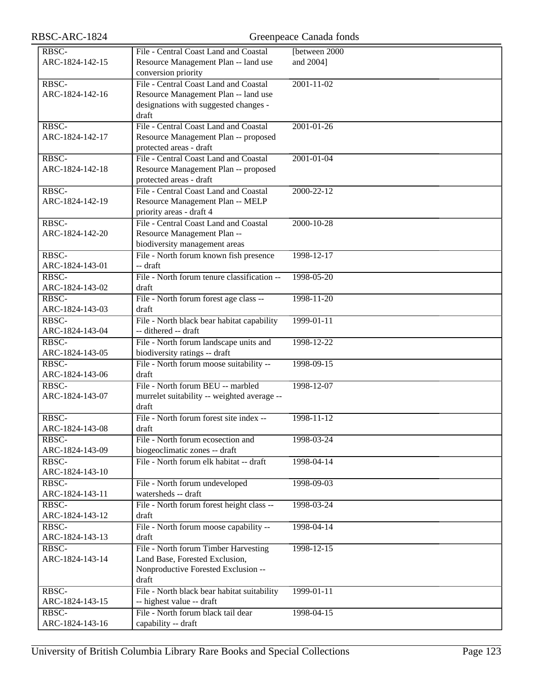| RBSC-ARC-1824                                 |                                             | Greenpeace Canada fonds |
|-----------------------------------------------|---------------------------------------------|-------------------------|
| RBSC-                                         | File - Central Coast Land and Coastal       | [between 2000           |
| ARC-1824-142-15                               | Resource Management Plan -- land use        | and 2004]               |
|                                               | conversion priority                         |                         |
| RBSC-                                         | File - Central Coast Land and Coastal       | $2001 - 11 - 02$        |
| ARC-1824-142-16                               | Resource Management Plan -- land use        |                         |
|                                               | designations with suggested changes -       |                         |
|                                               |                                             |                         |
|                                               | draft                                       |                         |
| RBSC-                                         | File - Central Coast Land and Coastal       | $2001 - 01 - 26$        |
| ARC-1824-142-17                               | Resource Management Plan -- proposed        |                         |
|                                               | protected areas - draft                     |                         |
| RBSC-                                         | File - Central Coast Land and Coastal       | 2001-01-04              |
| ARC-1824-142-18                               | Resource Management Plan -- proposed        |                         |
|                                               | protected areas - draft                     |                         |
| RBSC-                                         | File - Central Coast Land and Coastal       | 2000-22-12              |
| ARC-1824-142-19                               | Resource Management Plan -- MELP            |                         |
|                                               | priority areas - draft 4                    |                         |
| RBSC-                                         | File - Central Coast Land and Coastal       | $2000 - 10 - 28$        |
| ARC-1824-142-20                               | Resource Management Plan --                 |                         |
|                                               | biodiversity management areas               |                         |
| RBSC-                                         | File - North forum known fish presence      | 1998-12-17              |
| ARC-1824-143-01                               | -- draft                                    |                         |
| RBSC-                                         | File - North forum tenure classification -- | 1998-05-20              |
| ARC-1824-143-02                               | draft                                       |                         |
| RBSC-                                         |                                             | 1998-11-20              |
|                                               | File - North forum forest age class --      |                         |
| ARC-1824-143-03                               | draft                                       |                         |
| RBSC-                                         | File - North black bear habitat capability  | 1999-01-11              |
| ARC-1824-143-04                               | -- dithered -- draft                        |                         |
| RBSC-                                         | File - North forum landscape units and      | 1998-12-22              |
| ARC-1824-143-05                               | biodiversity ratings -- draft               |                         |
| RBSC-                                         | File - North forum moose suitability --     | 1998-09-15              |
| ARC-1824-143-06                               | draft                                       |                         |
| RBSC-                                         | File - North forum BEU -- marbled           | 1998-12-07              |
| ARC-1824-143-07                               | murrelet suitability -- weighted average -- |                         |
|                                               | draft                                       |                         |
| RBSC-                                         | File - North forum forest site index --     | $1998 - 11 - 12$        |
| ARC-1824-143-08                               | draft                                       |                         |
| RBSC-                                         | File - North forum ecosection and           | 1998-03-24              |
| ARC-1824-143-09                               | biogeoclimatic zones -- draft               |                         |
| RBSC-                                         | File - North forum elk habitat -- draft     | 1998-04-14              |
| ARC-1824-143-10                               |                                             |                         |
| RBSC-                                         | File - North forum undeveloped              | 1998-09-03              |
| ARC-1824-143-11                               | watersheds -- draft                         |                         |
| RBSC-                                         | File - North forum forest height class --   | 1998-03-24              |
| ARC-1824-143-12                               |                                             |                         |
|                                               | draft                                       |                         |
| RBSC-                                         | File - North forum moose capability --      | 1998-04-14              |
| ARC-1824-143-13                               | draft                                       |                         |
| $R\overline{B}$ <sub>S</sub> $\overline{C}$ - | File - North forum Timber Harvesting        | 1998-12-15              |
| ARC-1824-143-14                               | Land Base, Forested Exclusion,              |                         |
|                                               | Nonproductive Forested Exclusion --         |                         |
|                                               | draft                                       |                         |
| RBSC-                                         | File - North black bear habitat suitability | $1999 - 01 - 11$        |
| ARC-1824-143-15                               | -- highest value -- draft                   |                         |
| RBSC-                                         | File - North forum black tail dear          | 1998-04-15              |
| ARC-1824-143-16                               | capability -- draft                         |                         |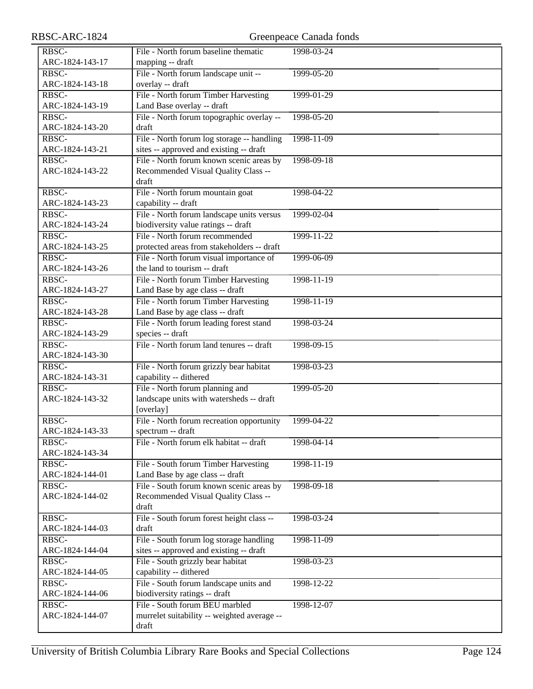| RBSC-ARC-1824   |                                                                             | Greenpeace Canada fonds |
|-----------------|-----------------------------------------------------------------------------|-------------------------|
| RBSC-           | File - North forum baseline thematic                                        | 1998-03-24              |
| ARC-1824-143-17 | mapping -- draft                                                            |                         |
| RBSC-           | File - North forum landscape unit --                                        | 1999-05-20              |
| ARC-1824-143-18 | overlay -- draft                                                            |                         |
| RBSC-           | File - North forum Timber Harvesting                                        | 1999-01-29              |
| ARC-1824-143-19 | Land Base overlay -- draft                                                  |                         |
| RBSC-           | File - North forum topographic overlay --                                   | 1998-05-20              |
| ARC-1824-143-20 | draft                                                                       |                         |
| RBSC-           | File - North forum log storage -- handling                                  | 1998-11-09              |
| ARC-1824-143-21 | sites -- approved and existing -- draft                                     |                         |
| RBSC-           | File - North forum known scenic areas by                                    | 1998-09-18              |
| ARC-1824-143-22 | Recommended Visual Quality Class --                                         |                         |
|                 | draft                                                                       |                         |
| RBSC-           | File - North forum mountain goat                                            | 1998-04-22              |
| ARC-1824-143-23 | capability -- draft                                                         |                         |
| RBSC-           | File - North forum landscape units versus                                   | 1999-02-04              |
| ARC-1824-143-24 | biodiversity value ratings -- draft                                         |                         |
| RBSC-           | File - North forum recommended                                              | 1999-11-22              |
| ARC-1824-143-25 | protected areas from stakeholders -- draft                                  |                         |
| RBSC-           | File - North forum visual importance of                                     | 1999-06-09              |
| ARC-1824-143-26 | the land to tourism -- draft                                                |                         |
| RBSC-           | File - North forum Timber Harvesting                                        | 1998-11-19              |
| ARC-1824-143-27 | Land Base by age class -- draft                                             |                         |
| RBSC-           | File - North forum Timber Harvesting                                        | $1998 - 11 - 19$        |
| ARC-1824-143-28 | Land Base by age class -- draft                                             |                         |
| RBSC-           | File - North forum leading forest stand                                     | 1998-03-24              |
| ARC-1824-143-29 | species -- draft                                                            |                         |
| RBSC-           | File - North forum land tenures -- draft                                    | 1998-09-15              |
| ARC-1824-143-30 |                                                                             |                         |
| RBSC-           | File - North forum grizzly bear habitat                                     | 1998-03-23              |
| ARC-1824-143-31 | capability -- dithered                                                      |                         |
| RBSC-           | File - North forum planning and                                             | 1999-05-20              |
| ARC-1824-143-32 | landscape units with watersheds -- draft                                    |                         |
|                 | [overlay]                                                                   |                         |
| RBSC-           | File - North forum recreation opportunity                                   | 1999-04-22              |
| ARC-1824-143-33 | spectrum -- draft                                                           |                         |
| RBSC-           | File - North forum elk habitat -- draft                                     | 1998-04-14              |
| ARC-1824-143-34 |                                                                             |                         |
| RBSC-           | File - South forum Timber Harvesting                                        | 1998-11-19              |
| ARC-1824-144-01 | Land Base by age class -- draft<br>File - South forum known scenic areas by | 1998-09-18              |
| RBSC-           |                                                                             |                         |
| ARC-1824-144-02 | Recommended Visual Quality Class --<br>draft                                |                         |
| RBSC-           | File - South forum forest height class --                                   | 1998-03-24              |
| ARC-1824-144-03 | draft                                                                       |                         |
| RBSC-           | File - South forum log storage handling                                     | 1998-11-09              |
| ARC-1824-144-04 | sites -- approved and existing -- draft                                     |                         |
| RBSC-           | File - South grizzly bear habitat                                           | 1998-03-23              |
| ARC-1824-144-05 | capability -- dithered                                                      |                         |
| RBSC-           | File - South forum landscape units and                                      | 1998-12-22              |
| ARC-1824-144-06 | biodiversity ratings -- draft                                               |                         |
| RBSC-           | File - South forum BEU marbled                                              | 1998-12-07              |
| ARC-1824-144-07 | murrelet suitability -- weighted average --                                 |                         |
|                 | draft                                                                       |                         |